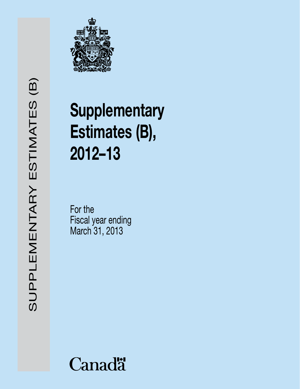

# **Supplementary** Estimates (B), 2012–13

For the Fiscal year ending March 31, 2013

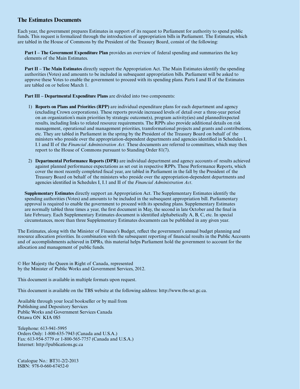#### **The Estimates Documents**

Each year, the government prepares Estimates in support of its request to Parliament for authority to spend public funds. This request is formalized through the introduction of appropriation bills in Parliament. The Estimates, which are tabled in the House of Commons by the President of the Treasury Board, consist of the following:

**Part I – The Government Expenditure Plan** provides an overview of federal spending and summarizes the key elements of the Main Estimates.

**Part II – The Main Estimates** directly support the Appropriation Act. The Main Estimates identify the spending authorities (Votes) and amounts to be included in subsequent appropriation bills. Parliament will be asked to approve these Votes to enable the government to proceed with its spending plans. Parts I and II of the Estimates are tabled on or before March 1.

**Part III – Departmental Expenditure Plans** are divided into two components:

- 1) **Reports on Plans and Priorities (RPP)** are individual expenditure plans for each department and agency (excluding Crown corporations). These reports provide increased levels of detail over a three-year period on an organization's main priorities by strategic outcome(s), program activity(ies) and planned/expected results, including links to related resource requirements. The RPPs also provide additional details on risk management, operational and management priorities, transformational projects and grants and contributions, etc. They are tabled in Parliament in the spring by the President of the Treasury Board on behalf of the ministers who preside over the appropriation-dependent departments and agencies identified in Schedules I, I.1 and II of the *Financial Administration Act*. These documents are referred to committees, which may then report to the House of Commons pursuant to Standing Order 81(7).
- 2) **Departmental Performance Reports (DPR)** are individual department and agency accounts of results achieved against planned performance expectations as set out in respective RPPs. These Performance Reports, which cover the most recently completed fiscal year, are tabled in Parliament in the fall by the President of the Treasury Board on behalf of the ministers who preside over the appropriation-dependent departments and agencies identified in Schedules I, I.1 and II of the *Financial Administration Act*.

**Supplementary Estimates** directly support an Appropriation Act. The Supplementary Estimates identify the spending authorities (Votes) and amounts to be included in the subsequent appropriation bill. Parliamentary approval is required to enable the government to proceed with its spending plans. Supplementary Estimates are normally tabled three times a year, the first document in May, the second in late October and the final in late February. Each Supplementary Estimates document is identified alphabetically A, B, C, etc. In special circumstances, more than three Supplementary Estimates documents can be published in any given year.

The Estimates, along with the Minister of Finance's Budget, reflect the government's annual budget planning and resource allocation priorities. In combination with the subsequent reporting of financial results in the Public Accounts and of accomplishments achieved in DPRs, this material helps Parliament hold the government to account for the allocation and management of public funds.

© Her Majesty the Queen in Right of Canada, represented by the Minister of Public Works and Government Services, 2012.

This document is available in multiple formats upon request.

This document is available on the TBS website at the following address: http://www.tbs-sct.gc.ca.

Available through your local bookseller or by mail from Publishing and Depository Services Public Works and Government Services Canada Ottawa ON KIA 0S5

Telephone: 613-941-5995 Orders Only: 1-800-635-7943 (Canada and U.S.A.) Fax: 613-954-5779 or 1-800-565-7757 (Canada and U.S.A.) Internet: http://publications.gc.ca

Catalogue No.: BT31-2/2-2013 ISBN: 978-0-660-67452-0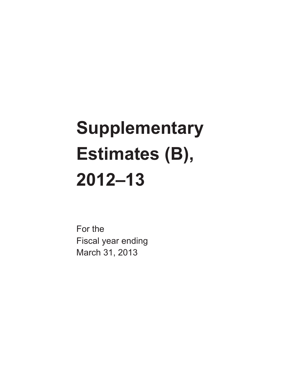# **Supplementary Estimates (B), 2012–13**

For the Fiscal year ending March 31, 2013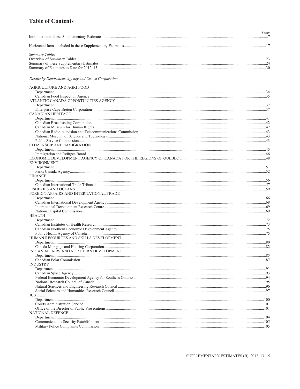# **Table of Contents**

|                                                            | Page |
|------------------------------------------------------------|------|
|                                                            |      |
|                                                            |      |
| <b>Summary Tables</b>                                      |      |
|                                                            |      |
|                                                            |      |
|                                                            |      |
| Details by Department, Agency and Crown Corporation        |      |
| <b>AGRICULTURE AND AGRI-FOOD</b>                           |      |
|                                                            |      |
|                                                            |      |
| ATLANTIC CANADA OPPORTUNITIES AGENCY<br>$Department 1: 37$ |      |
|                                                            |      |
| CANADIAN HERITAGE                                          |      |
|                                                            |      |
|                                                            |      |
|                                                            |      |
|                                                            |      |
|                                                            |      |
| CITIZENSHIP AND IMMIGRATION                                |      |
|                                                            |      |
|                                                            |      |
|                                                            |      |
| <b>ENVIRONMENT</b>                                         |      |
|                                                            |      |
| <b>FINANCE</b>                                             |      |
|                                                            |      |
|                                                            |      |
|                                                            |      |
| FOREIGN AFFAIRS AND INTERNATIONAL TRADE                    |      |
|                                                            |      |
|                                                            |      |
|                                                            |      |
| <b>HEALTH</b>                                              |      |
|                                                            |      |
|                                                            |      |
|                                                            |      |
| HUMAN RESOURCES AND SKILLS DEVELOPMENT                     |      |
|                                                            |      |
|                                                            |      |
| INDIAN AFFAIRS AND NORTHERN DEVELOPMENT                    |      |
|                                                            |      |
| <b>INDUSTRY</b>                                            |      |
|                                                            |      |
|                                                            |      |
|                                                            |      |
|                                                            |      |
|                                                            |      |
|                                                            |      |
| <b>JUSTICE</b>                                             |      |
|                                                            |      |
|                                                            |      |
| <b>NATIONAL DEFENCE</b>                                    |      |
|                                                            |      |
|                                                            |      |
|                                                            |      |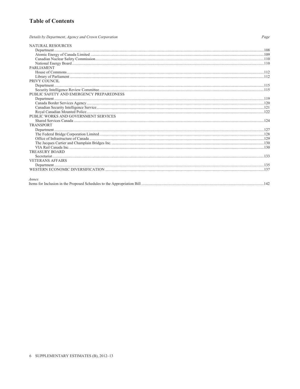## **Table of Contents**

Details by Department, Agency and Crown Corporation

Page

| <b>NATURAL RESOURCES</b>                 |  |
|------------------------------------------|--|
|                                          |  |
|                                          |  |
|                                          |  |
|                                          |  |
| <b>PARLIAMENT</b>                        |  |
|                                          |  |
|                                          |  |
| PRIVY COUNCIL                            |  |
|                                          |  |
|                                          |  |
| PUBLIC SAFETY AND EMERGENCY PREPAREDNESS |  |
|                                          |  |
|                                          |  |
|                                          |  |
|                                          |  |
| PUBLIC WORKS AND GOVERNMENT SERVICES     |  |
|                                          |  |
| <b>TRANSPORT</b>                         |  |
|                                          |  |
|                                          |  |
|                                          |  |
|                                          |  |
|                                          |  |
| <b>TREASURY BOARD</b>                    |  |
|                                          |  |
| <b>VETERANS AFFAIRS</b>                  |  |
|                                          |  |
|                                          |  |
| Annex                                    |  |
|                                          |  |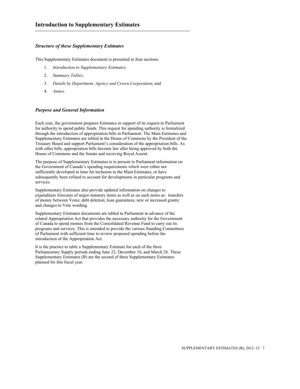#### *Structure of these Supplementary Estimates*

This Supplementary Estimates document is presented in four sections:

- 1. *Introduction to Supplementary Estimates*;
- 2. *Summary Tables*;
- 3. *Details by Department, Agency and Crown Corporation*; and
- 4. *Annex*.

<span id="page-6-0"></span>l

#### *Purpose and General Information*

Each year, the government prepares Estimates in support of its request to Parliament for authority to spend public funds. This request for spending authority is formalized through the introduction of appropriation bills in Parliament. The Main Estimates and Supplementary Estimates are tabled in the House of Commons by the President of the Treasury Board and support Parliament's consideration of the appropriation bills. As with other bills, appropriation bills become law after being approved by both the House of Commons and the Senate and receiving Royal Assent.

The purpose of Supplementary Estimates is to present to Parliament information on the Government of Canada's spending requirements which were either not sufficiently developed in time for inclusion in the Main Estimates, or have subsequently been refined to account for developments in particular programs and services.

Supplementary Estimates also provide updated information on changes to expenditure forecasts of major statutory items as well as on such items as: transfers of money between Votes; debt deletion; loan guarantees; new or increased grants; and changes to Vote wording.

Supplementary Estimates documents are tabled in Parliament in advance of the related Appropriation Act that provides the necessary authority for the Government of Canada to spend monies from the Consolidated Revenue Fund to carry out its programs and services. This is intended to provide the various Standing Committees of Parliament with sufficient time to review proposed spending before the introduction of the Appropriation Act.

It is the practice to table a Supplementary Estimate for each of the three Parliamentary Supply periods ending June 23, December 10, and March 26. These Supplementary Estimates (B) are the second of three Supplementary Estimates planned for this fiscal year.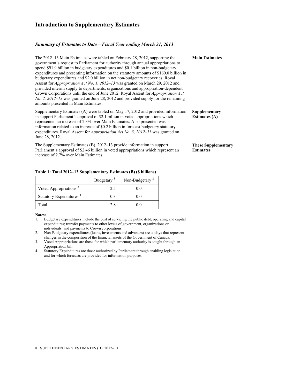#### *Summary of Estimates to Date – Fiscal Year ending March 31, 2013*

The 2012–13 Main Estimates were tabled on February 28, 2012, supporting the government's request to Parliament for authority through annual appropriations to spend \$91.9 billion in budgetary expenditures and \$0.1 billion in non-budgetary expenditures and presenting information on the statutory amounts of \$160.0 billion in budgetary expenditures and \$2.0 billion in net non-budgetary recoveries. Royal Assent for *Appropriation Act No. 1, 2012–13* was granted on March 29, 2012 and provided interim supply to departments, organizations and appropriation-dependent Crown Corporations until the end of June 2012. Royal Assent for *Appropriation Act No. 2, 2012–13* was granted on June 28, 2012 and provided supply for the remaining amounts presented in Main Estimates.

Supplementary Estimates (A) were tabled on May 17, 2012 and provided information in support Parliament's approval of \$2.1 billion in voted appropriations which represented an increase of 2.3% over Main Estimates. Also presented was information related to an increase of \$0.2 billion in forecast budgetary statutory expenditures. Royal Assent for *Appropriation Act No. 3, 2012–13* was granted on June 28, 2012.

The Supplementary Estimates (B), 2012–13 provide information in support Parliament's approval of \$2.46 billion in voted appropriations which represent an increase of 2.7% over Main Estimates.

#### **Table 1: Total 2012–13 Supplementary Estimates (B) (\$ billions)**

|                                     | Budgetary <sup>1</sup> | Non-Budgetary <sup>2</sup> |
|-------------------------------------|------------------------|----------------------------|
| Voted Appropriations <sup>3</sup>   | 2.5                    | 0 <sub>0</sub>             |
| Statutory Expenditures <sup>4</sup> | 03                     | 00                         |
| Total                               | 28                     | 00                         |

**Notes:** 

l

1. Budgetary expenditures include the cost of servicing the public debt; operating and capital expenditures; transfer payments to other levels of government, organizations or individuals; and payments to Crown corporations.

2. Non-Budgetary expenditures (loans, investments and advances) are outlays that represent changes in the composition of the financial assets of the Government of Canada.

3. Voted Appropriations are those for which parliamentary authority is sought through an Appropriation bill.

4. Statutory Expenditures are those authorized by Parliament through enabling legislation and for which forecasts are provided for information purposes.

**Main Estimates** 

**Supplementary Estimates (A)** 

**These Supplementary Estimates**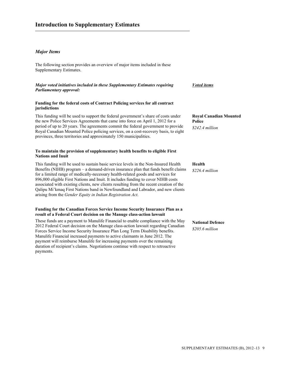#### *Major Items*

l

The following section provides an overview of major items included in these Supplementary Estimates.

#### *Major voted initiatives included in these Supplementary Estimates requiring Parliamentary approval:*

#### **Funding for the federal costs of Contract Policing services for all contract jurisdictions**

This funding will be used to support the federal government's share of costs under the new Police Services Agreements that came into force on April 1, 2012 for a period of up to 20 years. The agreements commit the federal government to provide Royal Canadian Mounted Police policing services, on a cost-recovery basis, to eight provinces, three territories and approximately 150 municipalities.

#### **To maintain the provision of supplementary health benefits to eligible First Nations and Inuit**

This funding will be used to sustain basic service levels in the Non-Insured Health Benefits (NIHB) program – a demand-driven insurance plan that funds benefit claims for a limited range of medically-necessary health-related goods and services for 896,000 eligible First Nations and Inuit. It includes funding to cover NIHB costs associated with existing clients, new clients resulting from the recent creation of the Qalipu Mi'kmaq First Nations band in Newfoundland and Labrador, and new clients arising from the *Gender Equity in Indian Registration Act*.

#### **Funding for the Canadian Forces Service Income Security Insurance Plan as a result of a Federal Court decision on the Manuge class-action lawsuit**

These funds are a payment to Manulife Financial to enable compliance with the May 2012 Federal Court decision on the Manuge class-action lawsuit regarding Canadian Forces Service Income Security Insurance Plan Long Term Disability benefits. Manulife Financial increased payments to active claimants in June 2012. The payment will reimburse Manulife for increasing payments over the remaining duration of recipient's claims. Negotiations continue with respect to retroactive payments.

*Voted items*

**Royal Canadian Mounted Police**  *\$242.4 million*

#### **Health**

*\$226.4 million* 

**National Defence**  *\$205.6 million*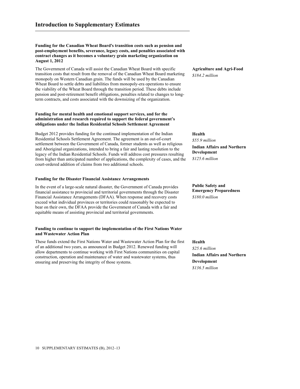#### **Funding for the Canadian Wheat Board's transition costs such as pension and post-employment benefits, severance, legacy costs, and penalties associated with contract changes as it becomes a voluntary grain marketing organization on August 1, 2012**

The Government of Canada will assist the Canadian Wheat Board with specific transition costs that result from the removal of the Canadian Wheat Board marketing monopoly on Western Canadian grain. The funds will be used by the Canadian Wheat Board to settle debts and liabilities from monopoly-era operations to ensure the viability of the Wheat Board through the transition period. These debts include pension and post-retirement benefit obligations, penalties related to changes to longterm contracts, and costs associated with the downsizing of the organization.

#### **Funding for mental health and emotional support services, and for the administration and research required to support the federal government's obligations under the Indian Residential Schools Settlement Agreement**

Budget 2012 provides funding for the continued implementation of the Indian Residential Schools Settlement Agreement. The agreement is an out-of-court settlement between the Government of Canada, former students as well as religious and Aboriginal organizations, intended to bring a fair and lasting resolution to the legacy of the Indian Residential Schools. Funds will address cost pressures resulting from higher than anticipated number of applications, the complexity of cases, and the court-ordered addition of claims from two additional schools.

#### **Funding for the Disaster Financial Assistance Arrangements**

In the event of a large-scale natural disaster, the Government of Canada provides financial assistance to provincial and territorial governments through the Disaster Financial Assistance Arrangements (DFAA). When response and recovery costs exceed what individual provinces or territories could reasonably be expected to bear on their own, the DFAA provide the Government of Canada with a fair and equitable means of assisting provincial and territorial governments.

#### **Funding to continue to support the implementation of the First Nations Water and Wastewater Action Plan**

These funds extend the First Nations Water and Wastewater Action Plan for the first of an additional two years, as announced in Budget 2012. Renewed funding will allow departments to continue working with First Nations communities on capital construction, operation and maintenance of water and wastewater systems, thus ensuring and preserving the integrity of those systems.

**Agriculture and Agri-Food**  *\$184.2 million* 

**Health**  *\$55.9 million* **Indian Affairs and Northern Development** *\$125.6 million*

**Public Safety and Emergency Preparedness**  *\$180.0 million*

**Health** 

*\$25.6 million* **Indian Affairs and Northern Development**  *\$136.5 million*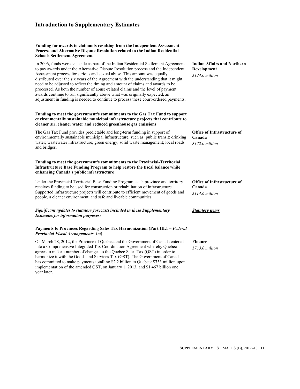#### **Funding for awards to claimants resulting from the Independent Assessment Process and Alternative Dispute Resolution related to the Indian Residential Schools Settlement Agreement**

In 2006, funds were set aside as part of the Indian Residential Settlement Agreement to pay awards under the Alternative Dispute Resolution process and the Independent Assessment process for serious and sexual abuse. This amount was equally distributed over the six years of the Agreement with the understanding that it might need to be adjusted to reflect the timing and amount of claims and awards to be processed. As both the number of abuse-related claims and the level of payment awards continue to run significantly above what was originally expected, an adjustment in funding is needed to continue to process these court-ordered payments.

#### **Funding to meet the government's commitments to the Gas Tax Fund to support environmentally sustainable municipal infrastructure projects that contribute to cleaner air, cleaner water and reduced greenhouse gas emissions**

The Gas Tax Fund provides predictable and long-term funding in support of environmentally sustainable municipal infrastructure, such as: public transit; drinking water; wastewater infrastructure; green energy; solid waste management; local roads and bridges.

#### **Funding to meet the government's commitments to the Provincial-Territorial Infrastructure Base Funding Program to help restore the fiscal balance while enhancing Canada's public infrastructure**

Under the Provincial-Territorial Base Funding Program, each province and territory receives funding to be used for construction or rehabilitation of infrastructure. Supported infrastructure projects will contribute to efficient movement of goods and people, a cleaner environment, and safe and liveable communities.

#### *Significant updates to statutory forecasts included in these Supplementary Estimates for information purposes:*

#### Payments to Provinces Regarding Sales Tax Harmonization (Part III.1 – *Federal Provincial Fiscal Arrangements Act***)**

On March 28, 2012, the Province of Quebec and the Government of Canada entered into a Comprehensive Integrated Tax Coordination Agreement whereby Quebec agrees to make a number of changes to the Quebec Sales Tax (QST) in order to harmonize it with the Goods and Services Tax (GST). The Government of Canada has committed to make payments totalling \$2.2 billion to Quebec: \$733 million upon implementation of the amended QST, on January 1, 2013, and \$1.467 billion one year later.

**Indian Affairs and Northern Development**  *\$124.0 million* 

**Office of Infrastructure of Canada**  *\$122.0 million*

**Office of Infrastructure of Canada**  *\$114.6 million*

*Statutory items*

#### **Finance**

*\$733.0 million*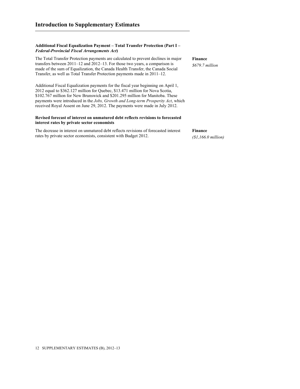#### **Additional Fiscal Equalization Payment – Total Transfer Protection (Part I –**  *Federal-Provincial Fiscal Arrangements Act***)**

The Total Transfer Protection payments are calculated to prevent declines in major transfers between 2011–12 and 2012–13. For those two years, a comparison is made of the sum of Equalization, the Canada Health Transfer, the Canada Social Transfer, as well as Total Transfer Protection payments made in 2011–12.

Additional Fiscal Equalization payments for the fiscal year beginning on April 1, 2012 equal to \$362.127 million for Quebec, \$13.471 million for Nova Scotia, \$102.767 million for New Brunswick and \$201.295 million for Manitoba. These payments were introduced in the *Jobs, Growth and Long-term Prosperity Act*, which received Royal Assent on June 29, 2012. The payments were made in July 2012.

#### **Revised forecast of interest on unmatured debt reflects revisions to forecasted interest rates by private sector economists**

The decrease in interest on unmatured debt reflects revisions of forecasted interest rates by private sector economists, consistent with Budget 2012.

**Finance** 

*\$679.7 million*

**Finance** 

*(\$1,166.0 million)*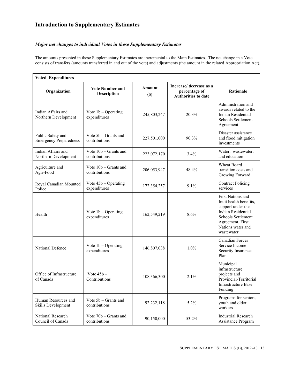#### *Major net changes to individual Votes in these Supplementary Estimates*

The amounts presented in these Supplementary Estimates are incremental to the Main Estimates. The net change in a Vote consists of transfers (amounts transferred in and out of the vote) and adjustments (the amount in the related Appropriation Act).

| <b>Voted Expenditures</b>                          |                                              |                      |                                                                        |                                                                                                                                                                     |
|----------------------------------------------------|----------------------------------------------|----------------------|------------------------------------------------------------------------|---------------------------------------------------------------------------------------------------------------------------------------------------------------------|
| Organization                                       | <b>Vote Number and</b><br><b>Description</b> | <b>Amount</b><br>(S) | Increase/ decrease as a<br>percentage of<br><b>Authorities to date</b> | <b>Rationale</b>                                                                                                                                                    |
| Indian Affairs and<br>Northern Development         | Vote $1b$ – Operating<br>expenditures        | 245,803,247          | 20.3%                                                                  | Administration and<br>awards related to the<br>Indian Residential<br>Schools Settlement<br>Agreement                                                                |
| Public Safety and<br><b>Emergency Preparedness</b> | Vote $5b -$ Grants and<br>contributions      | 227,501,000          | 90.3%                                                                  | Disaster assistance<br>and flood mitigation<br>investments                                                                                                          |
| Indian Affairs and<br>Northern Development         | Vote 10b - Grants and<br>contributions       | 223,072,170          | 3.4%                                                                   | Water, wastewater,<br>and education                                                                                                                                 |
| Agriculture and<br>Agri-Food                       | Vote $10b -$ Grants and<br>contributions     | 206,053,947          | 48.4%                                                                  | <b>Wheat Board</b><br>transition costs and<br>Growing Forward                                                                                                       |
| Royal Canadian Mounted<br>Police                   | Vote 45b - Operating<br>expenditures         | 172,354,257          | 9.1%                                                                   | <b>Contract Policing</b><br>services                                                                                                                                |
| Health                                             | Vote $1b$ – Operating<br>expenditures        | 162,549,219          | 8.6%                                                                   | First Nations and<br>Inuit health benefits.<br>support under the<br>Indian Residential<br>Schools Settlement<br>Agreement, First<br>Nations water and<br>wastewater |
| National Defence                                   | Vote $1b$ – Operating<br>expenditures        | 146,807,038          | 1.0%                                                                   | <b>Canadian Forces</b><br>Service Income<br>Security Insurance<br>Plan                                                                                              |
| Office of Infrastructure<br>of Canada              | Vote $45b -$<br>Contributions                | 108,366,300          | 2.1%                                                                   | Municipal<br>infrastructure<br>projects and<br>Provincial-Territorial<br><b>Infrastructure Base</b><br>Funding                                                      |
| Human Resources and<br>Skills Development          | Vote $5b -$ Grants and<br>contributions      | 92,232,118           | 5.2%                                                                   | Programs for seniors,<br>youth and older<br>workers                                                                                                                 |
| National Research<br>Council of Canada             | Vote $70b -$ Grants and<br>contributions     | 90,150,000           | 53.2%                                                                  | <b>Industrial Research</b><br>Assistance Program                                                                                                                    |

SUPPLEMENTARY ESTIMATES (B), 2012–13 13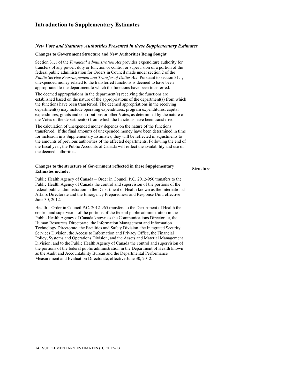#### *New Vote and Statutory Authorities Presented in these Supplementary Estimates*

#### **Changes to Government Structure and New Authorities Being Sought**

Section 31.1 of the *Financial Administration Act* provides expenditure authority for transfers of any power, duty or function or control or supervision of a portion of the federal public administration for Orders in Council made under section 2 of the *Public Service Rearrangement and Transfer of Duties Act*. Pursuant to section 31.1, unexpended money related to the transferred functions is deemed to have been appropriated to the department to which the functions have been transferred.

The deemed appropriations in the department(s) receiving the functions are established based on the nature of the appropriations of the department(s) from which the functions have been transferred. The deemed appropriations in the receiving department(s) may include operating expenditures, program expenditures, capital expenditures, grants and contributions or other Votes, as determined by the nature of the Votes of the department(s) from which the functions have been transferred.

The calculation of unexpended money depends on the nature of the functions transferred. If the final amounts of unexpended money have been determined in time for inclusion in a Supplementary Estimates, they will be reflected in adjustments to the amounts of previous authorities of the affected departments. Following the end of the fiscal year, the Public Accounts of Canada will reflect the availability and use of the deemed authorities.

# **Changes to the structure of Government reflected in these Supplementary Estimates include: Structure**

Public Health Agency of Canada – Order in Council P.C. 2012-950 transfers to the Public Health Agency of Canada the control and supervision of the portions of the federal public administration in the Department of Health known as the International Affairs Directorate and the Emergency Preparedness and Response Unit, effective June 30, 2012.

Health – Order in Council P.C. 2012-965 transfers to the Department of Health the control and supervision of the portions of the federal public administration in the Public Health Agency of Canada known as the Communications Directorate, the Human Resources Directorate, the Information Management and Information Technology Directorate, the Facilities and Safety Division, the Integrated Security Services Division, the Access to Information and Privacy Office, the Financial Policy, Systems and Operations Division, and the Assets and Material Management Division; and to the Public Health Agency of Canada the control and supervision of the portions of the federal public administration in the Department of Health known as the Audit and Accountability Bureau and the Departmental Performance Measurement and Evaluation Directorate, effective June 30, 2012.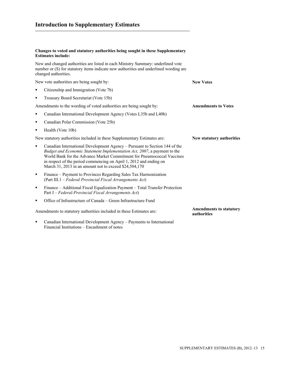Financial Institutions – Encashment of notes

l

#### **Changes to voted and statutory authorities being sought in these Supplementary Estimates include:**

New and changed authorities are listed in each Ministry Summary: underlined vote number or (S) for statutory items indicate new authorities and underlined wording are changed authorities.

New vote authorities are being sought by: **New Votes**  Citizenship and Immigration (Vote 7b) **Treasury Board Secretariat (Vote 15b)** Amendments to the wording of voted authorities are being sought by: **Amendments to Votes**  Canadian International Development Agency (Votes L35b and L40b) Canadian Polar Commission (Vote 25b) Health (Vote 10b) New statutory authorities included in these Supplementary Estimates are: **New statutory authorities**  Canadian International Development Agency – Pursuant to Section 144 of the *Budget and Economic Statement Implementation Act, 2007*, a payment to the World Bank for the Advance Market Commitment for Pneumococcal Vaccines in respect of the period commencing on April 1, 2012 and ending on March 31, 2013 in an amount not to exceed \$24,504,170 Finance – Payment to Provinces Regarding Sales Tax Harmonization (Part III.1 – *Federal Provincial Fiscal Arrangements Act*) Finance – Additional Fiscal Equalization Payment – Total Transfer Protection Part I – *Federal-Provincial Fiscal Arrangements Act*) Office of Infrastructure of Canada – Green Infrastructure Fund Amendments to statutory authorities included in these Estimates are: **Amendments to statutory Amendments** to **Amendments** to **Amendments** to **Amendments** to **Amendments** to **Amendments** to **Amendments** to **Amendments** to **authorities**  Canadian International Development Agency – Payments to International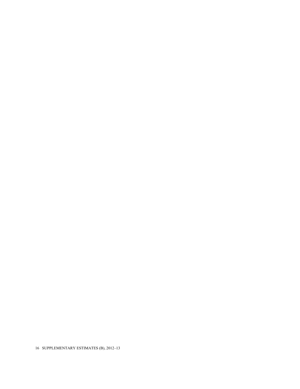16 SUPPLEMENTARY ESTIMATES (B), 2012–13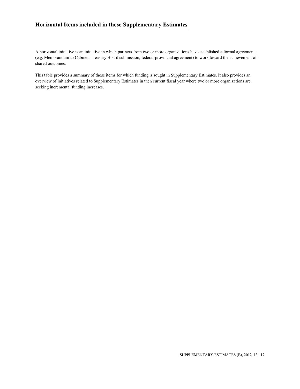<span id="page-16-0"></span>l

A horizontal initiative is an initiative in which partners from two or more organizations have established a formal agreement (e.g. Memorandum to Cabinet, Treasury Board submission, federal-provincial agreement) to work toward the achievement of shared outcomes.

This table provides a summary of those items for which funding is sought in Supplementary Estimates. It also provides an overview of initiatives related to Supplementary Estimates in then current fiscal year where two or more organizations are seeking incremental funding increases.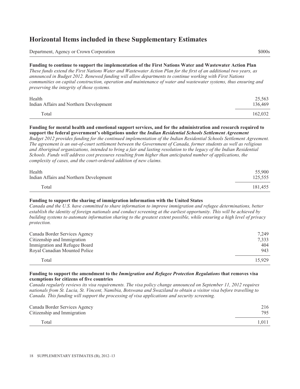Department, Agency or Crown Corporation \$000s

#### **Funding to continue to support the implementation of the First Nations Water and Wastewater Action Plan**

*These funds extend the First Nations Water and Wastewater Action Plan for the first of an additional two years, as announced in Budget 2012. Renewed funding will allow departments to continue working with First Nations communities on capital construction, operation and maintenance of water and wastewater systems, thus ensuring and preserving the integrity of those systems.*

| Health                                  | 25.563  |
|-----------------------------------------|---------|
| Indian Affairs and Northern Development | 136,469 |
| Total                                   | 162,032 |

#### **Funding for mental health and emotional support services, and for the administration and research required to support the federal government's obligations under the** *Indian Residential Schools Settlement Agreement*

*Budget 2012 provides funding for the continued implementation of the Indian Residential Schools Settlement Agreement. The agreement is an out-of-court settlement between the Government of Canada, former students as well as religious and Aboriginal organizations, intended to bring a fair and lasting resolution to the legacy of the Indian Residential Schools. Funds will address cost pressures resulting from higher than anticipated number of applications, the complexity of cases, and the court-ordered addition of new claims.*

| Health                                  | 55,900  |
|-----------------------------------------|---------|
| Indian Affairs and Northern Development | 125.555 |
| Total                                   | 181.455 |

#### **Funding to support the sharing of immigration information with the United States**

*Canada and the U.S. have committed to share information to improve immigration and refugee determinations, better establish the identity of foreign nationals and conduct screening at the earliest opportunity. This will be achieved by building systems to automate information sharing to the greatest extent possible, while ensuring a high level of privacy protection.*

| Canada Border Services Agency | 7.249  |
|-------------------------------|--------|
| Citizenship and Immigration   | 7.333  |
| Immigration and Refugee Board | 404    |
| Royal Canadian Mounted Police | 943    |
| Total                         | 15.929 |

#### **Funding to support the amendment to the** *Immigration and Refugee Protection Regulations* **that removes visa exemptions for citizens of five countries**

*Canada regularly reviews its visa requirements. The visa policy change announced on September 11, 2012 requires nationals from St. Lucia, St. Vincent, Namibia, Botswana and Swaziland to obtain a visitor visa before travelling to Canada. This funding will support the processing of visa applications and security screening.*

| Canada Border Services Agency | 216   |
|-------------------------------|-------|
| Citizenship and Immigration   | 795   |
| Total                         | 1.011 |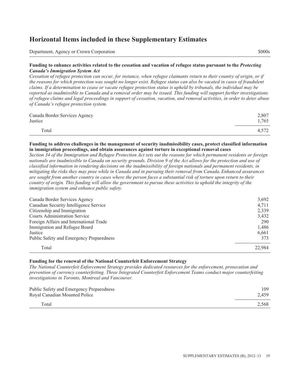Department, Agency or Crown Corporation \$000s

#### **Funding to enhance activities related to the cessation and vacation of refugee status pursuant to the** *Protecting Canada's Immigration System Act*

*Cessation of refugee protection can occur, for instance, when refugee claimants return to their country of origin, or if the reasons for which protection was sought no longer exist. Refugee status can also be vacated in cases of fraudulent claims. If a determination to cease or vacate refugee protection status is upheld by tribunals, the individual may be reported as inadmissible to Canada and a removal order may be issued. This funding will support further investigations of refugee claims and legal proceedings in support of cessation, vacation, and removal activities, in order to deter abuse of Canada's refugee protection system.*

| Canada Border Services Agency | 2,807 |
|-------------------------------|-------|
| Justice                       | 1,765 |
| Total                         | 4.572 |

#### **Funding to address challenges in the management of security inadmissibility cases, protect classified information in immigration proceedings, and obtain assurances against torture in exceptional removal cases**

*Section 34 of the Immigration and Refugee Protection Act sets out the reasons for which permanent residents or foreign nationals are inadmissible to Canada on security grounds. Division 9 of the Act allows for the protection and use of classified information in rendering decisions on the inadmissibility of foreign nationals and permanent residents, in mitigating the risks they may pose while in Canada and in pursuing their removal from Canada. Enhanced assurances are sought from another country in cases where the person faces a substantial risk of torture upon return to their country of origin. This funding will allow the government to pursue these activities to uphold the integrity of the immigration system and enhance public safety.*

| Canada Border Services Agency            | 3,692  |
|------------------------------------------|--------|
| Canadian Security Intelligence Service   | 4,711  |
| Citizenship and Immigration              | 2,339  |
| <b>Courts Administration Service</b>     | 3,432  |
| Foreign Affairs and International Trade  | 290    |
| Immigration and Refugee Board            | 1,486  |
| Justice                                  | 6.661  |
| Public Safety and Emergency Preparedness | 373    |
| Total                                    | 22.984 |

#### **Funding for the renewal of the National Counterfeit Enforcement Strategy**

*The National Counterfeit Enforcement Strategy provides dedicated resources for the enforcement, prosecution and prevention of currency counterfeiting. Three Integrated Counterfeit Enforcement Teams conduct major counterfeiting investigations in Toronto, Montreal and Vancouver.*

| Public Safety and Emergency Preparedness | 109   |
|------------------------------------------|-------|
| Royal Canadian Mounted Police            | 2.459 |
| Total                                    | 2.568 |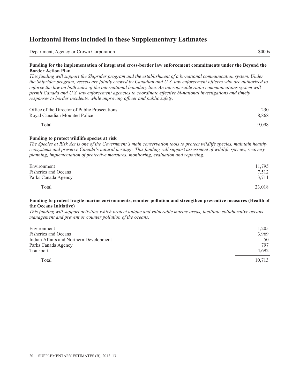Department, Agency or Crown Corporation \$000s

#### **Funding for the implementation of integrated cross-border law enforcement commitments under the Beyond the Border Action Plan**

*This funding will support the Shiprider program and the establishment of a bi-national communication system. Under the Shiprider program, vessels are jointly crewed by Canadian and U.S. law enforcement officers who are authorized to enforce the law on both sides of the international boundary line. An interoperable radio communications system will permit Canada and U.S. law enforcement agencies to coordinate effective bi-national investigations and timely responses to border incidents, while improving officer and public safety.*

| Office of the Director of Public Prosecutions | 230   |
|-----------------------------------------------|-------|
| Royal Canadian Mounted Police                 | 8.868 |
| Total                                         | 9.098 |

#### **Funding to protect wildlife species at risk**

*The Species at Risk Act is one of the Government's main conservation tools to protect wildlife species, maintain healthy ecosystems and preserve Canada's natural heritage. This funding will support assessment of wildlife species, recovery planning, implementation of protective measures, monitoring, evaluation and reporting.*

| Environment          | 11,795 |
|----------------------|--------|
| Fisheries and Oceans | 7.512  |
| Parks Canada Agency  | 3.711  |
| Total                | 23,018 |

#### **Funding to protect fragile marine environments, counter pollution and strengthen preventive measures (Health of the Oceans Initiative)**

*This funding will support activities which protect unique and vulnerable marine areas, facilitate collaborative oceans management and prevent or counter pollution of the oceans.*

| Environment<br><b>Fisheries and Oceans</b> | 1,205  |
|--------------------------------------------|--------|
|                                            | 3,969  |
| Indian Affairs and Northern Development    | 50     |
| Parks Canada Agency                        | 797    |
| Transport                                  | 4.692  |
| Total                                      | 10.713 |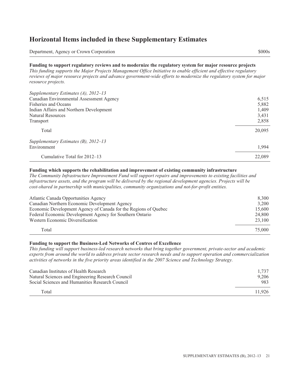Department, Agency or Crown Corporation \$000s

#### **Funding to support regulatory reviews and to modernize the regulatory system for major resource projects**

*This funding supports the Major Projects Management Office Initiative to enable efficient and effective regulatory reviews of major resource projects and advance government-wide efforts to modernize the regulatory system for major resource projects.*

| Supplementary Estimates (A), $2012-13$   |        |
|------------------------------------------|--------|
| Canadian Environmental Assessment Agency | 6,515  |
| <b>Fisheries and Oceans</b>              | 5,882  |
| Indian Affairs and Northern Development  | 1.409  |
| Natural Resources                        | 3,431  |
| Transport                                | 2,858  |
| Total                                    | 20,095 |
| Supplementary Estimates (B), $2012-13$   |        |
| Environment                              | 1.994  |
| Cumulative Total for 2012–13             | 22,089 |

#### **Funding which supports the rehabilitation and improvement of existing community infrastructure**

*The Community Infrastructure Improvement Fund will support repairs and improvements to existing facilities and infrastructure assets, and the program will be delivered by the regional development agencies. Projects will be cost-shared in partnership with municipalities, community organizations and not-for-profit entities.*

| Atlantic Canada Opportunities Agency                            | 8.300  |
|-----------------------------------------------------------------|--------|
| Canadian Northern Economic Development Agency                   | 3.200  |
| Economic Development Agency of Canada for the Regions of Quebec | 15,600 |
| Federal Economic Development Agency for Southern Ontario        | 24,800 |
| Western Economic Diversification                                | 23.100 |
| Total                                                           | 75,000 |

#### **Funding to support the Business-Led Networks of Centres of Excellence**

*This funding will support business-led research networks that bring together government, private-sector and academic experts from around the world to address private sector research needs and to support operation and commercialization activities of networks in the five priority areas identified in the 2007 Science and Technology Strategy.*

| Canadian Institutes of Health Research            | 1.737  |
|---------------------------------------------------|--------|
| Natural Sciences and Engineering Research Council | 9.206  |
| Social Sciences and Humanities Research Council   | 983    |
| Total                                             | 11.926 |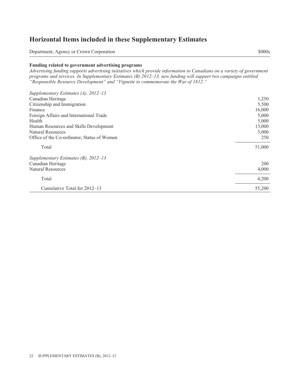Department, Agency or Crown Corporation  $$000s$ 

#### **Funding related to government advertising programs**

*Advertising funding supports advertising initiatives which provide information to Canadians on a variety of government programs and services. In Supplementary Estimates (B) 2012–13, new funding will support two campaigns entitled "Responsible Resource Development" and "Vignette to commemorate the War of 1812."*

| Supplementary Estimates (A), $2012-13$      |        |
|---------------------------------------------|--------|
| Canadian Heritage                           | 1,250  |
| Citizenship and Immigration                 | 5,500  |
| Finance                                     | 16,000 |
| Foreign Affairs and International Trade     | 5,000  |
| Health                                      | 5,000  |
| Human Resources and Skills Development      | 13,000 |
| <b>Natural Resources</b>                    | 5,000  |
| Office of the Co-ordinator, Status of Women | 250    |
| Total                                       | 51,000 |
| Supplementary Estimates (B), 2012-13        |        |
| Canadian Heritage                           | 200    |
| <b>Natural Resources</b>                    | 4,000  |
| Total                                       | 4,200  |
| Cumulative Total for 2012–13                | 55,200 |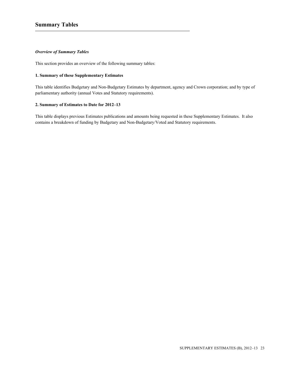#### <span id="page-22-0"></span>*Overview of Summary Tables*

This section provides an overview of the following summary tables:

#### **1. Summary of these Supplementary Estimates**

This table identifies Budgetary and Non-Budgetary Estimates by department, agency and Crown corporation; and by type of parliamentary authority (annual Votes and Statutory requirements).

#### **2. Summary of Estimates to Date for 2012–13**

This table displays previous Estimates publications and amounts being requested in these Supplementary Estimates. It also contains a breakdown of funding by Budgetary and Non-Budgetary/Voted and Statutory requirements.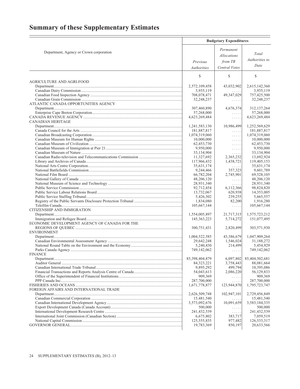# <span id="page-23-0"></span>**Summary of these Supplementary Estimates**

|                                               |                              | <b>Budgetary Expenditures</b>                                                           |                              |
|-----------------------------------------------|------------------------------|-----------------------------------------------------------------------------------------|------------------------------|
| Department, Agency or Crown corporation       | Previous                     | Permanent<br><b>Allocations</b><br>from TB                                              | Total<br>Authorities to      |
|                                               | Authorities                  | Central Votes                                                                           | Date                         |
|                                               | \$                           | S                                                                                       | \$                           |
| AGRICULTURE AND AGRI-FOOD                     |                              |                                                                                         |                              |
|                                               | 2,572,109,458                | 43,032,902                                                                              | 2,615,142,360                |
|                                               | 3,935,119                    |                                                                                         | 3,935,119                    |
|                                               | 708,078,471                  | 49,347,029                                                                              | 757,425,500                  |
|                                               | 32,248,237                   | $\mathcal{L} \rightarrow \mathcal{L} \rightarrow \mathcal{L}$                           | 32,248,237                   |
| ATLANTIC CANADA OPPORTUNITIES AGENCY          | 307,460,890                  | 4,676,374                                                                               | 312, 137, 264                |
|                                               | 57,268,000                   | $\alpha$ , $\alpha$ , $\alpha$                                                          | 57,268,000                   |
|                                               | 4,623,269,484                | $\ldots$                                                                                | 4,623,269,484                |
| <b>CANADIAN HERITAGE</b>                      |                              |                                                                                         |                              |
|                                               | 1,241,583,130                | 10,986,499                                                                              | 1,252,569,629                |
|                                               | 181,887,817                  | $\mathbb{Z}^2$ . $\mathbb{Z}^2$                                                         | 181,887,817                  |
|                                               | 1,074,319,060                | $\ldots$                                                                                | 1,074,319,060                |
|                                               | 10,000,000<br>62, 453, 730   | $\ldots$<br>$\ldots$                                                                    | 10,000,000<br>62,453,730     |
|                                               | 9,950,000                    | $\ldots$                                                                                | 9,950,000                    |
|                                               | 33,134,904                   | $\mathbf{1}$ , and $\mathbf{1}$                                                         | 33,134,904                   |
|                                               | 11,327,692                   | 2,365,232                                                                               | 13,692,924                   |
|                                               | 117,966,432                  | 1,438,721                                                                               | 119,405,153                  |
|                                               | 35,631,174                   | $\mathcal{L}^{\mathcal{A}}$ , $\mathcal{L}^{\mathcal{A}}$ , $\mathcal{L}^{\mathcal{A}}$ | 35,631,174                   |
|                                               | 9,244,466                    | 357,323                                                                                 | 9,601,789                    |
|                                               | 66,782,204<br>48,206,120     | 2,745,901                                                                               | 69,528,105<br>48,206,120     |
|                                               | 28,931,340                   | $\ldots$ .<br>$\ldots$ . $\ldots$                                                       | 28,931,340                   |
|                                               | 92,712,454                   | 6,112,366                                                                               | 98,824,820                   |
|                                               | 13,732,067                   | 620,938                                                                                 | 14,353,005                   |
|                                               | 5,426,302                    | 239,255                                                                                 | 5,665,557                    |
|                                               | 1,834,080                    | 82,200                                                                                  | 1,916,280                    |
|                                               | 105,667,144                  | $\mathbb{R}^n$ . In the $\mathbb{R}^n$                                                  | 105,667,144                  |
| CITIZENSHIP AND IMMIGRATION                   | 1,554,005,897                | 21,717,315                                                                              | 1,575,723,212                |
|                                               | 145, 363, 223                | 5,714,272                                                                               | 151,077,495                  |
| ECONOMIC DEVELOPMENT AGENCY OF CANADA FOR THE |                              |                                                                                         |                              |
|                                               | 300,751,431                  | 2,820,499                                                                               | 303,571,930                  |
| <b>ENVIRONMENT</b>                            |                              |                                                                                         |                              |
|                                               | 1,004,522,585                | 43,386,679                                                                              | 1,047,909,264                |
|                                               | 29,642,248                   | 1,546,024                                                                               | 31,188,272                   |
|                                               | 5,240,430<br>749,142,062     | 214,499                                                                                 | 5,454,929<br>749, 142, 062   |
| <b>FINANCE</b>                                |                              | $\alpha$ , $\alpha$ , $\alpha$ , $\alpha$                                               |                              |
|                                               | 85, 398, 404, 879            | 6,097,802                                                                               | 85,404,502,681               |
|                                               | 84, 323, 221                 | 3,758,443                                                                               | 88,081,664                   |
|                                               | 9,895,292                    | 499,794                                                                                 | 10,395,086                   |
|                                               | 54,043,613                   | 2,086,220                                                                               | 56,129,833                   |
|                                               | 909,369                      | .                                                                                       | 909,369                      |
|                                               | 287,700,000<br>1,671,778,877 | .<br>123,944,870                                                                        | 287,700,000<br>1,795,723,747 |
| FOREIGN AFFAIRS AND INTERNATIONAL TRADE       |                              |                                                                                         |                              |
|                                               | 2,626,509,748                | 102,947,101                                                                             | 2,729,456,849                |
|                                               | 15,481,540                   |                                                                                         | 15,481,540                   |
|                                               | 3,573,092,676                | 10,091,659                                                                              | 3,583,184,335                |
|                                               | 500,000                      | .                                                                                       | 500,000                      |
|                                               | 241, 432, 539                | .                                                                                       | 241,432,539                  |
|                                               | 6,675,802<br>125,555,835     | 383,717<br>977,482                                                                      | 7,059,519<br>126,533,317     |
|                                               | 19,783,369                   | 850,197                                                                                 | 20,633,566                   |
|                                               |                              |                                                                                         |                              |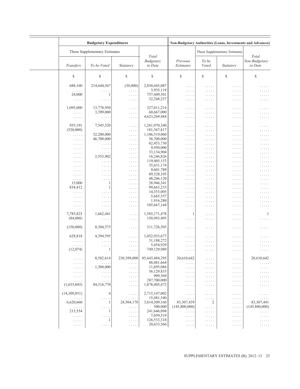|                                        | <b>Budgetary Expenditures</b>           |                                                                                 |                               | Non-Budgetary Authorities (Loans, Investments and Advances) |                                                                          |                                              |                                   |
|----------------------------------------|-----------------------------------------|---------------------------------------------------------------------------------|-------------------------------|-------------------------------------------------------------|--------------------------------------------------------------------------|----------------------------------------------|-----------------------------------|
| These Supplementary Estimates          |                                         |                                                                                 |                               |                                                             | These Supplementary Estimates                                            |                                              |                                   |
| Transfers                              | To be Voted                             | Statutory                                                                       | Total<br>Budgetary<br>to Date | Previous<br>Estimates                                       | To be<br>Voted                                                           | Statutory                                    | Total<br>Non-Budgetary<br>to Date |
| \$                                     | \$                                      | \$                                                                              | \$                            | \$                                                          | \$                                                                       | \$                                           | \$                                |
| 688,160                                | 214,644,567                             | (30,000)                                                                        | 2,830,445,087                 | $\ldots$                                                    | $\cdots$                                                                 | $\cdots$                                     | .                                 |
| $\ldots$                               | .                                       | $\ldots$                                                                        | 3,935,119                     | .                                                           | $\cdots$                                                                 | .                                            | .                                 |
| 24,000                                 | 1                                       | $\ldots \ldots$                                                                 | 757,449,501                   | .                                                           | $\cdots$                                                                 | .                                            | .                                 |
| $\alpha$ is a second .                 | .                                       | $\alpha$ , $\alpha$ , $\alpha$                                                  | 32,248,237                    | .                                                           | $\cdots$                                                                 | .                                            | .                                 |
| 1,095,000                              | 13,778,950                              | $\cdots$                                                                        | 327,011,214                   | $\cdots$                                                    | .                                                                        | .                                            | .                                 |
| $\dots$                                | 3,399,000                               | $\cdots$                                                                        | 60,667,000                    | $\cdots$                                                    | $\cdots\cdots\cdots$                                                     | .                                            | .                                 |
| $\ldots$                               | $\cdots$                                | $\ldots$                                                                        | 4,623,269,484                 | $\cdots\cdots\cdots$                                        | $\ldots$                                                                 | .                                            | .                                 |
|                                        |                                         |                                                                                 |                               |                                                             |                                                                          |                                              |                                   |
| 955,191<br>(520,000)                   | 7,545,520                               | $\ldots$                                                                        | 1,261,070,340<br>181,367,817  | $\cdots$                                                    | .                                                                        | .                                            | .                                 |
| $\alpha$ is a second .                 | .<br>32,200,000                         | $\sim$ $\sim$ $\sim$ $\sim$ $\sim$<br>$\alpha$ , $\alpha$ , $\alpha$ , $\alpha$ | 1,106,519,060                 | $\cdots$<br>$\cdots$                                        | $\cdots$<br>$\cdots$                                                     | .<br>.                                       | .<br>.                            |
| $\dots$                                | 46,700,000                              | $\ldots$                                                                        | 56,700,000                    | $\cdots$                                                    | $\cdots\cdots\cdots$                                                     | .                                            | .                                 |
| $\ldots$                               | $\ldots$                                | $\cdots$                                                                        | 62,453,730                    | $\cdots$                                                    | $\sim$ $\sim$ $\sim$ $\sim$ $\sim$                                       | .                                            | .                                 |
| $\ldots$                               | $\sim$ $\sim$ $\sim$ $\sim$             | $\cdots\cdots\cdots$                                                            | 9,950,000                     | $\cdots$                                                    | $\cdots\cdots\cdots$                                                     | $\ldots$                                     | .                                 |
| $\ldots$                               | .                                       | $\cdots$                                                                        | 33,134,904                    | $\cdots$                                                    | $\ldots$                                                                 | .                                            | .                                 |
| $\sim$ $\sim$ $\sim$ $\sim$ $\sim$     | 2,553,902                               | 1.1.1.1                                                                         | 16,246,826<br>119,405,153     | $\cdots$                                                    | $\cdots\cdots\cdots$                                                     | .                                            | .                                 |
| $\ldots$<br>$\cdots$                   | $\sim$ $\sim$ $\sim$ $\sim$<br>$\cdots$ | $\alpha$ , $\alpha$ , $\alpha$ , $\alpha$<br>$\cdots$                           | 35,631,174                    | $\cdots$<br>$\cdots$                                        | $\cdots\cdots\cdots$<br>$\cdots\cdots\cdots$                             | .<br>$\ldots$                                | .<br>.                            |
| $\ldots$                               | $\cdots$                                | $\cdots$                                                                        | 9,601,789                     | $\cdots$                                                    | $\cdots\cdots\cdots$                                                     | .                                            | .                                 |
| $\sim$ $\sim$ $\sim$ $\sim$ $\sim$     | $\cdots$                                | $\cdots$                                                                        | 69,528,105                    | $\cdots$                                                    | $\cdots\cdots\cdots$                                                     | .                                            | .                                 |
| $\ldots$                               | .                                       | $\cdots\cdots\cdots$                                                            | 48,206,120                    | $\cdots$                                                    | $\cdots\cdots\cdots$                                                     | .                                            | .                                 |
| 15,000                                 | 1<br>1                                  | 1.1.1.1                                                                         | 28,946,341                    | $\cdots$                                                    | $\cdots\cdots\cdots$                                                     | $\ldots$                                     | .                                 |
| 838,412<br>$\ldots$                    | .                                       | $\alpha$ , $\alpha$ , $\alpha$ , $\alpha$<br>.                                  | 99,663,233<br>14,353,005      | $\cdots$<br>$\cdots$                                        | $\ldots$<br>$\cdots$                                                     | .<br>.                                       | .<br>.                            |
| 1.1.1.1                                | $\cdots$                                | $\ldots$                                                                        | 5,665,557                     | $\cdots$                                                    | $\cdots$                                                                 | .                                            | .                                 |
| $\ldots$                               | $\cdots$                                | .                                                                               | 1,916,280                     | $\cdots$                                                    | $\cdots$                                                                 | $\ldots$                                     | .                                 |
| $\ldots$                               | $\alpha$ , $\alpha$ , $\alpha$          | $\cdots$                                                                        | 105,667,144                   | $\cdots$                                                    | $\ldots$                                                                 | .                                            | .                                 |
| 7,785,825                              | 1,662,441                               | $\cdots$                                                                        | 1,585,171,478                 | 1                                                           | .                                                                        | .                                            | -1                                |
| (84,000)                               | .                                       | $\alpha$ , $\alpha$ , $\alpha$ , $\alpha$                                       | 150,993,495                   | .                                                           | .                                                                        | .                                            | .                                 |
| (150,000)                              | 8,304,575                               | $\ldots$                                                                        | 311,726,505                   | .                                                           | $\cdots$                                                                 | $\ldots$                                     | .                                 |
| 629,818                                | 4,394,595                               | $\cdots$                                                                        | 1,052,933,677                 | .                                                           | $\cdots$                                                                 | .                                            | .                                 |
| $\mathbb{Z}^n$ . In the $\mathbb{Z}^n$ | $\cdots$                                | $\cdots$                                                                        | 31,188,272                    | $\cdots$                                                    | $\cdots$                                                                 | .                                            | .                                 |
| $\mathbb{R}^n$ . In the $\mathbb{R}^n$ | .                                       | .                                                                               | 5,454,929                     | $\cdots$                                                    | $\cdots$                                                                 | .                                            | .                                 |
| (12,074)                               | 1                                       | $\alpha$ , $\alpha$ , $\alpha$ , $\alpha$                                       | 749,129,989                   | $\cdots$                                                    | .                                                                        | .                                            | .                                 |
| $\dots$                                | 8,582,614                               | 230,399,000                                                                     | 85, 643, 484, 295             | 20,610,642                                                  | $\ldots$                                                                 | $\cdots\cdots$                               | 20,610,642                        |
| .                                      | .                                       | $\sim$ $\sim$ $\sim$ $\sim$ $\sim$                                              | 88,081,664                    | $\cdots$                                                    | $\sim$ $\sim$ $\sim$ $\sim$ $\sim$                                       | .                                            | .                                 |
| $\sim$ $\sim$ $\sim$ $\sim$ $\sim$     | 1,300,000                               | $\cdots$                                                                        | 11,695,086<br>56,129,833      | $\cdots\cdots\cdots$                                        | $\sim$ $\sim$ $\sim$ $\sim$ $\sim$                                       | $\cdots\cdots\cdots$                         | .                                 |
| $\ldots$<br>$\ldots$                   | .<br>$\cdots$                           | $\cdots$<br>$\cdots$                                                            | 909,369                       | .<br>$\cdots\cdots\cdots$                                   | $\sim$ $\sim$ $\sim$ $\sim$ $\sim$<br>$\sim$ $\sim$ $\sim$ $\sim$ $\sim$ | $\cdots\cdots\cdots$<br>$\cdots\cdots\cdots$ |                                   |
| $\ldots$                               | $\cdots$                                | $\cdots$                                                                        | 287,700,000                   | $\cdots$                                                    | $\cdots$                                                                 | $\cdots$                                     | .                                 |
| (1,635,045)                            | 84,316,770                              | $\alpha$ , $\alpha$ , $\alpha$                                                  | 1,878,405,472                 | $\cdots\cdots$                                              | $\ldots$                                                                 | $\ldots$                                     | .                                 |
| (14,309,851)                           | 4                                       | $\alpha$ , $\alpha$ , $\alpha$ , $\alpha$                                       | 2,715,147,002                 | $\cdots\cdots\cdots$                                        | $\sim$ $\sim$ $\sim$ $\sim$ $\sim$                                       | $\cdots\cdots\cdots$                         | $\cdots$                          |
| .                                      | $\cdots\cdots\cdots$<br>1               | $\ldots$<br>24,504,170                                                          | 15,481,540                    | .                                                           | $\sim$ $\sim$ $\sim$ $\sim$ $\sim$                                       | .                                            | .                                 |
| 6,620,660<br>$\alpha$ is a set         | $\cdots\cdots$                          | $\ldots$                                                                        | 3,614,309,166<br>500,000      | 83, 307, 439<br>(145,800,000)                               | 2<br>$\ldots$                                                            | .<br>$\ldots$                                | 83, 307, 441<br>(145,800,000)     |
| 213,554                                | 1                                       | $\alpha$ , $\alpha$ , $\alpha$ , $\alpha$                                       | 241,646,094                   | $\ldots$                                                    | .                                                                        | .                                            | $\ldots$                          |
| $\ldots$                               | $\cdots\cdots$                          | $\cdots$                                                                        | 7,059,519                     | $\alpha$ , $\alpha$ , $\alpha$                              | $\cdots\cdots\cdots$                                                     | $\cdots$                                     | $\ldots$                          |
| $\ldots$                               | 1                                       | $\cdots$                                                                        | 126,533,318                   | $\alpha$ , $\alpha$ , $\alpha$                              | $\sim$ $\sim$ $\sim$ $\sim$ $\sim$                                       | .                                            | .                                 |
| $\sim$ $\sim$ $\sim$ $\sim$ $\sim$     | $\cdots\cdots\cdots$                    | $\epsilon \rightarrow \epsilon + \epsilon$                                      | 20,633,566                    | $\sim$ $\sim$ $\sim$ $\sim$ $\sim$                          | $\sim$ $\sim$ $\sim$ $\sim$ $\sim$                                       | .                                            | .                                 |
|                                        |                                         |                                                                                 |                               |                                                             |                                                                          |                                              |                                   |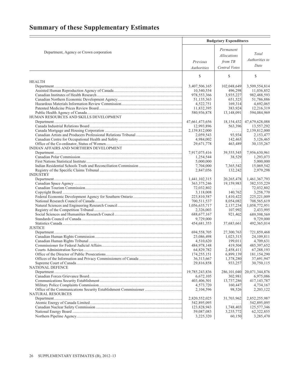# **Summary of these Supplementary Estimates**

|                                         | <b>Budgetary Expenditures</b> |                        |                           |  |
|-----------------------------------------|-------------------------------|------------------------|---------------------------|--|
|                                         |                               | Permanent              |                           |  |
| Department, Agency or Crown corporation |                               | <i>Allocations</i>     | Total                     |  |
|                                         |                               | from TB                | Authorities to            |  |
|                                         | Previous                      |                        | Date                      |  |
|                                         | Authorities                   | Central Votes          |                           |  |
|                                         | \$                            | \$                     | \$                        |  |
| <b>HEALTH</b>                           |                               |                        |                           |  |
|                                         | 3,407,506,165                 | 102,048,649            | 3,509,554,814             |  |
|                                         | 10,540,554                    | 496,298                | 11,036,852                |  |
|                                         | 978,553,366<br>51,135,363     | 3,935,227<br>651,523   | 982,488,593<br>51,786,886 |  |
|                                         | 4,522,751                     | 169,314                | 4,692,065                 |  |
|                                         | 11,832,395                    | 383,924                | 12,216,319                |  |
|                                         | 580,936,878                   | 13,148,091             | 594,084,969               |  |
| HUMAN RESOURCES AND SKILLS DEVELOPMENT  |                               |                        |                           |  |
|                                         | 47,661,473,656                | 18, 154, 432           | 47,679,628,088            |  |
|                                         | 12,993,896                    | 563,396                | 13,557,292                |  |
|                                         | 2,139,812,000                 | $\ldots$               | 2,139,812,000             |  |
|                                         | 2,059,543                     | 93,934                 | 2,153,477                 |  |
|                                         | 4,984,002                     | 142,463                | 5,126,465                 |  |
|                                         | 29,671,778                    | 463,489                | 30, 135, 267              |  |
| INDIAN AFFAIRS AND NORTHERN DEVELOPMENT |                               |                        |                           |  |
|                                         | 7,917,075,416                 | 39,555,545             | 7,956,630,961             |  |
|                                         | 1,254,544<br>5,000,000        | 38,529                 | 1,293,073<br>5,000,000    |  |
|                                         | 7,704,000                     | .<br>7,365,542         | 15,069,542                |  |
|                                         | 2,847,056                     | 132,242                | 2,979,298                 |  |
| <b>INDUSTRY</b>                         |                               |                        |                           |  |
|                                         | 1,441,102,315                 | 20,265,478             | 1,461,367,793             |  |
|                                         | 363, 375, 246                 | 19,159,983             | 382,535,229               |  |
|                                         | 72,032,802                    | .                      | 72,032,802<br>3,258,770   |  |
|                                         | 3,118,008<br>223,810,587      | 140,762<br>1,410,422   | 225, 221, 009             |  |
|                                         | 700,511,537                   | 8,054,082              | 708,565,619               |  |
|                                         | 1,056,635,717                 | 2,137,234              | 1,058,772,951             |  |
|                                         | 2,326,003                     | 107,992                | 2,433,995                 |  |
|                                         | 688, 677, 167                 | 921,402                | 689,598,569               |  |
|                                         | 9,729,000                     | .                      | 9,729,000                 |  |
|                                         | 454,681,353                   | 37,683,661             | 492,365,014               |  |
| <b>JUSTICE</b>                          |                               |                        |                           |  |
|                                         | 694,558,705                   | 27,300,763             | 721,859,468               |  |
|                                         | 23,086,498                    | 1,023,313              | 24, 109, 811              |  |
|                                         | 4,510,620                     | 199,011                | 4,709,631                 |  |
|                                         | 484,978,148                   | 419,504                | 485,397,652               |  |
|                                         | 64,829,782                    | 2,458,411              | 67,288,193                |  |
|                                         | 174,255,151<br>36,313,667     | 6,899,139<br>1,378,280 | 181,154,290<br>37,691,947 |  |
|                                         | 29,816,858                    | 933,257                | 30,750,115                |  |
| NATIONAL DEFENCE                        |                               |                        |                           |  |
|                                         | 19,785,243,836                | 286, 101, 040          | 20,071,344,876            |  |
|                                         | 6,672,105                     | 302,981                | 6,975,086                 |  |
|                                         | 403,406,501                   | 13,737,286             | 417, 143, 787             |  |
|                                         | 4,573,720                     | 160,447                | 4,734,167                 |  |
|                                         | 2,104,596                     | 98,526                 | 2,203,122                 |  |
| <b>NATURAL RESOURCES</b>                |                               |                        |                           |  |
|                                         | 2,820,552,025                 | 31,703,962             | 2,852,255,987             |  |
|                                         | 542,895,095                   |                        | 542,895,095               |  |
|                                         | 123,828,943                   | 1,748,403              | 125,577,346               |  |
|                                         | 59,087,083                    | 3,235,772              | 62,322,855                |  |
|                                         | 3,225,320                     | 60,150                 | 3,285,470                 |  |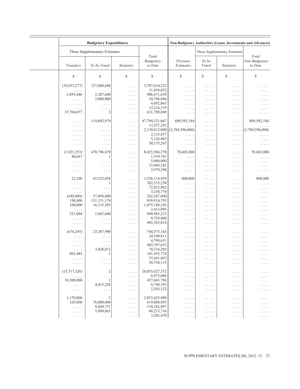|                                                         | <b>Budgetary Expenditures</b> |                                                                   |                               |                              |                                    |                                                    | Non-Budgetary Authorities (Loans, Investments and Advances) |
|---------------------------------------------------------|-------------------------------|-------------------------------------------------------------------|-------------------------------|------------------------------|------------------------------------|----------------------------------------------------|-------------------------------------------------------------|
| These Supplementary Estimates                           |                               |                                                                   |                               |                              | These Supplementary Estimates      |                                                    |                                                             |
| Transfers                                               | To be Voted                   | Statutory                                                         | Total<br>Budgetary<br>to Date | Previous<br><b>Estimates</b> | To be<br><b>V</b> oted             | Statutory                                          | Total<br>Non-Budgetary<br>to Date                           |
| \$                                                      | \$                            | \$                                                                | \$                            | \$                           | \$                                 | \$                                                 | \$                                                          |
| (39,033,277)                                            | 237,088,688                   | $\sim$ $\sim$ $\sim$ $\sim$                                       | 3,707,610,225                 | $\ldots$                     | $\ldots$                           | $\cdots$                                           | .                                                           |
| $\mathbb{Z}^2$ . The set of $\mathbb{Z}^2$<br>1,895,446 | $\cdots$<br>2,287,600         | .<br>.                                                            | 11,036,852<br>986,671,639     | .<br>.                       | $\ldots$<br>$\ldots$               | $\cdots$<br>$\cdots$                               |                                                             |
| $\alpha$ is a second<br>$\ldots$                        | 3,000,000<br>$\ldots$         | .<br>.                                                            | 54,786,886<br>4,692,065       | .<br>.                       | $\ldots$<br>$\cdots$               | $\cdots$<br>$\cdots$                               |                                                             |
| .                                                       | $\ldots$                      | .                                                                 | 12,216,319                    | .                            | .                                  | $\cdots$                                           | .                                                           |
| 37,704,077                                              | 3                             | .                                                                 | 631,789,049                   | .                            | .                                  | $\cdots$                                           | $\cdots$                                                    |
| $\ldots$                                                | 114,692,979                   | .                                                                 | 47,794,321,067                | 809,592,184                  | $\ldots$                           | $\ldots$                                           | 809,592,184                                                 |
| $\ldots$<br>$\ldots$                                    | $\ldots$<br>$\ldots$          | .<br>.                                                            | 13,557,292<br>2,139,812,000   | .<br>(2,769,596,000)         | $\cdots$<br>$\ldots$               | $\ldots$<br>$\ldots$                               | (2,769,596,000)                                             |
| $\mathbb{Z}^n$ . In the $\mathbb{Z}^n$                  | .                             | .                                                                 | 2,153,477                     | $\ldots$                     | $\ldots$                           | $\ldots$                                           |                                                             |
| $\ldots$                                                | .                             | .                                                                 | 5,126,465                     | $\ldots$                     | $\ldots$                           | $\ldots$                                           | .                                                           |
| $\ldots$                                                | .                             | .                                                                 | 30, 135, 267                  | $\ldots$                     | .                                  | $\cdots$                                           | $\cdots$                                                    |
| (1,921,253)                                             | 470,796,670                   | .                                                                 | 8,425,506,378                 | 78,603,000                   | .                                  | $\cdots$                                           | 78,603,000                                                  |
| 46,667<br>$\alpha$ is a second .                        | 1<br>.                        | .<br>.                                                            | 1,339,741<br>5,000,000        | $\ldots$<br>$\ldots$         | $\cdots$<br>$\ldots$               | $\cdots$<br>$\ldots$                               | .<br>.                                                      |
| $\ldots$                                                | $\ldots$                      | .                                                                 | 15,069,542                    | $\ldots$                     | $\ldots$                           | $\ldots$                                           | $\cdots$                                                    |
| $\ldots \ldots$                                         | .                             | .                                                                 | 2,979,298                     | $\ldots$                     | .                                  | $\ldots$                                           | $\ldots$                                                    |
| 22,100                                                  | 65,325,036                    | .                                                                 | 1,526,714,929                 | 800,000                      | .                                  | $\cdots$                                           | 800,000                                                     |
| $\alpha$ is a set                                       | 1                             | .                                                                 | 382,535,230                   | .                            | $\ldots$                           | $\cdots$                                           | .                                                           |
| $\mathbb{Z}^2$ . The set of $\mathbb{Z}^2$<br>.         | .<br>.                        | .<br>.                                                            | 72,032,802<br>3,258,770       | $\ldots$<br>.                | $\ldots$<br>$\ldots$               | $\ldots$<br>$\cdots$                               | .<br>$\mathbb{Z}^2$ . The set of $\mathbb{Z}^2$             |
| (548,009)                                               | 37,894,000                    | .                                                                 | 262,567,000                   | .                            | $\cdots$                           | $\cdots$                                           |                                                             |
| 198,000                                                 | 151, 151, 174                 | .                                                                 | 859,914,793                   | .                            | $\ldots$                           | $\cdots$                                           | .                                                           |
| 100,000<br>$\ldots$                                     | 16,315,305<br>.               | .<br>.                                                            | 1,075,188,256<br>2,433,995    | .<br>.                       | $\ldots$<br>$\cdots$               | $\cdots$<br>$\cdots$                               | .<br>.                                                      |
| 321,064                                                 | 1,063,600                     | .                                                                 | 690, 983, 233                 | .                            | $\cdots$                           | $\ldots$                                           | .                                                           |
| $\ldots$                                                | $\ldots$                      | .                                                                 | 9,729,000                     | .                            | $\ldots$                           | $\cdots$                                           | $\cdots$                                                    |
| $\ldots$                                                | $\ldots$                      | .                                                                 | 492, 365, 014                 | .                            | $\ldots$                           | $\cdots$                                           | .                                                           |
| (674, 295)                                              | 23,387,990                    | .                                                                 | 744,573,163                   | .                            | $\ldots$                           | $\cdots$                                           | .                                                           |
| $\ldots$                                                | $\ldots$                      | $\cdots$                                                          | 24,109,811<br>4,709,631       | .                            | $\ldots$                           | $\cdots$                                           | .                                                           |
| $\mathbb{Z}^n$ . In the $\mathbb{Z}^n$<br>$\ldots$      | $\ldots$<br>.                 | .<br>.                                                            | 485, 397, 652                 | .<br>.                       | $\ldots$<br>.                      | $\cdots$<br>$\cdots$                               | .                                                           |
| .                                                       | 3,028,012                     | .                                                                 | 70,316,205                    | .                            | .                                  | $\cdots$                                           | $\cdots$                                                    |
| 801,485                                                 | $\mathbf{1}$                  | $\ldots$                                                          | 181,955,776<br>37,691,947     | $\ldots$                     | $\ldots$                           | $\ldots$                                           | $\cdots$                                                    |
| $\ldots$<br>$\ldots$                                    | $\ldots$<br>$\cdots$          | $\ldots$<br>.                                                     | 30,750,115                    | .<br>$\cdots$                | $\ldots$<br>$\dots$                | $\ldots$<br>$\cdots$                               | $\epsilon$ is a set of<br>$\ldots$                          |
|                                                         |                               |                                                                   | 20,055,627,552                |                              |                                    |                                                    |                                                             |
| (15,717,326)<br>.                                       | 2<br>.                        | $\sim$ $\sim$ $\sim$ $\sim$ $\sim$<br>$\sim$ $\sim$ $\sim$ $\sim$ | 6,975,086                     | $\ldots$<br>.                | $\ldots$<br>$\ldots$               | $\mathbb{Z}^n$ . In the $\mathbb{Z}^n$<br>$\cdots$ | .<br>.                                                      |
| 10,300,000                                              | 1                             | $\cdots$                                                          | 427, 443, 788                 | .                            | $\ldots$                           | $\cdots$                                           | .                                                           |
| $\ldots$                                                | 4,015,226                     | $\cdots$                                                          | 8,749,393                     | .                            | $\ldots$                           | $\cdots$                                           | .                                                           |
| $\ldots$                                                | .                             | $\ldots$                                                          | 2,203,122                     | $\cdots$                     | $\cdots$                           | $\cdots$                                           | .                                                           |
| 1,170,000                                               | $\overline{2}$                | $\cdots$                                                          | 2,853,425,989                 | .                            | $\ldots$                           | $\cdots$                                           | .                                                           |
| 165,000<br>$\mathbb{Z}^2$ . The set of $\mathbb{Z}^2$   | 76,800,000<br>8,604,751       | $\cdots$<br>$\cdots$                                              | 619,860,095<br>134,182,097    | .<br>.                       | $\ldots$<br>$\ldots$               | $\cdots$<br>$\cdots$                               | .<br>.                                                      |
| $\ldots$                                                | 5,890,861                     | $\ldots$                                                          | 68,213,716                    | $\cdots\cdots$               | $\sim$ $\sim$ $\sim$ $\sim$ $\sim$ | $\cdots$                                           | .                                                           |
| $\ldots$                                                | $\ldots$                      | $\ldots$                                                          | 3,285,470                     | $\ldots$                     | $\ldots$                           | $\ldots$                                           | $\ldots$                                                    |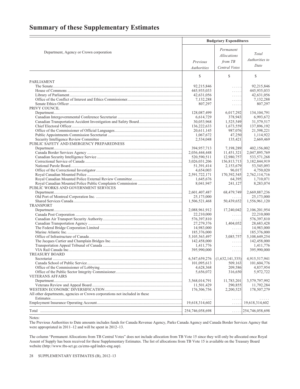# **Summary of these Supplementary Estimates**

|                                                                             | <b>Budgetary Expenditures</b> |                                            |                            |  |
|-----------------------------------------------------------------------------|-------------------------------|--------------------------------------------|----------------------------|--|
|                                                                             |                               | Permanent                                  |                            |  |
| Department, Agency or Crown corporation                                     |                               | Allocations                                | Total                      |  |
|                                                                             |                               |                                            | Authorities to             |  |
|                                                                             | Previous                      | from TB                                    | Date                       |  |
|                                                                             | <b>Authorities</b>            | Central Votes                              |                            |  |
|                                                                             | \$                            | $\mathcal{S}$                              | \$                         |  |
| PARLIAMENT                                                                  |                               |                                            |                            |  |
|                                                                             | 92,215,846                    | $\ldots$                                   | 92,215,846                 |  |
|                                                                             | 445,935,033                   | $\ldots$                                   | 445,935,033                |  |
|                                                                             | 42,631,056                    | $\ldots$                                   | 42,631,056                 |  |
|                                                                             | 7,132,288                     | $\ldots$                                   | 7,132,288                  |  |
|                                                                             | 807,297                       | $\ldots$                                   | 807,297                    |  |
| PRIVY COUNCIL                                                               |                               | 6,017,292                                  |                            |  |
|                                                                             | 128,087,499<br>6,614,729      | 378,943                                    | 134, 104, 791<br>6,993,672 |  |
|                                                                             | 30,053,968                    | 1,525,549                                  | 31,579,517                 |  |
|                                                                             | 136,222,633                   | 1,673,559                                  | 137,896,192                |  |
|                                                                             | 20,611,145                    | 987,076                                    | 21,598,221                 |  |
|                                                                             | 1,067,672                     | 47,250                                     | 1,114,922                  |  |
|                                                                             | 2,534,048                     | 135,421                                    | 2,669,469                  |  |
| PUBLIC SAFETY AND EMERGENCY PREPAREDNESS                                    |                               |                                            |                            |  |
|                                                                             | 394,957,713                   | 7,198,289                                  | 402,156,002                |  |
|                                                                             | 2,036,444,448                 | 11,451,321                                 | 2,047,895,769              |  |
|                                                                             | 520,590,511                   | 12,980,757                                 | 533,571,268                |  |
|                                                                             | 3,026,031,206                 | 156,813,713                                | 3,182,844,919              |  |
|                                                                             | 51,391,414                    | 2,153,679                                  | 53,545,093                 |  |
|                                                                             | 4,654,003                     | 96,017                                     | 4,750,020                  |  |
|                                                                             | 2,591,722,171                 | 170,392,545                                | 2,762,114,716              |  |
|                                                                             | 1,645,676                     | 64,395                                     | 1,710,071                  |  |
|                                                                             | 8,041,947                     | 241,127                                    | 8,283,074                  |  |
| PUBLIC WORKS AND GOVERNMENT SERVICES                                        |                               |                                            |                            |  |
|                                                                             | 2,601,407,487                 | 68,479,749                                 | 2,669,887,236              |  |
|                                                                             | 25,173,000                    |                                            | 25,173,000                 |  |
|                                                                             | 1,506,521,468                 | 50,439,652                                 | 1,556,961,120              |  |
| <b>TRANSPORT</b>                                                            |                               |                                            |                            |  |
|                                                                             | 2,088,961,912                 | 17,240,042                                 | 2,106,201,954              |  |
|                                                                             | 22,210,000<br>576,397,810     | $\ldots$                                   | 22,210,000<br>576,397,810  |  |
|                                                                             | 27,279,376                    | .<br>1,404,052                             | 28,683,428                 |  |
|                                                                             | 14,983,000                    |                                            | 14,983,000                 |  |
|                                                                             | 185,376,000                   | $\alpha$ , $\alpha$ , $\alpha$<br>$\ldots$ | 185,376,000                |  |
|                                                                             | 5,105,563,497                 | 3,085,757                                  | 5,108,649,254              |  |
|                                                                             | 142,458,000                   | $\ldots$                                   | 142,458,000                |  |
|                                                                             | 1,411,776                     | $\ldots$                                   | 1,411,776                  |  |
|                                                                             | 395,990,000                   | $\ldots$                                   | 395,990,000                |  |
| <b>TREASURY BOARD</b>                                                       |                               |                                            |                            |  |
|                                                                             | 6,547,659,276                 | (1,632,141,335)                            | 4,915,517,941              |  |
|                                                                             | 101,095,613                   | 509,163                                    | 101,604,776                |  |
|                                                                             | 4,628,368                     | 209,586                                    | 4,837,954                  |  |
|                                                                             | 5,656,072                     | 316,650                                    | 5,972,722                  |  |
| <b>VETERANS AFFAIRS</b>                                                     |                               |                                            |                            |  |
|                                                                             | 3,568,014,791                 | 11,783,201                                 | 3,579,797,992              |  |
|                                                                             | 11,501,429                    | 290,855                                    | 11,792,284                 |  |
|                                                                             | 176, 306, 756                 | 2,200,523                                  | 178,507,279                |  |
| All other departments, agencies or Crown corporations not included in these |                               |                                            |                            |  |
|                                                                             |                               | $\cdots$                                   |                            |  |
|                                                                             | 19,618,314,602                | $\cdots$                                   | 19,618,314,602             |  |
|                                                                             | 254,746,058,698               | $\ldots$                                   | 254,746,058,698            |  |
|                                                                             |                               |                                            |                            |  |

#### Notes:

The Previous Authorities to Date amounts includes funds for Canada Revenue Agency, Parks Canada Agency and Canada Border Services Agency that were appropriated in 2011–12 and will be spent in 2012–13.

The column "Permanent Allocations from TB Central Votes" does not include allocation from TB Vote 15 since they will only be allocated once Royal Assent of Supply has been received for these Supplementary Estimates. The list of allocations from TB Vote 15 is available on the Treasury Board website (http://www.tbs-sct.gc.ca/ems-sgd/index-eng.asp).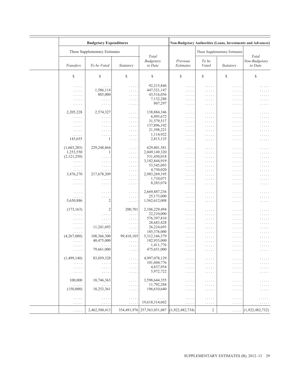|                                                  | Non-Budgetary Authorities (Loans, Investments and Advances)       |                                |                                             |                                    |                                                            |                                                                      |                                                        |
|--------------------------------------------------|-------------------------------------------------------------------|--------------------------------|---------------------------------------------|------------------------------------|------------------------------------------------------------|----------------------------------------------------------------------|--------------------------------------------------------|
| These Supplementary Estimates                    |                                                                   |                                |                                             |                                    | These Supplementary Estimates                              |                                                                      |                                                        |
| Transfers                                        | To be Voted                                                       | Statutory                      | Total<br>Budgetary<br>to Date               | Previous<br>Estimates              | To be<br>Voted                                             | <i>Statutory</i>                                                     | Total<br>Non-Budgetary<br>to Date                      |
| \$                                               | \$                                                                | \$                             | \$                                          | \$                                 | \$                                                         | \$                                                                   | \$                                                     |
| $\ldots$                                         | $\ldots$                                                          | $\cdots$                       | 92,215,846                                  | .                                  | $\ldots$                                                   | $\cdots\cdots$                                                       | $\cdots$                                               |
| $\cdots$                                         | 1,586,114                                                         | $\cdots$                       | 447,521,147                                 | .                                  | $\cdots$                                                   | $\ldots$                                                             |                                                        |
| $\ldots$                                         | 885,000                                                           | $\cdots$                       | 43,516,056                                  | .                                  | $\cdots$                                                   | $\cdots$                                                             | .                                                      |
| $\cdots$                                         | $\alpha$ , $\alpha$ , $\alpha$                                    | $\cdots$                       | 7,132,288                                   | .                                  | $\cdots$                                                   | $\ldots$                                                             | .                                                      |
| $\ldots$                                         | $\cdots$                                                          | $\ldots$                       | 807,297                                     | $\cdots$                           | $\mathbb{Z}^n$ . $\mathbb{Z}^n$ , $\mathbb{Z}^n$ ,         | $\cdots\cdots$                                                       | .                                                      |
| 2,205,228                                        | 2,574,327                                                         | $\ldots$                       | 138,884,346                                 | $\cdots$                           | .                                                          | $\cdots\cdots$                                                       | .                                                      |
| .                                                | $\alpha$ , $\alpha$ , $\alpha$                                    | $\cdots$                       | 6,993,672                                   | $\cdots$                           | $\cdots\cdots$                                             | $\ldots$                                                             | .                                                      |
| $\cdots$                                         | $\ldots$                                                          | $\cdots$                       | 31,579,517                                  | $\ldots$                           | $\cdots$                                                   | $\cdots$                                                             | .                                                      |
| $\ldots$                                         | $\ldots$                                                          | $\ldots$                       | 137,896,192                                 | $\cdots$                           | $\cdots$                                                   | $\ldots$                                                             |                                                        |
| $\sim$ $\sim$ $\sim$ $\sim$ $\sim$               | $\ldots$                                                          | $\cdots$                       | 21,598,221                                  | $\ldots$                           | $\cdots$                                                   | $\cdots$                                                             | .                                                      |
| $\ldots$<br>143,655                              | $\ldots$<br>1                                                     | $\cdots$                       | 1,114,922<br>2,813,125                      | .                                  | $\cdots$                                                   | $\alpha$ , $\alpha$ , $\alpha$                                       | .                                                      |
|                                                  |                                                                   | $\cdots$                       |                                             | $\ldots$                           | .                                                          | $\cdots$                                                             | .                                                      |
| (1,603,285)                                      | 229,248,864                                                       | $\ldots$                       | 629,801,581                                 | .                                  | .                                                          | $\cdots\cdots$                                                       | .                                                      |
| 1,253,550                                        | 1                                                                 | $\ldots$                       | 2,049,149,320                               | .                                  | $\mathbb{Z}^n$ . $\mathbb{Z}^n$ , $\mathbb{Z}^n$ ,         | $\mathbb{Z}^n$ . $\mathbb{Z}^n$ , $\mathbb{Z}^n$ ,                   | .                                                      |
| (2,121,250)                                      | $\cdots\cdots\cdots$                                              | $\cdots$                       | 531,450,018                                 | .                                  | $\cdots$                                                   | $\cdots$                                                             | .                                                      |
| $\ldots$                                         | .                                                                 | $\sim$ $\sim$ $\sim$ $\sim$    | 3,182,844,919                               | .                                  | $\mathbb{Z}^n$ . $\mathbb{Z}^n$ , $\mathbb{Z}^n$ ,         | $\ldots$                                                             |                                                        |
| $\ldots$                                         | $\cdots\cdots\cdots$                                              | $\cdots$                       | 53,545,093                                  | $\cdots$                           | $\mathbb{Z}^n$ . $\mathbb{Z}^n$ , $\mathbb{Z}^n$ ,         | $\cdots$                                                             | .                                                      |
| $\ldots$                                         | $\sim$ $\sim$ $\sim$ $\sim$ $\sim$                                | $\sim$ $\sim$ $\sim$ $\sim$    | 4,750,020                                   | .                                  | $\cdots$                                                   | $\cdots$                                                             | .                                                      |
| 3,476,270                                        | 217,678,209                                                       | $\sim$ $\sim$ $\sim$ $\sim$    | 2,983,269,195<br>1,710,071                  | $\cdots$                           | $\cdots$                                                   | $\cdots$                                                             | .                                                      |
| $\ldots$<br>$\ldots$                             | $\alpha$ , $\alpha$ , $\alpha$<br>$\ldots$                        | $\cdots$<br>$\ldots$           | 8,283,074                                   | .<br>$\ldots$                      | $\cdots$<br>$\cdots$                                       | $\ldots$<br>$\cdots$                                                 | .<br>.                                                 |
|                                                  |                                                                   |                                |                                             |                                    |                                                            |                                                                      |                                                        |
| $\sim$ $\sim$ $\sim$ $\sim$ $\sim$               | $\cdots$                                                          | $\ldots$ . $\ldots$            | 2,669,887,236                               | .                                  | $\cdots$                                                   | $\cdots\cdots$                                                       | .                                                      |
| .                                                | .                                                                 | $\ldots$                       | 25,173,000                                  | .                                  | .                                                          | $\ldots$                                                             |                                                        |
| 5,650,886                                        | 2                                                                 | $\ldots$                       | 1,562,612,008                               | .                                  | $\cdots$                                                   | $\cdots$                                                             | .                                                      |
| (173, 163)                                       | 2                                                                 | 200,701                        | 2,106,229,494                               | .                                  | $\dots$                                                    | $\cdots\cdots$                                                       | .                                                      |
| $\ldots$                                         | $\cdots$                                                          | $\alpha$ , $\alpha$ , $\alpha$ | 22,210,000                                  | .                                  | $\cdots$                                                   | $\ldots$                                                             |                                                        |
| $\cdots$                                         | $\ldots$                                                          | $\cdots$                       | 576,397,810                                 | .                                  | $\cdots$                                                   | $\cdots$                                                             | .                                                      |
| $\cdots$                                         | $\ldots$                                                          | $\cdots$                       | 28,683,428                                  | .                                  | $\cdots$                                                   | $\ldots$                                                             | .                                                      |
| $\mathbb{Z}^2$ . In the $\mathbb{Z}^2$           | 11,241,693                                                        | $\cdots\cdots$                 | 26,224,693<br>185,376,000                   | .                                  | $\cdots\cdots\cdots$                                       | $\ldots$                                                             |                                                        |
| $\alpha$ , $\alpha$ , $\alpha$<br>(4,267,080)    | $\mathbb{R}^n$ . $\mathbb{R}^n$ , $\mathbb{R}^n$ ,<br>108,366,300 | $\ldots$<br>99,418,105         | 5,312,166,579                               | .                                  | $\cdots$                                                   | $\cdots$                                                             | .<br>.                                                 |
| $\ldots$                                         | 40,475,000                                                        | $\alpha$ , $\alpha$ , $\alpha$ | 182,933,000                                 | $\cdots$<br>.                      | $\cdots$<br>$\cdots$                                       | $\cdots$<br>$\cdots$                                                 | .                                                      |
| .                                                | $\ldots$ .                                                        | $\cdots$                       | 1,411,776                                   | .                                  | .                                                          | $\cdots$                                                             | .                                                      |
| $\cdots$                                         | 79,661,000                                                        | $\cdots$                       | 475,651,000                                 | .                                  | $\dots$                                                    | $\ldots$                                                             | .                                                      |
| (1,499,140)                                      | 83,059,328                                                        |                                | 4,997,078,129                               |                                    |                                                            |                                                                      |                                                        |
| $\ldots$                                         | $\ldots$                                                          | $\ldots$ .<br>$\cdots$         | 101,604,776                                 | $\ldots$ .<br>$\cdots$             | $\ldots$<br>$\cdots\cdots\cdots$                           | $\dots$<br>$\alpha$ , $\alpha$ , $\alpha$                            | $\epsilon$ , $\epsilon$ , $\epsilon$ , $\epsilon$<br>. |
| $\ldots$                                         | $\alpha$ , $\alpha$ , $\alpha$                                    | $\ldots$                       | 4,837,954                                   | $\cdots\cdots$                     | $\cdots\cdots\cdots$                                       | $\cdots\cdots$                                                       |                                                        |
| $\sim$ $\sim$ $\sim$ $\sim$ $\sim$               | $\sim$ $\sim$ $\sim$ $\sim$ $\sim$                                | $\cdots$                       | 5,972,722                                   | $\sim$ $\sim$ $\sim$ $\sim$ $\sim$ | $\sim$ $\sim$ $\sim$ $\sim$ $\sim$                         | $\cdots\cdots\cdots$                                                 | .                                                      |
| 100,000                                          | 18,746,363                                                        |                                | 3,598,644,355                               |                                    |                                                            |                                                                      |                                                        |
| .                                                |                                                                   | $\ldots$                       | 11,792,284                                  | $\cdots\cdots$                     | $\cdots\cdots\cdots$                                       | $\cdots\cdots$                                                       | $\sim$ $\sim$ $\sim$ $\sim$ $\sim$<br>.                |
| (150,000)                                        | 18,253,361                                                        | $\ldots$<br>$\cdots$           | 196,610,640                                 | .<br>$\cdots$                      | $\cdots\cdots\cdots$<br>$\sim$ $\sim$ $\sim$ $\sim$ $\sim$ | $\alpha$ , $\alpha$ , $\alpha$<br>$\sim$ $\sim$ $\sim$ $\sim$ $\sim$ | .                                                      |
|                                                  |                                                                   |                                |                                             |                                    |                                                            |                                                                      |                                                        |
| $\ldots$                                         | $\sim$ $\sim$ $\sim$ $\sim$ $\sim$                                | $\alpha$ , $\alpha$ , $\alpha$ | $\cdots\cdots$                              | $\ldots$                           | $\cdots\cdots\cdots$                                       | $\alpha$ , $\alpha$ , $\alpha$                                       | .                                                      |
| $\sim$ $\sim$ $\sim$ $\sim$ $\sim$               | $\alpha$ , $\alpha$ , $\alpha$                                    | $\ldots$ .                     | 19,618,314,602                              | $\cdots$                           | $\sim$ $\sim$ $\sim$ $\sim$ $\sim$                         | $\alpha$ , $\alpha$ , $\alpha$                                       | $\sim$ $\sim$ $\sim$ $\sim$ $\sim$                     |
| $\mathbb{Z}^n$ . $\mathbb{Z}^n$ , $\mathbb{Z}^n$ | 2,462,500,413                                                     |                                | 354,491,976 257,563,051,087 (1,922,482,734) |                                    | 2                                                          | $\ldots$                                                             | (1,922,482,732)                                        |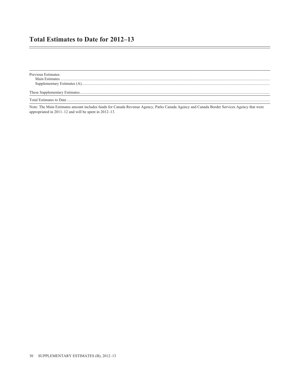# **Total Estimates to Date for 2012-13**

Previous Estimates: 

Note: The Main Estimates amount includes funds for Canada Revenue Agency, Parks Canada Agency and Canada Border Services Agency that were appropriated in 2011-12 and will be spent in 2012-13.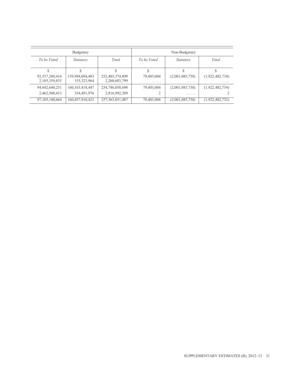| Budgetary                       |                                   |                                  | Non-Budgetary   |                      |                      |  |
|---------------------------------|-----------------------------------|----------------------------------|-----------------|----------------------|----------------------|--|
| To be Voted                     | Statutory                         | Total                            | To be Voted     | Statutory            | Total                |  |
| 92,537,280,416<br>2,105,359,835 | 159,948,094,483<br>155,323,964    | 252,485,374,899<br>2,260,683,799 | 79,403,004<br>. | (2,001,885,738)<br>. | (1,922,482,734)<br>. |  |
| 94,642,640,251<br>2,462,500,413 | 160, 103, 418, 447<br>354,491,976 | 254,746,058,698<br>2,816,992,389 | 79,403,004<br>2 | (2,001,885,738)<br>. | (1,922,482,734)      |  |
| 97, 105, 140, 664               | 160,457,910,423                   | 257, 563, 051, 087               | 79,403,006      | (2,001,885,738)      | (1,922,482,732)      |  |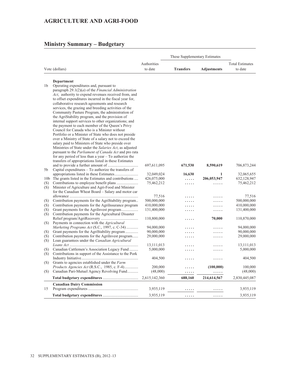|  | <b>Ministry Summary - Budgetary</b> |  |
|--|-------------------------------------|--|
|--|-------------------------------------|--|

|                |                                                                                                 |               | These Supplementary Estimates |                    |                        |
|----------------|-------------------------------------------------------------------------------------------------|---------------|-------------------------------|--------------------|------------------------|
|                |                                                                                                 | Authorities   |                               |                    | <b>Total Estimates</b> |
|                | Vote (dollars)                                                                                  | to date       | <b>Transfers</b>              | <b>Adjustments</b> | to date                |
|                |                                                                                                 |               |                               |                    |                        |
|                | Department                                                                                      |               |                               |                    |                        |
| 1 <sub>b</sub> | Operating expenditures and, pursuant to                                                         |               |                               |                    |                        |
|                | paragraph $29.1(2)(a)$ of the <i>Financial Administration</i>                                   |               |                               |                    |                        |
|                | Act, authority to expend revenues received from, and                                            |               |                               |                    |                        |
|                | to offset expenditures incurred in the fiscal year for,                                         |               |                               |                    |                        |
|                | collaborative research agreements and research                                                  |               |                               |                    |                        |
|                | services, the grazing and breeding activities of the                                            |               |                               |                    |                        |
|                | Community Pasture Program, the administration of                                                |               |                               |                    |                        |
|                | the AgriStability program, and the provision of                                                 |               |                               |                    |                        |
|                | internal support services to other organizations; and                                           |               |                               |                    |                        |
|                | the payment to each member of the Queen's Privy<br>Council for Canada who is a Minister without |               |                               |                    |                        |
|                | Portfolio or a Minister of State who does not preside                                           |               |                               |                    |                        |
|                | over a Ministry of State of a salary not to exceed the                                          |               |                               |                    |                        |
|                | salary paid to Ministers of State who preside over                                              |               |                               |                    |                        |
|                | Ministries of State under the Salaries Act, as adjusted                                         |               |                               |                    |                        |
|                | pursuant to the <i>Parliament of Canada Act</i> and pro rata                                    |               |                               |                    |                        |
|                | for any period of less than a year $-$ To authorize the                                         |               |                               |                    |                        |
|                | transfers of appropriations listed in these Estimates                                           |               |                               |                    |                        |
|                |                                                                                                 | 697,611,095   | 671,530                       | 8,590,619          | 706,873,244            |
| 5b             | Capital expenditures – To authorize the transfers of                                            |               |                               |                    |                        |
|                |                                                                                                 | 32,049,024    | 16,630                        | 1                  | 32,065,655             |
|                | 10b The grants listed in the Estimates and contributions                                        | 426,075,000   | .                             | 206,053,947        | 632,128,947            |
| (S)            |                                                                                                 | 75,462,212    | .                             | .                  | 75,462,212             |
| (S)            | Minister of Agriculture and Agri-Food and Minister                                              |               |                               |                    |                        |
|                | for the Canadian Wheat Board – Salary and motor car                                             |               |                               |                    |                        |
|                |                                                                                                 | 77,516        |                               |                    | 77,516                 |
| (S)            | Contribution payments for the AgriStability program                                             | 500,000,000   | .                             | .                  | 500,000,000            |
| (S)            | Contribution payments for the Agril nsurance program                                            | 410,000,000   | .                             |                    | 410,000,000            |
| (S)<br>(S)     |                                                                                                 | 131,400,000   | .                             | .                  | 131,400,000            |
|                | Contribution payments for the Agricultural Disaster                                             | 110,800,000   |                               | 70,000             | 110,870,000            |
| (S)            | Payments in connection with the <i>Agricultural</i>                                             |               | .                             |                    |                        |
|                | Marketing Programs Act (S.C., 1997, c. C-34)                                                    | 94,000,000    |                               |                    | 94,000,000             |
| (S)            | Grant payments for the AgriStability program                                                    | 90,000,000    | .                             |                    | 90,000,000             |
| (S)            | Contribution payments for the AgriInvest program                                                | 29,000,000    |                               |                    | 29,000,000             |
| (S)            | Loan guarantees under the Canadian Agricultural                                                 |               |                               |                    |                        |
|                |                                                                                                 | 13, 111, 013  |                               | .                  | 13, 111, 013           |
| (S)            | Canadian Cattlemen's Association Legacy Fund                                                    | 5,000,000     |                               |                    | 5,000,000              |
| (S)            | Contributions in support of the Assistance to the Pork                                          |               |                               |                    |                        |
|                |                                                                                                 | 404,500       | .                             | .                  | 404,500                |
| (S)            | Grants to agencies established under the Farm                                                   |               |                               |                    |                        |
|                | Products Agencies Act (R.S.C., 1985, c. F-4)                                                    | 200,000       |                               | (100,000)          | 100,000                |
| (S)            | Canadian Pari-Mutuel Agency Revolving Fund                                                      | (48,000)      | .                             | .                  | (48,000)               |
|                |                                                                                                 | 2,615,142,360 | 688,160                       | 214,614,567        | 2,830,445,087          |
|                | <b>Canadian Dairy Commission</b>                                                                |               |                               |                    |                        |
| 15             |                                                                                                 | 3,935,119     | .                             |                    | 3,935,119              |
|                |                                                                                                 | 3,935,119     | .                             | .                  | 3,935,119              |
|                |                                                                                                 |               |                               |                    |                        |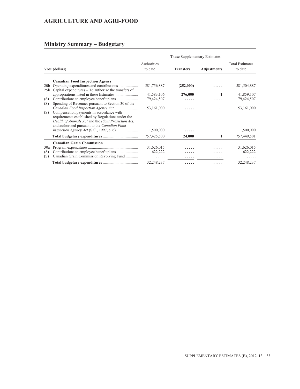## **AGRICULTURE AND AGRI-FOOD**

# **Ministry Summary – Budgetary**

|                                     |                                                                                                                                                                                                      |                        | These Supplementary Estimates          |   |                                   |
|-------------------------------------|------------------------------------------------------------------------------------------------------------------------------------------------------------------------------------------------------|------------------------|----------------------------------------|---|-----------------------------------|
| Vote (dollars)                      |                                                                                                                                                                                                      | Authorities<br>to date | <b>Transfers</b><br><b>Adjustments</b> |   | <b>Total Estimates</b><br>to date |
|                                     | <b>Canadian Food Inspection Agency</b>                                                                                                                                                               |                        |                                        |   |                                   |
| 20 <sub>b</sub><br>2.5 <sub>b</sub> | Capital expenditures – To authorize the transfers of                                                                                                                                                 | 581,756,887            | (252,000)                              |   | 581,504,887                       |
|                                     |                                                                                                                                                                                                      | 41,583,106             | 276,000                                | 1 | 41,859,107                        |
| (S)<br>(S)                          | Spending of Revenues pursuant to Section 30 of the                                                                                                                                                   | 79,424,507             |                                        |   | 79,424,507                        |
| (S)                                 | Compensation payments in accordance with<br>requirements established by Regulations under the<br>Health of Animals Act and the Plant Protection Act,<br>and authorized pursuant to the Canadian Food | 53,161,000             |                                        |   | 53,161,000                        |
|                                     |                                                                                                                                                                                                      | 1,500,000              | .                                      |   | 1,500,000                         |
|                                     |                                                                                                                                                                                                      | 757,425,500            | 24,000                                 | 1 | 757,449,501                       |
|                                     | <b>Canadian Grain Commission</b>                                                                                                                                                                     |                        |                                        |   |                                   |
| 30a                                 |                                                                                                                                                                                                      | 31,626,015             |                                        |   | 31,626,015                        |
| (S)                                 |                                                                                                                                                                                                      | 622,222                |                                        |   | 622,222                           |
| (S)                                 | Canadian Grain Commission Revolving Fund                                                                                                                                                             | .                      | .                                      |   | .                                 |
|                                     |                                                                                                                                                                                                      | 32,248,237             | .                                      | . | 32,248,237                        |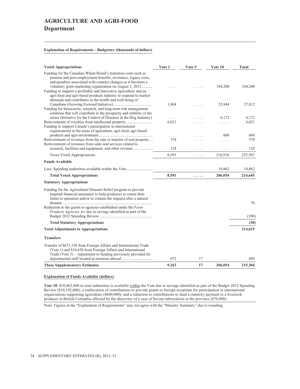# <span id="page-33-0"></span>**AGRICULTURE AND AGRI-FOOD Department**

**Explanation of Requirements – Budgetary (thousands of dollars)**

| <b>Voted Appropriations</b>                                                                                                                                                                                                                                                                                                                                                                             | Vote 1          | Vote 5 | Vote 10       | <b>Total</b>      |
|---------------------------------------------------------------------------------------------------------------------------------------------------------------------------------------------------------------------------------------------------------------------------------------------------------------------------------------------------------------------------------------------------------|-----------------|--------|---------------|-------------------|
| Funding for the Canadian Wheat Board's transition costs such as<br>pension and post-employment benefits, severance, legacy costs,<br>and penalties associated with contract changes as it becomes a<br>voluntary grain marketing organization on August 1, 2012<br>Funding to support a profitable and innovative agriculture and an<br>agri-food and agri-based products industry to respond to market |                 |        | 184,200       | 184,200           |
| demands and contributes to the health and well-being of<br>Funding for biosecurity, research, and long-term risk management<br>solutions that will contribute to the prosperity and stability of the                                                                                                                                                                                                    | 1,868           |        | 25,944        | 27,812            |
| sector (Initiative for the Control of Diseases in the Hog Industry).<br>Reinvestment of royalties from intellectual property<br>Funding to support Canada's participation in international<br>organizations in the areas of agriculture, agri-food, agri-based                                                                                                                                          | .<br>6,021      |        | 6,172<br>.    | 6,172<br>6,021    |
| Reinvestment of revenues from the sale or transfer of real property<br>Reinvestment of revenues from sales and services related to                                                                                                                                                                                                                                                                      | .<br>578<br>124 | .      | 600<br>.<br>. | 600<br>578<br>124 |
| Gross Voted Appropriations                                                                                                                                                                                                                                                                                                                                                                              | 8,591           | .      | 216,916       | 225,507           |
| <b>Funds Available</b>                                                                                                                                                                                                                                                                                                                                                                                  |                 |        |               |                   |
|                                                                                                                                                                                                                                                                                                                                                                                                         |                 | .      | 10,862        | 10,862            |
| <b>Total Voted Appropriations</b>                                                                                                                                                                                                                                                                                                                                                                       | 8,591           | .      | 206,054       | 214,645           |
| <b>Statutory Appropriations</b>                                                                                                                                                                                                                                                                                                                                                                         |                 |        |               |                   |
| Funding for the Agricultural Disaster Relief program to provide<br>targeted financial assistance to help producers to return their<br>farms to operation and/or to contain the impacts after a natural<br>Reduction to the grants to agencies established under the Farm<br>Products Agencies Act due to savings identified as part of the                                                              |                 |        |               | 70<br>(100)       |
| <b>Total Statutory Appropriations</b>                                                                                                                                                                                                                                                                                                                                                                   |                 |        |               | (30)              |
| <b>Total Adjustments to Appropriations</b>                                                                                                                                                                                                                                                                                                                                                              |                 |        |               | 214,615           |
| <b>Transfers</b>                                                                                                                                                                                                                                                                                                                                                                                        |                 |        |               |                   |
| Transfer of \$671,530 from Foreign Affairs and International Trade<br>(Vote 1) and \$16,630 from Foreign Affairs and International<br>Trade (Vote $5$ ) – Adjustment to funding previously provided for                                                                                                                                                                                                 | 672             | 17     |               | 689               |
| <b>These Supplementary Estimates</b>                                                                                                                                                                                                                                                                                                                                                                    | 9,263           | 17     | 206,054       | 215,304           |

#### **Explanation of Funds Available (dollars)**

Vote 10: \$10,862,000 in total authorities is available within the Vote due to savings identified as part of the Budget 2012 Spending Review (\$10,192,000); a reallocation of contributions to provide grants to foreign recipients for participation in international organizations supporting agriculture (\$600,000); and a reduction to contributions to fund a statutory payment to a livestock producer in British Columbia affected by the discovery of a case of bovine tuberculosis in the province (\$70,000).

Note: Figures in the "Explanation of Requirements" may not agree with the "Ministry Summary" due to rounding.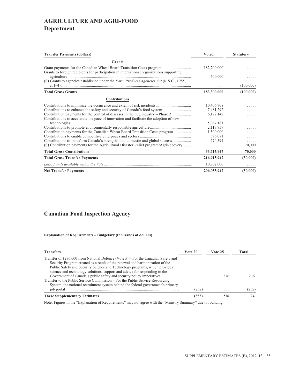# <span id="page-34-0"></span>**AGRICULTURE AND AGRI-FOOD Department**

| <b>Transfer Payments (dollars)</b>                                                       | <b>Voted</b> | <b>Statutory</b> |
|------------------------------------------------------------------------------------------|--------------|------------------|
| <b>Grants</b>                                                                            |              |                  |
| Grant payments for the Canadian Wheat Board Transition Costs program                     | 182,700,000  |                  |
| Grants to foreign recipients for participation in international organizations supporting | 600,000      |                  |
| (S) Grants to agencies established under the Farm Products Agencies Act (R.S.C., 1985,   |              |                  |
|                                                                                          | .            | (100,000)        |
| <b>Total Gross Grants</b>                                                                | 183,300,000  | (100,000)        |
| <b>Contributions</b>                                                                     |              |                  |
|                                                                                          | 10,406,708   |                  |
|                                                                                          | 7,481,292    |                  |
| Contribution payments for the control of diseases in the hog industry – Phase 2          | 6,172,142    |                  |
| Contributions to accelerate the pace of innovation and facilitate the adoption of new    |              |                  |
|                                                                                          | 5,067,181    |                  |
|                                                                                          | 2,117,959    |                  |
| Contribution payments for the Canadian Wheat Board Transition Costs program              | 1,500,000    |                  |
|                                                                                          | 596,071      |                  |
| Contributions to transform Canada's strengths into domestic and global success           | 274,594      | .                |
| (S) Contribution payments for the Agricultural Disaster Relief program/AgriRecovery      | .            | 70,000           |
| <b>Total Gross Contributions</b>                                                         | 33,615,947   | 70,000           |
| <b>Total Gross Transfer Payments</b>                                                     | 216,915,947  | (30,000)         |
|                                                                                          | 10,862,000   | .                |
| <b>Net Transfer Payments</b>                                                             | 206,053,947  | (30,000)         |

### **Canadian Food Inspection Agency**

#### **Explanation of Requirements – Budgetary (thousands of dollars)**

| <b>Transfers</b>                                                                                                                                                                                                                                 | Vote 20 | Vote 25 | Total |
|--------------------------------------------------------------------------------------------------------------------------------------------------------------------------------------------------------------------------------------------------|---------|---------|-------|
| Transfer of \$276,000 from National Defence (Vote 5) – For the Canadian Safety and<br>Security Program created as a result of the renewal and harmonization of the<br>Public Safety and Security Science and Technology programs, which provides |         |         |       |
| science and technology solutions, support and advice for responding to the<br>Transfer to the Public Service Commission – For the Public Service Resourcing<br>System, the national recruitment system behind the federal government's primary   |         | 276     | 276.  |
|                                                                                                                                                                                                                                                  | (252)   | .       | (252) |
| <b>These Supplementary Estimates</b>                                                                                                                                                                                                             | (252)   | 276     | 24    |

Note: Figures in the "Explanation of Requirements" may not agree with the "Ministry Summary" due to rounding.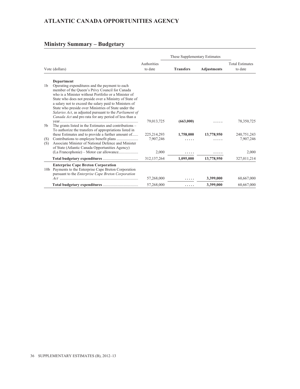# **ATLANTIC CANADA OPPORTUNITIES AGENCY**

|                |                                                                                                                                                                                                                                                                                                                                                                                                                                                          |                                     | These Supplementary Estimates |                    |                                   |
|----------------|----------------------------------------------------------------------------------------------------------------------------------------------------------------------------------------------------------------------------------------------------------------------------------------------------------------------------------------------------------------------------------------------------------------------------------------------------------|-------------------------------------|-------------------------------|--------------------|-----------------------------------|
| Vote (dollars) |                                                                                                                                                                                                                                                                                                                                                                                                                                                          | Authorities<br>to date              | <b>Transfers</b>              | <b>Adjustments</b> | <b>Total Estimates</b><br>to date |
|                | Department                                                                                                                                                                                                                                                                                                                                                                                                                                               |                                     |                               |                    |                                   |
| 1 <sub>b</sub> | Operating expenditures and the payment to each<br>member of the Queen's Privy Council for Canada<br>who is a Minister without Portfolio or a Minister of<br>State who does not preside over a Ministry of State of<br>a salary not to exceed the salary paid to Ministers of<br>State who preside over Ministries of State under the<br>Salaries Act, as adjusted pursuant to the Parliament of<br>Canada Act and pro rata for any period of less than a |                                     |                               |                    |                                   |
| 5b             | The grants listed in the Estimates and contributions –<br>To authorize the transfers of appropriations listed in                                                                                                                                                                                                                                                                                                                                         | 79,013,725                          | (663,000)                     |                    | 78,350,725                        |
| (S)<br>(S)     | these Estimates and to provide a further amount of<br>Associate Minister of National Defence and Minister<br>of State (Atlantic Canada Opportunities Agency)                                                                                                                                                                                                                                                                                             | 225, 214, 293<br>7,907,246<br>2,000 | 1,758,000                     | 13,778,950         | 240,751,243<br>7,907,246<br>2,000 |
|                |                                                                                                                                                                                                                                                                                                                                                                                                                                                          | 312, 137, 264                       | 1.095.000                     | 13,778,950         | 327,011,214                       |
|                | <b>Enterprise Cape Breton Corporation</b><br>10b Payments to the Enterprise Cape Breton Corporation<br>pursuant to the Enterprise Cape Breton Corporation                                                                                                                                                                                                                                                                                                | 57,268,000                          |                               | 3,399,000          | 60,667,000                        |
|                |                                                                                                                                                                                                                                                                                                                                                                                                                                                          | 57,268,000                          | .<br>.                        | 3,399,000          | 60,667,000                        |

# **Ministry Summary – Budgetary**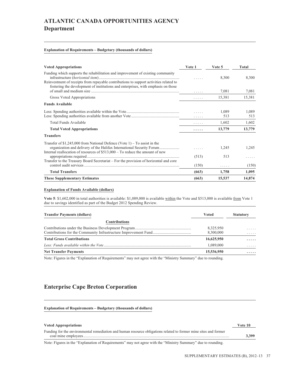## **ATLANTIC CANADA OPPORTUNITIES AGENCY Department**

#### **Explanation of Requirements – Budgetary (thousands of dollars)**

| <b>Voted Appropriations</b>                                                                                                                                                                                                                                    | Vote 1 | Vote 5       | Total        |
|----------------------------------------------------------------------------------------------------------------------------------------------------------------------------------------------------------------------------------------------------------------|--------|--------------|--------------|
| Funding which supports the rehabilitation and improvement of existing community<br>Reinvestment of receipts from repayable contributions to support activities related to<br>fostering the development of institutions and enterprises, with emphasis on those |        | 8,300        | 8,300        |
|                                                                                                                                                                                                                                                                |        | 7,081        | 7,081        |
| Gross Voted Appropriations                                                                                                                                                                                                                                     | .      | 15,381       | 15,381       |
| <b>Funds Available</b>                                                                                                                                                                                                                                         |        |              |              |
|                                                                                                                                                                                                                                                                | .      | 1,089<br>513 | 1.089<br>513 |
| Total Funds Available                                                                                                                                                                                                                                          | .      | 1,602        | 1,602        |
| <b>Total Voted Appropriations</b>                                                                                                                                                                                                                              | .      | 13,779       | 13,779       |
| <b>Transfers</b>                                                                                                                                                                                                                                               |        |              |              |
| Transfer of \$1,245,000 from National Defence (Vote $1$ ) – To assist in the<br>organization and delivery of the Halifax International Security Forum<br>Internal reallocation of resources of $$513,000 - To$ reduce the amount of new                        |        | 1,245        | 1,245        |
|                                                                                                                                                                                                                                                                | (513)  | 513          | .            |
| Transfer to the Treasury Board Secretariat - For the provision of horizontal and core                                                                                                                                                                          | (150)  | .            | (150)        |
| <b>Total Transfers</b>                                                                                                                                                                                                                                         | (663)  | 1,758        | 1,095        |
| <b>These Supplementary Estimates</b>                                                                                                                                                                                                                           | (663)  | 15,537       | 14,874       |

#### **Explanation of Funds Available (dollars)**

**Vote 5**: \$1,602,000 in total authorities is available: \$1,089,000 is available within the Vote and \$513,000 is available from Vote 1 due to savings identified as part of the Budget 2012 Spending Review.

| <b>Transfer Payments (dollars)</b> | Voted                  | <b>Statutory</b> |
|------------------------------------|------------------------|------------------|
| <b>Contributions</b>               |                        |                  |
|                                    | 8.325.950<br>8,300,000 | .<br>.           |
| <b>Total Gross Contributions</b>   | 16.625,950             | .                |
|                                    | 1.089.000              | .                |
| <b>Net Transfer Payments</b>       | 15,536,950             | .                |

Note: Figures in the "Explanation of Requirements" may not agree with the "Ministry Summary" due to rounding.

### **Enterprise Cape Breton Corporation**

#### **Explanation of Requirements – Budgetary (thousands of dollars)**

| <b>Voted Appropriations</b>                                                                                      | Vote 10 |
|------------------------------------------------------------------------------------------------------------------|---------|
| Funding for the environmental remediation and human resource obligations related to former mine sites and former |         |
|                                                                                                                  | 3.399   |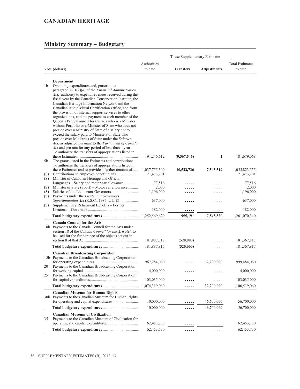|  | <b>Ministry Summary - Budgetary</b> |  |
|--|-------------------------------------|--|
|--|-------------------------------------|--|

|            |                                                                                                                        |                        | These Supplementary Estimates |                    |                                   |
|------------|------------------------------------------------------------------------------------------------------------------------|------------------------|-------------------------------|--------------------|-----------------------------------|
|            | Vote (dollars)                                                                                                         | Authorities<br>to date | <b>Transfers</b>              | <b>Adjustments</b> | <b>Total Estimates</b><br>to date |
|            | Department                                                                                                             |                        |                               |                    |                                   |
| 1b         | Operating expenditures and, pursuant to                                                                                |                        |                               |                    |                                   |
|            | paragraph $29.1(2)(a)$ of the <i>Financial Administration</i><br>Act, authority to expend revenues received during the |                        |                               |                    |                                   |
|            | fiscal year by the Canadian Conservation Institute, the                                                                |                        |                               |                    |                                   |
|            | Canadian Heritage Information Network and the                                                                          |                        |                               |                    |                                   |
|            | Canadian Audio-visual Certification Office, and from                                                                   |                        |                               |                    |                                   |
|            | the provision of internal support services to other<br>organizations, and the payment to each member of the            |                        |                               |                    |                                   |
|            | Queen's Privy Council for Canada who is a Minister                                                                     |                        |                               |                    |                                   |
|            | without Portfolio or a Minister of State who does not                                                                  |                        |                               |                    |                                   |
|            | preside over a Ministry of State of a salary not to                                                                    |                        |                               |                    |                                   |
|            | exceed the salary paid to Ministers of State who                                                                       |                        |                               |                    |                                   |
|            | preside over Ministries of State under the Salaries<br>Act, as adjusted pursuant to the Parliament of Canada           |                        |                               |                    |                                   |
|            | <i>Act</i> and pro rata for any period of less than a year –                                                           |                        |                               |                    |                                   |
|            | To authorize the transfers of appropriations listed in                                                                 |                        |                               |                    |                                   |
|            |                                                                                                                        | 191,246,612            | (9,567,545)                   | $\mathbf{1}$       | 181,679,068                       |
| 5b         | The grants listed in the Estimates and contributions -<br>To authorize the transfers of appropriations listed in       |                        |                               |                    |                                   |
|            | these Estimates and to provide a further amount of                                                                     | 1,037,755,300          | 10,522,736                    | 7,545,519          | 1,055,823,555                     |
| (S)        |                                                                                                                        | 21,473,201             |                               |                    | 21,473,201                        |
| (S)        | Minister of Canadian Heritage and Official                                                                             |                        |                               |                    |                                   |
|            | Languages – Salary and motor car allowance                                                                             | 77,516                 |                               |                    | 77,516                            |
| (S)<br>(S) | Minister of State (Sport) – Motor car allowance                                                                        | 2,000<br>1,196,000     |                               |                    | 2,000<br>1,196,000                |
| (S)        | Payments under the Lieutenant Governors                                                                                |                        |                               |                    |                                   |
|            |                                                                                                                        | 637,000                | .                             | .                  | 637,000                           |
| (S)        | Supplementary Retirement Benefits - Former                                                                             |                        |                               |                    |                                   |
|            |                                                                                                                        | 182,000                | .                             | .                  | 182,000                           |
|            |                                                                                                                        | 1,252,569,629          | 955,191                       | 7,545,520          | 1,261,070,340                     |
|            | <b>Canada Council for the Arts</b>                                                                                     |                        |                               |                    |                                   |
|            | 10b Payments to the Canada Council for the Arts under<br>section 18 of the Canada Council for the Arts Act, to         |                        |                               |                    |                                   |
|            | be used for the furtherance of the objects set out in                                                                  |                        |                               |                    |                                   |
|            |                                                                                                                        | 181,887,817            | (520,000)                     | .                  | 181,367,817                       |
|            |                                                                                                                        | 181,887,817            | (520,000)                     | .                  | 181, 367, 817                     |
|            | <b>Canadian Broadcasting Corporation</b>                                                                               |                        |                               |                    |                                   |
|            | 15b Payments to the Canadian Broadcasting Corporation                                                                  |                        |                               |                    |                                   |
|            |                                                                                                                        | 967,284,060            |                               | 32,200,000         | 999,484,060                       |
| 20         | Payments to the Canadian Broadcasting Corporation                                                                      | 4,000,000              |                               |                    | 4,000,000                         |
| 25         | Payments to the Canadian Broadcasting Corporation                                                                      |                        |                               |                    |                                   |
|            |                                                                                                                        | 103,035,000            |                               | .                  | 103,035,000                       |
|            |                                                                                                                        | 1,074,319,060          | .                             | 32,200,000         | 1,106,519,060                     |
|            | <b>Canadian Museum for Human Rights</b>                                                                                |                        |                               |                    |                                   |
|            | 30b Payments to the Canadian Museum for Human Rights                                                                   |                        |                               |                    |                                   |
|            |                                                                                                                        | 10,000,000             | .                             | 46,700,000         | 56,700,000                        |
|            |                                                                                                                        | 10,000,000             | .                             | 46,700,000         | 56,700,000                        |
|            | <b>Canadian Museum of Civilization</b>                                                                                 |                        |                               |                    |                                   |
| 35         | Payments to the Canadian Museum of Civilization for                                                                    | 62,453,730             |                               |                    | 62,453,730                        |
|            |                                                                                                                        |                        |                               |                    |                                   |
|            |                                                                                                                        | 62,453,730             | .                             | .                  | 62,453,730                        |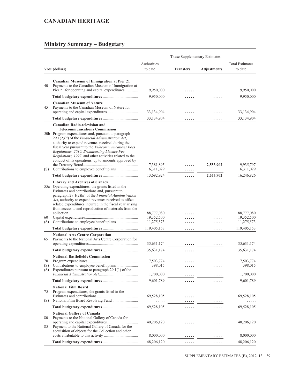### **Ministry Summary – Budgetary**

|                  |                                                                                                                                                                                                                                                                                                                                                                                                                                                                      |                                        | These Supplementary Estimates |                    |                                        |
|------------------|----------------------------------------------------------------------------------------------------------------------------------------------------------------------------------------------------------------------------------------------------------------------------------------------------------------------------------------------------------------------------------------------------------------------------------------------------------------------|----------------------------------------|-------------------------------|--------------------|----------------------------------------|
|                  | Vote (dollars)                                                                                                                                                                                                                                                                                                                                                                                                                                                       | Authorities<br>to date                 | <b>Transfers</b>              | <b>Adjustments</b> | <b>Total Estimates</b><br>to date      |
| 40               | <b>Canadian Museum of Immigration at Pier 21</b><br>Payments to the Canadian Museum of Immigration at<br>Pier 21 for operating and capital expenditures                                                                                                                                                                                                                                                                                                              | 9,950,000                              | .                             |                    | 9,950,000                              |
|                  |                                                                                                                                                                                                                                                                                                                                                                                                                                                                      | 9,950,000                              | .                             | .                  | 9,950,000                              |
| 45               | <b>Canadian Museum of Nature</b><br>Payments to the Canadian Museum of Nature for                                                                                                                                                                                                                                                                                                                                                                                    | 33,134,904                             |                               |                    | 33,134,904                             |
|                  |                                                                                                                                                                                                                                                                                                                                                                                                                                                                      | 33,134,904                             | .                             | .                  | 33,134,904                             |
| (S)              | <b>Canadian Radio-television and</b><br><b>Telecommunications Commission</b><br>50b Program expenditures and, pursuant to paragraph<br>$29.1(2)(a)$ of the Financial Administration Act,<br>authority to expend revenues received during the<br>fiscal year pursuant to the Telecommunications Fees<br>Regulations, 2010, Broadcasting Licence Fee<br>Regulations, 1997, and other activities related to the<br>conduct of its operations, up to amounts approved by | 7,381,895<br>6,311,029                 | .                             | 2,553,902<br>.     | 9,935,797<br>6,311,029                 |
|                  |                                                                                                                                                                                                                                                                                                                                                                                                                                                                      | 13,692,924                             | .                             | 2,553,902          | 16,246,826                             |
| 60<br>(S)        | 55a Operating expenditures, the grants listed in the<br>Estimates and contributions and, pursuant to<br>paragraph $29.1(2)(a)$ of the <i>Financial Administration</i><br>Act, authority to expend revenues received to offset<br>related expenditures incurred in the fiscal year arising<br>from access to and reproduction of materials from the                                                                                                                   | 88,777,080<br>19,352,500<br>11,275,573 | .<br>.                        | .<br>.             | 88,777,080<br>19,352,500<br>11,275,573 |
|                  |                                                                                                                                                                                                                                                                                                                                                                                                                                                                      | 119,405,153                            | .                             | .                  | 119,405,153                            |
| 65               | <b>National Arts Centre Corporation</b><br>Payments to the National Arts Centre Corporation for                                                                                                                                                                                                                                                                                                                                                                      | 35,631,174<br>35,631,174               | .<br>.                        | .<br>.             | 35,631,174<br>35,631,174               |
| 70<br>(S)<br>(S) | <b>National Battlefields Commission</b><br>Expenditures pursuant to paragraph $29.1(1)$ of the                                                                                                                                                                                                                                                                                                                                                                       | 7,503,774<br>398,015<br>1,700,000      | .                             | .                  | 7,503,774<br>398,015<br>1,700,000      |
|                  |                                                                                                                                                                                                                                                                                                                                                                                                                                                                      | 9,601,789                              | .                             | .                  | 9,601,789                              |
| 75<br>(S)        | <b>National Film Board</b><br>Program expenditures, the grants listed in the                                                                                                                                                                                                                                                                                                                                                                                         | 69,528,105<br>.                        | .<br>.                        | .<br>.             | 69,528,105                             |
|                  |                                                                                                                                                                                                                                                                                                                                                                                                                                                                      | 69,528,105                             | .                             | .                  | 69,528,105                             |
| 80<br>85         | <b>National Gallery of Canada</b><br>Payments to the National Gallery of Canada for<br>Payment to the National Gallery of Canada for the<br>acquisition of objects for the Collection and other                                                                                                                                                                                                                                                                      | 40,206,120<br>8,000,000                |                               |                    | 40,206,120<br>8,000,000                |
|                  |                                                                                                                                                                                                                                                                                                                                                                                                                                                                      |                                        | .                             | .                  |                                        |
|                  |                                                                                                                                                                                                                                                                                                                                                                                                                                                                      | 48,206,120                             | .                             | .                  | 48,206,120                             |

SUPPLEMENTARY ESTIMATES (B), 2012–13 39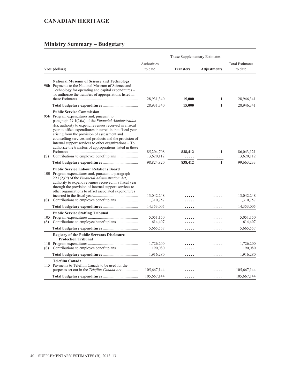### **Ministry Summary – Budgetary**

|     |                                                                                                                                                                                                                                                                                                                                                                                                                                                                                                 |                                   | These Supplementary Estimates |                    |                                   |
|-----|-------------------------------------------------------------------------------------------------------------------------------------------------------------------------------------------------------------------------------------------------------------------------------------------------------------------------------------------------------------------------------------------------------------------------------------------------------------------------------------------------|-----------------------------------|-------------------------------|--------------------|-----------------------------------|
|     | Vote (dollars)                                                                                                                                                                                                                                                                                                                                                                                                                                                                                  | Authorities<br>to date            | <b>Transfers</b>              | <b>Adjustments</b> | <b>Total Estimates</b><br>to date |
|     | <b>National Museum of Science and Technology</b><br>90b Payments to the National Museum of Science and<br>Technology for operating and capital expenditures –<br>To authorize the transfers of appropriations listed in                                                                                                                                                                                                                                                                         | 28,931,340                        | 15,000                        | 1                  | 28,946,341                        |
|     |                                                                                                                                                                                                                                                                                                                                                                                                                                                                                                 | 28,931,340                        | 15,000                        | $\mathbf{1}$       | 28,946,341                        |
| (S) | <b>Public Service Commission</b><br>95b Program expenditures and, pursuant to<br>paragraph $29.1(2)(a)$ of the Financial Administration<br>Act, authority to expend revenues received in a fiscal<br>year to offset expenditures incurred in that fiscal year<br>arising from the provision of assessment and<br>counselling services and products and the provision of<br>internal support services to other organizations $-$ To<br>authorize the transfers of appropriations listed in these | 85,204,708<br>13,620,112          | 838,412<br>.                  | $\mathbf{1}$<br>.  | 86,043,121<br>13,620,112          |
|     |                                                                                                                                                                                                                                                                                                                                                                                                                                                                                                 | 98,824,820                        | 838,412                       | $\mathbf{1}$       | 99,663,233                        |
| (S) | <b>Public Service Labour Relations Board</b><br>100 Program expenditures and, pursuant to paragraph<br>$29.1(2)(a)$ of the Financial Administration Act,<br>authority to expend revenues received in a fiscal year<br>through the provision of internal support services to<br>other organizations to offset associated expenditures                                                                                                                                                            | 13,042,248<br>1,310,757           | .                             |                    | 13,042,248<br>1,310,757           |
|     |                                                                                                                                                                                                                                                                                                                                                                                                                                                                                                 | 14,353,005                        | .                             | .                  | 14,353,005                        |
| (S) | <b>Public Service Staffing Tribunal</b>                                                                                                                                                                                                                                                                                                                                                                                                                                                         | 5,051,150<br>614,407<br>5,665,557 | .<br>.                        | .<br>.             | 5,051,150<br>614,407<br>5,665,557 |
|     | <b>Registry of the Public Servants Disclosure</b>                                                                                                                                                                                                                                                                                                                                                                                                                                               |                                   |                               |                    |                                   |
| (S) | <b>Protection Tribunal</b>                                                                                                                                                                                                                                                                                                                                                                                                                                                                      | 1,726,200<br>190,080              | .                             | .                  | 1,726,200<br>190,080              |
|     |                                                                                                                                                                                                                                                                                                                                                                                                                                                                                                 | 1,916,280                         | .                             | .                  | 1,916,280                         |
|     | Telefilm Canada<br>115 Payments to Telefilm Canada to be used for the<br>purposes set out in the Telefilm Canada Act                                                                                                                                                                                                                                                                                                                                                                            | 105,667,144                       |                               |                    | 105,667,144                       |
|     |                                                                                                                                                                                                                                                                                                                                                                                                                                                                                                 | 105,667,144                       | .                             | .                  | 105,667,144                       |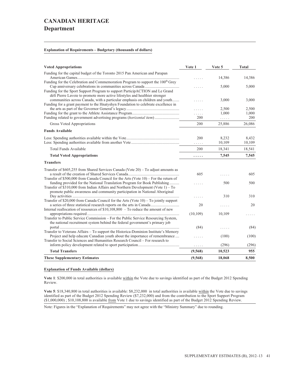### **Department**

#### **Explanation of Requirements – Budgetary (thousands of dollars)**

| <b>Voted Appropriations</b>                                                                                                                                                | Vote 1    | Vote 5   | Total  |
|----------------------------------------------------------------------------------------------------------------------------------------------------------------------------|-----------|----------|--------|
| Funding for the capital budget of the Toronto 2015 Pan American and Parapan<br>Funding for the Celebration and Commemoration Program to support the 100 <sup>th</sup> Grey | .         | 14,386   | 14,386 |
| Funding for the Sport Support Program to support ParticipACTION and Le Grand<br>défi Pierre Lavoie to promote more active lifestyles and healthier stronger                |           | 5,000    | 5,000  |
| communities across Canada, with a particular emphasis on children and youth<br>Funding for a grant payment to the Hnatyshyn Foundation to celebrate excellence in          | .         | 3,000    | 3,000  |
|                                                                                                                                                                            | .         | 2,500    | 2,500  |
|                                                                                                                                                                            | .         | 1,000    | 1,000  |
| Funding related to government advertising programs ( <i>horizontal item</i> )                                                                                              | 200       | $\ldots$ | 200    |
| Gross Voted Appropriations                                                                                                                                                 | 200       | 25,886   | 26,086 |
| <b>Funds Available</b>                                                                                                                                                     |           |          |        |
|                                                                                                                                                                            | 200       | 8,232    | 8,432  |
|                                                                                                                                                                            | .         | 10,109   | 10,109 |
| <b>Total Funds Available</b>                                                                                                                                               | 200       | 18,341   | 18,541 |
| <b>Total Voted Appropriations</b>                                                                                                                                          | .         | 7,545    | 7,545  |
| <b>Transfers</b>                                                                                                                                                           |           |          |        |
| Transfer of \$605,255 from Shared Services Canada (Vote 20) - To adjust amounts as                                                                                         |           |          |        |
|                                                                                                                                                                            | 605       |          | 605    |
| Transfer of \$500,000 from Canada Council for the Arts (Vote $10$ ) – For the return of<br>funding provided for the National Translation Program for Book Publishing       |           | 500      | 500    |
| Transfer of \$310,000 from Indian Affairs and Northern Development (Vote $1$ ) – To<br>promote public awareness and community participation in National Aboriginal         |           |          |        |
| Transfer of \$20,000 from Canada Council for the Arts (Vote $10$ ) – To jointly support                                                                                    | .         | 310      | 310    |
|                                                                                                                                                                            | 20        | .        | 20     |
| Internal reallocation of ressources of $$10,108,800$ - To reduce the amount of new                                                                                         |           |          |        |
|                                                                                                                                                                            | (10, 109) | 10,109   |        |
| Transfer to Public Service Commission – For the Public Service Resourcing System,                                                                                          |           |          |        |
| the national recruitment system behind the federal government's primary job                                                                                                |           |          |        |
| Transfer to Veterans Affairs – To support the Historica-Dominion Institute's Memory                                                                                        | (84)      | .        | (84)   |
| Project and help educate Canadian youth about the importance of remembrance                                                                                                | .         | (100)    | (100)  |
| Transfer to Social Sciences and Humanities Research Council – For research to                                                                                              |           |          |        |
|                                                                                                                                                                            | .         | (296)    | (296)  |
| <b>Total Transfers</b>                                                                                                                                                     | (9,568)   | 10,523   | 955    |
| <b>These Supplementary Estimates</b>                                                                                                                                       | (9, 568)  | 18,068   | 8,500  |

#### **Explanation of Funds Available (dollars)**

**Vote 1**: \$200,000 in total authorities is available within the Vote due to savings identified as part of the Budget 2012 Spending Review.

**Vote 5**: \$18,340,800 in total authorities is available: \$8,232,000 in total authorities is available within the Vote due to savings identified as part of the Budget 2012 Spending Review (\$7,232,000) and from the contribution to the Sport Support Program (\$1,000,000) ; \$10,108,800 is available from Vote 1 due to savings identified as part of the Budget 2012 Spending Review.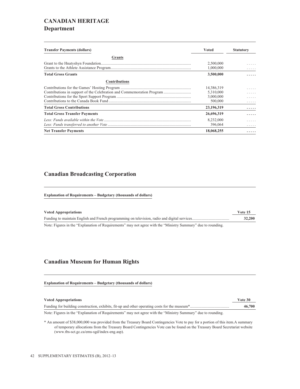### **CANADIAN HERITAGE Department**

| <b>Transfer Payments (dollars)</b>                                    | <b>Voted</b> | <b>Statutory</b> |
|-----------------------------------------------------------------------|--------------|------------------|
| Grants                                                                |              |                  |
|                                                                       | 2,500,000    |                  |
|                                                                       | 1,000,000    | .                |
| <b>Total Gross Grants</b>                                             | 3,500,000    |                  |
| <b>Contributions</b>                                                  |              |                  |
|                                                                       | 14,386,319   |                  |
| Contributions in support of the Celebration and Commemoration Program | 5,310,000    |                  |
|                                                                       | 3,000,000    | .                |
|                                                                       | 500,000      | .                |
| <b>Total Gross Contributions</b>                                      | 23,196,319   | .                |
| <b>Total Gross Transfer Payments</b>                                  | 26,696,319   | .                |
|                                                                       | 8,232,000    | .                |
|                                                                       | 396,064      |                  |
| <b>Net Transfer Payments</b>                                          | 18,068,255   | .                |

### **Canadian Broadcasting Corporation**

#### **Explanation of Requirements – Budgetary (thousands of dollars)**

| <b>Voted Appropriations</b>                                                                                   | Vote 15 |
|---------------------------------------------------------------------------------------------------------------|---------|
|                                                                                                               | 32,200  |
| Note: Figures in the "Explanation of Requirements" may not agree with the "Ministry Summary" due to rounding. |         |

### **Canadian Museum for Human Rights**

#### **Explanation of Requirements – Budgetary (thousands of dollars)**

| <b>Voted Appropriations</b> | Vote 30 |
|-----------------------------|---------|
|                             | 46,700  |

Note: Figures in the "Explanation of Requirements" may not agree with the "Ministry Summary" due to rounding.

\* An amount of \$38,000,000 was provided from the Treasury Board Contingencies Vote to pay for a portion of this item.A summary of temporary allocations from the Treasury Board Contingencies Vote can be found on the Treasury Board Secretariat website (www.tbs-sct.gc.ca/ems-sgd/index-eng.asp).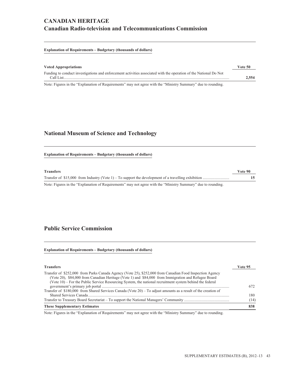### **CANADIAN HERITAGE Canadian Radio-television and Telecommunications Commission**

#### **Explanation of Requirements – Budgetary (thousands of dollars)**

| 2.554 |
|-------|
|       |

Note: Figures in the "Explanation of Requirements" may not agree with the "Ministry Summary" due to rounding.

### **National Museum of Science and Technology**

#### **Explanation of Requirements – Budgetary (thousands of dollars)**

| <b>Transfers</b>                                                                                              | Vote 90 |
|---------------------------------------------------------------------------------------------------------------|---------|
|                                                                                                               | 15      |
| Note: Figures in the "Explanation of Requirements" may not agree with the "Ministry Summary" due to rounding. |         |

### **Public Service Commission**

#### **Explanation of Requirements – Budgetary (thousands of dollars)**

| <b>Transfers</b>                                                                                                                                                                                                                                                                                                                  | Vote 95     |
|-----------------------------------------------------------------------------------------------------------------------------------------------------------------------------------------------------------------------------------------------------------------------------------------------------------------------------------|-------------|
| Transfer of \$252,000 from Parks Canada Agency (Vote 25), \$252,000 from Canadian Food Inspection Agency<br>(Vote 20), \$84,000 from Canadian Heritage (Vote 1) and \$84,000 from Immigration and Refugee Board<br>$($ Vote $10$ ) – For the Public Service Resourcing System, the national recruitment system behind the federal | 672.        |
| Transfer of \$180,000 from Shared Services Canada (Vote 20) – To adjust amounts as a result of the creation of                                                                                                                                                                                                                    | 180<br>(14) |
| <b>These Supplementary Estimates</b>                                                                                                                                                                                                                                                                                              | 838         |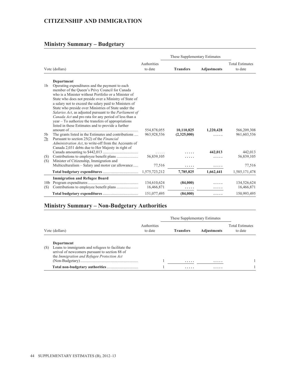### **CITIZENSHIP AND IMMIGRATION**

|  |  | <b>Ministry Summary – Budgetary</b> |  |
|--|--|-------------------------------------|--|
|--|--|-------------------------------------|--|

|                 |                                                                                                                                                                                                                                                                                                                                                                                                                                                                                                                                                                         |                        | These Supplementary Estimates |                    |                                   |
|-----------------|-------------------------------------------------------------------------------------------------------------------------------------------------------------------------------------------------------------------------------------------------------------------------------------------------------------------------------------------------------------------------------------------------------------------------------------------------------------------------------------------------------------------------------------------------------------------------|------------------------|-------------------------------|--------------------|-----------------------------------|
|                 | Vote (dollars)                                                                                                                                                                                                                                                                                                                                                                                                                                                                                                                                                          | Authorities<br>to date | <b>Transfers</b>              | <b>Adjustments</b> | <b>Total Estimates</b><br>to date |
|                 | Department                                                                                                                                                                                                                                                                                                                                                                                                                                                                                                                                                              |                        |                               |                    |                                   |
| 1 <sub>b</sub>  | Operating expenditures and the payment to each<br>member of the Queen's Privy Council for Canada<br>who is a Minister without Portfolio or a Minister of<br>State who does not preside over a Ministry of State of<br>a salary not to exceed the salary paid to Ministers of<br>State who preside over Ministries of State under the<br>Salaries Act, as adjusted pursuant to the Parliament of<br>Canada Act and pro rata for any period of less than a<br>$year - To$ authorize the transfers of appropriations<br>listed in these Estimates and to provide a further | 554,878,055            | 10,110,825                    | 1,220,428          | 566,209,308                       |
| 5b<br>7b        | The grants listed in the Estimates and contributions<br>Pursuant to section 25(2) of the <i>Financial</i><br>Administration Act, to write-off from the Accounts of<br>Canada 2,031 debts due to Her Majesty in right of                                                                                                                                                                                                                                                                                                                                                 | 963,928,536            | (2,325,000)                   |                    | 961,603,536                       |
|                 |                                                                                                                                                                                                                                                                                                                                                                                                                                                                                                                                                                         | 1.1.1.1                |                               | 442,013            | 442,013                           |
| (S)<br>(S)      | Minister of Citizenship, Immigration and                                                                                                                                                                                                                                                                                                                                                                                                                                                                                                                                | 56,839,105             |                               |                    | 56,839,105                        |
|                 | Multiculturalism – Salary and motor car allowance                                                                                                                                                                                                                                                                                                                                                                                                                                                                                                                       | 77,516                 | .                             |                    | 77,516                            |
|                 |                                                                                                                                                                                                                                                                                                                                                                                                                                                                                                                                                                         | 1,575,723,212          | 7,785,825                     | 1,662,441          | 1,585,171,478                     |
|                 | <b>Immigration and Refugee Board</b>                                                                                                                                                                                                                                                                                                                                                                                                                                                                                                                                    |                        |                               |                    |                                   |
| 10 <sub>b</sub> |                                                                                                                                                                                                                                                                                                                                                                                                                                                                                                                                                                         | 134,610,624            | (84,000)                      |                    | 134,526,624                       |
| (S)             |                                                                                                                                                                                                                                                                                                                                                                                                                                                                                                                                                                         | 16,466,871             | .                             |                    | 16,466,871                        |
|                 |                                                                                                                                                                                                                                                                                                                                                                                                                                                                                                                                                                         | 151,077,495            | (84,000)                      | .                  | 150,993,495                       |

## **Ministry Summary – Non-Budgetary Authorities**

|     |                                                                                                                                                                  |  | These Supplementary Estimates |   |                    |                                   |
|-----|------------------------------------------------------------------------------------------------------------------------------------------------------------------|--|-------------------------------|---|--------------------|-----------------------------------|
|     | Vote (dollars)                                                                                                                                                   |  | <b>Transfers</b>              |   | <b>Adjustments</b> | <b>Total Estimates</b><br>to date |
| (S) | Department<br>Loans to immigrants and refugees to facilitate the<br>arrival of newcomers pursuant to section 88 of<br>the Immigration and Refugee Protection Act |  |                               |   |                    |                                   |
|     |                                                                                                                                                                  |  |                               | . | .                  |                                   |
|     |                                                                                                                                                                  |  |                               | . | .                  |                                   |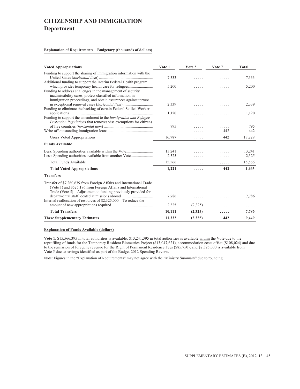## **CITIZENSHIP AND IMMIGRATION Department**

#### **Explanation of Requirements – Budgetary (thousands of dollars)**

| <b>Voted Appropriations</b>                                                                                                                                                                                | Vote 1          | Vote 5  | Vote 7 | <b>Total</b>    |
|------------------------------------------------------------------------------------------------------------------------------------------------------------------------------------------------------------|-----------------|---------|--------|-----------------|
| Funding to support the sharing of immigration information with the                                                                                                                                         | 7,333           | .       |        | 7,333           |
| Additional funding to support the Interim Federal Health program<br>which provides temporary health care for refugees<br>Funding to address challenges in the management of security                       | 5,200           | .       |        | 5,200           |
| inadmissibility cases, protect classified information in<br>immigration proceedings, and obtain assurances against torture                                                                                 |                 |         |        |                 |
| Funding to eliminate the backlog of certain Federal Skilled Worker                                                                                                                                         | 2,339           | .       | .      | 2,339           |
| Funding to support the amendment to the Immigration and Refugee<br>Protection Regulations that removes visa exemptions for citizens                                                                        | 1,120           | .       |        | 1,120           |
|                                                                                                                                                                                                            | 795             | .       | .      | 795             |
|                                                                                                                                                                                                            |                 |         | 442    | 442             |
| Gross Voted Appropriations                                                                                                                                                                                 | 16,787          | .       | 442    | 17,229          |
| <b>Funds Available</b>                                                                                                                                                                                     |                 |         |        |                 |
|                                                                                                                                                                                                            | 13,241<br>2,325 | .<br>.  | .<br>. | 13,241<br>2,325 |
| <b>Total Funds Available</b>                                                                                                                                                                               | 15,566          | .       | .      | 15,566          |
| <b>Total Voted Appropriations</b>                                                                                                                                                                          | 1,221           | .       | 442    | 1,663           |
| <b>Transfers</b>                                                                                                                                                                                           |                 |         |        |                 |
| Transfer of \$7,260,639 from Foreign Affairs and International Trade<br>(Vote 1) and \$525,186 from Foreign Affairs and International<br>Trade (Vote $5$ ) – Adjustment to funding previously provided for |                 |         |        |                 |
| Internal reallocation of resources of $$2,325,000 - To$ reduce the                                                                                                                                         | 7,786           | .       | .      | 7,786           |
|                                                                                                                                                                                                            | 2,325           | (2,325) |        | .               |
| <b>Total Transfers</b>                                                                                                                                                                                     | 10,111          | (2,325) | .      | 7,786           |
| <b>These Supplementary Estimates</b>                                                                                                                                                                       | 11,332          | (2,325) | 442    | 9,449           |

#### **Explanation of Funds Available (dollars)**

**Vote 1**: \$15,566,395 in total authorities is available: \$13,241,395 in total authorities is available within the Vote due to the reprofiling of funds for the Temporary Resident Biometrics Project (\$13,047,621), accommodation costs offset (\$108,024) and due to the remission of foregone revenue for the Right of Permanent Residence Fees (\$85,750); and \$2,325,000 is available from Vote 5 due to savings identified as part of the Budget 2012 Spending Review.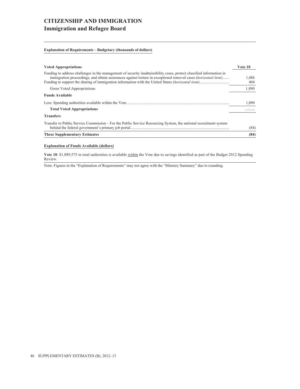### **CITIZENSHIP AND IMMIGRATION Immigration and Refugee Board**

#### **Explanation of Requirements – Budgetary (thousands of dollars)**

| <b>Voted Appropriations</b>                                                                                                                                                                                                           | Vote 10      |
|---------------------------------------------------------------------------------------------------------------------------------------------------------------------------------------------------------------------------------------|--------------|
| Funding to address challenges in the management of security inadmissibility cases, protect classified information in<br>immigration proceedings, and obtain assurances against torture in exceptional removal cases (horizontal item) | 1.486<br>404 |
| Gross Voted Appropriations                                                                                                                                                                                                            | 1.890        |
| <b>Funds Available</b>                                                                                                                                                                                                                |              |
|                                                                                                                                                                                                                                       | 1.890        |
| <b>Total Voted Appropriations</b>                                                                                                                                                                                                     | .            |
| <b>Transfers</b>                                                                                                                                                                                                                      |              |
| Transfer to Public Service Commission – For the Public Service Resourcing System, the national recruitment system                                                                                                                     | (84)         |
| <b>These Supplementary Estimates</b>                                                                                                                                                                                                  | (84)         |

### **Explanation of Funds Available (dollars)**

**Vote 10**: \$1,889,575 in total authorities is available within the Vote due to savings identified as part of the Budget 2012 Spending Review.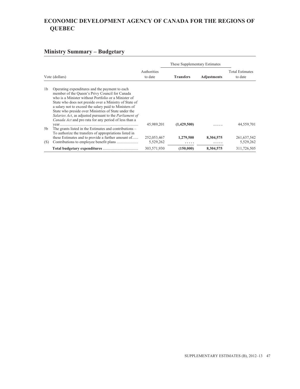## **ECONOMIC DEVELOPMENT AGENCY OF CANADA FOR THE REGIONS OF QUEBEC**

### **Ministry Summary – Budgetary**

|                |                                                                                                                                                                                                                                                                                                                                                                                                                                                                                |                        | These Supplementary Estimates |                    |                                   |
|----------------|--------------------------------------------------------------------------------------------------------------------------------------------------------------------------------------------------------------------------------------------------------------------------------------------------------------------------------------------------------------------------------------------------------------------------------------------------------------------------------|------------------------|-------------------------------|--------------------|-----------------------------------|
|                | Vote (dollars)                                                                                                                                                                                                                                                                                                                                                                                                                                                                 | Authorities<br>to date | <b>Transfers</b>              | <b>Adjustments</b> | <b>Total Estimates</b><br>to date |
| 1 <sub>b</sub> | Operating expenditures and the payment to each<br>member of the Queen's Privy Council for Canada<br>who is a Minister without Portfolio or a Minister of<br>State who does not preside over a Ministry of State of<br>a salary not to exceed the salary paid to Ministers of<br>State who preside over Ministries of State under the<br><i>Salaries Act</i> , as adjusted pursuant to the <i>Parliament of</i><br><i>Canada Act</i> and pro rata for any period of less than a |                        |                               |                    |                                   |
| 5b             | The grants listed in the Estimates and contributions –<br>To authorize the transfers of appropriations listed in                                                                                                                                                                                                                                                                                                                                                               | 45,989,201             | (1,429,500)                   |                    | 44,559,701                        |
|                | these Estimates and to provide a further amount of                                                                                                                                                                                                                                                                                                                                                                                                                             | 252,053,467            | 1,279,500                     | 8,304,575          | 261, 637, 542                     |
| (S)            |                                                                                                                                                                                                                                                                                                                                                                                                                                                                                | 5,529,262              | .                             | .                  | 5,529,262                         |
|                |                                                                                                                                                                                                                                                                                                                                                                                                                                                                                | 303,571,930            | (150,000)                     | 8,304,575          | 311,726,505                       |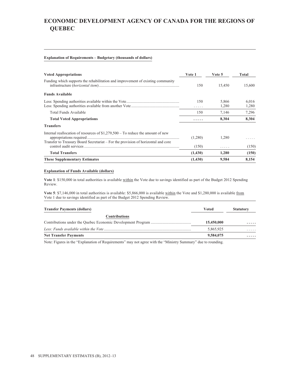### **ECONOMIC DEVELOPMENT AGENCY OF CANADA FOR THE REGIONS OF QUEBEC**

#### **Explanation of Requirements – Budgetary (thousands of dollars)**

| <b>Voted Appropriations</b>                                                                                                                                           | Vote 1   | Vote 5         | Total          |
|-----------------------------------------------------------------------------------------------------------------------------------------------------------------------|----------|----------------|----------------|
| Funding which supports the rehabilitation and improvement of existing community                                                                                       | 150      | 15.450         | 15,600         |
| <b>Funds Available</b>                                                                                                                                                |          |                |                |
|                                                                                                                                                                       | 150<br>. | 5,866<br>1,280 | 6.016<br>1,280 |
| Total Funds Available                                                                                                                                                 | 150      | 7,146          | 7,296          |
| <b>Total Voted Appropriations</b>                                                                                                                                     | .        | 8,304          | 8,304          |
| <b>Transfers</b>                                                                                                                                                      |          |                |                |
| Internal reallocation of resources of $$1,279,500 - To$ reduce the amount of new<br>Transfer to Treasury Board Secretariat - For the provision of horizontal and core | (1,280)  | 1,280          |                |
|                                                                                                                                                                       | (150)    | .              | (150)          |
| <b>Total Transfers</b>                                                                                                                                                | (1, 430) | 1.280          | (150)          |
| <b>These Supplementary Estimates</b>                                                                                                                                  | (1,430)  | 9,584          | 8,154          |

#### **Explanation of Funds Available (dollars)**

**Vote 1**: \$150,000 in total authorities is available within the Vote due to savings identified as part of the Budget 2012 Spending Review.

Vote 5: \$7,146,000 in total authorities is available: \$5,866,000 is available within the Vote and \$1,280,000 is available from Vote 1 due to savings identified as part of the Budget 2012 Spending Review.

| <b>Transfer Payments (dollars)</b> | Voted      | <b>Statutory</b> |
|------------------------------------|------------|------------------|
| <b>Contributions</b>               |            |                  |
|                                    | 15,450,000 | .                |
|                                    | 5,865,925  | .                |
| <b>Net Transfer Payments</b>       | 9,584,075  | .                |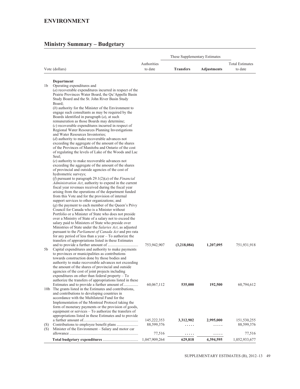### **Ministry Summary – Budgetary**

|            |                                                                                                                                                                                                                                                                                                                                                                                                                                                                                                                                                                                                                                                                                                                                                                                                                                                                                                                                                                                                                                                                                                                                                                                                                                                                                                                                                                                                                                                                                                                                                                                                                                                                      |                           | These Supplementary Estimates |                    |                                   |
|------------|----------------------------------------------------------------------------------------------------------------------------------------------------------------------------------------------------------------------------------------------------------------------------------------------------------------------------------------------------------------------------------------------------------------------------------------------------------------------------------------------------------------------------------------------------------------------------------------------------------------------------------------------------------------------------------------------------------------------------------------------------------------------------------------------------------------------------------------------------------------------------------------------------------------------------------------------------------------------------------------------------------------------------------------------------------------------------------------------------------------------------------------------------------------------------------------------------------------------------------------------------------------------------------------------------------------------------------------------------------------------------------------------------------------------------------------------------------------------------------------------------------------------------------------------------------------------------------------------------------------------------------------------------------------------|---------------------------|-------------------------------|--------------------|-----------------------------------|
|            | Vote (dollars)                                                                                                                                                                                                                                                                                                                                                                                                                                                                                                                                                                                                                                                                                                                                                                                                                                                                                                                                                                                                                                                                                                                                                                                                                                                                                                                                                                                                                                                                                                                                                                                                                                                       | Authorities<br>to date    | <b>Transfers</b>              | <b>Adjustments</b> | <b>Total Estimates</b><br>to date |
| 1b         | Department<br>Operating expenditures and<br>(a) recoverable expenditures incurred in respect of the<br>Prairie Provinces Water Board, the Qu'Appelle Basin<br>Study Board and the St. John River Basin Study<br>Board:<br>$(b)$ authority for the Minister of the Environment to<br>engage such consultants as may be required by the<br>Boards identified in paragraph $(a)$ , at such<br>remuneration as those Boards may determine;<br>$(c)$ recoverable expenditures incurred in respect of<br>Regional Water Resources Planning Investigations<br>and Water Resources Inventories;<br>$(d)$ authority to make recoverable advances not<br>exceeding the aggregate of the amount of the shares<br>of the Provinces of Manitoba and Ontario of the cost<br>of regulating the levels of Lake of the Woods and Lac<br>Seul:<br>(e) authority to make recoverable advances not<br>exceeding the aggregate of the amount of the shares<br>of provincial and outside agencies of the cost of<br>hydrometric surveys;<br>( <i>f</i> ) pursuant to paragraph 29.1(2)( <i>a</i> ) of the <i>Financial</i><br>Administration Act, authority to expend in the current<br>fiscal year revenues received during the fiscal year<br>arising from the operations of the department funded<br>from this Vote and for the provision of internal<br>support services to other organizations; and<br>$(g)$ the payment to each member of the Queen's Privy<br>Council for Canada who is a Minister without<br>Portfolio or a Minister of State who does not preside<br>over a Ministry of State of a salary not to exceed the<br>salary paid to Ministers of State who preside over |                           |                               |                    |                                   |
| 5b         | Ministries of State under the Salaries Act, as adjusted<br>pursuant to the <i>Parliament of Canada Act</i> and pro rata<br>for any period of less than a year $-$ To authorize the<br>transfers of appropriations listed in these Estimates<br>Capital expenditures and authority to make payments<br>to provinces or municipalities as contributions<br>towards construction done by those bodies and                                                                                                                                                                                                                                                                                                                                                                                                                                                                                                                                                                                                                                                                                                                                                                                                                                                                                                                                                                                                                                                                                                                                                                                                                                                               | 753,942,907               | (3,218,084)                   | 1,207,095          | 751,931,918                       |
|            | authority to make recoverable advances not exceeding<br>the amount of the shares of provincial and outside<br>agencies of the cost of joint projects including<br>expenditures on other than federal property $-$ To<br>authorize the transfers of appropriations listed in these<br>Estimates and to provide a further amount of<br>10b The grants listed in the Estimates and contributions,<br>and contributions to developing countries in<br>accordance with the Multilateral Fund for the<br>Implementation of the Montreal Protocol taking the<br>form of monetary payments or the provision of goods,                                                                                                                                                                                                                                                                                                                                                                                                                                                                                                                                                                                                                                                                                                                                                                                                                                                                                                                                                                                                                                                        | 60,067,112                | 535,000                       | 192,500            | 60,794,612                        |
| (S)<br>(S) | equipment or services – To authorize the transfers of<br>appropriations listed in these Estimates and to provide<br>Minister of the Environment - Salary and motor car                                                                                                                                                                                                                                                                                                                                                                                                                                                                                                                                                                                                                                                                                                                                                                                                                                                                                                                                                                                                                                                                                                                                                                                                                                                                                                                                                                                                                                                                                               | 145,222,353<br>88,599,376 | 3,312,902                     | 2,995,000          | 151,530,255<br>88,599,376         |
|            |                                                                                                                                                                                                                                                                                                                                                                                                                                                                                                                                                                                                                                                                                                                                                                                                                                                                                                                                                                                                                                                                                                                                                                                                                                                                                                                                                                                                                                                                                                                                                                                                                                                                      | 77,516                    | .                             |                    | 77,516                            |
|            |                                                                                                                                                                                                                                                                                                                                                                                                                                                                                                                                                                                                                                                                                                                                                                                                                                                                                                                                                                                                                                                                                                                                                                                                                                                                                                                                                                                                                                                                                                                                                                                                                                                                      | 1,047,909,264             | 629,818                       | 4,394,595          | 1,052,933,677                     |

SUPPLEMENTARY ESTIMATES (B), 2012–13 49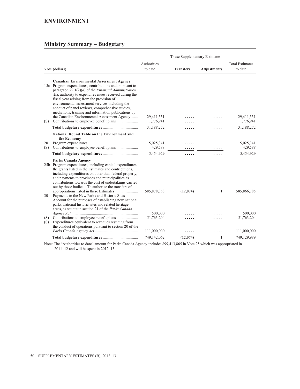### **ENVIRONMENT**

### **Ministry Summary – Budgetary**

|                |                                                                                                                                                                                                                                                                                                                                                                                                                                                                                                                                                                                                |                           | These Supplementary Estimates | <b>Total Estimates</b><br>to date |                           |
|----------------|------------------------------------------------------------------------------------------------------------------------------------------------------------------------------------------------------------------------------------------------------------------------------------------------------------------------------------------------------------------------------------------------------------------------------------------------------------------------------------------------------------------------------------------------------------------------------------------------|---------------------------|-------------------------------|-----------------------------------|---------------------------|
| Vote (dollars) |                                                                                                                                                                                                                                                                                                                                                                                                                                                                                                                                                                                                | Authorities<br>to date    | <b>Transfers</b>              |                                   | <b>Adjustments</b>        |
|                | <b>Canadian Environmental Assessment Agency</b><br>15a Program expenditures, contributions and, pursuant to<br>paragraph $29.1(2)(a)$ of the <i>Financial Administration</i><br>Act, authority to expend revenues received during the<br>fiscal year arising from the provision of<br>environmental assessment services including the<br>conduct of panel reviews, comprehensive studies,<br>mediations, training and information publications by<br>the Canadian Environmental Assessment Agency                                                                                              | 29,411,331<br>1,776,941   |                               |                                   | 29,411,331<br>1,776,941   |
| (S)            |                                                                                                                                                                                                                                                                                                                                                                                                                                                                                                                                                                                                | 31,188,272                |                               |                                   | 31,188,272                |
| 20<br>(S)      | <b>National Round Table on the Environment and</b><br>the Economy                                                                                                                                                                                                                                                                                                                                                                                                                                                                                                                              | 5,025,341<br>429,588      | .<br>.                        | .<br>.                            | 5,025,341<br>429,588      |
|                |                                                                                                                                                                                                                                                                                                                                                                                                                                                                                                                                                                                                | 5,454,929                 | .                             | .                                 | 5,454,929                 |
| 30             | Parks Canada Agency<br>25b Program expenditures, including capital expenditures,<br>the grants listed in the Estimates and contributions,<br>including expenditures on other than federal property,<br>and payments to provinces and municipalities as<br>contributions towards the cost of undertakings carried<br>out by those bodies – To authorize the transfers of<br>Payments to the New Parks and Historic Sites<br>Account for the purposes of establishing new national<br>parks, national historic sites and related heritage<br>areas, as set out in section 21 of the Parks Canada | 585,878,858<br>500,000    | (12,074)                      | 1                                 | 585,866,785<br>500,000    |
| (S)<br>(S)     | Expenditures equivalent to revenues resulting from<br>the conduct of operations pursuant to section 20 of the                                                                                                                                                                                                                                                                                                                                                                                                                                                                                  | 51,763,204<br>111,000,000 |                               |                                   | 51,763,204<br>111,000,000 |
|                |                                                                                                                                                                                                                                                                                                                                                                                                                                                                                                                                                                                                | 749.142.062               | (12,074)                      | 1                                 | 749.129.989               |

Note: The "Authorities to date" amount for Parks Canada Agency includes \$99,413,865 in Vote 25 which was appropriated in 2011–12 and will be spent in 2012–13.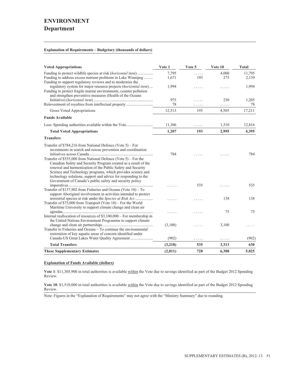## **ENVIRONMENT**

### **Department**

#### **Explanation of Requirements – Budgetary (thousands of dollars)**

| <b>Voted Appropriations</b>                                                                                                   | Vote 1  | Vote 5 | Vote 10 | <b>Total</b> |
|-------------------------------------------------------------------------------------------------------------------------------|---------|--------|---------|--------------|
| Funding to protect wildlife species at risk ( <i>horizontal item</i> )                                                        | 7,795   | .      | 4,000   | 11,795       |
| Funding to address excess nutrient problems in Lake Winnipeg                                                                  | 1,671   | 193    | 275     | 2,139        |
| Funding to support regulatory reviews and to modernize the                                                                    |         |        |         |              |
| regulatory system for major resource projects (horizontal item)                                                               | 1,994   | .      | .       | 1,994        |
| Funding to protect fragile marine environments, counter pollution<br>and strengthen preventive measures (Health of the Oceans |         |        |         |              |
|                                                                                                                               | 975     | .      | 230     | 1,205        |
| Reinvestment of royalties from intellectual property                                                                          | 78      | .      | .       | 78           |
| Gross Voted Appropriations                                                                                                    | 12,513  | 193    | 4,505   | 17,211       |
| <b>Funds Available</b>                                                                                                        |         |        |         |              |
|                                                                                                                               | 11,306  | .      | 1,510   | 12,816       |
| <b>Total Voted Appropriations</b>                                                                                             | 1,207   | 193    | 2,995   | 4,395        |
| <b>Transfers</b>                                                                                                              |         |        |         |              |
| Transfer of $$784,216$ from National Defence (Vote 5) – For                                                                   |         |        |         |              |
| investments in search and rescue prevention and coordination                                                                  |         |        |         |              |
|                                                                                                                               | 784     |        |         | 784          |
| Transfer of $$535,000$ from National Defence (Vote 5) – For the                                                               |         |        |         |              |
| Canadian Safety and Security Program created as a result of the                                                               |         |        |         |              |
| renewal and harmonization of the Public Safety and Security                                                                   |         |        |         |              |
| Science and Technology programs, which provides science and                                                                   |         |        |         |              |
| technology solutions, support and advice for responding to the<br>Government of Canada's public safety and security policy    |         |        |         |              |
|                                                                                                                               |         | 535    |         | 535          |
| Transfer of \$137,902 from Fisheries and Oceans (Vote $10$ ) – To                                                             |         |        |         |              |
| support Aboriginal involvement in activities intended to protect                                                              |         |        |         |              |
| terrestrial species at risk under the Species at Risk Act                                                                     |         |        | 138     | 138          |
| Transfer of $$75,000$ from Transport (Vote 10) – For the World                                                                |         |        |         |              |
| Maritime University to support climate change and clean air                                                                   |         |        |         |              |
|                                                                                                                               |         | .      | 75      | 75           |
| Internal reallocation of resources of $$3,100,000 - For membership in$                                                        |         |        |         |              |
| the United Nations Environment Programme to support climate                                                                   | (3,100) |        | 3,100   |              |
| Transfer to Fisheries and Oceans – To continue the environmental                                                              |         |        |         |              |
| restoration of key aquatic areas of concern identified under                                                                  |         |        |         |              |
|                                                                                                                               | (902)   | .      | .       | (902)        |
| <b>Total Transfers</b>                                                                                                        | (3,218) | 535    | 3,313   | 630          |
| <b>These Supplementary Estimates</b>                                                                                          | (2,011) | 728    | 6,308   | 5,025        |

#### **Explanation of Funds Available (dollars)**

**Vote 1**: \$11,305,900 in total authorities is available within the Vote due to savings identified as part of the Budget 2012 Spending Review.

**Vote 10**: \$1,510,000 in total authorities is available within the Vote due to savings identified as part of the Budget 2012 Spending Review.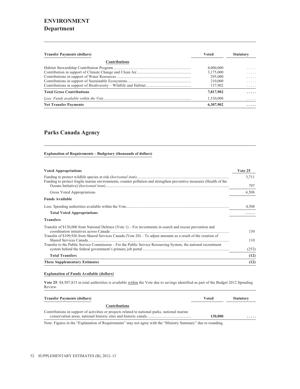# **ENVIRONMENT**

### **Department**

| <b>Transfer Payments (dollars)</b> | Voted     | <b>Statutory</b> |
|------------------------------------|-----------|------------------|
| <b>Contributions</b>               |           |                  |
|                                    | 4,000,000 | .                |
|                                    | 3,175,000 | .                |
|                                    | 295,000   | .                |
|                                    | 210,000   | .                |
|                                    | 137,902   | .                |
| <b>Total Gross Contributions</b>   | 7,817,902 | .                |
|                                    | 1.510.000 | .                |
| <b>Net Transfer Payments</b>       | 6.307.902 | .                |

### **Parks Canada Agency**

#### **Explanation of Requirements – Budgetary (thousands of dollars)**

| <b>Voted Appropriations</b>                                                                                         | Vote 25 |
|---------------------------------------------------------------------------------------------------------------------|---------|
|                                                                                                                     | 3,711   |
| Funding to protect fragile marine environments, counter pollution and strengthen preventive measures (Health of the | 797     |
| Gross Voted Appropriations                                                                                          | 4,508   |
| <b>Funds Available</b>                                                                                              |         |
|                                                                                                                     | 4.508   |
| <b>Total Voted Appropriations</b>                                                                                   |         |
| <b>Transfers</b>                                                                                                    |         |
| Transfer of \$130,000 from National Defence (Vote $1$ ) – For investments in search and rescue prevention and       | 130     |
| Transfer of \$109,926 from Shared Services Canada (Vote 20) - To adjust amounts as a result of the creation of      | 110     |
| Transfer to the Public Service Commission – For the Public Service Resourcing System, the national recruitment      | (252)   |
| <b>Total Transfers</b>                                                                                              | (12)    |
| <b>These Supplementary Estimates</b>                                                                                | (12)    |

#### **Explanation of Funds Available (dollars)**

**Vote 25**: \$4,507,815 in total authorities is available within the Vote due to savings identified as part of the Budget 2012 Spending Review.

| <b>Transfer Payments (dollars)</b>                                                            | Voted   | <b>Statutory</b> |
|-----------------------------------------------------------------------------------------------|---------|------------------|
| <b>Contributions</b>                                                                          |         |                  |
| Contributions in support of activities or projects related to national parks, national marine |         |                  |
|                                                                                               | 130,000 | .                |
| nter talken ist om te militaries of the militar                                               |         |                  |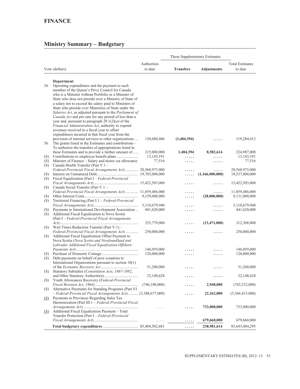### **Ministry Summary – Budgetary**

|     |                                                                                                              |                        | These Supplementary Estimates |                    |                                   |  |
|-----|--------------------------------------------------------------------------------------------------------------|------------------------|-------------------------------|--------------------|-----------------------------------|--|
|     | Vote (dollars)                                                                                               | Authorities<br>to date | <b>Transfers</b>              | <b>Adjustments</b> | <b>Total Estimates</b><br>to date |  |
|     |                                                                                                              |                        |                               |                    |                                   |  |
|     | Department<br>Operating expenditures and the payment to each                                                 |                        |                               |                    |                                   |  |
| 1b  |                                                                                                              |                        |                               |                    |                                   |  |
|     | member of the Queen's Privy Council for Canada<br>who is a Minister without Portfolio or a Minister of       |                        |                               |                    |                                   |  |
|     | State who does not preside over a Ministry of State of                                                       |                        |                               |                    |                                   |  |
|     | a salary not to exceed the salary paid to Ministers of                                                       |                        |                               |                    |                                   |  |
|     | State who preside over Ministries of State under the                                                         |                        |                               |                    |                                   |  |
|     | Salaries Act, as adjusted pursuant to the Parliament of                                                      |                        |                               |                    |                                   |  |
|     | Canada Act and pro rata for any period of less than a                                                        |                        |                               |                    |                                   |  |
|     | year and, pursuant to paragraph $29.1(2)(a)$ of the                                                          |                        |                               |                    |                                   |  |
|     | Financial Administration Act, authority to expend                                                            |                        |                               |                    |                                   |  |
|     | revenues received in a fiscal year to offset                                                                 |                        |                               |                    |                                   |  |
|     | expenditures incurred in that fiscal year from the                                                           |                        |                               |                    |                                   |  |
|     | provision of internal services to other organizations                                                        | 120,688,406            | (1,404,394)                   |                    | 119,284,012                       |  |
| 5b  | The grants listed in the Estimates and contributions -                                                       |                        |                               |                    |                                   |  |
|     | To authorize the transfers of appropriations listed in<br>these Estimates and to provide a further amount of | 215,000,000            | 1,404,394                     | 8,582,614          | 224,987,008                       |  |
| (S) |                                                                                                              | 13, 143, 191           | .                             |                    | 13, 143, 191                      |  |
| (S) | Minister of Finance - Salary and motor car allowance                                                         | 77,516                 | .                             | .                  | 77,516                            |  |
| (S) | Canada Health Transfer (Part V.1 -                                                                           |                        |                               |                    |                                   |  |
|     | Federal-Provincial Fiscal Arrangements Act)  28,568,975,000                                                  |                        | .                             | .                  | 28,568,975,000                    |  |
| (S) |                                                                                                              |                        | .                             | (1,166,000,000)    | 18,537,000,000                    |  |
| (S) | Fiscal Equalization (Part I - Federal-Provincial                                                             |                        |                               |                    |                                   |  |
|     |                                                                                                              |                        | .                             |                    | 15,422,503,000                    |  |
| (S) | Canada Social Transfer (Part V.1 -                                                                           |                        |                               |                    |                                   |  |
| (S) | Federal-Provincial Fiscal Arrangements Act)  11,859,486,000                                                  | 9,159,000,000          | .<br>.                        | .<br>(28,000,000)  | 11,859,486,000<br>9,131,000,000   |  |
| (S) | Territorial Financing (Part I.1 - Federal-Provincial                                                         |                        |                               |                    |                                   |  |
|     |                                                                                                              | 3,110,679,940          |                               |                    | 3,110,679,940                     |  |
| (S) | Payments to International Development Association                                                            | 441,620,000            | .                             |                    | 441,620,000                       |  |
| (S) | Additional Fiscal Equalization to Nova Scotia                                                                |                        |                               |                    |                                   |  |
|     | (Part I - Federal-Provincial Fiscal Arrangements                                                             |                        |                               |                    |                                   |  |
|     |                                                                                                              | 325,779,000            | .                             | (13, 471, 000)     | 312,308,000                       |  |
| (S) | Wait Times Reduction Transfer (Part $V.1$ ) –                                                                |                        |                               |                    |                                   |  |
|     | Federal-Provincial Fiscal Arrangements Act)                                                                  | 250,000,000            |                               |                    | 250,000,000                       |  |
| (S) | Additional Fiscal Equalization Offset Payment to<br>Nova Scotia (Nova Scotia and Newfoundland and            |                        |                               |                    |                                   |  |
|     | Labrador Additional Fiscal Equalization Offshore                                                             |                        |                               |                    |                                   |  |
|     |                                                                                                              | 146,059,000            |                               |                    | 146,059,000                       |  |
| (S) |                                                                                                              | 120,000,000            |                               |                    | 120,000,000                       |  |
| (S) | Debt payments on behalf of poor countries to                                                                 |                        |                               |                    |                                   |  |
|     | International Organizations pursuant to section 18(1)                                                        |                        |                               |                    |                                   |  |
|     |                                                                                                              | 51,200,000             | .                             | .                  | 51,200,000                        |  |
| (S) | Statutory Subsidies (Constitution Acts, 1867-1982,                                                           |                        |                               |                    |                                   |  |
| (S) | Youth Allowances Recovery (Federal-Provincial                                                                | 32,148,628             |                               | .                  | 32,148,628                        |  |
|     |                                                                                                              | (746, 180, 000)        |                               | 2,948,000          | (743, 232, 000)                   |  |
| (S) | Alternative Payments for Standing Programs (Part VI                                                          |                        |                               |                    |                                   |  |
|     | - Federal-Provincial Fiscal Arrangements Act)  (3,388,677,000)                                               |                        | $\cdots$                      | 22,262,000         | (3,366,415,000)                   |  |
|     | (S) Payments to Provinces Regarding Sales Tax                                                                |                        |                               |                    |                                   |  |
|     | Harmonization (Part III.1 - Federal-Provincial Fiscal                                                        |                        |                               |                    |                                   |  |
|     |                                                                                                              | .                      | $\cdots$                      | 733,000,000        | 733,000,000                       |  |
| (S) | Additional Fiscal Equalization Payment - Total                                                               |                        |                               |                    |                                   |  |
|     | Transfer Protection (Part I – Federal-Provincial                                                             |                        |                               | 679,660,000        | 679,660,000                       |  |
|     |                                                                                                              |                        | .                             |                    |                                   |  |
|     |                                                                                                              |                        | .                             | 238,981,614        | 85,643,484,295                    |  |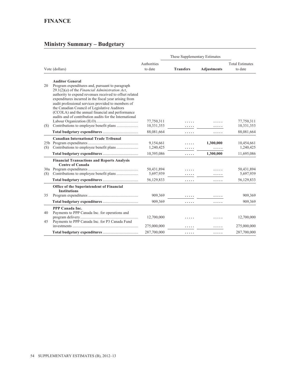### **Ministry Summary – Budgetary**

|            |                                                                                                                                                                                                                                                                                                                                                                                                                                                                                 |                                      | These Supplementary Estimates |                             |                                       |
|------------|---------------------------------------------------------------------------------------------------------------------------------------------------------------------------------------------------------------------------------------------------------------------------------------------------------------------------------------------------------------------------------------------------------------------------------------------------------------------------------|--------------------------------------|-------------------------------|-----------------------------|---------------------------------------|
|            | Vote (dollars)                                                                                                                                                                                                                                                                                                                                                                                                                                                                  | Authorities<br>to date               | <b>Transfers</b>              | <b>Adjustments</b>          | <b>Total Estimates</b><br>to date     |
| 20<br>(S)  | <b>Auditor General</b><br>Program expenditures and, pursuant to paragraph<br>$29.1(2)(a)$ of the <i>Financial Administration Act</i> ,<br>authority to expend revenues received to offset related<br>expenditures incurred in the fiscal year arising from<br>audit professional services provided to members of<br>the Canadian Council of Legislative Auditors<br>(CCOLA) and the annual financial and performance<br>audits and of contribution audits for the International | 77,750,311<br>10,331,353             | .                             |                             | 77,750,311<br>10,331,353              |
|            |                                                                                                                                                                                                                                                                                                                                                                                                                                                                                 | 88,081,664                           | .                             | .                           | 88,081,664                            |
| (S)        | <b>Canadian International Trade Tribunal</b>                                                                                                                                                                                                                                                                                                                                                                                                                                    | 9,154,661<br>1,240,425<br>10,395,086 | .<br>.                        | 1,300,000<br>.<br>1,300,000 | 10,454,661<br>1,240,425<br>11,695,086 |
|            | <b>Financial Transactions and Reports Analysis</b>                                                                                                                                                                                                                                                                                                                                                                                                                              |                                      |                               |                             |                                       |
| 30a<br>(S) | <b>Centre of Canada</b>                                                                                                                                                                                                                                                                                                                                                                                                                                                         | 50,431,894<br>5,697,939              |                               |                             | 50,431,894<br>5,697,939               |
|            |                                                                                                                                                                                                                                                                                                                                                                                                                                                                                 | 56,129,833                           | .                             | .                           | 56,129,833                            |
| 35         | Office of the Superintendent of Financial<br><b>Institutions</b>                                                                                                                                                                                                                                                                                                                                                                                                                | 909,369<br>909,369                   | .                             | .                           | 909,369<br>909,369                    |
| 40<br>45   | PPP Canada Inc.<br>Payments to PPP Canada Inc. for operations and<br>Payments to PPP Canada Inc. for P3 Canada Fund                                                                                                                                                                                                                                                                                                                                                             | 12,700,000<br>275,000,000            |                               |                             | 12,700,000<br>275,000,000             |
|            |                                                                                                                                                                                                                                                                                                                                                                                                                                                                                 | 287,700,000                          | .                             | .                           | 287,700,000                           |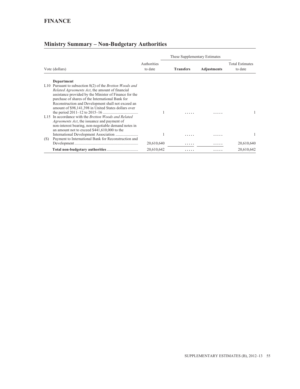| Vote (dollars) |                                                                                                                                                                                                                                                                                                                                                                                                                                                                              |                        | These Supplementary Estimates |                    |                                   |
|----------------|------------------------------------------------------------------------------------------------------------------------------------------------------------------------------------------------------------------------------------------------------------------------------------------------------------------------------------------------------------------------------------------------------------------------------------------------------------------------------|------------------------|-------------------------------|--------------------|-----------------------------------|
|                |                                                                                                                                                                                                                                                                                                                                                                                                                                                                              | Authorities<br>to date | <b>Transfers</b>              | <b>Adjustments</b> | <b>Total Estimates</b><br>to date |
|                | Department                                                                                                                                                                                                                                                                                                                                                                                                                                                                   |                        |                               |                    |                                   |
|                | L10 Pursuant to subsection 8(2) of the <i>Bretton Woods and</i><br><i>Related Agreements Act</i> , the amount of financial<br>assistance provided by the Minister of Finance for the<br>purchase of shares of the International Bank for<br>Reconstruction and Development shall not exceed an<br>amount of \$98,141,398 in United States dollars over<br>L15 In accordance with the <i>Bretton Woods and Related</i><br><i>Agreements Act</i> , the issuance and payment of | 1                      |                               |                    |                                   |
| (S)            | non-interest bearing, non-negotiable demand notes in<br>an amount not to exceed \$441,610,000 to the<br>Payment to International Bank for Reconstruction and                                                                                                                                                                                                                                                                                                                 |                        |                               |                    |                                   |
|                |                                                                                                                                                                                                                                                                                                                                                                                                                                                                              | 20,610,640             | .                             |                    | 20,610,640                        |
|                |                                                                                                                                                                                                                                                                                                                                                                                                                                                                              | 20,610,642             | .                             | .                  | 20,610,642                        |

### **Ministry Summary – Non-Budgetary Authorities**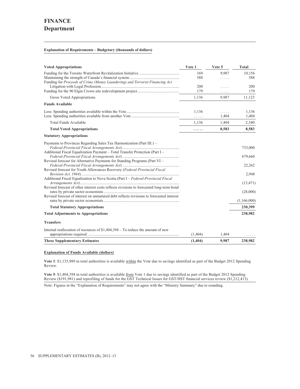#### **Explanation of Requirements – Budgetary (thousands of dollars)**

| <b>Voted Appropriations</b>                                                                                                                           | Vote 1     | Vote 5     | Total           |
|-------------------------------------------------------------------------------------------------------------------------------------------------------|------------|------------|-----------------|
| Funding for Proceeds of Crime (Money Laundering) and Terrorist Financing Act                                                                          | 169<br>588 | 9,987<br>. | 10,156<br>588   |
|                                                                                                                                                       | 200<br>179 | .<br>.     | 200<br>179      |
| Gross Voted Appropriations                                                                                                                            | 1,136      | 9,987      | 11,123          |
| <b>Funds Available</b>                                                                                                                                |            |            |                 |
|                                                                                                                                                       | 1,136<br>. | .<br>1,404 | 1,136<br>1,404  |
| <b>Total Funds Available</b>                                                                                                                          | 1.136      | 1,404      | 2,540           |
| <b>Total Voted Appropriations</b>                                                                                                                     | .          | 8,583      | 8,583           |
| <b>Statutory Appropriations</b>                                                                                                                       |            |            |                 |
| Payments to Provinces Regarding Sales Tax Harmonization (Part III.1 –<br>Additional Fiscal Equalization Payment – Total Transfer Protection (Part I – |            |            | 733,000         |
| Revised forecast for Alternative Payments for Standing Programs (Part VI –                                                                            |            |            | 679,660         |
| Revised forecast for Youth Allowances Recovery (Federal-Provincial Fiscal                                                                             |            |            | 22,262<br>2,948 |
| Additional Fiscal Equalization to Nova Scotia (Part I - Federal-Provincial Fiscal                                                                     |            |            |                 |
| Revised forecast of other interest costs reflects revisions to forecasted long-term bond                                                              |            |            | (13, 471)       |
|                                                                                                                                                       |            |            | (28,000)        |
| Revised forecast of interest on unmatured debt reflects revisions to forecasted interest                                                              |            |            | (1,166,000)     |
| <b>Total Statutory Appropriations</b>                                                                                                                 |            |            | 230,399         |
| <b>Total Adjustments to Appropriations</b>                                                                                                            |            |            | 238,982         |
| <b>Transfers</b>                                                                                                                                      |            |            |                 |
| Internal reallocation of resources of $$1,404,394 - To$ reduce the amount of new                                                                      | (1,404)    | 1,404      | .               |
| <b>These Supplementary Estimates</b>                                                                                                                  | (1, 404)   | 9,987      | 238,982         |

#### **Explanation of Funds Available (dollars)**

**Vote 1**: \$1,135,989 in total authorities is available within the Vote due to savings identified as part of the Budget 2012 Spending Review.

**Vote 5**: \$1,404,394 in total authorities is available from Vote 1 due to savings identified as part of the Budget 2012 Spending Review (\$191,981) and reprofiling of funds for the GST Technical Issues for GST/HST financial services review (\$1,212,413).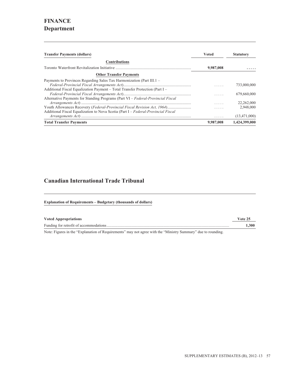## **FINANCE Department**

| <b>Transfer Payments (dollars)</b>                                                                                                                                     | Voted     | <b>Statutory</b> |
|------------------------------------------------------------------------------------------------------------------------------------------------------------------------|-----------|------------------|
| <b>Contributions</b>                                                                                                                                                   |           |                  |
|                                                                                                                                                                        | 9,987,008 |                  |
| <b>Other Transfer Payments</b>                                                                                                                                         |           |                  |
| Payments to Provinces Regarding Sales Tax Harmonization (Part III.1 –                                                                                                  |           | 733,000,000      |
| Additional Fiscal Equalization Payment – Total Transfer Protection (Part I –                                                                                           | .         | 679,660,000      |
| Alternative Payments for Standing Programs (Part VI – Federal-Provincial Fiscal                                                                                        | .         | 22,262,000       |
| Youth Allowances Recovery ( <i>Federal-Provincial Fiscal Revision Act. 1964</i> )<br>Additional Fiscal Equalization to Nova Scotia (Part I – Federal-Provincial Fiscal | .         | 2.948,000        |
|                                                                                                                                                                        | .         | (13, 471, 000)   |
| <b>Total Transfer Payments</b>                                                                                                                                         | 9,987,008 | 1,424,399,000    |

### **Canadian International Trade Tribunal**

### **Explanation of Requirements – Budgetary (thousands of dollars)**

| <b>Voted Appropriations</b> | Vote 25 |
|-----------------------------|---------|
|                             | 1.300   |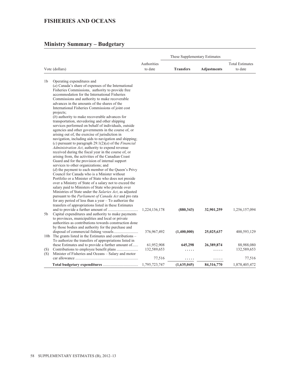### **FISHERIES AND OCEANS**

### **Ministry Summary – Budgetary**

|            |                                                                                                                                                                                                                                                                                                                                                                                                                                                                                                                                                                                                                                                                                                                                                                                                                                                                                                                                                                                                                                                                                                                                                                                                                                                                                                                                                                                                                                 | These Supplementary Estimates |                  |                    |                           |
|------------|---------------------------------------------------------------------------------------------------------------------------------------------------------------------------------------------------------------------------------------------------------------------------------------------------------------------------------------------------------------------------------------------------------------------------------------------------------------------------------------------------------------------------------------------------------------------------------------------------------------------------------------------------------------------------------------------------------------------------------------------------------------------------------------------------------------------------------------------------------------------------------------------------------------------------------------------------------------------------------------------------------------------------------------------------------------------------------------------------------------------------------------------------------------------------------------------------------------------------------------------------------------------------------------------------------------------------------------------------------------------------------------------------------------------------------|-------------------------------|------------------|--------------------|---------------------------|
|            |                                                                                                                                                                                                                                                                                                                                                                                                                                                                                                                                                                                                                                                                                                                                                                                                                                                                                                                                                                                                                                                                                                                                                                                                                                                                                                                                                                                                                                 | Authorities                   |                  |                    | <b>Total Estimates</b>    |
|            | Vote (dollars)                                                                                                                                                                                                                                                                                                                                                                                                                                                                                                                                                                                                                                                                                                                                                                                                                                                                                                                                                                                                                                                                                                                                                                                                                                                                                                                                                                                                                  | to date                       | <b>Transfers</b> | <b>Adjustments</b> | to date                   |
| 1b         | Operating expenditures and<br>$(a)$ Canada's share of expenses of the International<br>Fisheries Commissions, authority to provide free<br>accommodation for the International Fisheries<br>Commissions and authority to make recoverable<br>advances in the amounts of the shares of the<br>International Fisheries Commissions of joint cost<br>projects:<br>$(b)$ authority to make recoverable advances for<br>transportation, stevedoring and other shipping<br>services performed on behalf of individuals, outside<br>agencies and other governments in the course of, or<br>arising out of, the exercise of jurisdiction in<br>navigation, including aids to navigation and shipping;<br>(c) pursuant to paragraph $29.1(2)(a)$ of the <i>Financial</i><br>Administration Act, authority to expend revenue<br>received during the fiscal year in the course of, or<br>arising from, the activities of the Canadian Coast<br>Guard and for the provision of internal support<br>services to other organizations; and<br>(d) the payment to each member of the Queen's Privy<br>Council for Canada who is a Minister without<br>Portfolio or a Minister of State who does not preside<br>over a Ministry of State of a salary not to exceed the<br>salary paid to Ministers of State who preside over<br>Ministries of State under the Salaries Act, as adjusted<br>pursuant to the Parliament of Canada Act and pro rata |                               |                  |                    |                           |
| 5b         | for any period of less than a year $-$ To authorize the<br>transfers of appropriations listed in these Estimates<br>Capital expenditures and authority to make payments<br>to provinces, municipalities and local or private<br>authorities as contributions towards construction done                                                                                                                                                                                                                                                                                                                                                                                                                                                                                                                                                                                                                                                                                                                                                                                                                                                                                                                                                                                                                                                                                                                                          | 1,224,136,178                 | (880, 343)       | 32,901,259         | 1,256,157,094             |
|            | by those bodies and authority for the purchase and<br>10b The grants listed in the Estimates and contributions –                                                                                                                                                                                                                                                                                                                                                                                                                                                                                                                                                                                                                                                                                                                                                                                                                                                                                                                                                                                                                                                                                                                                                                                                                                                                                                                | 376,967,492                   | (1,400,000)      | 25,025,637         | 400,593,129               |
| (S)<br>(S) | To authorize the transfers of appropriations listed in<br>these Estimates and to provide a further amount of<br>Minister of Fisheries and Oceans - Salary and motor                                                                                                                                                                                                                                                                                                                                                                                                                                                                                                                                                                                                                                                                                                                                                                                                                                                                                                                                                                                                                                                                                                                                                                                                                                                             | 61,952,908<br>132,589,653     | 645,298<br>.     | 26,389,874         | 88,988,080<br>132,589,653 |
|            |                                                                                                                                                                                                                                                                                                                                                                                                                                                                                                                                                                                                                                                                                                                                                                                                                                                                                                                                                                                                                                                                                                                                                                                                                                                                                                                                                                                                                                 | 77,516                        | .                | .                  | 77,516                    |
|            |                                                                                                                                                                                                                                                                                                                                                                                                                                                                                                                                                                                                                                                                                                                                                                                                                                                                                                                                                                                                                                                                                                                                                                                                                                                                                                                                                                                                                                 | 1,795,723,747                 | (1,635,045)      | 84,316,770         | 1,878,405,472             |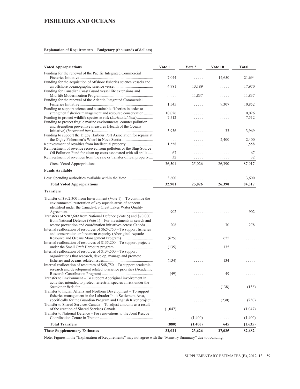### **FISHERIES AND OCEANS**

#### **Explanation of Requirements – Budgetary (thousands of dollars)**

| <b>Voted Appropriations</b>                                                                                                            | Vote 1  | Vote 5   | Vote 10  | <b>Total</b> |
|----------------------------------------------------------------------------------------------------------------------------------------|---------|----------|----------|--------------|
| Funding for the renewal of the Pacific Integrated Commercial                                                                           |         |          |          |              |
|                                                                                                                                        | 7,044   | .        | 14,650   | 21,694       |
| Funding for the acquisition of offshore fisheries science vessels and                                                                  |         |          |          |              |
|                                                                                                                                        | 4,781   | 13,189   | .        | 17,970       |
| Funding for Canadian Coast Guard vessel life extensions and                                                                            |         | 11,837   |          | 11,837       |
| Funding for the renewal of the Atlantic Integrated Commercial                                                                          | .       |          | .        |              |
|                                                                                                                                        | 1,545   | .        | 9,307    | 10,852       |
| Funding to support science and sustainable fisheries in order to                                                                       |         |          |          |              |
| strengthen fisheries management and resource conservation                                                                              | 10,026  | .        | .        | 10,026       |
| Funding to protect wildlife species at risk (horizontal item)                                                                          | 7,512   | .        | $\cdots$ | 7,512        |
| Funding to protect fragile marine environments, counter pollution                                                                      |         |          |          |              |
| and strengthen preventive measures (Health of the Oceans                                                                               | 3,936   |          | 33       | 3,969        |
| Funding to support the Digby Harbour Port Association for repairs at                                                                   |         | .        |          |              |
|                                                                                                                                        | .       | .        | 2,400    | 2,400        |
| Reinvestment of royalties from intellectual property                                                                                   | 1,558   | .        | .        | 1,558        |
| Reinvestment of revenue received from polluters or the Ship-Source                                                                     |         |          |          |              |
| Oil Pollution Fund for clean up costs associated with oil spills                                                                       | 67      | .        | .        | 67           |
| Reinvestment of revenues from the sale or transfer of real property                                                                    | 32      | .        | .        | 32           |
| Gross Voted Appropriations                                                                                                             | 36,501  | 25,026   | 26,390   | 87,917       |
| <b>Funds Available</b>                                                                                                                 |         |          |          |              |
| Less: Spending authorities available within the Vote                                                                                   | 3,600   | .        | .        | 3,600        |
| <b>Total Voted Appropriations</b>                                                                                                      | 32,901  | 25,026   | 26,390   | 84,317       |
| <b>Transfers</b>                                                                                                                       |         |          |          |              |
| Transfer of \$902,300 from Environment (Vote $1$ ) – To continue the                                                                   |         |          |          |              |
| environmental restoration of key aquatic areas of concern                                                                              |         |          |          |              |
| identified under the Canada-US Great Lakes Water Quality                                                                               |         |          |          |              |
|                                                                                                                                        | 902     |          | 1.1.1    | 902          |
| Transfers of \$207,609 from National Defence (Vote 5) and \$70,000                                                                     |         |          |          |              |
| from National Defence (Vote $1$ ) – For investments in search and                                                                      |         |          |          |              |
| rescue prevention and coordination initiatives across Canada                                                                           | 208     | .        | 70       | 278          |
| Internal reallocation of resources of $$624,750 - To support fisheries$<br>and conservation enforcement capacity (Aboriginal Aquatic   |         |          |          |              |
|                                                                                                                                        | (625)   | $\cdots$ | 625      |              |
| Internal reallocation of resources of $$135,200 - To support projects$                                                                 |         |          |          |              |
|                                                                                                                                        | (135)   | .        | 135      |              |
| Internal reallocation of resources of $$134,500 - To support$                                                                          |         |          |          |              |
| organizations that research, develop, manage and promote                                                                               |         |          |          |              |
|                                                                                                                                        | (134)   | .        | 134      |              |
| Internal reallocation of resources of \$48,750 - To support academic                                                                   |         |          |          |              |
| research and development related to science priorities (Academic                                                                       |         |          |          |              |
|                                                                                                                                        | (49)    | .        | 49       |              |
| Transfer to Environment - To support Aboriginal involvement in<br>activities intended to protect terrestrial species at risk under the |         |          |          |              |
|                                                                                                                                        | .       |          | (138)    | (138)        |
| Transfer to Indian Affairs and Northern Development – To support                                                                       |         |          |          |              |
| fisheries management in the Labrador Inuit Settlement Area,                                                                            |         |          |          |              |
| specifically for the Guardian Program and English River project                                                                        | .       | .        | (230)    | (230)        |
| Transfer to Shared Services Canada – To adjust amounts as a result                                                                     |         |          |          |              |
|                                                                                                                                        | (1,047) | .        | .        | (1,047)      |
| Transfer to National Defence - For renovations to the Joint Rescue                                                                     |         |          |          | (1,400)      |
|                                                                                                                                        | .       | (1,400)  | .        |              |
| <b>Total Transfers</b>                                                                                                                 | (880)   | (1,400)  | 645      | (1,635)      |
| <b>These Supplementary Estimates</b>                                                                                                   | 32,021  | 23,626   | 27,035   | 82,682       |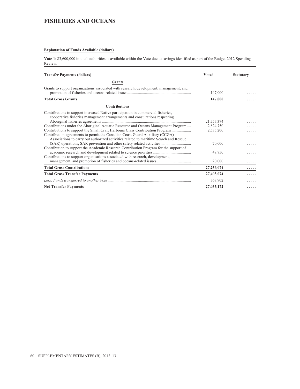#### **Explanation of Funds Available (dollars)**

**Vote 1**: \$3,600,000 in total authorities is available within the Vote due to savings identified as part of the Budget 2012 Spending Review.

| <b>Transfer Payments (dollars)</b>                                                                                                                                                                                                                   | <b>Voted</b> | <b>Statutory</b> |
|------------------------------------------------------------------------------------------------------------------------------------------------------------------------------------------------------------------------------------------------------|--------------|------------------|
| <b>Grants</b>                                                                                                                                                                                                                                        |              |                  |
| Grants to support organizations associated with research, development, management, and                                                                                                                                                               | 147,000      |                  |
| <b>Total Gross Grants</b>                                                                                                                                                                                                                            | 147,000      |                  |
| <b>Contributions</b>                                                                                                                                                                                                                                 |              |                  |
| Contributions to support increased Native participation in commercial fisheries,<br>cooperative fisheries management arrangements and consultations respecting                                                                                       |              |                  |
|                                                                                                                                                                                                                                                      | 21,757,374   |                  |
| Contributions under the Aboriginal Aquatic Resource and Oceans Management Program                                                                                                                                                                    | 2,824,750    |                  |
| Contributions to support the Small Craft Harbours Class Contribution Program<br>Contribution agreements to permit the Canadian Coast Guard Auxiliary (CCGA)<br>Associations to carry out authorized activities related to maritime Search and Rescue | 2,535,200    |                  |
| Contribution to support the Academic Research Contribution Program for the support of                                                                                                                                                                | 70,000       |                  |
| Contributions to support organizations associated with research, development,                                                                                                                                                                        | 48,750       |                  |
|                                                                                                                                                                                                                                                      | 20,000       |                  |
| <b>Total Gross Contributions</b>                                                                                                                                                                                                                     | 27,256,074   |                  |
| <b>Total Gross Transfer Payments</b>                                                                                                                                                                                                                 | 27,403,074   |                  |
|                                                                                                                                                                                                                                                      | 367,902      |                  |
| <b>Net Transfer Payments</b>                                                                                                                                                                                                                         | 27,035,172   |                  |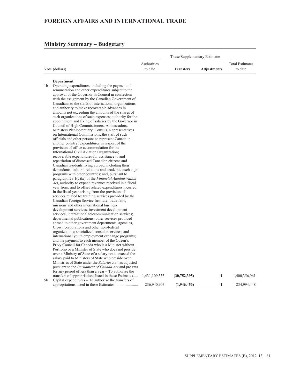| <b>Ministry Summary – Budgetary</b> |
|-------------------------------------|
|-------------------------------------|

|                |                                                                                                                                                                                                                                                                                                                                                                                                                                                                                                                                                                                                                                                                                                                                                                                                                                                                                                                                                                                                                                                                                                                                                                                                                                                                                                                                                                                                                                                                                                                                                                                                                                                                                                                                                                                                                                                                                                                                                                                                                                                                                                                                                                                                                                                                       | These Supplementary Estimates |                  |                    |                        |
|----------------|-----------------------------------------------------------------------------------------------------------------------------------------------------------------------------------------------------------------------------------------------------------------------------------------------------------------------------------------------------------------------------------------------------------------------------------------------------------------------------------------------------------------------------------------------------------------------------------------------------------------------------------------------------------------------------------------------------------------------------------------------------------------------------------------------------------------------------------------------------------------------------------------------------------------------------------------------------------------------------------------------------------------------------------------------------------------------------------------------------------------------------------------------------------------------------------------------------------------------------------------------------------------------------------------------------------------------------------------------------------------------------------------------------------------------------------------------------------------------------------------------------------------------------------------------------------------------------------------------------------------------------------------------------------------------------------------------------------------------------------------------------------------------------------------------------------------------------------------------------------------------------------------------------------------------------------------------------------------------------------------------------------------------------------------------------------------------------------------------------------------------------------------------------------------------------------------------------------------------------------------------------------------------|-------------------------------|------------------|--------------------|------------------------|
|                |                                                                                                                                                                                                                                                                                                                                                                                                                                                                                                                                                                                                                                                                                                                                                                                                                                                                                                                                                                                                                                                                                                                                                                                                                                                                                                                                                                                                                                                                                                                                                                                                                                                                                                                                                                                                                                                                                                                                                                                                                                                                                                                                                                                                                                                                       | Authorities                   |                  |                    | <b>Total Estimates</b> |
|                | Vote (dollars)                                                                                                                                                                                                                                                                                                                                                                                                                                                                                                                                                                                                                                                                                                                                                                                                                                                                                                                                                                                                                                                                                                                                                                                                                                                                                                                                                                                                                                                                                                                                                                                                                                                                                                                                                                                                                                                                                                                                                                                                                                                                                                                                                                                                                                                        | to date                       | <b>Transfers</b> | <b>Adjustments</b> | to date                |
|                |                                                                                                                                                                                                                                                                                                                                                                                                                                                                                                                                                                                                                                                                                                                                                                                                                                                                                                                                                                                                                                                                                                                                                                                                                                                                                                                                                                                                                                                                                                                                                                                                                                                                                                                                                                                                                                                                                                                                                                                                                                                                                                                                                                                                                                                                       |                               |                  |                    |                        |
| 1 <sub>b</sub> | Department<br>Operating expenditures, including the payment of<br>remuneration and other expenditures subject to the<br>approval of the Governor in Council in connection<br>with the assignment by the Canadian Government of<br>Canadians to the staffs of international organizations<br>and authority to make recoverable advances in<br>amounts not exceeding the amounts of the shares of<br>such organizations of such expenses; authority for the<br>appointment and fixing of salaries by the Governor in<br>Council of High Commissioners, Ambassadors,<br>Ministers Plenipotentiary, Consuls, Representatives<br>on International Commissions, the staff of such<br>officials and other persons to represent Canada in<br>another country; expenditures in respect of the<br>provision of office accommodation for the<br>International Civil Aviation Organization;<br>recoverable expenditures for assistance to and<br>repatriation of distressed Canadian citizens and<br>Canadian residents living abroad, including their<br>dependants; cultural relations and academic exchange<br>programs with other countries; and, pursuant to<br>paragraph $29.1(2)(a)$ of the Financial Administration<br>Act, authority to expend revenues received in a fiscal<br>year from, and to offset related expenditures incurred<br>in the fiscal year arising from the provision of<br>services related to: training services provided by the<br>Canadian Foreign Service Institute; trade fairs,<br>missions and other international business<br>development services; investment development<br>services; international telecommunication services;<br>departmental publications; other services provided<br>abroad to other government departments, agencies,<br>Crown corporations and other non-federal<br>organizations; specialized consular services; and<br>international youth employment exchange programs;<br>and the payment to each member of the Queen's<br>Privy Council for Canada who is a Minister without<br>Portfolio or a Minister of State who does not preside<br>over a Ministry of State of a salary not to exceed the<br>salary paid to Ministers of State who preside over<br>Ministries of State under the Salaries Act, as adjusted |                               |                  |                    |                        |
|                | pursuant to the <i>Parliament of Canada Act</i> and pro rata                                                                                                                                                                                                                                                                                                                                                                                                                                                                                                                                                                                                                                                                                                                                                                                                                                                                                                                                                                                                                                                                                                                                                                                                                                                                                                                                                                                                                                                                                                                                                                                                                                                                                                                                                                                                                                                                                                                                                                                                                                                                                                                                                                                                          |                               |                  |                    |                        |
| 5b             | for any period of less than a year $-$ To authorize the<br>transfers of appropriations listed in these Estimates<br>Capital expenditures – To authorize the transfers of                                                                                                                                                                                                                                                                                                                                                                                                                                                                                                                                                                                                                                                                                                                                                                                                                                                                                                                                                                                                                                                                                                                                                                                                                                                                                                                                                                                                                                                                                                                                                                                                                                                                                                                                                                                                                                                                                                                                                                                                                                                                                              | 1,431,109,355                 | (30,752,395)     | $\mathbf{1}$       | 1,400,356,961          |
|                |                                                                                                                                                                                                                                                                                                                                                                                                                                                                                                                                                                                                                                                                                                                                                                                                                                                                                                                                                                                                                                                                                                                                                                                                                                                                                                                                                                                                                                                                                                                                                                                                                                                                                                                                                                                                                                                                                                                                                                                                                                                                                                                                                                                                                                                                       | 236,940,903                   | (1,946,456)      | 1                  | 234,994,448            |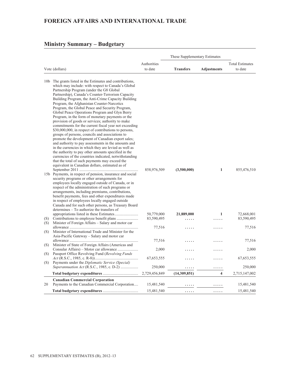|     |                                                                                                                                                                                                                                                                                                                                                                                                                                                                                                                                                                                                                                                                                                                                                                                                                                                                                                                                                                                               |                          | These Supplementary Estimates |                         |                          |
|-----|-----------------------------------------------------------------------------------------------------------------------------------------------------------------------------------------------------------------------------------------------------------------------------------------------------------------------------------------------------------------------------------------------------------------------------------------------------------------------------------------------------------------------------------------------------------------------------------------------------------------------------------------------------------------------------------------------------------------------------------------------------------------------------------------------------------------------------------------------------------------------------------------------------------------------------------------------------------------------------------------------|--------------------------|-------------------------------|-------------------------|--------------------------|
|     |                                                                                                                                                                                                                                                                                                                                                                                                                                                                                                                                                                                                                                                                                                                                                                                                                                                                                                                                                                                               | Authorities              |                               |                         | <b>Total Estimates</b>   |
|     | Vote (dollars)                                                                                                                                                                                                                                                                                                                                                                                                                                                                                                                                                                                                                                                                                                                                                                                                                                                                                                                                                                                | to date                  | <b>Transfers</b>              | <b>Adjustments</b>      | to date                  |
|     | 10b The grants listed in the Estimates and contributions,<br>which may include: with respect to Canada's Global<br>Partnership Program (under the G8 Global<br>Partnership), Canada's Counter-Terrorism Capacity<br>Building Program, the Anti-Crime Capacity Building<br>Program, the Afghanistan Counter-Narcotics<br>Program, the Global Peace and Security Program,<br>Global Peace Operations Program and Glyn Berry<br>Program, in the form of monetary payments or the<br>provision of goods or services; authority to make<br>commitments for the current fiscal year not exceeding<br>\$30,000,000, in respect of contributions to persons,<br>groups of persons, councils and associations to<br>promote the development of Canadian export sales;<br>and authority to pay assessments in the amounts and<br>in the currencies in which they are levied as well as<br>the authority to pay other amounts specified in the<br>currencies of the countries indicated, notwithstanding |                          |                               |                         |                          |
|     | that the total of such payments may exceed the<br>equivalent in Canadian dollars, estimated as of<br>15b Payments, in respect of pension, insurance and social<br>security programs or other arrangements for<br>employees locally engaged outside of Canada, or in<br>respect of the administration of such programs or<br>arrangements, including premiums, contributions,<br>benefit payments, fees and other expenditures made<br>in respect of employees locally engaged outside<br>Canada and for such other persons, as Treasury Board                                                                                                                                                                                                                                                                                                                                                                                                                                                 | 858,976,509              | (3,500,000)                   | $\mathbf{1}$            | 855,476,510              |
|     | determines - To authorize the transfers of                                                                                                                                                                                                                                                                                                                                                                                                                                                                                                                                                                                                                                                                                                                                                                                                                                                                                                                                                    |                          |                               |                         |                          |
| (S) |                                                                                                                                                                                                                                                                                                                                                                                                                                                                                                                                                                                                                                                                                                                                                                                                                                                                                                                                                                                               | 50,779,000<br>83,590,495 | 21,889,000                    | $\mathbf{1}$            | 72,668,001<br>83,590,495 |
| (S) | Minister of Foreign Affairs – Salary and motor car                                                                                                                                                                                                                                                                                                                                                                                                                                                                                                                                                                                                                                                                                                                                                                                                                                                                                                                                            |                          |                               |                         |                          |
| (S) | Minister of International Trade and Minister for the<br>Asia-Pacific Gateway - Salary and motor car                                                                                                                                                                                                                                                                                                                                                                                                                                                                                                                                                                                                                                                                                                                                                                                                                                                                                           | 77,516                   | .                             | .                       | 77,516                   |
|     |                                                                                                                                                                                                                                                                                                                                                                                                                                                                                                                                                                                                                                                                                                                                                                                                                                                                                                                                                                                               | 77,516                   |                               |                         | 77,516                   |
| (S) | Minister of State of Foreign Affairs (Americas and                                                                                                                                                                                                                                                                                                                                                                                                                                                                                                                                                                                                                                                                                                                                                                                                                                                                                                                                            | 2,000                    | .                             |                         | 2,000                    |
| (S) | Passport Office Revolving Fund (Revolving Funds)                                                                                                                                                                                                                                                                                                                                                                                                                                                                                                                                                                                                                                                                                                                                                                                                                                                                                                                                              |                          |                               |                         |                          |
| (S) | Payments under the Diplomatic Service (Special)                                                                                                                                                                                                                                                                                                                                                                                                                                                                                                                                                                                                                                                                                                                                                                                                                                                                                                                                               | 67, 653, 555             | .                             |                         | 67, 653, 555             |
|     | Superannuation Act (R.S.C., 1985, c. D-2)                                                                                                                                                                                                                                                                                                                                                                                                                                                                                                                                                                                                                                                                                                                                                                                                                                                                                                                                                     | 250,000                  |                               | .                       | 250,000                  |
|     |                                                                                                                                                                                                                                                                                                                                                                                                                                                                                                                                                                                                                                                                                                                                                                                                                                                                                                                                                                                               | 2,729,456,849            | (14,309,851)                  | $\overline{\mathbf{4}}$ | 2,715,147,002            |
|     | <b>Canadian Commercial Corporation</b>                                                                                                                                                                                                                                                                                                                                                                                                                                                                                                                                                                                                                                                                                                                                                                                                                                                                                                                                                        |                          |                               |                         |                          |
| 20  | Payments to the Canadian Commercial Corporation                                                                                                                                                                                                                                                                                                                                                                                                                                                                                                                                                                                                                                                                                                                                                                                                                                                                                                                                               | 15,481,540               | .                             | .                       | 15,481,540               |
|     |                                                                                                                                                                                                                                                                                                                                                                                                                                                                                                                                                                                                                                                                                                                                                                                                                                                                                                                                                                                               | 15,481,540               | .                             | .                       | 15,481,540               |

### **Ministry Summary – Budgetary**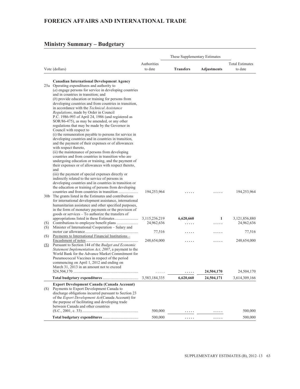|            |                                                                                                                                                                                                                                                                                                |                        | These Supplementary Estimates |                    |                                   |
|------------|------------------------------------------------------------------------------------------------------------------------------------------------------------------------------------------------------------------------------------------------------------------------------------------------|------------------------|-------------------------------|--------------------|-----------------------------------|
|            | Vote (dollars)                                                                                                                                                                                                                                                                                 | Authorities<br>to date | <b>Transfers</b>              | <b>Adjustments</b> | <b>Total Estimates</b><br>to date |
|            | <b>Canadian International Development Agency</b><br>25a Operating expenditures and authority to                                                                                                                                                                                                |                        |                               |                    |                                   |
|            | $(a)$ engage persons for service in developing countries<br>and in countries in transition; and                                                                                                                                                                                                |                        |                               |                    |                                   |
|            | $(b)$ provide education or training for persons from<br>developing countries and from countries in transition,<br>in accordance with the Technical Assistance                                                                                                                                  |                        |                               |                    |                                   |
|            | Regulations, made by Order in Council<br>P.C. 1986-993 of April 24, 1986 (and registered as                                                                                                                                                                                                    |                        |                               |                    |                                   |
|            | SOR/86-475), as may be amended, or any other<br>regulations that may be made by the Governor in<br>Council with respect to                                                                                                                                                                     |                        |                               |                    |                                   |
|            | (i) the remuneration payable to persons for service in<br>developing countries and in countries in transition,<br>and the payment of their expenses or of allowances                                                                                                                           |                        |                               |                    |                                   |
|            | with respect thereto,<br>(ii) the maintenance of persons from developing                                                                                                                                                                                                                       |                        |                               |                    |                                   |
|            | countries and from countries in transition who are<br>undergoing education or training, and the payment of<br>their expenses or of allowances with respect thereto,                                                                                                                            |                        |                               |                    |                                   |
|            | and<br>(iii) the payment of special expenses directly or                                                                                                                                                                                                                                       |                        |                               |                    |                                   |
|            | indirectly related to the service of persons in<br>developing countries and in countries in transition or<br>the education or training of persons from developing                                                                                                                              |                        |                               |                    |                                   |
|            | 30b The grants listed in the Estimates and contributions                                                                                                                                                                                                                                       | 194,253,964            |                               |                    | 194,253,964                       |
|            | for international development assistance, international<br>humanitarian assistance and other specified purposes,<br>in the form of monetary payments or the provision of                                                                                                                       |                        |                               |                    |                                   |
|            | goods or services – To authorize the transfers of                                                                                                                                                                                                                                              | 3,115,236,219          | 6,620,660                     | 1                  | 3,121,856,880                     |
| (S)<br>(S) | Minister of International Cooperation - Salary and                                                                                                                                                                                                                                             | 24,962,636             | .                             | .                  | 24,962,636                        |
| (S)        | Payments to International Financial Institutions -                                                                                                                                                                                                                                             | 77,516<br>248,654,000  | .                             | .                  | 77,516<br>248,654,000             |
|            | (S) Pursuant to Section 144 of the Budget and Economic<br><i>Statement Implementation Act, 2007</i> , a payment to the<br>World Bank for the Advance Market Commitment for<br>Pneumococcal Vaccines in respect of the period<br>commencing on April 1, 2012 and ending on                      |                        |                               |                    |                                   |
|            | March 31, 2013 in an amount not to exceed                                                                                                                                                                                                                                                      | $\cdots\cdots\cdots$   | .                             | 24,504,170         | 24,504,170                        |
|            |                                                                                                                                                                                                                                                                                                | 3,583,184,335          | 6,620,660                     | 24,504,171         | 3,614,309,166                     |
| (S)        | Export Development Canada (Canada Account)<br>Payments to Export Development Canada to<br>discharge obligations incurred pursuant to Section 23<br>of the Export Development Act(Canada Account) for<br>the purpose of facilitating and developing trade<br>between Canada and other countries |                        |                               |                    |                                   |
|            |                                                                                                                                                                                                                                                                                                | 500,000                |                               |                    | 500,000                           |
|            |                                                                                                                                                                                                                                                                                                | 500,000                | .                             | .                  | 500,000                           |

### **Ministry Summary – Budgetary**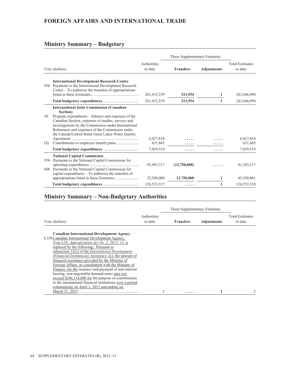|           |                                                                                                                                                                                                                                                                                                                                           |                          | These Supplementary Estimates |                    |                                   |
|-----------|-------------------------------------------------------------------------------------------------------------------------------------------------------------------------------------------------------------------------------------------------------------------------------------------------------------------------------------------|--------------------------|-------------------------------|--------------------|-----------------------------------|
|           | Vote (dollars)                                                                                                                                                                                                                                                                                                                            | Authorities<br>to date   | <b>Transfers</b>              | <b>Adjustments</b> | <b>Total Estimates</b><br>to date |
|           | <b>International Development Research Centre</b><br>45b Payments to the International Development Research<br>Centre $-$ To authorize the transfers of appropriations                                                                                                                                                                     | 241, 432, 539            | 213,554                       | 1                  | 241,646,094                       |
|           |                                                                                                                                                                                                                                                                                                                                           | 241,432,539              | 213,554                       | 1                  | 241,646,094                       |
| 50<br>(S) | <b>International Joint Commission (Canadian</b><br>Section)<br>Program expenditures – Salaries and expenses of the<br>Canadian Section, expenses of studies, surveys and<br>investigations by the Commission under International<br>References and expenses of the Commission under<br>the Canada/United States Great Lakes Water Quality | 6,427,834<br>631,685     |                               |                    | 6,427,834<br>631,685              |
|           |                                                                                                                                                                                                                                                                                                                                           | 7,059,519                | .                             | .                  | 7,059,519                         |
| 55b       | <b>National Capital Commission</b><br>Payments to the National Capital Commission for<br>60b Payments to the National Capital Commission for<br>capital expenditures – To authorize the transfers of                                                                                                                                      | 93,993,317<br>32,540,000 | (12,750,000)<br>12,750,000    | 1                  | 81,243,317<br>45,290,001          |
|           |                                                                                                                                                                                                                                                                                                                                           | 126,533,317              | .                             | 1                  | 126,533,318                       |

### **Ministry Summary – Budgetary**

### **Ministry Summary – Non-Budgetary Authorities**

|                                                                                                           |                        | These Supplementary Estimates |                    |                                   |
|-----------------------------------------------------------------------------------------------------------|------------------------|-------------------------------|--------------------|-----------------------------------|
| Vote (dollars)                                                                                            | Authorities<br>to date | <b>Transfers</b>              | <b>Adjustments</b> | <b>Total Estimates</b><br>to date |
| <b>Canadian International Development Agency</b>                                                          |                        |                               |                    |                                   |
| L35b Canadian International Development Agency,<br>Vote L35, <i>Appropriation Act No. 2, 2012–13</i> , is |                        |                               |                    |                                   |
| replaced by the following: Pursuant to                                                                    |                        |                               |                    |                                   |
| subsection 12(2) of the <i>International Development</i>                                                  |                        |                               |                    |                                   |
| (Financial Institutions) Assistance Act, the amount of                                                    |                        |                               |                    |                                   |
| financial assistance provided by the Minister of                                                          |                        |                               |                    |                                   |
| Foreign Affairs, in consultation with the Minister of                                                     |                        |                               |                    |                                   |
| Finance, for the issuance and payment of non-interest                                                     |                        |                               |                    |                                   |
| bearing, non-negotiable demand notes may not                                                              |                        |                               |                    |                                   |
| exceed \$246,114,000 for the purpose of contributions                                                     |                        |                               |                    |                                   |
| to the international financial institutions over a period                                                 |                        |                               |                    |                                   |
| commencing on April 1, 2012 and ending on                                                                 |                        |                               |                    |                                   |
|                                                                                                           |                        | .                             |                    |                                   |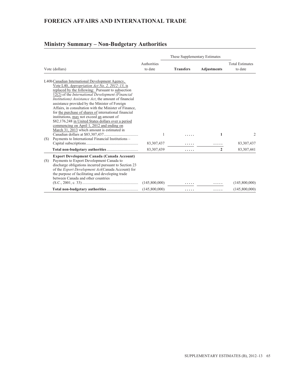|                                                                                                                                                                                                                                                                                                                                                                                                                                                                                                                                                                                                                                                                                                                                |                                 | These Supplementary Estimates |                    |                                            |
|--------------------------------------------------------------------------------------------------------------------------------------------------------------------------------------------------------------------------------------------------------------------------------------------------------------------------------------------------------------------------------------------------------------------------------------------------------------------------------------------------------------------------------------------------------------------------------------------------------------------------------------------------------------------------------------------------------------------------------|---------------------------------|-------------------------------|--------------------|--------------------------------------------|
| Vote (dollars)                                                                                                                                                                                                                                                                                                                                                                                                                                                                                                                                                                                                                                                                                                                 | Authorities<br>to date          | <b>Transfers</b>              | <b>Adjustments</b> | <b>Total Estimates</b><br>to date          |
| L40b Canadian International Development Agency,<br>Vote L40, <i>Appropriation Act No. 2, 2012–13</i> , is<br>replaced by the following: Pursuant to subsection<br>12(2) of the International Development (Financial<br><i>Institutions</i> ) <i>Assistance Act</i> , the amount of financial<br>assistance provided by the Minister of Foreign<br>Affairs, in consultation with the Minister of Finance,<br>for the purchase of shares of international financial<br>institutions, may not exceed an amount of<br>\$82,176,248 in United States dollars over a period<br>commencing on April 1, 2012 and ending on<br>March 31, 2013 which amount is estimated in<br>Payments to International Financial Institutions -<br>(S) | 1<br>83, 307, 437<br>83,307,439 | .                             | 1<br>$\mathbf{2}$  | $\overline{2}$<br>83,307,437<br>83,307,441 |
| <b>Export Development Canada (Canada Account)</b><br>Payments to Export Development Canada to<br>(S)<br>discharge obligations incurred pursuant to Section 23<br>of the <i>Export Development Act</i> (Canada Account) for<br>the purpose of facilitating and developing trade<br>between Canada and other countries                                                                                                                                                                                                                                                                                                                                                                                                           | (145,800,000)<br>(145,800,000)  | .<br>.                        | .                  | (145,800,000)<br>(145,800,000)             |

### **Ministry Summary – Non-Budgetary Authorities**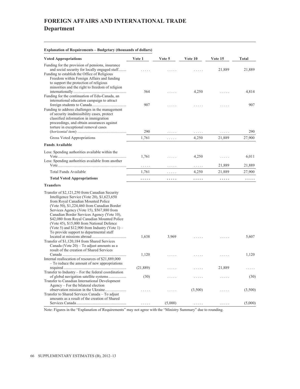## **FOREIGN AFFAIRS AND INTERNATIONAL TRADE Department**

**Explanation of Requirements – Budgetary (thousands of dollars)**

| <b>Voted Appropriations</b>                                                                                                                                                                                                                                                                                                                                                                                                                                                | Vote 1                      | Vote 5   | Vote 10 | Vote 15  | <b>Total</b> |
|----------------------------------------------------------------------------------------------------------------------------------------------------------------------------------------------------------------------------------------------------------------------------------------------------------------------------------------------------------------------------------------------------------------------------------------------------------------------------|-----------------------------|----------|---------|----------|--------------|
| Funding for the provision of pensions, insurance<br>and social security for locally engaged staff<br>Funding to establish the Office of Religious<br>Freedom within Foreign Affairs and funding<br>to support the protection of religious                                                                                                                                                                                                                                  |                             |          | .       | 21,889   | 21,889       |
| minorities and the right to freedom of religion<br>Funding for the continuation of Edu-Canada, an                                                                                                                                                                                                                                                                                                                                                                          | 564                         |          | 4,250   |          | 4,814        |
| international education campaign to attract<br>Funding to address challenges in the management<br>of security inadmissibility cases, protect<br>classified information in immigration<br>proceedings, and obtain assurances against<br>torture in exceptional removal cases                                                                                                                                                                                                | 907                         | .        | .       | $\cdots$ | 907          |
|                                                                                                                                                                                                                                                                                                                                                                                                                                                                            | 290                         | .        | .       | .        | 290          |
| Gross Voted Appropriations                                                                                                                                                                                                                                                                                                                                                                                                                                                 | 1,761                       | .        | 4,250   | 21,889   | 27,900       |
| <b>Funds Available</b>                                                                                                                                                                                                                                                                                                                                                                                                                                                     |                             |          |         |          |              |
| Less: Spending authorities available within the<br>Less: Spending authorities available from another                                                                                                                                                                                                                                                                                                                                                                       | 1,761                       | .        | 4,250   | .        | 6,011        |
|                                                                                                                                                                                                                                                                                                                                                                                                                                                                            | $\epsilon$ , and $\epsilon$ | .        | .       | 21,889   | 21,889       |
| Total Funds Available                                                                                                                                                                                                                                                                                                                                                                                                                                                      | 1,761                       | $\cdots$ | 4,250   | 21,889   | 27,900       |
| <b>Total Voted Appropriations</b>                                                                                                                                                                                                                                                                                                                                                                                                                                          | .                           | .        | .       | .        | .            |
| <b>Transfers</b>                                                                                                                                                                                                                                                                                                                                                                                                                                                           |                             |          |         |          |              |
| Transfer of \$2,121,250 from Canadian Security<br>Intelligence Service (Vote 20), \$1,623,650<br>from Royal Canadian Mounted Police<br>(Vote 50), \$1,224,460 from Canadian Border<br>Services Agency (Vote 15), \$567,880 from<br>Canadian Border Services Agency (Vote 10),<br>\$42,080 from Royal Canadian Mounted Police<br>(Vote 45), \$15,000 from National Defence<br>(Vote 5) and \$12,900 from Industry (Vote $1$ ) –<br>To provide support to departmental staff |                             |          |         |          |              |
| Transfer of \$1,120,184 from Shared Services<br>Canada (Vote $20$ ) – To adjust amounts as a<br>result of the creation of Shared Services                                                                                                                                                                                                                                                                                                                                  | 1,638                       | 3,969    | .       |          | 5,607        |
| Internal reallocation of resources of \$21,889,000<br>- To reduce the amount of new appropriations                                                                                                                                                                                                                                                                                                                                                                         | 1,120                       |          |         |          | 1,120        |
|                                                                                                                                                                                                                                                                                                                                                                                                                                                                            | (21, 889)                   | .        | .       | 21,889   | .            |
| Transfer to Industry - For the federal coordination<br>Transfer to Canadian International Development<br>Agency – For the bilateral election                                                                                                                                                                                                                                                                                                                               | (30)                        | .        | .       | .        | (30)         |
| Transfer to Shared Services Canada - To adjust<br>amounts as a result of the creation of Shared                                                                                                                                                                                                                                                                                                                                                                            |                             | .        | (3,500) | .        | (3,500)      |
|                                                                                                                                                                                                                                                                                                                                                                                                                                                                            | .                           | (5,000)  | .       | .        | (5,000)      |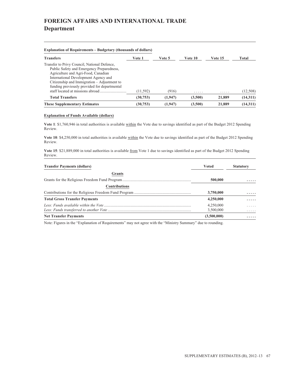### **FOREIGN AFFAIRS AND INTERNATIONAL TRADE Department**

#### **Explanation of Requirements – Budgetary (thousands of dollars)**

| <b>Transfers</b>                                                                                                                                                                                                                                                        | Vote 1    | Vote 5   | Vote 10 | Vote 15 | Total     |
|-------------------------------------------------------------------------------------------------------------------------------------------------------------------------------------------------------------------------------------------------------------------------|-----------|----------|---------|---------|-----------|
| Transfer to Privy Council, National Defence,<br>Public Safety and Emergency Preparedness,<br>Agriculture and Agri-Food, Canadian<br>International Development Agency and<br>Citizenship and Immigration – Adjustment to<br>funding previously provided for departmental | (11, 592) | (916)    | .       | .       | (12, 508) |
| <b>Total Transfers</b>                                                                                                                                                                                                                                                  | (30, 753) | (1,947)  | (3,500) | 21,889  | (14,311)  |
| <b>These Supplementary Estimates</b>                                                                                                                                                                                                                                    | (30, 753) | (1, 947) | (3,500) | 21,889  | (14,311)  |

#### **Explanation of Funds Available (dollars)**

**Vote 1**: \$1,760,946 in total authorities is available within the Vote due to savings identified as part of the Budget 2012 Spending Review.

**Vote 10**: \$4,250,000 in total authorities is available within the Vote due to savings identified as part of the Budget 2012 Spending Review.

**Vote 15**: \$21,889,000 in total authorities is available from Vote 1 due to savings identified as part of the Budget 2012 Spending Review.

| <b>Transfer Payments (dollars)</b>   | <b>Voted</b> | <b>Statutory</b> |
|--------------------------------------|--------------|------------------|
| Grants                               |              |                  |
|                                      | 500,000      | .                |
| <b>Contributions</b>                 |              |                  |
|                                      | 3,750,000    | .                |
| <b>Total Gross Transfer Payments</b> | 4,250,000    | .                |
|                                      | 4.250,000    | .                |
|                                      | 3.500,000    | .                |
| <b>Net Transfer Payments</b>         | (3,500,000)  | .                |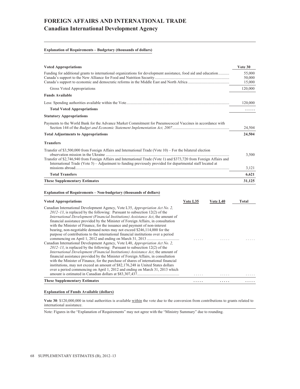## **FOREIGN AFFAIRS AND INTERNATIONAL TRADE Canadian International Development Agency**

#### **Explanation of Requirements – Budgetary (thousands of dollars)**

| <b>Voted Appropriations</b>                                                                                                                                                                                                           | Vote 30                    |
|---------------------------------------------------------------------------------------------------------------------------------------------------------------------------------------------------------------------------------------|----------------------------|
| Funding for additional grants to international organizations for development assistance, food aid and education                                                                                                                       | 55,000<br>50,000<br>15,000 |
| Gross Voted Appropriations                                                                                                                                                                                                            | 120,000                    |
| <b>Funds Available</b>                                                                                                                                                                                                                |                            |
|                                                                                                                                                                                                                                       | 120,000                    |
| <b>Total Voted Appropriations</b>                                                                                                                                                                                                     |                            |
| <b>Statutory Appropriations</b>                                                                                                                                                                                                       |                            |
| Payments to the World Bank for the Advance Market Commitment for Pneumococcal Vaccines in accordance with                                                                                                                             | 24,504                     |
| <b>Total Adjustments to Appropriations</b>                                                                                                                                                                                            | 24,504                     |
| <b>Transfers</b>                                                                                                                                                                                                                      |                            |
| Transfer of \$3,500,000 from Foreign Affairs and International Trade (Vote $10$ ) – For the bilateral election                                                                                                                        | 3,500                      |
| Transfer of \$2,746,940 from Foreign Affairs and International Trade (Vote 1) and \$373,720 from Foreign Affairs and<br>International Trade (Vote $5$ ) – Adjustment to funding previously provided for departmental staff located at |                            |
|                                                                                                                                                                                                                                       | 3,121                      |
| <b>Total Transfers</b>                                                                                                                                                                                                                | 6,621                      |
| <b>These Supplementary Estimates</b>                                                                                                                                                                                                  | 31,125                     |

#### **Explanation of Requirements – Non-budgetary (thousands of dollars)**

| <b>Voted Appropriations</b>                                                                                                                                                                                                                                                                                                                                                                                                                                                                                                                                                                                                                                                                                                                                                                                                                                                                                                                                                                                                                                                                                                                                                                           | <b>Vote L35</b> | Vote L40 | Total |
|-------------------------------------------------------------------------------------------------------------------------------------------------------------------------------------------------------------------------------------------------------------------------------------------------------------------------------------------------------------------------------------------------------------------------------------------------------------------------------------------------------------------------------------------------------------------------------------------------------------------------------------------------------------------------------------------------------------------------------------------------------------------------------------------------------------------------------------------------------------------------------------------------------------------------------------------------------------------------------------------------------------------------------------------------------------------------------------------------------------------------------------------------------------------------------------------------------|-----------------|----------|-------|
| Canadian International Development Agency, Vote L35, Appropriation Act No. 2,<br>$2012-13$ , is replaced by the following: Pursuant to subsection 12(2) of the<br>International Development (Financial Institutions) Assistance Act, the amount of<br>financial assistance provided by the Minister of Foreign Affairs, in consultation<br>with the Minister of Finance, for the issuance and payment of non-interest<br>bearing, non-negotiable demand notes may not exceed \$246,114,000 for the<br>purpose of contributions to the international financial institutions over a period<br>Canadian International Development Agency, Vote L40, <i>Appropriation Act No. 2</i> ,<br>$2012-13$ , is replaced by the following: Pursuant to subsection 12(2) of the<br>International Development (Financial Institutions) Assistance Act, the amount of<br>financial assistance provided by the Minister of Foreign Affairs, in consultation<br>with the Minister of Finance, for the purchase of shares of international financial<br>institutions, may not exceed an amount of \$82,176,248 in United States dollars<br>over a period commencing on April 1, 2012 and ending on March 31, 2013 which |                 |          |       |
| <b>These Supplementary Estimates</b>                                                                                                                                                                                                                                                                                                                                                                                                                                                                                                                                                                                                                                                                                                                                                                                                                                                                                                                                                                                                                                                                                                                                                                  |                 |          |       |

#### **Explanation of Funds Available (dollars)**

**Vote 30**: \$120,000,000 in total authorities is available within the vote due to the conversion from contributions to grants related to international assistance.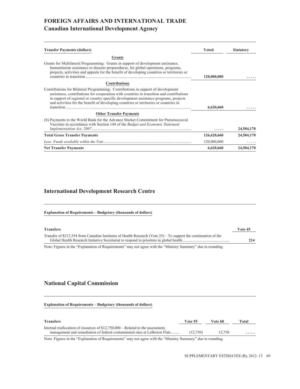## **FOREIGN AFFAIRS AND INTERNATIONAL TRADE Canadian International Development Agency**

| <b>Transfer Payments (dollars)</b>                                                                                                                                                                                                                                                                                                                            | <b>Voted</b> | <b>Statutory</b> |
|---------------------------------------------------------------------------------------------------------------------------------------------------------------------------------------------------------------------------------------------------------------------------------------------------------------------------------------------------------------|--------------|------------------|
| Grants                                                                                                                                                                                                                                                                                                                                                        |              |                  |
| Grants for Multilateral Programming: Grants in support of development assistance,<br>humanitarian assistance or disaster preparedness, for global operations, programs,<br>projects, activities and appeals for the benefit of developing countries or territories or                                                                                         | 120,000,000  |                  |
| <b>Contributions</b>                                                                                                                                                                                                                                                                                                                                          |              |                  |
| Contributions for Bilateral Programming: Contributions in support of development<br>assistance, contributions for cooperation with countries in transition and contributions<br>in support of regional or country specific development assistance programs, projects<br>and activities for the benefit of developing countries or territories or countries in | 6,620,660    |                  |
| <b>Other Transfer Payments</b>                                                                                                                                                                                                                                                                                                                                |              |                  |
| (S) Payments to the World Bank for the Advance Market Commitment for Pneumococcal<br>Vaccines in accordance with Section 144 of the Budget and Economic Statement                                                                                                                                                                                             | .            | 24,504,170       |
| <b>Total Gross Transfer Payments</b>                                                                                                                                                                                                                                                                                                                          | 126,620,660  | 24,504,170       |
|                                                                                                                                                                                                                                                                                                                                                               | 120,000,000  |                  |
| <b>Net Transfer Payments</b>                                                                                                                                                                                                                                                                                                                                  | 6,620,660    | 24,504,170       |

### **International Development Research Centre**

#### **Explanation of Requirements – Budgetary (thousands of dollars)**

| <b>Transfers</b>                                                                                                    | Vote 45 |
|---------------------------------------------------------------------------------------------------------------------|---------|
| Transfer of \$213,554 from Canadian Institutes of Health Research (Vote $25$ ) – To support the continuation of the |         |
|                                                                                                                     | 214     |
|                                                                                                                     |         |

Note: Figures in the "Explanation of Requirements" may not agree with the "Ministry Summary" due to rounding.

### **National Capital Commission**

#### **Explanation of Requirements – Budgetary (thousands of dollars)**

| <b>Transfers</b>                                                                 | Vote 55  | Vote 60 | Total |
|----------------------------------------------------------------------------------|----------|---------|-------|
| Internal reallocation of resources of $$12,750,000 -$ Related to the assessment, |          |         |       |
| management and remediation of federal contaminated sites at LeBreton Flats       | (12.750) | 12.750  | .     |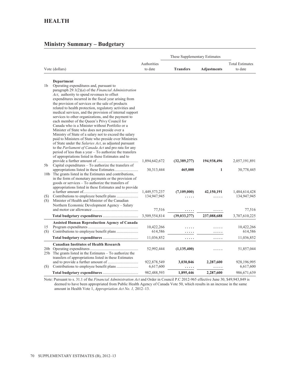|  | <b>Ministry Summary - Budgetary</b> |  |
|--|-------------------------------------|--|
|--|-------------------------------------|--|

| Vote (dollars)  |                                                                                                                                                                                                                                                                                                                                                                                                                                                                                                                                                                                                                                                                                                                                                                                                                                                                                                                     |                              | These Supplementary Estimates |                    |                                   |
|-----------------|---------------------------------------------------------------------------------------------------------------------------------------------------------------------------------------------------------------------------------------------------------------------------------------------------------------------------------------------------------------------------------------------------------------------------------------------------------------------------------------------------------------------------------------------------------------------------------------------------------------------------------------------------------------------------------------------------------------------------------------------------------------------------------------------------------------------------------------------------------------------------------------------------------------------|------------------------------|-------------------------------|--------------------|-----------------------------------|
|                 |                                                                                                                                                                                                                                                                                                                                                                                                                                                                                                                                                                                                                                                                                                                                                                                                                                                                                                                     | Authorities<br>to date       | <b>Transfers</b>              | <b>Adjustments</b> | <b>Total Estimates</b><br>to date |
| 1 <sub>b</sub>  | Department<br>Operating expenditures and, pursuant to<br>paragraph $29.1(2)(a)$ of the Financial Administration<br>Act, authority to spend revenues to offset<br>expenditures incurred in the fiscal year arising from<br>the provision of services or the sale of products<br>related to health protection, regulatory activities and<br>medical services, and the provision of internal support<br>services to other organizations, and the payment to<br>each member of the Queen's Privy Council for<br>Canada who is a Minister without Portfolio or a<br>Minister of State who does not preside over a<br>Ministry of State of a salary not to exceed the salary<br>paid to Ministers of State who preside over Ministries<br>of State under the Salaries Act, as adjusted pursuant<br>to the <i>Parliament of Canada Act</i> and pro rata for any<br>period of less than a year – To authorize the transfers |                              |                               |                    |                                   |
|                 | of appropriations listed in these Estimates and to                                                                                                                                                                                                                                                                                                                                                                                                                                                                                                                                                                                                                                                                                                                                                                                                                                                                  | 1,894,642,672                | (32, 389, 277)                | 194,938,496        | 2,057,191,891                     |
| 5b              | Capital expenditures – To authorize the transfers of<br>10b The grants listed in the Estimates and contributions,<br>in the form of monetary payments or the provision of<br>goods or services – To authorize the transfers of<br>appropriations listed in these Estimates and to provide                                                                                                                                                                                                                                                                                                                                                                                                                                                                                                                                                                                                                           | 30, 313, 444                 | 465,000                       | 1                  | 30,778,445                        |
| (S)<br>(S)      | Minister of Health and Minister of the Canadian<br>Northern Economic Development Agency - Salary                                                                                                                                                                                                                                                                                                                                                                                                                                                                                                                                                                                                                                                                                                                                                                                                                    | 1,449,573,237<br>134,947,945 | (7,109,000)<br>.              | 42,150,191<br>.    | 1,484,614,428<br>134,947,945      |
|                 |                                                                                                                                                                                                                                                                                                                                                                                                                                                                                                                                                                                                                                                                                                                                                                                                                                                                                                                     | 77,516                       |                               |                    | 77,516                            |
|                 |                                                                                                                                                                                                                                                                                                                                                                                                                                                                                                                                                                                                                                                                                                                                                                                                                                                                                                                     | 3,509,554,814                | (39, 033, 277)                | 237,088,688        | 3,707,610,225                     |
| 15<br>(S)       | <b>Assisted Human Reproduction Agency of Canada</b>                                                                                                                                                                                                                                                                                                                                                                                                                                                                                                                                                                                                                                                                                                                                                                                                                                                                 | 10,422,266<br>614,586        | .                             | .                  | 10,422,266<br>614,586             |
|                 |                                                                                                                                                                                                                                                                                                                                                                                                                                                                                                                                                                                                                                                                                                                                                                                                                                                                                                                     | 11,036,852                   | .                             | .                  | 11,036,852                        |
| 20 <sub>b</sub> | <b>Canadian Institutes of Health Research</b><br>25b The grants listed in the Estimates - To authorize the<br>transfers of appropriations listed in these Estimates                                                                                                                                                                                                                                                                                                                                                                                                                                                                                                                                                                                                                                                                                                                                                 | 52,992,444                   | (1, 135, 400)                 | .                  | 51,857,044                        |
|                 |                                                                                                                                                                                                                                                                                                                                                                                                                                                                                                                                                                                                                                                                                                                                                                                                                                                                                                                     | 922,878,549                  | 3,030,846                     | 2,287,600          | 928,196,995                       |
| (S)             |                                                                                                                                                                                                                                                                                                                                                                                                                                                                                                                                                                                                                                                                                                                                                                                                                                                                                                                     | 6,617,600<br>982,488,593     | 1,895,446                     | 2,287,600          | 6,617,600<br>986,671,639          |

Note: Pursuant to s. 31.1 of the *Financial Administration Act* and Order in Council P.C 2012-965 effective June 30, \$49,943,849 is deemed to have been appropriated from Public Health Agency of Canada Vote 50, which results in an increase in the same amount in Health Vote 1, *Appropriation Act No. 1,* 2012–13.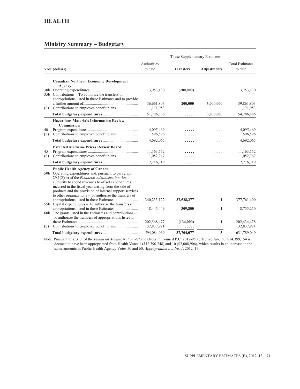### **Ministry Summary – Budgetary**

|           |                                                                                                                                                                                                                                                                                                                                                                                                                                                                                                                                                                              |                                                        | These Supplementary Estimates           |                    |                                                        |
|-----------|------------------------------------------------------------------------------------------------------------------------------------------------------------------------------------------------------------------------------------------------------------------------------------------------------------------------------------------------------------------------------------------------------------------------------------------------------------------------------------------------------------------------------------------------------------------------------|--------------------------------------------------------|-----------------------------------------|--------------------|--------------------------------------------------------|
|           | Vote (dollars)                                                                                                                                                                                                                                                                                                                                                                                                                                                                                                                                                               | Authorities<br>to date                                 | <b>Transfers</b>                        | <b>Adjustments</b> | <b>Total Estimates</b><br>to date                      |
|           | <b>Canadian Northern Economic Development</b><br>Agency<br>35b Contributions – To authorize the transfers of<br>appropriations listed in these Estimates and to provide                                                                                                                                                                                                                                                                                                                                                                                                      | 13,953,130                                             | (200,000)                               |                    | 13,753,130                                             |
| (S)       |                                                                                                                                                                                                                                                                                                                                                                                                                                                                                                                                                                              | 36,661,803<br>1,171,953                                | 200,000                                 | 3,000,000          | 39,861,803<br>1,171,953                                |
|           |                                                                                                                                                                                                                                                                                                                                                                                                                                                                                                                                                                              | 51,786,886                                             | .<br>.                                  | .<br>3,000,000     | 54,786,886                                             |
| 40<br>(S) | <b>Hazardous Materials Information Review</b><br>Commission                                                                                                                                                                                                                                                                                                                                                                                                                                                                                                                  | 4,095,469<br>596,596                                   |                                         |                    | 4,095,469<br>596,596                                   |
|           |                                                                                                                                                                                                                                                                                                                                                                                                                                                                                                                                                                              | 4,692,065                                              | .                                       | .                  | 4,692,065                                              |
| 45<br>(S) | <b>Patented Medicine Prices Review Board</b><br>Contributions to employee benefit plans                                                                                                                                                                                                                                                                                                                                                                                                                                                                                      | 11,163,552<br>1,052,767<br>12,216,319                  | .                                       | .                  | 11,163,552<br>1,052,767<br>12,216,319                  |
| (S)       | <b>Public Health Agency of Canada</b><br>50b Operating expenditures and, pursuant to paragraph<br>$29.1(2)(a)$ of the Financial Administration Act,<br>authority to spend revenues to offset expenditures<br>incurred in the fiscal year arising from the sale of<br>products and the provision of internal support services<br>to other organizations - To authorize the transfers of<br>55b Capital expenditures – To authorize the transfers of<br>60b The grants listed in the Estimates and contributions $-$<br>To authorize the transfers of appropriations listed in | 340,233,122<br>18,445,449<br>202,568,477<br>32,837,921 | 37,528,277<br>309,800<br>(134,000)<br>. | 1<br>1<br>1<br>.   | 377,761,400<br>18,755,250<br>202,434,478<br>32,837,921 |
|           |                                                                                                                                                                                                                                                                                                                                                                                                                                                                                                                                                                              | 594,084,969                                            | 37,704,077                              | 3                  | 631,789,049                                            |

Note: Pursuant to s. 31.1 of the *Financial Administration Act* and Order in Council P.C. 2012-950 effective June 30, \$14,399,154 is deemed to have been appropriated from Health Votes 1 (\$12,390,248) and 10 (\$2,008,906), which results in an increase in the same amounts in Public Health Agency Votes 50 and 60, *Appropriation Act No. 1*, 2012–13.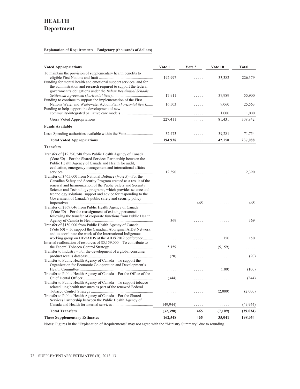## **HEALTH Department**

#### **Explanation of Requirements – Budgetary (thousands of dollars)**

| <b>Voted Appropriations</b>                                                                                                                                                                                                                                                                                                                                                                  | Vote 1    | Vote 5   | Vote 10  | <b>Total</b> |
|----------------------------------------------------------------------------------------------------------------------------------------------------------------------------------------------------------------------------------------------------------------------------------------------------------------------------------------------------------------------------------------------|-----------|----------|----------|--------------|
| To maintain the provision of supplementary health benefits to<br>Funding for mental health and emotional support services, and for<br>the administration and research required to support the federal<br>government's obligations under the Indian Residential Schools                                                                                                                       | 192,997   | .        | 33,382   | 226,379      |
| Funding to continue to support the implementation of the First                                                                                                                                                                                                                                                                                                                               | 17,911    | .        | 37,989   | 55,900       |
| Nations Water and Wastewater Action Plan (horizontal item)<br>Funding to help support the development of new                                                                                                                                                                                                                                                                                 | 16,503    | .        | 9,060    | 25,563       |
|                                                                                                                                                                                                                                                                                                                                                                                              | $\ldots$  | .        | 1,000    | 1,000        |
| Gross Voted Appropriations                                                                                                                                                                                                                                                                                                                                                                   | 227,411   | .        | 81,431   | 308,842      |
| <b>Funds Available</b>                                                                                                                                                                                                                                                                                                                                                                       |           |          |          |              |
| Less: Spending authorities available within the Vote                                                                                                                                                                                                                                                                                                                                         | 32,473    | .        | 39,281   | 71,754       |
| <b>Total Voted Appropriations</b>                                                                                                                                                                                                                                                                                                                                                            | 194,938   | .        | 42,150   | 237,088      |
| <b>Transfers</b>                                                                                                                                                                                                                                                                                                                                                                             |           |          |          |              |
| Transfer of \$12,390,248 from Public Health Agency of Canada<br>(Vote 50) – For the Shared Services Partnership between the<br>Public Health Agency of Canada and Health for audit,<br>evaluation, emergency management and international affairs                                                                                                                                            | 12,390    |          |          | 12,390       |
| Transfer of \$465,000 from National Defence (Vote 5) –For the<br>Canadian Safety and Security Program created as a result of the<br>renewal and harmonization of the Public Safety and Security<br>Science and Technology programs, which provides science and<br>technology solutions, support and advice for responding to the<br>Government of Canada's public safety and security policy |           |          |          |              |
|                                                                                                                                                                                                                                                                                                                                                                                              |           | 465      |          | 465          |
| Transfer of \$369,046 from Public Health Agency of Canada<br>$($ Vote 50 $)$ – For the reassignment of existing personnel<br>following the transfer of corporate functions from Public Health<br>Transfer of \$150,000 from Public Health Agency of Canada<br>(Vote 60) – To support the Canadian Aboriginal AIDS Network                                                                    | 369       | .        | $\cdots$ | 369          |
| and to coordinate the work of the International Indigenous<br>working group on HIV/AIDS at the AIDS 2012 conference                                                                                                                                                                                                                                                                          | .         | .        | 150      | 150          |
| Internal reallocation of resources of $$5,159,000 - To contribute to$                                                                                                                                                                                                                                                                                                                        |           |          |          |              |
| Transfer to Industry – For the development of a global consumer                                                                                                                                                                                                                                                                                                                              | 5,159     | .        | (5,159)  | .            |
| Transfer to Public Health Agency of Canada – To support the<br>Organization for Economic Co-operation and Development's                                                                                                                                                                                                                                                                      | (20)      | .        |          | (20)         |
|                                                                                                                                                                                                                                                                                                                                                                                              | .         | .        | (100)    | (100)        |
| Transfer to Public Health Agency of Canada - For the Office of the                                                                                                                                                                                                                                                                                                                           | (344)     | .        | .        | (344)        |
| Transfer to Public Health Agency of Canada - To support tobacco<br>related lung health measures as part of the renewed Federal                                                                                                                                                                                                                                                               |           |          |          |              |
| Transfer to Public Health Agency of Canada – For the Shared<br>Services Partnership between the Public Health Agency of                                                                                                                                                                                                                                                                      |           |          | (2,000)  | (2,000)      |
|                                                                                                                                                                                                                                                                                                                                                                                              | (49, 944) | $\cdots$ | $\ldots$ | (49, 944)    |
| <b>Total Transfers</b>                                                                                                                                                                                                                                                                                                                                                                       | (32,390)  | 465      | (7,109)  | (39, 034)    |
| <b>These Supplementary Estimates</b>                                                                                                                                                                                                                                                                                                                                                         | 162,548   | 465      | 35,041   | 198,054      |
|                                                                                                                                                                                                                                                                                                                                                                                              |           |          |          |              |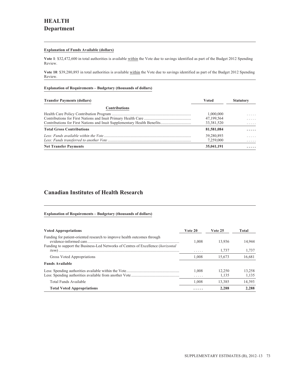### **Explanation of Funds Available (dollars)**

**Vote 1**: \$32,472,600 in total authorities is available within the Vote due to savings identified as part of the Budget 2012 Spending Review.

**Vote 10**: \$39,280,893 in total authorities is available within the Vote due to savings identified as part of the Budget 2012 Spending Review.

#### **Explanation of Requirements – Budgetary (thousands of dollars)**

| <b>Transfer Payments (dollars)</b> | Voted        | <b>Statutory</b> |
|------------------------------------|--------------|------------------|
| <b>Contributions</b>               |              |                  |
|                                    | 1,000,000    | .                |
|                                    | 47,199,564   | .                |
|                                    | 33, 381, 520 | .                |
| <b>Total Gross Contributions</b>   | 81,581,084   | .                |
|                                    | 39,280,893   | .                |
|                                    | 7.259,000    | .                |
| <b>Net Transfer Payments</b>       | 35,041,191   | .                |

### **Canadian Institutes of Health Research**

### **Explanation of Requirements – Budgetary (thousands of dollars)**

| <b>Voted Appropriations</b>                                                                                                                                   | Vote 20 | Vote 25 | Total  |
|---------------------------------------------------------------------------------------------------------------------------------------------------------------|---------|---------|--------|
| Funding for patient-oriented research to improve health outcomes through<br>Funding to support the Business-Led Networks of Centres of Excellence (horizontal | 1.008   | 13.936  | 14.944 |
|                                                                                                                                                               | .       | 1.737   | 1,737  |
| Gross Voted Appropriations                                                                                                                                    | 1.008   | 15.673  | 16,681 |
| <b>Funds Available</b>                                                                                                                                        |         |         |        |
|                                                                                                                                                               | 1.008   | 12.250  | 13.258 |
|                                                                                                                                                               | .       | 1.135   | 1.135  |
| Total Funds Available                                                                                                                                         | 1.008   | 13.385  | 14,393 |
| <b>Total Voted Appropriations</b>                                                                                                                             | .       | 2.288   | 2.288  |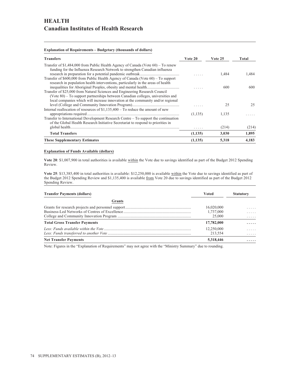### **HEALTH Canadian Institutes of Health Research**

### **Explanation of Requirements – Budgetary (thousands of dollars)**

| <b>Transfers</b>                                                                                                                                                   | Vote 20  | Vote 25 | Total |
|--------------------------------------------------------------------------------------------------------------------------------------------------------------------|----------|---------|-------|
| Transfer of \$1,484,000 from Public Health Agency of Canada (Vote $60$ ) – To renew<br>funding for the Influenza Research Network to strengthen Canadian influenza |          |         |       |
| Transfer of $$600,000$ from Public Health Agency of Canada (Vote $60$ ) – To support                                                                               |          | 1.484   | 1.484 |
| research in population health interventions, particularly in the areas of health                                                                                   |          |         |       |
|                                                                                                                                                                    |          | 600     | 600   |
| Transfer of \$25,000 from Natural Sciences and Engineering Research Council                                                                                        |          |         |       |
| (Vote 80) – To support partnerships between Canadian colleges, universities and                                                                                    |          |         |       |
| local companies which will increase innovation at the community and/or regional                                                                                    |          |         |       |
|                                                                                                                                                                    |          | 25      | 25    |
| Internal reallocation of resources of $$1,135,400 - To$ reduce the amount of new                                                                                   |          |         |       |
| Transfer to International Development Research Centre $-$ To support the continuation                                                                              | (1, 135) | 1.135   |       |
| of the Global Health Research Initiative Secretariat to respond to priorities in                                                                                   |          |         |       |
|                                                                                                                                                                    |          | (214)   | (214) |
|                                                                                                                                                                    |          |         |       |
| <b>Total Transfers</b>                                                                                                                                             | (1, 135) | 3,030   | 1,895 |
| <b>These Supplementary Estimates</b>                                                                                                                               | (1, 135) | 5,318   | 4.183 |

#### **Explanation of Funds Available (dollars)**

**Vote 20**: \$1,007,900 in total authorities is available within the Vote due to savings identified as part of the Budget 2012 Spending Review.

**Vote 25**: \$13,385,400 in total authorities is available: \$12,250,000 is available within the Vote due to savings identified as part of the Budget 2012 Spending Review and \$1,135,400 is available from Vote 20 due to savings identified as part of the Budget 2012 Spending Review.

| <b>Transfer Payments (dollars)</b>   | Voted      | <b>Statutory</b> |
|--------------------------------------|------------|------------------|
| <b>Grants</b>                        |            |                  |
|                                      | 16,020,000 | .                |
|                                      | 1,737,000  | .                |
|                                      | 25,000     | .                |
| <b>Total Gross Transfer Payments</b> | 17,782,000 | .                |
|                                      | 12.250,000 | .                |
|                                      | 213.554    | .                |
| <b>Net Transfer Payments</b>         | 5,318,446  | .                |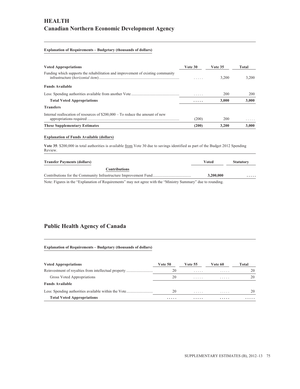## **HEALTH Canadian Northern Economic Development Agency**

### **Explanation of Requirements – Budgetary (thousands of dollars)**

| <b>Voted Appropriations</b>                                                     | Vote 30 | Vote 35 | Total |
|---------------------------------------------------------------------------------|---------|---------|-------|
| Funding which supports the rehabilitation and improvement of existing community | .       | 3.200   | 3.200 |
| <b>Funds Available</b>                                                          |         |         |       |
|                                                                                 | .       | 200     | 200   |
| <b>Total Voted Appropriations</b>                                               | .       | 3.000   | 3,000 |
| <b>Transfers</b>                                                                |         |         |       |
| Internal reallocation of resources of $$200,000 - To$ reduce the amount of new  | (200)   | 200     | .     |
| <b>These Supplementary Estimates</b>                                            | (200)   | 3.200   | 3.000 |

### **Explanation of Funds Available (dollars)**

Vote 35: \$200,000 in total authorities is available from Vote 30 due to savings identified as part of the Budget 2012 Spending Review.

| <b>Transfer Payments (dollars)</b> | Voted     | <b>Statutory</b> |
|------------------------------------|-----------|------------------|
| <b>Contributions</b>               |           |                  |
|                                    | 3,200,000 | .                |
|                                    |           |                  |

Note: Figures in the "Explanation of Requirements" may not agree with the "Ministry Summary" due to rounding.

### **Public Health Agency of Canada**

#### **Explanation of Requirements – Budgetary (thousands of dollars)**

| <b>Voted Appropriations</b>       | Vote 50 | Vote 55 | Vote 60 | Total |
|-----------------------------------|---------|---------|---------|-------|
|                                   | 20      | .       | .       | 20    |
| Gross Voted Appropriations        | 20      | .       | .       | 20    |
| <b>Funds Available</b>            |         |         |         |       |
|                                   | 20      | .       | .       | 20    |
| <b>Total Voted Appropriations</b> | .       | .       | .       | .     |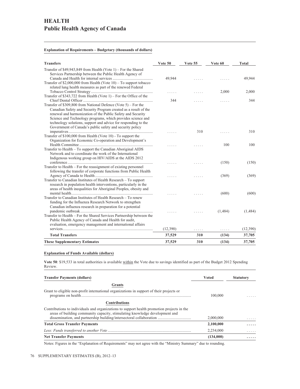## **HEALTH Public Health Agency of Canada**

### **Explanation of Requirements – Budgetary (thousands of dollars)**

| <b>Transfers</b>                                                                                                                                                                                                                                                                                                                                                                                 | Vote 50  | Vote 55 | Vote 60 | Total    |
|--------------------------------------------------------------------------------------------------------------------------------------------------------------------------------------------------------------------------------------------------------------------------------------------------------------------------------------------------------------------------------------------------|----------|---------|---------|----------|
| Transfer of \$49,943,849 from Health (Vote $1$ ) – For the Shared<br>Services Partnership between the Public Health Agency of                                                                                                                                                                                                                                                                    | 49.944   |         |         | 49,944   |
| Transfer of \$2,000,000 from Health (Vote $10$ ) – To support tobacco<br>related lung health measures as part of the renewed Federal                                                                                                                                                                                                                                                             |          |         | 2,000   | 2,000    |
| Transfer of \$343,722 from Health (Vote $1$ ) – For the Office of the                                                                                                                                                                                                                                                                                                                            |          | .       |         |          |
|                                                                                                                                                                                                                                                                                                                                                                                                  | 344      |         |         | 344      |
| Transfer of \$309,800 from National Defence (Vote $5$ ) – For the<br>Canadian Safety and Security Program created as a result of the<br>renewal and harmonization of the Public Safety and Security<br>Science and Technology programs, which provides science and<br>technology solutions, support and advice for responding to the<br>Government of Canada's public safety and security policy |          |         |         |          |
|                                                                                                                                                                                                                                                                                                                                                                                                  |          | 310     | .       | 310      |
| Transfer of \$100,000 from Health (Vote 10) - To support the<br>Organization for Economic Co-operation and Development's                                                                                                                                                                                                                                                                         |          |         | 100     | 100      |
| Transfer to Health – To support the Canadian Aboriginal AIDS<br>Network and to coordinate the work of the International<br>Indigenous working group on HIV/AIDS at the AIDS 2012                                                                                                                                                                                                                 |          |         |         |          |
| Transfer to Health – For the reassignment of existing personnel<br>following the transfer of corporate functions from Public Health                                                                                                                                                                                                                                                              |          |         | (150)   | (150)    |
|                                                                                                                                                                                                                                                                                                                                                                                                  |          |         | (369)   | (369)    |
| Transfer to Canadian Institutes of Health Research – To support<br>research in population health interventions, particularly in the<br>areas of health inequalities for Aboriginal Peoples, obesity and                                                                                                                                                                                          |          |         |         |          |
|                                                                                                                                                                                                                                                                                                                                                                                                  |          |         | (600)   | (600)    |
| Transfer to Canadian Institutes of Health Research – To renew<br>funding for the Influenza Research Network to strengthen<br>Canadian influenza research in preparation for a potential                                                                                                                                                                                                          |          |         |         |          |
| Transfer to Health – For the Shared Services Partnership between the<br>Public Health Agency of Canada and Health for audit,<br>evaluation, emergency management and international affairs                                                                                                                                                                                                       |          |         | (1,484) | (1,484)  |
|                                                                                                                                                                                                                                                                                                                                                                                                  | (12,390) | .       | .       | (12,390) |
| <b>Total Transfers</b>                                                                                                                                                                                                                                                                                                                                                                           | 37,529   | 310     | (134)   | 37,705   |
| <b>These Supplementary Estimates</b>                                                                                                                                                                                                                                                                                                                                                             | 37,529   | 310     | (134)   | 37,705   |

### **Explanation of Funds Available (dollars)**

**Vote 50**: \$19,533 in total authorities is available within the Vote due to savings identified as part of the Budget 2012 Spending Review.

| <b>Transfer Payments (dollars)</b>                                                                                                                                        | <b>Voted</b> | <b>Statutory</b> |
|---------------------------------------------------------------------------------------------------------------------------------------------------------------------------|--------------|------------------|
| Grants                                                                                                                                                                    |              |                  |
| Grant to eligible non-profit international organizations in support of their projects or                                                                                  | 100,000      |                  |
| <b>Contributions</b>                                                                                                                                                      |              |                  |
| Contributions to individuals and organizations to support health promotion projects in the<br>areas of building community capacity, stimulating knowledge development and |              |                  |
|                                                                                                                                                                           | 2,000,000    | .                |
| <b>Total Gross Transfer Payments</b>                                                                                                                                      | 2,100,000    | .                |
|                                                                                                                                                                           | 2.234,000    | .                |
| <b>Net Transfer Payments</b>                                                                                                                                              | (134,000)    |                  |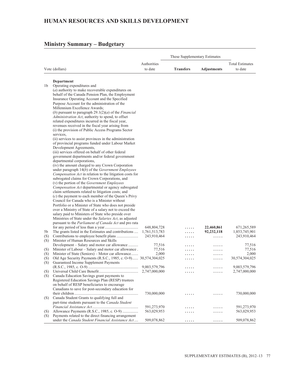### **HUMAN RESOURCES AND SKILLS DEVELOPMENT**

|  | <b>Ministry Summary - Budgetary</b> |  |
|--|-------------------------------------|--|
|--|-------------------------------------|--|

|                |                                                                                                             | These Supplementary Estimates |                  |                    |                        |  |
|----------------|-------------------------------------------------------------------------------------------------------------|-------------------------------|------------------|--------------------|------------------------|--|
|                |                                                                                                             | Authorities                   |                  |                    | <b>Total Estimates</b> |  |
|                | Vote (dollars)                                                                                              | to date                       | <b>Transfers</b> | <b>Adjustments</b> | to date                |  |
|                |                                                                                                             |                               |                  |                    |                        |  |
| 1 <sub>b</sub> | Department<br>Operating expenditures and                                                                    |                               |                  |                    |                        |  |
|                |                                                                                                             |                               |                  |                    |                        |  |
|                | $(a)$ authority to make recoverable expenditures on                                                         |                               |                  |                    |                        |  |
|                | behalf of the Canada Pension Plan, the Employment                                                           |                               |                  |                    |                        |  |
|                | Insurance Operating Account and the Specified<br>Purpose Account for the administration of the              |                               |                  |                    |                        |  |
|                | Millennium Excellence Awards;                                                                               |                               |                  |                    |                        |  |
|                | (b) pursuant to paragraph $29.1(2)(a)$ of the <i>Financial</i>                                              |                               |                  |                    |                        |  |
|                | Administration Act, authority to spend, to offset                                                           |                               |                  |                    |                        |  |
|                | related expenditures incurred in the fiscal year,                                                           |                               |                  |                    |                        |  |
|                | revenues received in the fiscal year arising from                                                           |                               |                  |                    |                        |  |
|                | (i) the provision of Public Access Programs Sector                                                          |                               |                  |                    |                        |  |
|                | services.                                                                                                   |                               |                  |                    |                        |  |
|                | (ii) services to assist provinces in the administration                                                     |                               |                  |                    |                        |  |
|                | of provincial programs funded under Labour Market                                                           |                               |                  |                    |                        |  |
|                | Development Agreements,                                                                                     |                               |                  |                    |                        |  |
|                | (iii) services offered on behalf of other federal                                                           |                               |                  |                    |                        |  |
|                | government departments and/or federal government                                                            |                               |                  |                    |                        |  |
|                | departmental corporations,                                                                                  |                               |                  |                    |                        |  |
|                | (iv) the amount charged to any Crown Corporation                                                            |                               |                  |                    |                        |  |
|                | under paragraph $14(b)$ of the <i>Government Employees</i>                                                  |                               |                  |                    |                        |  |
|                | Compensation Act in relation to the litigation costs for                                                    |                               |                  |                    |                        |  |
|                | subrogated claims for Crown Corporations, and                                                               |                               |                  |                    |                        |  |
|                | (v) the portion of the Government Employees                                                                 |                               |                  |                    |                        |  |
|                | Compensation Act departmental or agency subrogated                                                          |                               |                  |                    |                        |  |
|                | claim settlements related to litigation costs; and<br>$(c)$ the payment to each member of the Queen's Privy |                               |                  |                    |                        |  |
|                | Council for Canada who is a Minister without                                                                |                               |                  |                    |                        |  |
|                | Portfolio or a Minister of State who does not preside                                                       |                               |                  |                    |                        |  |
|                | over a Ministry of State of a salary not to exceed the                                                      |                               |                  |                    |                        |  |
|                | salary paid to Ministers of State who preside over                                                          |                               |                  |                    |                        |  |
|                | Ministries of State under the Salaries Act, as adjusted                                                     |                               |                  |                    |                        |  |
|                | pursuant to the Parliament of Canada Act and pro rata                                                       |                               |                  |                    |                        |  |
|                |                                                                                                             | 648,804,728                   |                  | 22,460,861         | 671,265,589            |  |
| 5b             | The grants listed in the Estimates and contributions                                                        | 1,761,513,783                 |                  | 92,232,118         | 1,853,745,901          |  |
| (S)            |                                                                                                             | 243,910,464                   |                  | .                  | 243,910,464            |  |
| (S)            | Minister of Human Resources and Skills                                                                      |                               |                  |                    |                        |  |
|                | Development – Salary and motor car allowance                                                                | 77,516                        |                  |                    | 77,516                 |  |
| (S)            | Minister of Labour - Salary and motor car allowance.                                                        | 77,516                        |                  |                    | 77,516                 |  |
| (S)            | Minister of State (Seniors) – Motor car allowance                                                           | 2.000                         |                  |                    | 2,000                  |  |
| (S)            | Old Age Security Payments (R.S.C., 1985, c. O-9) 30,574,304,025                                             |                               | .                | .                  | 30,574,304,025         |  |
| (S)            | Guaranteed Income Supplement Payments                                                                       |                               |                  |                    |                        |  |
|                |                                                                                                             |                               | .                | .                  | 9,003,579,796          |  |
|                |                                                                                                             |                               |                  |                    | 2,747,000,000          |  |
| (S)            | Canada Education Savings grant payments to                                                                  |                               |                  |                    |                        |  |
|                | Registered Education Savings Plan (RESP) trustees                                                           |                               |                  |                    |                        |  |
|                | on behalf of RESP beneficiaries to encourage<br>Canadians to save for post-secondary education for          |                               |                  |                    |                        |  |
|                |                                                                                                             | 730,000,000                   |                  |                    | 730,000,000            |  |
| (S)            | Canada Student Grants to qualifying full and                                                                |                               |                  |                    |                        |  |
|                | part-time students pursuant to the Canada Student                                                           |                               |                  |                    |                        |  |
|                |                                                                                                             | 591,273,970                   |                  |                    | 591,273,970            |  |
| (S)            | Allowance Payments (R.S.C., 1985, c. O-9)                                                                   | 563,029,953                   |                  | .                  | 563,029,953            |  |
| (S)            | Payments related to the direct financing arrangement                                                        |                               |                  |                    |                        |  |
|                | under the Canada Student Financial Assistance Act                                                           | 509,078,862                   | .                | .                  | 509,078,862            |  |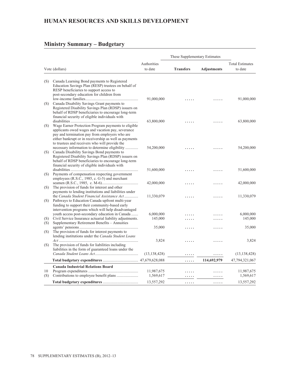## **HUMAN RESOURCES AND SKILLS DEVELOPMENT**

|            |                                                                                                                                                                                                                                                                        |                | These Supplementary Estimates |                    |                        |
|------------|------------------------------------------------------------------------------------------------------------------------------------------------------------------------------------------------------------------------------------------------------------------------|----------------|-------------------------------|--------------------|------------------------|
|            |                                                                                                                                                                                                                                                                        | Authorities    |                               |                    | <b>Total Estimates</b> |
|            | Vote (dollars)                                                                                                                                                                                                                                                         | to date        | <b>Transfers</b>              | <b>Adjustments</b> | to date                |
|            |                                                                                                                                                                                                                                                                        |                |                               |                    |                        |
| (S)        | Canada Learning Bond payments to Registered<br>Education Savings Plan (RESP) trustees on behalf of<br>RESP beneficiaries to support access to<br>post-secondary education for children from                                                                            | 91,000,000     |                               |                    | 91,000,000             |
| (S)        | Canada Disability Savings Grant payments to<br>Registered Disability Savings Plan (RDSP) issuers on<br>behalf of RDSP beneficiaries to encourage long-term<br>financial security of eligible individuals with                                                          |                |                               |                    |                        |
| (S)        | Wage Earner Protection Program payments to eligible<br>applicants owed wages and vacation pay, severance<br>pay and termination pay from employers who are<br>either bankrupt or in receivership as well as payments<br>to trustees and receivers who will provide the | 63,800,000     |                               |                    | 63,800,000             |
| (S)        | necessary information to determine eligibility<br>Canada Disability Savings Bond payments to<br>Registered Disability Savings Plan (RDSP) issuers on<br>behalf of RDSP beneficiaries to encourage long-term<br>financial security of eligible individuals with         | 54,200,000     |                               |                    | 54,200,000             |
| (S)        | Payments of compensation respecting government<br>employees (R.S.C., 1985, c. G-5) and merchant                                                                                                                                                                        | 51,600,000     |                               |                    | 51,600,000             |
| (S)        | The provision of funds for interest and other<br>payments to lending institutions and liabilities under                                                                                                                                                                | 42,000,000     |                               |                    | 42,000,000             |
| (S)        | the Canada Student Financial Assistance Act<br>Pathways to Education Canada upfront multi-year<br>funding to support their community-based early<br>intervention programs which will help disadvantaged                                                                | 11,330,079     |                               |                    | 11,330,079             |
|            | youth access post-secondary education in Canada                                                                                                                                                                                                                        | 6,000,000      |                               |                    | 6,000,000              |
| (S)<br>(S) | Civil Service Insurance actuarial liability adjustments.<br>Supplementary Retirement Benefits - Annuities                                                                                                                                                              | 145,000        |                               |                    | 145,000                |
| (S)        | The provision of funds for interest payments to<br>lending institutions under the Canada Student Loans                                                                                                                                                                 | 35,000         |                               |                    | 35,000                 |
| (S)        | The provision of funds for liabilities including<br>liabilities in the form of guaranteed loans under the                                                                                                                                                              | 3,824          | .                             |                    | 3,824                  |
|            |                                                                                                                                                                                                                                                                        | (13, 138, 428) | .                             |                    | (13, 138, 428)         |
|            |                                                                                                                                                                                                                                                                        |                | .                             | 114,692,979        | 47,794,321,067         |
|            | <b>Canada Industrial Relations Board</b>                                                                                                                                                                                                                               |                |                               |                    |                        |
| 10         |                                                                                                                                                                                                                                                                        | 11,987,675     |                               |                    | 11,987,675             |
| (S)        |                                                                                                                                                                                                                                                                        | 1,569,617      | .                             | .                  | 1,569,617              |
|            |                                                                                                                                                                                                                                                                        | 13,557,292     | .                             | .                  | 13,557,292             |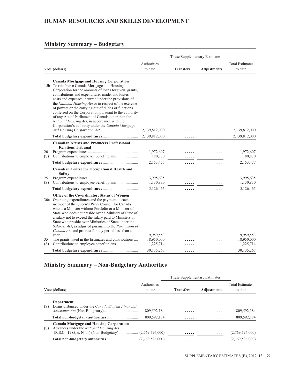### **HUMAN RESOURCES AND SKILLS DEVELOPMENT**

|           |                                                                                                                                                                                                                                                                                                                                                                                                                                                                                                                                                                                                           |                                      | These Supplementary Estimates          |   | <b>Total Estimates</b><br>to date    |
|-----------|-----------------------------------------------------------------------------------------------------------------------------------------------------------------------------------------------------------------------------------------------------------------------------------------------------------------------------------------------------------------------------------------------------------------------------------------------------------------------------------------------------------------------------------------------------------------------------------------------------------|--------------------------------------|----------------------------------------|---|--------------------------------------|
|           | Vote (dollars)                                                                                                                                                                                                                                                                                                                                                                                                                                                                                                                                                                                            | Authorities<br>to date               | <b>Transfers</b><br><b>Adjustments</b> |   |                                      |
|           | <b>Canada Mortgage and Housing Corporation</b><br>15b To reimburse Canada Mortgage and Housing<br>Corporation for the amounts of loans forgiven, grants,<br>contributions and expenditures made, and losses,<br>costs and expenses incurred under the provisions of<br>the National Housing Act or in respect of the exercise<br>of powers or the carrying out of duties or functions<br>conferred on the Corporation pursuant to the authority<br>of any Act of Parliament of Canada other than the<br>National Housing Act, in accordance with the<br>Corporation's authority under the Canada Mortgage | 2,139,812,000<br>2,139,812,000       |                                        | . | 2,139,812,000<br>2,139,812,000       |
|           | <b>Canadian Artists and Producers Professional</b>                                                                                                                                                                                                                                                                                                                                                                                                                                                                                                                                                        |                                      | .                                      | . |                                      |
| 20<br>(S) | <b>Relations Tribunal</b>                                                                                                                                                                                                                                                                                                                                                                                                                                                                                                                                                                                 | 1,972,607<br>180,870<br>2,153,477    | .                                      | . | 1,972,607<br>180,870<br>2,153,477    |
|           | <b>Canadian Centre for Occupational Health and</b>                                                                                                                                                                                                                                                                                                                                                                                                                                                                                                                                                        |                                      |                                        |   |                                      |
| 25<br>(S) | <b>Safety</b><br>Contributions to employee benefit plans                                                                                                                                                                                                                                                                                                                                                                                                                                                                                                                                                  | 3,995,635<br>1,130,830<br>5,126,465  | .                                      | . | 3,995,635<br>1,130,830<br>5,126,465  |
|           | Office of the Co-ordinator, Status of Women<br>30a Operating expenditures and the payment to each<br>member of the Queen's Privy Council for Canada<br>who is a Minister without Portfolio or a Minister of<br>State who does not preside over a Ministry of State of<br>a salary not to exceed the salary paid to Ministers of<br>State who preside over Ministries of State under the<br>Salaries Act, as adjusted pursuant to the Parliament of<br>Canada Act and pro rata for any period less than a                                                                                                  |                                      |                                        |   |                                      |
| 35<br>(S) | The grants listed in the Estimates and contributions                                                                                                                                                                                                                                                                                                                                                                                                                                                                                                                                                      | 9,959,553<br>18,950,000<br>1,225,714 |                                        | . | 9,959,553<br>18,950,000<br>1,225,714 |
|           |                                                                                                                                                                                                                                                                                                                                                                                                                                                                                                                                                                                                           | 30,135,267                           | .                                      | . | 30,135,267                           |

### **Ministry Summary – Budgetary**

## **Ministry Summary – Non-Budgetary Authorities**

|     |                                                                                           |                        | These Supplementary Estimates |                    |                                   |
|-----|-------------------------------------------------------------------------------------------|------------------------|-------------------------------|--------------------|-----------------------------------|
|     | Vote (dollars)                                                                            | Authorities<br>to date | <b>Transfers</b>              | <b>Adjustments</b> | <b>Total Estimates</b><br>to date |
| (S) | Department<br>Loans disbursed under the Canada Student Financial                          | 809,592,184            | .                             | .                  | 809,592,184                       |
|     |                                                                                           | 809,592,184            | .                             | .                  | 809,592,184                       |
| (S) | <b>Canada Mortgage and Housing Corporation</b><br>Advances under the National Housing Act |                        | .                             | .                  | (2,769,596,000)                   |
|     |                                                                                           |                        | .                             | .                  | (2,769,596,000)                   |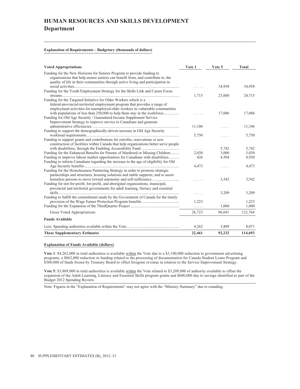## **HUMAN RESOURCES AND SKILLS DEVELOPMENT Department**

### **Explanation of Requirements – Budgetary (thousands of dollars)**

| <b>Voted Appropriations</b>                                                                                                                                                                                                                  | Vote 1 | Vote 5     | <b>Total</b> |
|----------------------------------------------------------------------------------------------------------------------------------------------------------------------------------------------------------------------------------------------|--------|------------|--------------|
| Funding for the New Horizons for Seniors Program to provide funding to<br>organizations that help ensure seniors can benefit from, and contribute to, the<br>quality of life in their communities through active living and participation in |        |            |              |
|                                                                                                                                                                                                                                              |        | 34,958     | 34,958       |
| Funding for the Youth Employment Strategy for the Skills Link and Career Focus                                                                                                                                                               |        |            |              |
|                                                                                                                                                                                                                                              | 1,715  | 23,000     | 24,715       |
| Funding for the Targeted Initiative for Older Workers which is a<br>federal-provincial-territorial employment program that provides a range of<br>employment activities for unemployed older workers in vulnerable communities               |        |            |              |
| with populations of less than 250,000 to help them stay in the workforce                                                                                                                                                                     | .      | 17,086     | 17,086       |
| Funding for Old Age Security / Guaranteed Income Supplement Service                                                                                                                                                                          |        |            |              |
| Improvement Strategy to improve service to Canadians and generate                                                                                                                                                                            |        |            |              |
|                                                                                                                                                                                                                                              | 11,106 |            | 11,106       |
| Funding to support the demographically-driven increase in Old Age Security                                                                                                                                                                   |        |            |              |
|                                                                                                                                                                                                                                              | 5,750  | .          | 5,750        |
| Funding to support grants and contributions for retrofits, renovations or new                                                                                                                                                                |        |            |              |
| construction of facilities within Canada that help organizations better serve people                                                                                                                                                         |        |            |              |
|                                                                                                                                                                                                                                              | .      | 5,742      | 5,742        |
| Funding for the Enhanced Benefits for Parents of Murdered or Missing Children                                                                                                                                                                | 2.030  | 3,000      | 5,030        |
| Funding to improve labour market opportunities for Canadians with disabilities                                                                                                                                                               | 426    | 4,504      | 4,930        |
| Funding to inform Canadians regarding the increase to the age of eligibility for Old                                                                                                                                                         |        |            |              |
|                                                                                                                                                                                                                                              | 4,473  | .          | 4,473        |
| Funding for the Homelessness Partnering Strategy in order to promote strategic                                                                                                                                                               |        |            |              |
| partnerships and structures, housing solutions and stable supports; and to assist                                                                                                                                                            |        |            |              |
|                                                                                                                                                                                                                                              | .      | 3,542      | 3,542        |
| Funding for not-for-profit, for-profit, and aboriginal organizations, municipal,                                                                                                                                                             |        |            |              |
| provincial and territorial governments for adult learning, literacy and essential                                                                                                                                                            |        | 3,209      | 3,209        |
| Funding to fulfill the commitment made by the Government of Canada for the timely                                                                                                                                                            | .      |            |              |
|                                                                                                                                                                                                                                              | 1,223  |            | 1,223        |
|                                                                                                                                                                                                                                              |        | .<br>1,000 | 1,000        |
|                                                                                                                                                                                                                                              | .      |            |              |
| Gross Voted Appropriations                                                                                                                                                                                                                   | 26,723 | 96,041     | 122,764      |
| <b>Funds Available</b>                                                                                                                                                                                                                       |        |            |              |
|                                                                                                                                                                                                                                              | 4,262  | 3,809      | 8,071        |
| <b>These Supplementary Estimates</b>                                                                                                                                                                                                         | 22,461 | 92,232     | 114,693      |

#### **Explanation of Funds Available (dollars)**

Vote 1: \$4,262,000 in total authorities is available within the Vote due to a \$3,100,000 reduction to government advertising programs, a \$862,000 reduction in funding related to the processing of documentation for Canada Student Loans Program and \$300,000 of funds frozen by Treasury Board to offset foregone revenue in relation to the Service Improvement Strategy.

Vote 5: \$3,809,000 in total authorities is available within the Vote related to \$3,209,000 of authority available to offset the expansion of the Adult Learning, Literacy and Essential Skills program grants and \$600,000 due to savings identified as part of the Budget 2012 Spending Review.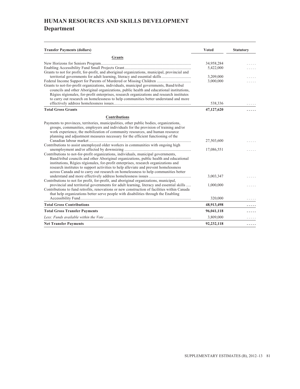## **HUMAN RESOURCES AND SKILLS DEVELOPMENT Department**

| <b>Transfer Payments (dollars)</b>                                                                                                                                                                                                                                                                                                                                                                                                                | <b>Voted</b>           | <b>Statutory</b> |
|---------------------------------------------------------------------------------------------------------------------------------------------------------------------------------------------------------------------------------------------------------------------------------------------------------------------------------------------------------------------------------------------------------------------------------------------------|------------------------|------------------|
| <b>Grants</b>                                                                                                                                                                                                                                                                                                                                                                                                                                     |                        |                  |
|                                                                                                                                                                                                                                                                                                                                                                                                                                                   | 34,958,284             |                  |
| Grants to not for profit, for-profit, and aboriginal organizations, municipal, provincial and                                                                                                                                                                                                                                                                                                                                                     | 5,422,000              |                  |
|                                                                                                                                                                                                                                                                                                                                                                                                                                                   | 3,209,000<br>3,000,000 |                  |
| Grants to not-for-profit organizations, individuals, municipal governments, Band/tribal<br>councils and other Aboriginal organizations, public health and educational institutions,<br>Régies régionales, for-profit enterprises, research organizations and research institutes<br>to carry out research on homelessness to help communities better understand and more                                                                          |                        |                  |
|                                                                                                                                                                                                                                                                                                                                                                                                                                                   | 538,336                |                  |
| <b>Total Gross Grants</b>                                                                                                                                                                                                                                                                                                                                                                                                                         | 47,127,620             |                  |
| <b>Contributions</b>                                                                                                                                                                                                                                                                                                                                                                                                                              |                        |                  |
| Payments to provinces, territories, municipalities, other public bodies, organizations,<br>groups, communities, employers and individuals for the provision of training and/or<br>work experience, the mobilization of community resources, and human resource<br>planning and adjustment measures necessary for the efficient functioning of the                                                                                                 |                        |                  |
| Contributions to assist unemployed older workers in communities with ongoing high                                                                                                                                                                                                                                                                                                                                                                 | 27,503,600             |                  |
| Contributions to not-for-profit organizations, individuals, municipal governments,<br>Band/tribal councils and other Aboriginal organizations, public health and educational<br>institutions, Régies régionales, for-profit enterprises, research organizations and<br>research institutes to support activities to help alleviate and prevent homelessness<br>across Canada and to carry out research on homelessness to help communities better | 17,086,551             |                  |
| Contributions to not for profit, for-profit, and aboriginal organizations, municipal,                                                                                                                                                                                                                                                                                                                                                             | 3,003,347              |                  |
| provincial and territorial governments for adult learning, literacy and essential skills<br>Contributions to fund retrofits, renovations or new construction of facilities within Canada<br>that help organizations better serve people with disabilities through the Enabling                                                                                                                                                                    | 1,000,000              |                  |
|                                                                                                                                                                                                                                                                                                                                                                                                                                                   | 320,000                |                  |
| <b>Total Gross Contributions</b>                                                                                                                                                                                                                                                                                                                                                                                                                  | 48,913,498             |                  |
| <b>Total Gross Transfer Payments</b>                                                                                                                                                                                                                                                                                                                                                                                                              | 96,041,118             |                  |
|                                                                                                                                                                                                                                                                                                                                                                                                                                                   | 3,809,000              |                  |
| <b>Net Transfer Payments</b>                                                                                                                                                                                                                                                                                                                                                                                                                      | 92,232,118             | .                |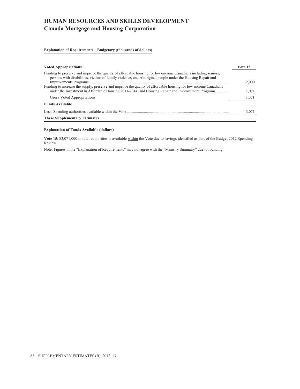## **HUMAN RESOURCES AND SKILLS DEVELOPMENT Canada Mortgage and Housing Corporation**

### **Explanation of Requirements – Budgetary (thousands of dollars)**

| <b>Voted Appropriations</b>                                                                                                                                                                                                                                                                                                                                                                                                                        | Vote 15        |
|----------------------------------------------------------------------------------------------------------------------------------------------------------------------------------------------------------------------------------------------------------------------------------------------------------------------------------------------------------------------------------------------------------------------------------------------------|----------------|
| Funding to preserve and improve the quality of affordable housing for low-income Canadians including seniors,<br>persons with disabilities, victims of family violence, and Aboriginal people under the Housing Repair and<br>Funding to increase the supply, preserve and improve the quality of affordable housing for low-income Canadians<br>under the Investment in Affordable Housing 2011-2014, and Housing Repair and Improvement Programs | 2.000<br>1.071 |
| Gross Voted Appropriations                                                                                                                                                                                                                                                                                                                                                                                                                         | 3,071          |
| <b>Funds Available</b>                                                                                                                                                                                                                                                                                                                                                                                                                             |                |
|                                                                                                                                                                                                                                                                                                                                                                                                                                                    | 3.071          |
| <b>These Supplementary Estimates</b>                                                                                                                                                                                                                                                                                                                                                                                                               |                |

### **Explanation of Funds Available (dollars)**

**Vote 15**: \$3,071,000 in total authorities is available within the Vote due to savings identified as part of the Budget 2012 Spending Review.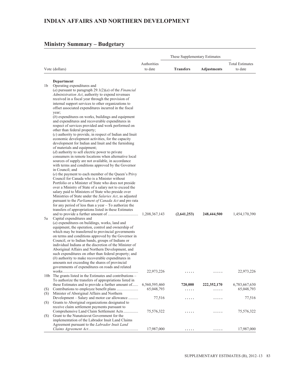### **INDIAN AFFAIRS AND NORTHERN DEVELOPMENT**

|                |                                                                                                                                                                                                                                                                                                                                                                                                                                                                                                                                                                                                                                                                                                                                                                                                                                                                                                                                                                                                                                                                                                                                                                                                                                                                                                                                                                                                                            |                             | These Supplementary Estimates |                    |                                   |
|----------------|----------------------------------------------------------------------------------------------------------------------------------------------------------------------------------------------------------------------------------------------------------------------------------------------------------------------------------------------------------------------------------------------------------------------------------------------------------------------------------------------------------------------------------------------------------------------------------------------------------------------------------------------------------------------------------------------------------------------------------------------------------------------------------------------------------------------------------------------------------------------------------------------------------------------------------------------------------------------------------------------------------------------------------------------------------------------------------------------------------------------------------------------------------------------------------------------------------------------------------------------------------------------------------------------------------------------------------------------------------------------------------------------------------------------------|-----------------------------|-------------------------------|--------------------|-----------------------------------|
|                | Vote (dollars)                                                                                                                                                                                                                                                                                                                                                                                                                                                                                                                                                                                                                                                                                                                                                                                                                                                                                                                                                                                                                                                                                                                                                                                                                                                                                                                                                                                                             | Authorities<br>to date      | <b>Transfers</b>              | <b>Adjustments</b> | <b>Total Estimates</b><br>to date |
| 1 <sub>b</sub> | Department<br>Operating expenditures and                                                                                                                                                                                                                                                                                                                                                                                                                                                                                                                                                                                                                                                                                                                                                                                                                                                                                                                                                                                                                                                                                                                                                                                                                                                                                                                                                                                   |                             |                               |                    |                                   |
|                | (a) pursuant to paragraph $29.1(2)(a)$ of the <i>Financial</i><br>Administration Act, authority to expend revenues<br>received in a fiscal year through the provision of<br>internal support services to other organizations to<br>offset associated expenditures incurred in the fiscal<br>year;<br>$(b)$ expenditures on works, buildings and equipment<br>and expenditures and recoverable expenditures in<br>respect of services provided and work performed on<br>other than federal property;<br>$(c)$ authority to provide, in respect of Indian and Inuit<br>economic development activities, for the capacity<br>development for Indian and Inuit and the furnishing<br>of materials and equipment;<br>(d) authority to sell electric power to private<br>consumers in remote locations when alternative local<br>sources of supply are not available, in accordance<br>with terms and conditions approved by the Governor<br>in Council; and<br>(e) the payment to each member of the Queen's Privy<br>Council for Canada who is a Minister without<br>Portfolio or a Minister of State who does not preside<br>over a Ministry of State of a salary not to exceed the<br>salary paid to Ministers of State who preside over<br>Ministries of State under the Salaries Act, as adjusted<br>pursuant to the <i>Parliament of Canada Act</i> and pro rata<br>for any period of less than a year - To authorize the |                             |                               |                    |                                   |
| 5a             | transfers of appropriations listed in these Estimates<br>Capital expenditures and                                                                                                                                                                                                                                                                                                                                                                                                                                                                                                                                                                                                                                                                                                                                                                                                                                                                                                                                                                                                                                                                                                                                                                                                                                                                                                                                          | 1,208,367,143               | (2,641,253)                   | 248,444,500        | 1,454,170,390                     |
|                | $(a)$ expenditures on buildings, works, land and<br>equipment, the operation, control and ownership of<br>which may be transferred to provincial governments<br>on terms and conditions approved by the Governor in<br>Council, or to Indian bands, groups of Indians or<br>individual Indians at the discretion of the Minister of<br>Aboriginal Affairs and Northern Development, and<br>such expenditures on other than federal property; and<br>$(b)$ authority to make recoverable expenditures in<br>amounts not exceeding the shares of provincial<br>governments of expenditures on roads and related                                                                                                                                                                                                                                                                                                                                                                                                                                                                                                                                                                                                                                                                                                                                                                                                              |                             |                               |                    |                                   |
|                | 10b The grants listed in the Estimates and contributions –<br>To authorize the transfers of appropriations listed in                                                                                                                                                                                                                                                                                                                                                                                                                                                                                                                                                                                                                                                                                                                                                                                                                                                                                                                                                                                                                                                                                                                                                                                                                                                                                                       | 22,973,226                  |                               |                    | 22,973,226                        |
| (S)            | these Estimates and to provide a further amount of                                                                                                                                                                                                                                                                                                                                                                                                                                                                                                                                                                                                                                                                                                                                                                                                                                                                                                                                                                                                                                                                                                                                                                                                                                                                                                                                                                         | 6,560,595,460<br>65,048,793 | 720,000<br>.                  | 222, 352, 170      | 6,783,667,630<br>65,048,793       |
| (S)<br>(S)     | Minister of Aboriginal Affairs and Northern<br>Development - Salary and motor car allowance<br>Grants to Aboriginal organizations designated to                                                                                                                                                                                                                                                                                                                                                                                                                                                                                                                                                                                                                                                                                                                                                                                                                                                                                                                                                                                                                                                                                                                                                                                                                                                                            | 77,516                      | .                             | .                  | 77,516                            |

Comprehensive Land Claim Settlement Acts............... 75,576,322 **..... .....** 75,576,322

*Claims Agreement Act*................................................... 17,987,000 **..... .....** 17,987,000

### **Ministry Summary – Budgetary**

receive claim settlement payments pursuant to

implementation of the Labrador Inuit Land Claims Agreement pursuant to the *Labrador Inuit Land*

(S) Grant to the Nunatsiavut Government for the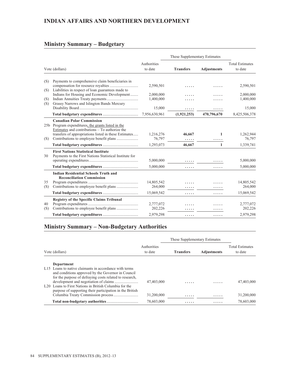### **INDIAN AFFAIRS AND NORTHERN DEVELOPMENT**

### **Ministry Summary – Budgetary**

|                 | These Supplementary Estimates                                                   |                        |                  |                    |                                   |
|-----------------|---------------------------------------------------------------------------------|------------------------|------------------|--------------------|-----------------------------------|
|                 | Vote (dollars)                                                                  | Authorities<br>to date | <b>Transfers</b> | <b>Adjustments</b> | <b>Total Estimates</b><br>to date |
|                 |                                                                                 |                        |                  |                    |                                   |
| (S)             | Payments to comprehensive claim beneficiaries in                                |                        |                  |                    |                                   |
|                 |                                                                                 | 2,590,501              |                  |                    | 2,590,501                         |
| (S)             | Liabilities in respect of loan guarantees made to                               |                        |                  |                    |                                   |
|                 | Indians for Housing and Economic Development                                    | 2,000,000              |                  |                    | 2,000,000                         |
| (S)             |                                                                                 | 1,400,000              |                  |                    | 1,400,000                         |
| (S)             | Grassy Narrows and Islington Bands Mercury                                      |                        |                  |                    |                                   |
|                 |                                                                                 | 15,000                 |                  |                    | 15,000                            |
|                 |                                                                                 | 7,956,630,961          | (1,921,253)      | 470,796,670        | 8,425,506,378                     |
|                 | <b>Canadian Polar Commission</b>                                                |                        |                  |                    |                                   |
| 25 <sub>b</sub> | Program expenditures, the grants listed in the                                  |                        |                  |                    |                                   |
|                 | Estimates and contributions – To authorize the                                  |                        |                  |                    |                                   |
|                 | transfers of appropriations listed in these Estimates                           | 1,216,276              | 46,667           | 1                  | 1,262,944                         |
| (S)             |                                                                                 | 76,797                 | .                |                    | 76,797                            |
|                 |                                                                                 | 1,293,073              | 46,667           | 1                  | 1,339,741                         |
|                 | <b>First Nations Statistical Institute</b>                                      |                        |                  |                    |                                   |
| 30              | Payments to the First Nations Statistical Institute for                         |                        |                  |                    |                                   |
|                 |                                                                                 | 5,000,000              |                  |                    | 5,000,000                         |
|                 |                                                                                 | 5,000,000              |                  |                    | 5,000,000                         |
|                 |                                                                                 |                        | .                | .                  |                                   |
|                 | <b>Indian Residential Schools Truth and</b><br><b>Reconciliation Commission</b> |                        |                  |                    |                                   |
| 35              |                                                                                 | 14,805,542             |                  |                    | 14,805,542                        |
| (S)             | Contributions to employee benefit plans                                         | 264,000                |                  |                    | 264,000                           |
|                 |                                                                                 | 15,069,542             | .                | .                  | 15,069,542                        |
|                 | <b>Registry of the Specific Claims Tribunal</b>                                 |                        |                  |                    |                                   |
| 40              |                                                                                 | 2,777,072              |                  |                    | 2,777,072                         |
| (S)             | Contributions to employee benefit plans                                         | 202,226                |                  |                    | 202,226                           |
|                 |                                                                                 | 2,979,298              | .                | .                  | 2,979,298                         |

## **Ministry Summary – Non-Budgetary Authorities**

| Vote (dollars) |                                                                                                                                                                                     | Authorities<br>to date | <b>Transfers</b> | <b>Adjustments</b> | <b>Total Estimates</b><br>to date |
|----------------|-------------------------------------------------------------------------------------------------------------------------------------------------------------------------------------|------------------------|------------------|--------------------|-----------------------------------|
|                | Department                                                                                                                                                                          |                        |                  |                    |                                   |
|                | L <sub>15</sub> Loans to native claimants in accordance with terms<br>and conditions approved by the Governor in Council<br>for the purpose of defraying costs related to research, |                        |                  |                    |                                   |
|                | L <sub>20</sub> Loans to First Nations in British Columbia for the<br>purpose of supporting their participation in the British                                                      | 47,403,000             | .                | .                  | 47,403,000                        |
|                |                                                                                                                                                                                     | 31,200,000             | .                | .                  | 31,200,000                        |
|                |                                                                                                                                                                                     | 78,603,000             | .                | .                  | 78,603,000                        |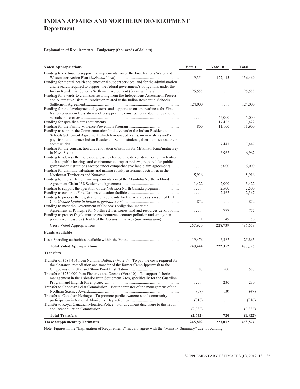## **INDIAN AFFAIRS AND NORTHERN DEVELOPMENT Department**

### **Explanation of Requirements – Budgetary (thousands of dollars)**

| <b>Voted Appropriations</b>                                                                                                                                            | Vote 1                      | Vote 10          | <b>Total</b>     |
|------------------------------------------------------------------------------------------------------------------------------------------------------------------------|-----------------------------|------------------|------------------|
| Funding to continue to support the implementation of the First Nations Water and                                                                                       | 9,354                       | 127,115          | 136,469          |
| Funding for mental health and emotional support services, and for the administration                                                                                   |                             |                  |                  |
| and research required to support the federal government's obligations under the<br>Indian Residential Schools Settlement Agreement (horizontal item)                   | 125,555                     |                  | 125,555          |
| Funding for awards to claimants resulting from the Independent Assessment Process                                                                                      |                             |                  |                  |
| and Alternative Dispute Resolution related to the Indian Residential Schools                                                                                           |                             |                  |                  |
|                                                                                                                                                                        | 124,000                     |                  | 124,000          |
| Funding for the development of systems and supports to ensure readiness for First<br>Nation education legislation and to support the construction and/or renovation of |                             |                  |                  |
|                                                                                                                                                                        | .                           | 45,000<br>17,422 | 45,000<br>17,422 |
|                                                                                                                                                                        | .<br>800                    | 11,100           | 11,900           |
| Funding to support the Commemoration Initiative under the Indian Residential                                                                                           |                             |                  |                  |
| Schools Settlement Agreement which honours, educates, memorializes and/or                                                                                              |                             |                  |                  |
| pays tribute to former Indian Residential School students, their families and their                                                                                    |                             |                  |                  |
|                                                                                                                                                                        | .                           | 7,447            | 7,447            |
| Funding for the construction and renovation of schools for Mi'kmaw Kina'matnewey                                                                                       |                             | 6,962            | 6,962            |
| Funding to address the increased pressures for volume driven development activities,                                                                                   |                             |                  |                  |
| such as public hearings and environmental impact reviews, required for public                                                                                          |                             |                  |                  |
| government institutions created under comprehensive land claim agreements                                                                                              | .                           | 6,000            | 6,000            |
| Funding for diamond valuations and mining royalty assessment activities in the                                                                                         |                             |                  |                  |
|                                                                                                                                                                        | 5,916                       | .                | 5,916            |
| Funding for the settlement and implementation of the Manitoba Northern Flood                                                                                           | 1,422                       | 2,000            | 3,422            |
| Funding to support the operation of the Nutrition North Canada program                                                                                                 | .                           | 2,500            | 2,500            |
|                                                                                                                                                                        | .                           | 2,367            | 2,367            |
| Funding to process the registration of applicants for Indian status as a result of Bill                                                                                |                             |                  |                  |
|                                                                                                                                                                        | 872                         | .                | 872              |
| Funding to meet the Government of Canada's obligation under the                                                                                                        |                             |                  |                  |
| Agreement-in-Principle for Northwest Territories land and resources devolution<br>Funding to protect fragile marine environments, counter pollution and strengthen     | .                           | 777              | 777              |
| preventive measures (Health of the Oceans Initiative) (horizontal item)                                                                                                | 1                           | 49               | 50               |
| Gross Voted Appropriations                                                                                                                                             | 267,920                     | 228,739          | 496,659          |
| <b>Funds Available</b>                                                                                                                                                 |                             |                  |                  |
|                                                                                                                                                                        | 19,476                      | 6,387            | 25,863           |
| <b>Total Voted Appropriations</b>                                                                                                                                      | 248,444                     | 222,352          | 470,796          |
| <b>Transfers</b>                                                                                                                                                       |                             |                  |                  |
| Transfer of \$587,414 from National Defence (Vote $1$ ) – To pay the costs required for                                                                                |                             |                  |                  |
| the clearance, remediation and transfer of the former Camp Ipperwash to the                                                                                            |                             |                  |                  |
|                                                                                                                                                                        | 87                          | 500              | 587              |
| Transfer of $$230,000$ from Fisheries and Oceans (Vote 10) – To support fisheries<br>management in the Labrador Inuit Settlement Area, specifically for the Guardian   |                             |                  |                  |
|                                                                                                                                                                        |                             | 230              | 230              |
| Transfer to Canadian Polar Commission – For the transfer of the management of the                                                                                      | $\epsilon$ , and $\epsilon$ |                  |                  |
|                                                                                                                                                                        | (37)                        | (10)             | (47)             |
| Transfer to Canadian Heritage - To promote public awareness and community                                                                                              |                             |                  |                  |
|                                                                                                                                                                        | (310)                       | .                | (310)            |
| Transfer to Royal Canadian Mounted Police – For document disclosure to the Truth                                                                                       | (2,382)                     |                  | (2,382)          |
| <b>Total Transfers</b>                                                                                                                                                 | (2,642)                     | .<br>720         | (1,922)          |
| <b>These Supplementary Estimates</b>                                                                                                                                   | 245,802                     | 223,072          | 468,874          |
|                                                                                                                                                                        |                             |                  |                  |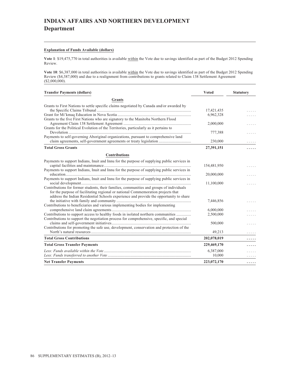## **INDIAN AFFAIRS AND NORTHERN DEVELOPMENT Department**

### **Explanation of Funds Available (dollars)**

**Vote 1**: \$19,475,770 in total authorities is available within the Vote due to savings identified as part of the Budget 2012 Spending Review.

**Vote 10**: \$6,387,000 in total authorities is available within the Vote due to savings identified as part of the Budget 2012 Spending Review (\$4,387,000) and due to a realignment from contributions to grants related to Claim 138 Settlement Agreement  $($2,000,000)$ .

| <b>Transfer Payments (dollars)</b>                                                                                                                                                                                                                                                                                                                        | <b>Voted</b>        | <b>Statutory</b> |
|-----------------------------------------------------------------------------------------------------------------------------------------------------------------------------------------------------------------------------------------------------------------------------------------------------------------------------------------------------------|---------------------|------------------|
| <b>Grants</b>                                                                                                                                                                                                                                                                                                                                             |                     |                  |
| Grants to First Nations to settle specific claims negotiated by Canada and/or awarded by                                                                                                                                                                                                                                                                  | 17,421,435          |                  |
|                                                                                                                                                                                                                                                                                                                                                           | 6,962,328           |                  |
| Grants to the five First Nations who are signatory to the Manitoba Northern Flood                                                                                                                                                                                                                                                                         | 2,000,000           |                  |
| Grants for the Political Evolution of the Territories, particularly as it pertains to                                                                                                                                                                                                                                                                     | 777,388             |                  |
| Payments to self-governing Aboriginal organizations, pursuant to comprehensive land                                                                                                                                                                                                                                                                       |                     |                  |
|                                                                                                                                                                                                                                                                                                                                                           | 230,000             |                  |
| <b>Total Gross Grants</b>                                                                                                                                                                                                                                                                                                                                 | 27,391,151          |                  |
| <b>Contributions</b>                                                                                                                                                                                                                                                                                                                                      |                     |                  |
| Payments to support Indians, Inuit and Innu for the purpose of supplying public services in                                                                                                                                                                                                                                                               | 154,481,950         |                  |
| Payments to support Indians, Inuit and Innu for the purpose of supplying public services in                                                                                                                                                                                                                                                               | 20,000,000          |                  |
| Payments to support Indians, Inuit and Innu for the purpose of supplying public services in                                                                                                                                                                                                                                                               | 11,100,000          |                  |
| Contributions for former students, their families, communities and groups of individuals<br>for the purpose of facilitating regional or national Commemoration projects that<br>address the Indian Residential Schools experience and provide the opportunity to share<br>Contributions to beneficiaries and various implementing bodies for implementing | 7,446,856           |                  |
|                                                                                                                                                                                                                                                                                                                                                           | 6,000,000           |                  |
| Contributions to support access to healthy foods in isolated northern communities<br>Contributions to support the negotiation process for comprehensive, specific, and special                                                                                                                                                                            | 2,500,000           |                  |
| Contributions for promoting the safe use, development, conservation and protection of the                                                                                                                                                                                                                                                                 | 500,000             |                  |
|                                                                                                                                                                                                                                                                                                                                                           | 49,213              |                  |
| <b>Total Gross Contributions</b>                                                                                                                                                                                                                                                                                                                          | 202,078,019         |                  |
| <b>Total Gross Transfer Payments</b>                                                                                                                                                                                                                                                                                                                      | 229,469,170         |                  |
|                                                                                                                                                                                                                                                                                                                                                           | 6,387,000<br>10,000 | .                |
| <b>Net Transfer Payments</b>                                                                                                                                                                                                                                                                                                                              | 223,072,170         | .                |
|                                                                                                                                                                                                                                                                                                                                                           |                     |                  |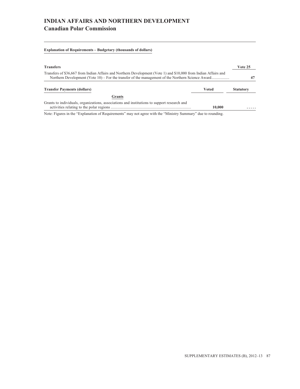## **INDIAN AFFAIRS AND NORTHERN DEVELOPMENT Canadian Polar Commission**

### **Explanation of Requirements – Budgetary (thousands of dollars)**

| Transfers                                                                                                                                                                                                             |        | <b>Vote 25</b>   |
|-----------------------------------------------------------------------------------------------------------------------------------------------------------------------------------------------------------------------|--------|------------------|
| Transfers of \$36,667 from Indian Affairs and Northern Development (Vote 1) and \$10,000 from Indian Affairs and<br>Northern Development (Vote 10) – For the transfer of the management of the Northern Science Award |        |                  |
| <b>Transfer Payments (dollars)</b>                                                                                                                                                                                    | Voted  | <b>Statutory</b> |
| <b>Grants</b>                                                                                                                                                                                                         |        |                  |
| Grants to individuals, organizations, associations and institutions to support research and                                                                                                                           | 10,000 | .                |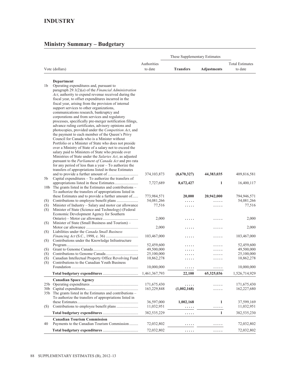|  | <b>Ministry Summary - Budgetary</b> |  |
|--|-------------------------------------|--|
|--|-------------------------------------|--|

|                 |                                                                                                                  |                          | These Supplementary Estimates |                    |                                   |
|-----------------|------------------------------------------------------------------------------------------------------------------|--------------------------|-------------------------------|--------------------|-----------------------------------|
|                 | Vote (dollars)                                                                                                   | Authorities<br>to date   | <b>Transfers</b>              | <b>Adjustments</b> | <b>Total Estimates</b><br>to date |
|                 | Department                                                                                                       |                          |                               |                    |                                   |
| 1b              | Operating expenditures and, pursuant to                                                                          |                          |                               |                    |                                   |
|                 | paragraph $29.1(2)(a)$ of the <i>Financial Administration</i>                                                    |                          |                               |                    |                                   |
|                 | Act, authority to expend revenue received during the                                                             |                          |                               |                    |                                   |
|                 | fiscal year, to offset expenditures incurred in the                                                              |                          |                               |                    |                                   |
|                 | fiscal year, arising from the provision of internal<br>support services to other organizations,                  |                          |                               |                    |                                   |
|                 | communications research, bankruptcy and                                                                          |                          |                               |                    |                                   |
|                 | corporations and from services and regulatory                                                                    |                          |                               |                    |                                   |
|                 | processes, specifically pre-merger notification filings,                                                         |                          |                               |                    |                                   |
|                 | advance ruling certificates, advisory opinions and                                                               |                          |                               |                    |                                   |
|                 | photocopies, provided under the Competition Act, and                                                             |                          |                               |                    |                                   |
|                 | the payment to each member of the Queen's Privy                                                                  |                          |                               |                    |                                   |
|                 | Council for Canada who is a Minister without                                                                     |                          |                               |                    |                                   |
|                 | Portfolio or a Minister of State who does not preside                                                            |                          |                               |                    |                                   |
|                 | over a Ministry of State of a salary not to exceed the                                                           |                          |                               |                    |                                   |
|                 | salary paid to Ministers of State who preside over                                                               |                          |                               |                    |                                   |
|                 | Ministries of State under the <i>Salaries Act</i> , as adjusted                                                  |                          |                               |                    |                                   |
|                 | pursuant to the Parliament of Canada Act and pro rata                                                            |                          |                               |                    |                                   |
|                 | for any period of less than a year $-$ To authorize the<br>transfers of appropriations listed in these Estimates |                          |                               |                    |                                   |
|                 |                                                                                                                  | 374, 103, 873            | (8,670,327)                   | 44,383,035         | 409,816,581                       |
| 5b              | Capital expenditures - To authorize the transfers of                                                             |                          |                               |                    |                                   |
|                 |                                                                                                                  | 7,727,689                | 8,672,427                     | 1                  | 16,400,117                        |
|                 | 10b The grants listed in the Estimates and contributions –                                                       |                          |                               |                    |                                   |
|                 | To authorize the transfers of appropriations listed in                                                           |                          |                               |                    |                                   |
|                 | these Estimates and to provide a further amount of                                                               | 773,984,571              | 20,000                        | 20,942,000         | 794,946,571                       |
| (S)             |                                                                                                                  | 54,081,266               | .                             | .                  | 54,081,266                        |
| (S)             | Minister of Industry - Salary and motor car allowance                                                            | 77,516                   | .                             | .                  | 77,516                            |
| (S)             | Minister of State (Science and Technology) (Federal                                                              |                          |                               |                    |                                   |
|                 | Economic Development Agency for Southern                                                                         |                          |                               |                    |                                   |
|                 |                                                                                                                  | 2,000                    |                               |                    | 2,000                             |
| (S)             | Minister of State (Small Business and Tourism) –                                                                 |                          |                               |                    |                                   |
|                 |                                                                                                                  | 2,000                    |                               |                    | 2,000                             |
| (S)             | Liabilities under the Canada Small Business                                                                      | 103,467,000              |                               |                    | 103,467,000                       |
| (S)             | Contributions under the Knowledge Infrastructure                                                                 |                          |                               | .                  |                                   |
|                 |                                                                                                                  | 52,459,600               |                               |                    | 52,459,600                        |
| (S)             |                                                                                                                  | 49,500,000               |                               |                    | 49,500,000                        |
| (S)             |                                                                                                                  | 25,100,000               |                               |                    | 25,100,000                        |
| (S)             | Canadian Intellectual Property Office Revolving Fund                                                             | 10,862,278               | .                             |                    | 10,862,278                        |
| (S)             | Contributions to the Canadian Youth Business                                                                     |                          |                               |                    |                                   |
|                 |                                                                                                                  | 10,000,000               | .                             | .                  | 10,000,000                        |
|                 |                                                                                                                  | 1,461,367,793            | 22,100                        | 65,325,036         | 1,526,714,929                     |
|                 | <b>Canadian Space Agency</b>                                                                                     |                          |                               |                    |                                   |
| 25 <sub>b</sub> |                                                                                                                  | 171,675,430              | .                             |                    | 171,675,430                       |
| 30 <sub>b</sub> |                                                                                                                  | 163,229,848              | (1,002,168)                   |                    | 162,227,680                       |
|                 | 35b The grants listed in the Estimates and contributions –                                                       |                          |                               |                    |                                   |
|                 | To authorize the transfers of appropriations listed in                                                           |                          |                               |                    |                                   |
|                 |                                                                                                                  | 36,597,000<br>11,032,951 | 1,002,168                     | 1                  | 37,599,169                        |
| (S)             |                                                                                                                  |                          | .                             | .                  | 11,032,951                        |
|                 |                                                                                                                  | 382,535,229              | .                             | 1                  | 382,535,230                       |
|                 | <b>Canadian Tourism Commission</b>                                                                               |                          |                               |                    |                                   |
| 40              | Payments to the Canadian Tourism Commission                                                                      | 72,032,802               | .                             | .                  | 72,032,802                        |
|                 |                                                                                                                  | 72,032,802               | .                             | .                  | 72,032,802                        |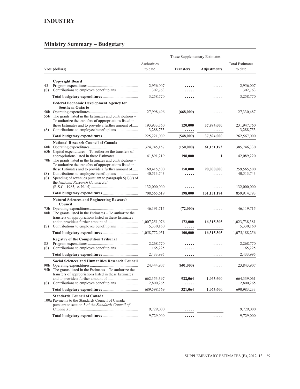|            |                                                                                                                                             |                            | These Supplementary Estimates |                    |                                   |
|------------|---------------------------------------------------------------------------------------------------------------------------------------------|----------------------------|-------------------------------|--------------------|-----------------------------------|
|            | Vote (dollars)                                                                                                                              | Authorities<br>to date     | <b>Transfers</b>              | <b>Adjustments</b> | <b>Total Estimates</b><br>to date |
| 45<br>(S)  | <b>Copyright Board</b>                                                                                                                      | 2,956,007<br>302,763       | .                             | .                  | 2,956,007<br>302,763              |
|            |                                                                                                                                             | 3,258,770                  | .                             | .                  | 3,258,770                         |
|            | <b>Federal Economic Development Agency for</b><br><b>Southern Ontario</b><br>55b The grants listed in the Estimates and contributions –     | 27,998,496                 | (668,009)                     |                    | 27,330,487                        |
| (S)        | To authorize the transfers of appropriations listed in<br>these Estimates and to provide a further amount of                                | 193,933,760<br>3,288,753   | 120,000<br>.                  | 37,894,000<br>.    | 231,947,760<br>3,288,753          |
|            |                                                                                                                                             | 225, 221, 009              | (548,009)                     | 37,894,000         | 262,567,000                       |
|            | <b>National Research Council of Canada</b><br>65b Capital expenditures – To authorize the transfers of                                      | 324,745,157                | (150,000)                     | 61, 151, 173       | 385,746,330                       |
|            | 70b The grants listed in the Estimates and contributions –<br>To authorize the transfers of appropriations listed in                        | 41,891,219                 | 198,000                       | 1                  | 42,089,220                        |
| (S)<br>(S) | these Estimates and to provide a further amount of<br>Spending of revenues pursuant to paragraph $5(1)(e)$ of                               | 169,415,500<br>40,513,743  | 150,000<br>.                  | 90,000,000<br>.    | 259,565,500<br>40,513,743         |
|            | the National Research Council Act                                                                                                           | 132,000,000                |                               |                    | 132,000,000                       |
|            |                                                                                                                                             | 708,565,619                | 198,000                       | 151, 151, 174      | 859,914,793                       |
|            | <b>Natural Sciences and Engineering Research</b>                                                                                            |                            |                               |                    |                                   |
|            | Council<br>80b The grants listed in the Estimates – To authorize the<br>transfers of appropriations listed in these Estimates               | 46, 191, 715               | (72,000)                      |                    | 46,119,715                        |
| (S)        |                                                                                                                                             | 1,007,251,076<br>5,330,160 | 172,000<br>.                  | 16,315,305<br>.    | 1,023,738,381<br>5,330,160        |
|            |                                                                                                                                             | 1,058,772,951              | 100,000                       | 16,315,305         | 1,075,188,256                     |
| 85<br>(S)  | <b>Registry of the Competition Tribunal</b>                                                                                                 | 2,268,770<br>165,225       | .<br>.                        | .<br>.             | 2,268,770<br>165,225              |
|            |                                                                                                                                             | 2,433,995                  | .                             | .                  | 2,433,995                         |
|            | <b>Social Sciences and Humanities Research Council</b><br>95b The grants listed in the Estimates – To authorize the                         | 24,444,907                 | (601,000)                     |                    | 23,843,907                        |
| (S)        | transfers of appropriations listed in these Estimates                                                                                       | 662, 353, 397<br>2,800,265 | 922,064<br>.                  | 1,063,600<br>.     | 664,339,061<br>2,800,265          |
|            |                                                                                                                                             | 689,598,569                | 321,064                       | 1,063,600          | 690, 983, 233                     |
|            | <b>Standards Council of Canada</b><br>100a Payments to the Standards Council of Canada<br>pursuant to section 5 of the Standards Council of | 9,729,000                  |                               |                    | 9,729,000                         |
|            |                                                                                                                                             | 9,729,000                  | .                             | .                  | 9,729,000                         |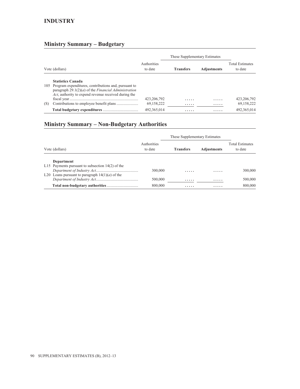## **Ministry Summary – Budgetary**

|     |                                                                                                                                                                                                        |                                            | These Supplementary Estimates | <b>Total Estimates</b><br>to date |                           |
|-----|--------------------------------------------------------------------------------------------------------------------------------------------------------------------------------------------------------|--------------------------------------------|-------------------------------|-----------------------------------|---------------------------|
|     | Vote (dollars)                                                                                                                                                                                         | Authorities<br>to date<br><b>Transfers</b> |                               |                                   | <b>Adjustments</b>        |
|     | <b>Statistics Canada</b><br>105 Program expenditures, contributions and, pursuant to<br>paragraph $29.1(2)(a)$ of the Financial Administration<br>Act, authority to expend revenue received during the |                                            |                               |                                   |                           |
| (S) |                                                                                                                                                                                                        | 423,206,792<br>69,158,222                  | .<br>.                        | .<br>.                            | 423,206,792<br>69,158,222 |
|     |                                                                                                                                                                                                        | 492, 365, 014                              | .                             | .                                 | 492,365,014               |

## **Ministry Summary – Non-Budgetary Authorities**

|                |                                                    |                        | These Supplementary Estimates | <b>Total Estimates</b><br>to date |                    |
|----------------|----------------------------------------------------|------------------------|-------------------------------|-----------------------------------|--------------------|
| Vote (dollars) |                                                    | Authorities<br>to date | <b>Transfers</b>              |                                   | <b>Adjustments</b> |
|                | Department                                         |                        |                               |                                   |                    |
|                | L15 Payments pursuant to subsection $14(2)$ of the | 300,000                | .                             | .                                 | 300,000            |
|                | L20 Loans pursuant to paragraph $14(1)(a)$ of the  | 500,000                | .                             | .                                 | 500,000            |
|                |                                                    | 800,000                | .                             | .                                 | 800,000            |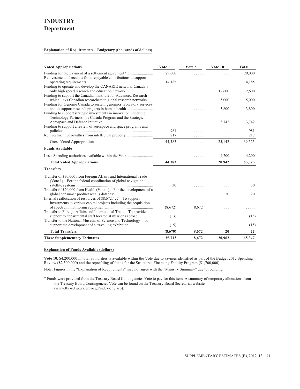## **INDUSTRY Department**

### **Explanation of Requirements – Budgetary (thousands of dollars)**

| <b>Voted Appropriations</b>                                                                                                                                                                          | Vote 1  | Vote 5 | Vote 10 | <b>Total</b> |
|------------------------------------------------------------------------------------------------------------------------------------------------------------------------------------------------------|---------|--------|---------|--------------|
|                                                                                                                                                                                                      | 29,000  | .      | .       | 29,000       |
| Reinvestment of receipts from repayable contributions to support                                                                                                                                     | 14,185  | .      | .       | 14,185       |
| Funding to operate and develop the CANARIE network, Canada's<br>only high speed research and education network                                                                                       | .       | .      | 12,600  | 12,600       |
| Funding to support the Canadian Institute for Advanced Research<br>which links Canadian researchers to global research networks<br>Funding for Genome Canada to sustain genomics laboratory services |         | .      | 5,000   | 5,000        |
| Funding to support strategic investments in innovation under the                                                                                                                                     |         | .      | 3,800   | 3,800        |
| Technology Partnerships Canada Program and the Strategic                                                                                                                                             |         | .      | 3,742   | 3,742        |
| Funding to support a review of aerospace and space programs and                                                                                                                                      | 981     |        | .       | 981          |
| Reinvestment of royalties from intellectual property                                                                                                                                                 | 217     | .      | .       | 217          |
| Gross Voted Appropriations                                                                                                                                                                           | 44,383  | .      | 25,142  | 69,525       |
| <b>Funds Available</b>                                                                                                                                                                               |         |        |         |              |
|                                                                                                                                                                                                      | .       | .      | 4,200   | 4,200        |
| <b>Total Voted Appropriations</b>                                                                                                                                                                    | 44,383  | .      | 20,942  | 65,325       |
| <b>Transfers</b>                                                                                                                                                                                     |         |        |         |              |
| Transfer of \$30,000 from Foreign Affairs and International Trade<br>$(Note 1)$ – For the federal coordination of global navigation                                                                  |         |        |         |              |
| Transfer of \$20,000 from Health (Vote $1$ ) – For the development of a                                                                                                                              | 30      |        |         | 30           |
| Internal reallocation of resources of $$8,672,427 - To support$                                                                                                                                      |         |        | 20      | 20           |
| investments in various capital projects including the acquisition                                                                                                                                    | (8,672) | 8,672  |         |              |
| Transfer to Foreign Affairs and International Trade – To provide                                                                                                                                     |         |        | .       |              |
| support to departmental staff located at missions abroad<br>Transfer to the National Museum of Science and Technology – To                                                                           | (13)    | .      | .       | (13)         |
|                                                                                                                                                                                                      | (15)    | .      | .       | (15)         |
| <b>Total Transfers</b>                                                                                                                                                                               | (8,670) | 8,672  | 20      | 22           |
| <b>These Supplementary Estimates</b>                                                                                                                                                                 | 35,713  | 8,672  | 20,962  | 65,347       |

### **Explanation of Funds Available (dollars)**

**Vote 10**: \$4,200,000 in total authorities is available within the Vote due to savings identified as part of the Budget 2012 Spending Review (\$2,500,000) and the reprofiling of funds for the Structured Financing Facility Program (\$1,700,000).

Note: Figures in the "Explanation of Requirements" may not agree with the "Ministry Summary" due to rounding.

\* Funds were provided from the Treasury Board Contingencies Vote to pay for this item. A summary of temporary allocations from the Treasury Board Contingencies Vote can be found on the Treasury Board Secretariat website (www.tbs-sct.gc.ca/ems-sgd/index-eng.asp).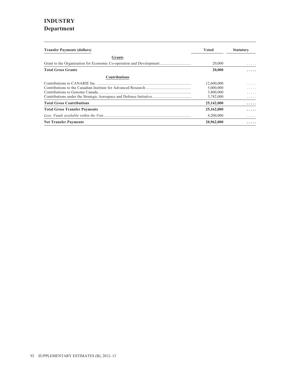## **INDUSTRY Department**

| <b>Transfer Payments (dollars)</b>   | <b>Voted</b> | <b>Statutory</b> |
|--------------------------------------|--------------|------------------|
| Grants                               |              |                  |
|                                      | 20,000       | .                |
| <b>Total Gross Grants</b>            | 20,000       |                  |
| <b>Contributions</b>                 |              |                  |
|                                      | 12,600,000   | .                |
|                                      | 5,000,000    | .                |
|                                      | 3,800,000    | .                |
|                                      | 3.742,000    | .                |
| <b>Total Gross Contributions</b>     | 25,142,000   | .                |
| <b>Total Gross Transfer Payments</b> | 25,162,000   | .                |
|                                      | 4,200,000    | .                |
| <b>Net Transfer Payments</b>         | 20,962,000   | .                |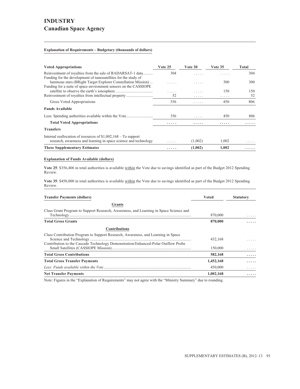## **INDUSTRY Canadian Space Agency**

### **Explanation of Requirements – Budgetary (thousands of dollars)**

| <b>Voted Appropriations</b>                                                                                                                                                                          | Vote 25 | Vote 30 | Vote 35 | Total |
|------------------------------------------------------------------------------------------------------------------------------------------------------------------------------------------------------|---------|---------|---------|-------|
| Reinvestment of royalties from the sale of RADARSAT-1 data                                                                                                                                           | 304     | .       | .       | 304   |
| Funding for the development of nanosatellities for the study of<br>luminous stars (BRight Target Explorer Constellation Mission)<br>Funding for a suite of space environment sensors on the CASSIOPE |         |         | 300     | 300   |
|                                                                                                                                                                                                      |         | .       | 150     | 150   |
|                                                                                                                                                                                                      | 52      | .       | .       | 52    |
| Gross Voted Appropriations                                                                                                                                                                           | 356     | .       | 450     | 806   |
| <b>Funds Available</b>                                                                                                                                                                               |         |         |         |       |
|                                                                                                                                                                                                      | 356     | .       | 450     | 806   |
| <b>Total Voted Appropriations</b>                                                                                                                                                                    | .       | .       | .       | .     |
| <b>Transfers</b>                                                                                                                                                                                     |         |         |         |       |
| Internal reallocation of resources of $$1,002,168$ – To support<br>research, awareness and learning in space science and technology                                                                  | .       | (1,002) | 1,002   | .     |
| <b>These Supplementary Estimates</b>                                                                                                                                                                 | .       | (1,002) | 1,002   | .     |

### **Explanation of Funds Available (dollars)**

**Vote 25**: \$356,406 in total authorities is available within the Vote due to savings identified as part of the Budget 2012 Spending Review.

**Vote 35**: \$450,000 in total authorities is available within the Vote due to savings identified as part of the Budget 2012 Spending Review.

| <b>Transfer Payments (dollars)</b>                                                                                                                                    | Voted     | <b>Statutory</b> |
|-----------------------------------------------------------------------------------------------------------------------------------------------------------------------|-----------|------------------|
| Grants                                                                                                                                                                |           |                  |
| Class Grant Program to Support Research, Awareness, and Learning in Space Science and                                                                                 | 870,000   |                  |
| <b>Total Gross Grants</b>                                                                                                                                             | 870,000   |                  |
| <b>Contributions</b>                                                                                                                                                  |           |                  |
| Class Contribution Program to Support Research, Awareness, and Learning in Space<br>Contribution to the Cascade Technology Demonstration/Enhanced-Polar Outflow Probe | 432.168   |                  |
|                                                                                                                                                                       | 150,000   |                  |
| <b>Total Gross Contributions</b>                                                                                                                                      | 582,168   |                  |
| <b>Total Gross Transfer Payments</b>                                                                                                                                  | 1,452,168 |                  |
|                                                                                                                                                                       | 450,000   | .                |
| <b>Net Transfer Payments</b>                                                                                                                                          | 1,002,168 | .                |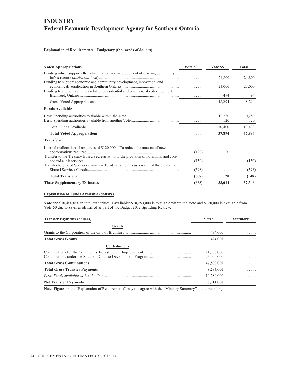## **INDUSTRY Federal Economic Development Agency for Southern Ontario**

### **Explanation of Requirements – Budgetary (thousands of dollars)**

| <b>Voted Appropriations</b>                                                                                                                                    | Vote 50 | Vote 55       | Total         |
|----------------------------------------------------------------------------------------------------------------------------------------------------------------|---------|---------------|---------------|
| Funding which supports the rehabilitation and improvement of existing community                                                                                | .       | 24,800        | 24,800        |
| Funding to support economic and community development, innovation, and<br>Funding to support activities related to residential and commercial redevelopment in | .       | 23,000        | 23,000        |
|                                                                                                                                                                | .       | 494           | 494           |
| Gross Voted Appropriations                                                                                                                                     | .       | 48,294        | 48,294        |
| <b>Funds Available</b>                                                                                                                                         |         |               |               |
|                                                                                                                                                                | 1.1.1.1 | 10.280<br>120 | 10,280<br>120 |
| Total Funds Available                                                                                                                                          | .       | 10,400        | 10,400        |
| <b>Total Voted Appropriations</b>                                                                                                                              | .       | 37,894        | 37,894        |
| <b>Transfers</b>                                                                                                                                               |         |               |               |
| Internal reallocation of resources of \$120,000 - To reduce the amount of new                                                                                  | (120)   | 120           |               |
| Transfer to the Treasury Board Secretariat – For the provision of horizontal and core                                                                          | (150)   | .             | (150)         |
| Transfer to Shared Services Canada – To adjust amounts as a result of the creation of                                                                          | (398)   | .             | (398)         |
| <b>Total Transfers</b>                                                                                                                                         | (668)   | 120           | (548)         |
| <b>These Supplementary Estimates</b>                                                                                                                           | (668)   | 38,014        | 37,346        |

#### **Explanation of Funds Available (dollars)**

**Vote 55**: \$10,400,000 in total authorities is available: \$10,280,000 is available within the Vote and \$120,000 is available from Vote 50 due to savings identified as part of the Budget 2012 Spending Review.

| <b>Transfer Payments (dollars)</b>   | <b>Voted</b>             | <b>Statutory</b> |
|--------------------------------------|--------------------------|------------------|
| Grants                               |                          |                  |
|                                      | 494,000                  | .                |
| <b>Total Gross Grants</b>            | 494,000                  |                  |
| <b>Contributions</b>                 |                          |                  |
|                                      | 24,800,000<br>23,000,000 | .<br>.           |
| <b>Total Gross Contributions</b>     | 47,800,000               | .                |
| <b>Total Gross Transfer Payments</b> | 48,294,000               | .                |
|                                      | 10.280,000               | .                |
| <b>Net Transfer Payments</b>         | 38,014,000               | .                |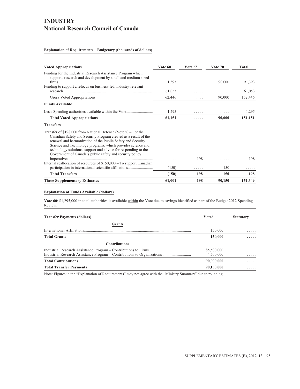## **INDUSTRY National Research Council of Canada**

### **Explanation of Requirements – Budgetary (thousands of dollars)**

| <b>Voted Appropriations</b>                                                                                                                                                                                                                                                                                                                                                                                                                                                                                                        | Vote 60 | Vote 65  | Vote 70  | Total    |
|------------------------------------------------------------------------------------------------------------------------------------------------------------------------------------------------------------------------------------------------------------------------------------------------------------------------------------------------------------------------------------------------------------------------------------------------------------------------------------------------------------------------------------|---------|----------|----------|----------|
| Funding for the Industrial Research Assistance Program which<br>supports research and development by small and medium sized                                                                                                                                                                                                                                                                                                                                                                                                        | 1,393   |          | 90,000   | 91,393   |
| Funding to support a refocus on business-led, industry-relevant                                                                                                                                                                                                                                                                                                                                                                                                                                                                    | 61,053  | .        | .        | 61,053   |
| Gross Voted Appropriations                                                                                                                                                                                                                                                                                                                                                                                                                                                                                                         | 62,446  | .        | 90,000   | 152,446  |
| <b>Funds Available</b>                                                                                                                                                                                                                                                                                                                                                                                                                                                                                                             |         |          |          |          |
|                                                                                                                                                                                                                                                                                                                                                                                                                                                                                                                                    | 1,295   | .        | .        | 1,295    |
| <b>Total Voted Appropriations</b>                                                                                                                                                                                                                                                                                                                                                                                                                                                                                                  | 61,151  | .        | 90,000   | 151,151  |
| <b>Transfers</b>                                                                                                                                                                                                                                                                                                                                                                                                                                                                                                                   |         |          |          |          |
| Transfer of $$198,000$ from National Defence (Vote 5) – For the<br>Canadian Safety and Security Program created as a result of the<br>renewal and harmonization of the Public Safety and Security<br>Science and Technology programs, which provides science and<br>technology solutions, support and advice for responding to the<br>Government of Canada's public safety and security policy<br>Internal reallocation of resources of $$150,000 - To support Canadian$<br>participation in international scientific affiliations | (150)   | 198<br>. | .<br>150 | 198<br>. |
| <b>Total Transfers</b>                                                                                                                                                                                                                                                                                                                                                                                                                                                                                                             | (150)   | 198      | 150      | 198      |
| <b>These Supplementary Estimates</b>                                                                                                                                                                                                                                                                                                                                                                                                                                                                                               | 61,001  | 198      | 90,150   | 151,349  |

### **Explanation of Funds Available (dollars)**

Vote 60: \$1,295,000 in total authorities is available within the Vote due to savings identified as part of the Budget 2012 Spending Review.

| <b>Transfer Payments (dollars)</b> | Voted                   | <b>Statutory</b> |
|------------------------------------|-------------------------|------------------|
| <b>Grants</b>                      |                         |                  |
| International Affiliations         | 150,000                 | .                |
| <b>Total Grants</b>                | 150,000                 | .                |
| <b>Contributions</b>               |                         |                  |
|                                    | 85,500,000<br>4,500,000 | .<br>.           |
| <b>Total Contributions</b>         | 90,000,000              | .                |
| <b>Total Transfer Payments</b>     | 90,150,000              | .                |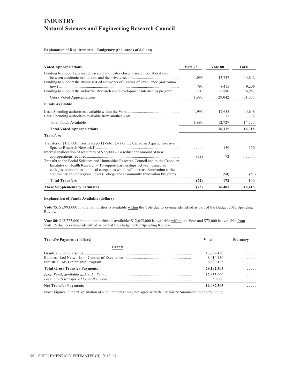## **INDUSTRY Natural Sciences and Engineering Research Council**

### **Explanation of Requirements – Budgetary (thousands of dollars)**

| <b>Voted Appropriations</b>                                                                                                                                                                                                                         | Vote 75 | Vote 80 | Total  |
|-----------------------------------------------------------------------------------------------------------------------------------------------------------------------------------------------------------------------------------------------------|---------|---------|--------|
| Funding to support advanced research and foster closer research collaborations<br>Funding to support the Business-Led Networks of Centres of Excellence (horizontal                                                                                 | 1.095   | 13,747  | 14,842 |
|                                                                                                                                                                                                                                                     | 791     | 8,415   | 9,206  |
| Funding to support the Industrial Research and Development Internships program                                                                                                                                                                      | 107     | 6.880   | 6,987  |
| Gross Voted Appropriations                                                                                                                                                                                                                          | 1,993   | 29,042  | 31,035 |
| <b>Funds Available</b>                                                                                                                                                                                                                              |         |         |        |
|                                                                                                                                                                                                                                                     | 1.993   | 12,655  | 14,648 |
|                                                                                                                                                                                                                                                     | .       | 72      | 72     |
| Total Funds Available                                                                                                                                                                                                                               | 1,993   | 12,727  | 14,720 |
| <b>Total Voted Appropriations</b>                                                                                                                                                                                                                   | .       | 16,315  | 16,315 |
| <b>Transfers</b>                                                                                                                                                                                                                                    |         |         |        |
| Transfer of \$150,000 from Transport (Vote 1) - For the Canadian Aquatic Invasive<br>Internal reallocation of resources of $$72,000 - To$ reduce the amount of new                                                                                  |         | 150     | 150    |
| Transfer to the Social Sciences and Humanities Research Council and to the Canadian<br>Institutes of Health Research – To support partnerships between Canadian<br>colleges, universities and local companies which will increase innovation at the | (72)    | 72      |        |
| community and/or regional level (College and Community Innovation Program)                                                                                                                                                                          | .       | (50)    | (50)   |
| <b>Total Transfers</b>                                                                                                                                                                                                                              | (72)    | 172     | 100    |
| <b>These Supplementary Estimates</b>                                                                                                                                                                                                                | (72)    | 16,487  | 16,415 |

### **Explanation of Funds Available (dollars)**

**Vote 75**: \$1,993,000 in total authorities is available within the Vote due to savings identified as part of the Budget 2012 Spending Review.

**Vote 80**: \$12,727,000 in total authorities is available: \$12,655,000 is available within the Vote and \$72,000 is available from Vote 75 due to savings identified as part of the Budget 2012 Spending Review.

| <b>Transfer Payments (dollars)</b>   | Voted      | <b>Statutory</b> |
|--------------------------------------|------------|------------------|
| Grants                               |            |                  |
|                                      | 13,897,430 | .                |
|                                      | 8,414,750  | .                |
|                                      | 6.880.125  | .                |
| <b>Total Gross Transfer Payments</b> | 29,192,305 | $\cdots$         |
|                                      | 12,655,000 | .                |
|                                      | 50,000     | .                |
| <b>Net Transfer Payments</b>         | 16,487,305 | .                |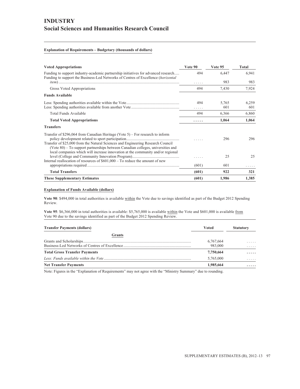### **INDUSTRY Social Sciences and Humanities Research Council**

### **Explanation of Requirements – Budgetary (thousands of dollars)**

| <b>Voted Appropriations</b>                                                                                                                                                     | Vote 90 | Vote 95 | Total    |
|---------------------------------------------------------------------------------------------------------------------------------------------------------------------------------|---------|---------|----------|
| Funding to support industry-academic partnership initiatives for advanced research<br>Funding to support the Business-Led Networks of Centres of Excellence ( <i>horizontal</i> | 494     | 6,447   | 6,941    |
|                                                                                                                                                                                 |         | 983     | 983      |
| Gross Voted Appropriations                                                                                                                                                      | 494     | 7,430   | 7,924    |
| <b>Funds Available</b>                                                                                                                                                          |         |         |          |
|                                                                                                                                                                                 | 494     | 5.765   | 6,259    |
|                                                                                                                                                                                 | .       | 601     | 601      |
| Total Funds Available                                                                                                                                                           | 494     | 6,366   | 6,860    |
| <b>Total Voted Appropriations</b>                                                                                                                                               | .       | 1,064   | 1,064    |
| <b>Transfers</b>                                                                                                                                                                |         |         |          |
| Transfer of \$296,064 from Canadian Heritage (Vote 5) – For research to inform<br>Transfer of \$25,000 from the Natural Sciences and Engineering Research Council               |         | 296     | 296      |
| (Vote 80) – To support partnerships between Canadian colleges, universities and<br>local companies which will increase innovation at the community and/or regional              |         | 25      | 25       |
| Internal reallocation of resources of $$601,000 - To$ reduce the amount of new                                                                                                  | (601)   | 601     |          |
| <b>Total Transfers</b>                                                                                                                                                          | (601)   | 922     | .<br>321 |
| <b>These Supplementary Estimates</b>                                                                                                                                            | (601)   | 1,986   | 1,385    |

### **Explanation of Funds Available (dollars)**

**Vote 90**: \$494,000 in total authorities is available within the Vote due to savings identified as part of the Budget 2012 Spending Review.

**Vote 95**: \$6,366,000 in total authorities is available: \$5,765,000 is available within the Vote and \$601,000 is available from Vote 90 due to the savings identified as part of the Budget 2012 Spending Review.

| <b>Transfer Payments (dollars)</b>   | Voted                | <b>Statutory</b> |
|--------------------------------------|----------------------|------------------|
| <b>Grants</b>                        |                      |                  |
|                                      | 6,767,664<br>983.000 | .<br>.           |
| <b>Total Gross Transfer Payments</b> | 7,750,664            | .                |
|                                      | 5.765,000            | .                |
| <b>Net Transfer Payments</b>         | 1.985,664            | .                |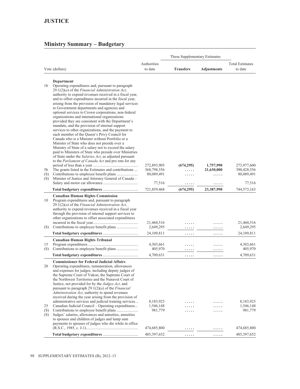|                        |                                                                                                                                                                                                                                                                                                                                                                                                                                                                                                                                                                                                                                                                                                                                                                                                                                                                                                                                                                                                                                                                             |                                          | These Supplementary Estimates |                              |                                          |
|------------------------|-----------------------------------------------------------------------------------------------------------------------------------------------------------------------------------------------------------------------------------------------------------------------------------------------------------------------------------------------------------------------------------------------------------------------------------------------------------------------------------------------------------------------------------------------------------------------------------------------------------------------------------------------------------------------------------------------------------------------------------------------------------------------------------------------------------------------------------------------------------------------------------------------------------------------------------------------------------------------------------------------------------------------------------------------------------------------------|------------------------------------------|-------------------------------|------------------------------|------------------------------------------|
|                        | Vote (dollars)                                                                                                                                                                                                                                                                                                                                                                                                                                                                                                                                                                                                                                                                                                                                                                                                                                                                                                                                                                                                                                                              | Authorities<br>to date                   | <b>Transfers</b>              | <b>Adjustments</b>           | <b>Total Estimates</b><br>to date        |
| 1b<br>5b<br>(S)        | Department<br>Operating expenditures and, pursuant to paragraph<br>$29.1(2)(a)$ of the Financial Administration Act,<br>authority to expend revenues received in a fiscal year,<br>and to offset expenditures incurred in the fiscal year,<br>arising from the provision of mandatory legal services<br>to Government departments and agencies and<br>optional services to Crown corporations, non-federal<br>organizations and international organizations<br>provided they are consistent with the Department's<br>mandate, and the provision of internal support<br>services to other organizations, and the payment to<br>each member of the Queen's Privy Council for<br>Canada who is a Minister without Portfolio or a<br>Minister of State who does not preside over a<br>Ministry of State of a salary not to exceed the salary<br>paid to Ministers of State who preside over Ministries<br>of State under the Salaries Act, as adjusted pursuant<br>to the Parliament of Canada Act and pro rata for any<br>The grants listed in the Estimates and contributions | 272,893,905<br>368,798,556<br>80,089,491 | (674, 295)<br>.               | 1,757,990<br>21,630,000<br>. | 273,977,600<br>390,428,556<br>80,089,491 |
| (S)                    | Minister of Justice and Attorney General of Canada -                                                                                                                                                                                                                                                                                                                                                                                                                                                                                                                                                                                                                                                                                                                                                                                                                                                                                                                                                                                                                        | 77,516                                   | .                             | .                            | 77,516                                   |
|                        |                                                                                                                                                                                                                                                                                                                                                                                                                                                                                                                                                                                                                                                                                                                                                                                                                                                                                                                                                                                                                                                                             | 721,859,468                              | (674, 295)                    | 23,387,990                   | 744,573,163                              |
| 10<br>(S)              | <b>Canadian Human Rights Commission</b><br>Program expenditures and, pursuant to paragraph<br>$29.1(2)(a)$ of the Financial Administration Act,<br>authority to expend revenues received in a fiscal year<br>through the provision of internal support services to<br>other organizations to offset associated expenditures                                                                                                                                                                                                                                                                                                                                                                                                                                                                                                                                                                                                                                                                                                                                                 | 21,460,516<br>2,649,295<br>24,109,811    | .<br>.<br>.                   | .<br>.                       | 21,460,516<br>2,649,295<br>24,109,811    |
|                        |                                                                                                                                                                                                                                                                                                                                                                                                                                                                                                                                                                                                                                                                                                                                                                                                                                                                                                                                                                                                                                                                             |                                          |                               |                              |                                          |
| 15<br>(S)              | <b>Canadian Human Rights Tribunal</b>                                                                                                                                                                                                                                                                                                                                                                                                                                                                                                                                                                                                                                                                                                                                                                                                                                                                                                                                                                                                                                       | 4,303,661<br>405,970                     | .                             | .                            | 4,303,661<br>405,970                     |
|                        |                                                                                                                                                                                                                                                                                                                                                                                                                                                                                                                                                                                                                                                                                                                                                                                                                                                                                                                                                                                                                                                                             | 4,709,631                                | .                             | .                            | 4,709,631                                |
| 20<br>25<br>(S)<br>(S) | <b>Commissioner for Federal Judicial Affairs</b><br>Operating expenditures, remuneration, allowances<br>and expenses for judges, including deputy judges of<br>the Supreme Court of Yukon, the Supreme Court of<br>the Northwest Territories and the Nunavut Court of<br>Justice, not provided for by the Judges Act, and<br>pursuant to paragraph $29.1(2)(a)$ of the <i>Financial</i><br>Administration Act, authority to spend revenues<br>received during the year arising from the provision of<br>administrative services and judicial training services<br>Canadian Judicial Council - Operating expenditures<br>Judges' salaries, allowances and annuities, annuities<br>to spouses and children of judges and lump sum<br>payments to spouses of judges who die while in office                                                                                                                                                                                                                                                                                    | 8,183,925<br>1,546,148<br>981,779        |                               | .<br>.                       | 8,183,925<br>1,546,148<br>981,779        |
|                        |                                                                                                                                                                                                                                                                                                                                                                                                                                                                                                                                                                                                                                                                                                                                                                                                                                                                                                                                                                                                                                                                             | 474,685,800                              |                               |                              | 474,685,800                              |
|                        |                                                                                                                                                                                                                                                                                                                                                                                                                                                                                                                                                                                                                                                                                                                                                                                                                                                                                                                                                                                                                                                                             | 485, 397, 652                            | .                             | .                            | 485,397,652                              |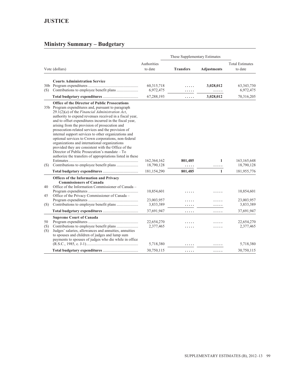## **JUSTICE**

|                  |                                                                                                                                                                                                                                                                                                                                                                                                                                                                                                                                                                                                                                                                                                                                    |                                       | These Supplementary Estimates |                    |                                       |
|------------------|------------------------------------------------------------------------------------------------------------------------------------------------------------------------------------------------------------------------------------------------------------------------------------------------------------------------------------------------------------------------------------------------------------------------------------------------------------------------------------------------------------------------------------------------------------------------------------------------------------------------------------------------------------------------------------------------------------------------------------|---------------------------------------|-------------------------------|--------------------|---------------------------------------|
|                  | Vote (dollars)                                                                                                                                                                                                                                                                                                                                                                                                                                                                                                                                                                                                                                                                                                                     | Authorities<br>to date                | <b>Transfers</b>              | <b>Adjustments</b> | <b>Total Estimates</b><br>to date     |
| (S)              | <b>Courts Administration Service</b>                                                                                                                                                                                                                                                                                                                                                                                                                                                                                                                                                                                                                                                                                               | 60,315,718<br>6,972,475               |                               | 3,028,012<br>.     | 63, 343, 730<br>6,972,475             |
|                  |                                                                                                                                                                                                                                                                                                                                                                                                                                                                                                                                                                                                                                                                                                                                    | 67,288,193                            | .                             | 3,028,012          | 70,316,205                            |
| (S)              | <b>Office of the Director of Public Prosecutions</b><br>35b Program expenditures and, pursuant to paragraph<br>$29.1(2)(a)$ of the Financial Administration Act,<br>authority to expend revenues received in a fiscal year,<br>and to offset expenditures incurred in the fiscal year,<br>arising from the provision of prosecution and<br>prosecution-related services and the provision of<br>internal support services to other organizations and<br>optional services to Crown corporations, non-federal<br>organizations and international organizations<br>provided they are consistent with the Office of the<br>Director of Public Prosecution's mandate – To<br>authorize the transfers of appropriations listed in these | 162,364,162<br>18,790,128             | 801,485<br>.                  | 1<br>.             | 163, 165, 648<br>18,790,128           |
|                  |                                                                                                                                                                                                                                                                                                                                                                                                                                                                                                                                                                                                                                                                                                                                    | 181,154,290                           | 801,485                       | $\mathbf{1}$       | 181,955,776                           |
| 40<br>45<br>(S)  | <b>Offices of the Information and Privacy</b><br><b>Commissioners of Canada</b><br>Office of the Information Commissioner of Canada -<br>Office of the Privacy Commissioner of Canada -                                                                                                                                                                                                                                                                                                                                                                                                                                                                                                                                            | 10,854,601<br>23,003,957<br>3,833,389 |                               | .                  | 10,854,601<br>23,003,957<br>3,833,389 |
|                  |                                                                                                                                                                                                                                                                                                                                                                                                                                                                                                                                                                                                                                                                                                                                    | 37,691,947                            | .                             | .                  | 37,691,947                            |
| 50<br>(S)<br>(S) | <b>Supreme Court of Canada</b><br>Judges' salaries, allowances and annuities, annuities<br>to spouses and children of judges and lump sum<br>payments to spouses of judges who die while in office                                                                                                                                                                                                                                                                                                                                                                                                                                                                                                                                 | 22,654,270<br>2,377,465<br>5,718,380  |                               |                    | 22,654,270<br>2,377,465<br>5,718,380  |
|                  |                                                                                                                                                                                                                                                                                                                                                                                                                                                                                                                                                                                                                                                                                                                                    | 30,750,115                            | .                             | .                  | 30,750,115                            |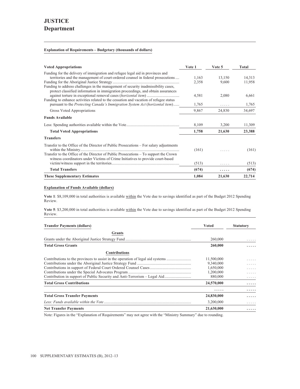### **Explanation of Requirements – Budgetary (thousands of dollars)**

| <b>Voted Appropriations</b>                                                                                                                                                                                                                             | Vote 1         | Vote 5          | Total            |
|---------------------------------------------------------------------------------------------------------------------------------------------------------------------------------------------------------------------------------------------------------|----------------|-----------------|------------------|
| Funding for the delivery of immigration and refugee legal aid in provinces and<br>territories and the management of court-ordered counsel in federal prosecutions<br>Funding to address challenges in the management of security inadmissibility cases, | 1,163<br>2,358 | 13,150<br>9,600 | 14,313<br>11,958 |
| protect classified information in immigration proceedings, and obtain assurances<br>Funding to enhance activities related to the cessation and vacation of refugee status                                                                               | 4,581          | 2,080           | 6,661            |
| pursuant to the Protecting Canada's Immigration System Act (horizontal item)                                                                                                                                                                            | 1,765          | .               | 1,765            |
| Gross Voted Appropriations                                                                                                                                                                                                                              | 9,867          | 24,830          | 34,697           |
| <b>Funds Available</b>                                                                                                                                                                                                                                  |                |                 |                  |
|                                                                                                                                                                                                                                                         | 8,109          | 3,200           | 11,309           |
| <b>Total Voted Appropriations</b>                                                                                                                                                                                                                       | 1,758          | 21,630          | 23,388           |
| <b>Transfers</b>                                                                                                                                                                                                                                        |                |                 |                  |
| Transfer to the Office of the Director of Public Prosecutions – For salary adjustments                                                                                                                                                                  | (161)          | .               | (161)            |
| Transfer to the Office of the Director of Public Prosecutions – To support the Crown<br>witness coordinators under Victims of Crime Initiatives to provide court-based                                                                                  | (513)          | .               | (513)            |
| <b>Total Transfers</b>                                                                                                                                                                                                                                  | (674)          | .               | (674)            |
| <b>These Supplementary Estimates</b>                                                                                                                                                                                                                    | 1,084          | 21,630          | 22,714           |

#### **Explanation of Funds Available (dollars)**

**Vote 1**: \$8,109,000 in total authorities is available within the Vote due to savings identified as part of the Budget 2012 Spending Review.

**Vote 5**: \$3,200,000 in total authorities is available within the Vote due to savings identified as part of the Budget 2012 Spending Review.

| <b>Transfer Payments (dollars)</b>                                             | <b>Voted</b> | <b>Statutory</b> |
|--------------------------------------------------------------------------------|--------------|------------------|
| Grants                                                                         |              |                  |
|                                                                                | 260,000      | .                |
| <b>Total Gross Grants</b>                                                      | 260,000      |                  |
| <b>Contributions</b>                                                           |              |                  |
| Contributions to the provinces to assist in the operation of legal aid systems | 11,500,000   |                  |
|                                                                                | 9,340,000    | .                |
|                                                                                | 1,650,000    | .                |
|                                                                                | 1,200,000    | .                |
| Contribution in support of Public Security and Anti-Terrorism – Legal Aid      | 880,000      | .                |
| <b>Total Gross Contributions</b>                                               | 24,570,000   | .                |
|                                                                                | .            | .                |
| <b>Total Gross Transfer Payments</b>                                           | 24,830,000   | .                |
|                                                                                | 3,200,000    | .                |
| <b>Net Transfer Payments</b>                                                   | 21,630,000   | .                |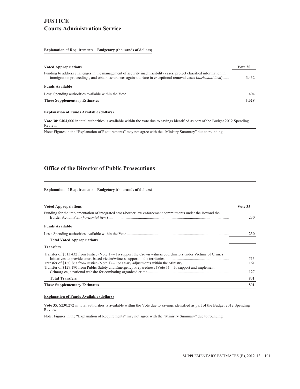### **JUSTICE Courts Administration Service**

#### **Explanation of Requirements – Budgetary (thousands of dollars)**

| <b>Voted Appropriations</b>                                                                                                                                                                                                           | Vote 30 |
|---------------------------------------------------------------------------------------------------------------------------------------------------------------------------------------------------------------------------------------|---------|
| Funding to address challenges in the management of security inadmissibility cases, protect classified information in<br>immigration proceedings, and obtain assurances against torture in exceptional removal cases (horizontal item) | 3.432   |
| <b>Funds Available</b>                                                                                                                                                                                                                |         |
|                                                                                                                                                                                                                                       | 404     |
| <b>These Supplementary Estimates</b>                                                                                                                                                                                                  | 3.028   |

#### **Explanation of Funds Available (dollars)**

**Vote 30**: \$404,000 in total authorities is available within the vote due to savings identified as part of the Budget 2012 Spending Review.

Note: Figures in the "Explanation of Requirements" may not agree with the "Ministry Summary" due to rounding.

### **Office of the Director of Public Prosecutions**

### **Explanation of Requirements – Budgetary (thousands of dollars)**

| <b>Voted Appropriations</b>                                                                                        | Vote 35 |
|--------------------------------------------------------------------------------------------------------------------|---------|
| Funding for the implementation of integrated cross-border law enforcement commitments under the Beyond the         | 230     |
| <b>Funds Available</b>                                                                                             |         |
|                                                                                                                    | 230     |
| <b>Total Voted Appropriations</b>                                                                                  |         |
| <b>Transfers</b>                                                                                                   |         |
| Transfer of \$513,432 from Justice (Vote $1$ ) – To support the Crown witness coordinators under Victims of Crimes | 513     |
|                                                                                                                    | 161     |
| Transfer of \$127,190 from Public Safety and Emergency Preparedness (Vote 1) - To support and implement            | 127     |
| <b>Total Transfers</b>                                                                                             | 801     |
| <b>These Supplementary Estimates</b>                                                                               | 801     |

#### **Explanation of Funds Available (dollars)**

**Vote 35**: \$230,272 in total authorities is available within the Vote due to savings identified as part of the Budget 2012 Spending Review.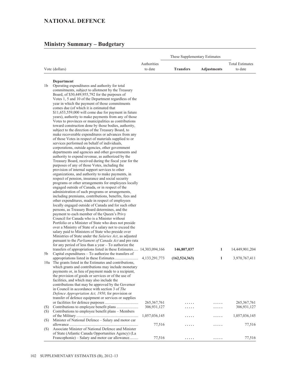### **NATIONAL DEFENCE**

|                |                                                                                                                         |                  | These Supplementary Estimates |                    |                        |  |
|----------------|-------------------------------------------------------------------------------------------------------------------------|------------------|-------------------------------|--------------------|------------------------|--|
|                |                                                                                                                         | Authorities      |                               |                    | <b>Total Estimates</b> |  |
|                | Vote (dollars)                                                                                                          | to date          | <b>Transfers</b>              | <b>Adjustments</b> | to date                |  |
|                |                                                                                                                         |                  |                               |                    |                        |  |
| 1 <sub>b</sub> | Department<br>Operating expenditures and authority for total                                                            |                  |                               |                    |                        |  |
|                | commitments, subject to allotment by the Treasury                                                                       |                  |                               |                    |                        |  |
|                | Board, of \$30,449,955,792 for the purposes of                                                                          |                  |                               |                    |                        |  |
|                | Votes 1, 5 and 10 of the Department regardless of the                                                                   |                  |                               |                    |                        |  |
|                | year in which the payment of those commitments                                                                          |                  |                               |                    |                        |  |
|                | comes due (of which it is estimated that                                                                                |                  |                               |                    |                        |  |
|                | \$11,653,559,000 will come due for payment in future                                                                    |                  |                               |                    |                        |  |
|                | years), authority to make payments from any of those                                                                    |                  |                               |                    |                        |  |
|                | Votes to provinces or municipalities as contributions<br>toward construction done by those bodies, authority,           |                  |                               |                    |                        |  |
|                | subject to the direction of the Treasury Board, to                                                                      |                  |                               |                    |                        |  |
|                | make recoverable expenditures or advances from any                                                                      |                  |                               |                    |                        |  |
|                | of those Votes in respect of materials supplied to or                                                                   |                  |                               |                    |                        |  |
|                | services performed on behalf of individuals,                                                                            |                  |                               |                    |                        |  |
|                | corporations, outside agencies, other government                                                                        |                  |                               |                    |                        |  |
|                | departments and agencies and other governments and                                                                      |                  |                               |                    |                        |  |
|                | authority to expend revenue, as authorized by the<br>Treasury Board, received during the fiscal year for the            |                  |                               |                    |                        |  |
|                | purposes of any of those Votes, including the                                                                           |                  |                               |                    |                        |  |
|                | provision of internal support services to other                                                                         |                  |                               |                    |                        |  |
|                | organizations, and authority to make payments, in                                                                       |                  |                               |                    |                        |  |
|                | respect of pension, insurance and social security                                                                       |                  |                               |                    |                        |  |
|                | programs or other arrangements for employees locally                                                                    |                  |                               |                    |                        |  |
|                | engaged outside of Canada, or in respect of the                                                                         |                  |                               |                    |                        |  |
|                | administration of such programs or arrangements,                                                                        |                  |                               |                    |                        |  |
|                | including premiums, contributions, benefits, fees and<br>other expenditures, made in respect of employees               |                  |                               |                    |                        |  |
|                | locally engaged outside of Canada and for such other                                                                    |                  |                               |                    |                        |  |
|                | persons, as Treasury Board determines, and the                                                                          |                  |                               |                    |                        |  |
|                | payment to each member of the Queen's Privy                                                                             |                  |                               |                    |                        |  |
|                | Council for Canada who is a Minister without                                                                            |                  |                               |                    |                        |  |
|                | Portfolio or a Minister of State who does not preside                                                                   |                  |                               |                    |                        |  |
|                | over a Ministry of State of a salary not to exceed the                                                                  |                  |                               |                    |                        |  |
|                | salary paid to Ministers of State who preside over                                                                      |                  |                               |                    |                        |  |
|                | Ministries of State under the Salaries Act, as adjusted                                                                 |                  |                               |                    |                        |  |
|                | pursuant to the <i>Parliament of Canada Act</i> and pro rata<br>for any period of less than a year $-$ To authorize the |                  |                               |                    |                        |  |
|                | transfers of appropriations listed in these Estimates 14,303,094,166                                                    |                  | 146,807,037                   | 1                  | 14,449,901,204         |  |
| 5b             | Capital expenditures – To authorize the transfers of                                                                    |                  |                               |                    |                        |  |
|                |                                                                                                                         | 4, 133, 291, 773 | (162, 524, 363)               | 1                  | 3,970,767,411          |  |
|                | 10a The grants listed in the Estimates and contributions,                                                               |                  |                               |                    |                        |  |
|                | which grants and contributions may include monetary                                                                     |                  |                               |                    |                        |  |
|                | payments or, in lieu of payment made to a recipient,                                                                    |                  |                               |                    |                        |  |
|                | the provision of goods or services or of the use of<br>facilities, and which may also include the                       |                  |                               |                    |                        |  |
|                | contributions that may be approved by the Governor                                                                      |                  |                               |                    |                        |  |
|                | in Council in accordance with section 3 of The                                                                          |                  |                               |                    |                        |  |
|                | Defence Appropriation Act, 1950, for provision or                                                                       |                  |                               |                    |                        |  |
|                | transfer of defence equipment or services or supplies                                                                   |                  |                               |                    |                        |  |
|                |                                                                                                                         | 265, 367, 761    |                               |                    | 265, 367, 761          |  |
| (S)            |                                                                                                                         | 306,931,127      |                               |                    | 306,931,127            |  |
| (S)            | Contributions to employee benefit plans - Members                                                                       | 1,057,036,145    |                               |                    | 1,057,036,145          |  |
| (S)            | Minister of National Defence - Salary and motor car                                                                     |                  | .                             | .                  |                        |  |
|                |                                                                                                                         | 77,516           | .                             | .                  | 77,516                 |  |
| (S)            | Associate Minister of National Defence and Minister                                                                     |                  |                               |                    |                        |  |
|                | of State (Atlantic Canada Opportunities Agency) (La                                                                     |                  |                               |                    |                        |  |
|                | Francophonie) – Salary and motor car allowance                                                                          | 77,516           |                               | .                  | 77,516                 |  |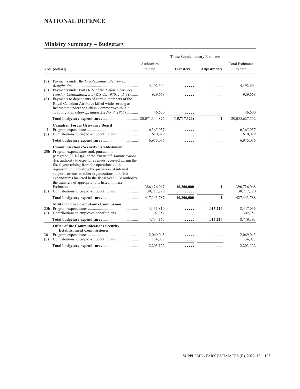## **NATIONAL DEFENCE**

|            |                                                                                                                                                                                                                                                                                                                                                                                                                                                                                                  |                           | These Supplementary Estimates |                    |                                   |
|------------|--------------------------------------------------------------------------------------------------------------------------------------------------------------------------------------------------------------------------------------------------------------------------------------------------------------------------------------------------------------------------------------------------------------------------------------------------------------------------------------------------|---------------------------|-------------------------------|--------------------|-----------------------------------|
|            | Vote (dollars)                                                                                                                                                                                                                                                                                                                                                                                                                                                                                   | Authorities<br>to date    | <b>Transfers</b>              | <b>Adjustments</b> | <b>Total Estimates</b><br>to date |
| (S)        | Payments under the Supplementary Retirement                                                                                                                                                                                                                                                                                                                                                                                                                                                      | 4,492,604                 |                               |                    | 4,492,604                         |
| (S)        | Payments under Parts I-IV of the Defence Services                                                                                                                                                                                                                                                                                                                                                                                                                                                |                           |                               |                    |                                   |
| (S)        | Pension Continuation Act (R.S.C., 1970, c. D-3)<br>Payments to dependants of certain members of the<br>Royal Canadian Air Force killed while serving as<br>instructors under the British Commonwealth Air                                                                                                                                                                                                                                                                                        | 929,668                   |                               |                    | 929,668                           |
|            | Training Plan ( <i>Appropriation Act No. 4, 1968</i> )                                                                                                                                                                                                                                                                                                                                                                                                                                           | 46,600                    |                               | .                  | 46,600                            |
|            |                                                                                                                                                                                                                                                                                                                                                                                                                                                                                                  |                           | (15,717,326)                  | $\overline{2}$     | 20,055,627,552                    |
| 15<br>(S)  | <b>Canadian Forces Grievance Board</b>                                                                                                                                                                                                                                                                                                                                                                                                                                                           | 6,365,057<br>610,029      |                               | .                  | 6,365,057<br>610,029              |
|            |                                                                                                                                                                                                                                                                                                                                                                                                                                                                                                  | 6,975,086                 | .                             | .                  | 6,975,086                         |
| (S)        | <b>Communications Security Establishment</b><br>20b Program expenditures and, pursuant to<br>paragraph $29.1(2)(a)$ of the <i>Financial Administration</i><br>Act, authority to expend revenues received during the<br>fiscal year arising from the operations of the<br>organization, including the provision of internal<br>support services to other organizations, to offset<br>expenditures incurred in the fiscal year $-$ To authorize<br>the transfers of appropriations listed in these | 386,426,067<br>30,717,720 | 10,300,000<br>.               | 1<br>.             | 396,726,068<br>30,717,720         |
|            |                                                                                                                                                                                                                                                                                                                                                                                                                                                                                                  | 417, 143, 787             | 10,300,000                    | 1                  | 427, 443, 788                     |
| 25b<br>(S) | <b>Military Police Complaints Commission</b>                                                                                                                                                                                                                                                                                                                                                                                                                                                     | 4,431,810<br>302,357      | .                             | 4,015,226<br>.     | 8,447,036<br>302,357              |
|            |                                                                                                                                                                                                                                                                                                                                                                                                                                                                                                  | 4,734,167                 | .                             | 4,015,226          | 8,749,393                         |
| 30<br>(S)  | <b>Office of the Communications Security</b><br><b>Establishment Commissioner</b>                                                                                                                                                                                                                                                                                                                                                                                                                | 2,069,045<br>134,077      | .                             |                    | 2,069,045<br>134,077              |
|            |                                                                                                                                                                                                                                                                                                                                                                                                                                                                                                  | 2,203,122                 | .                             | .                  | 2,203,122                         |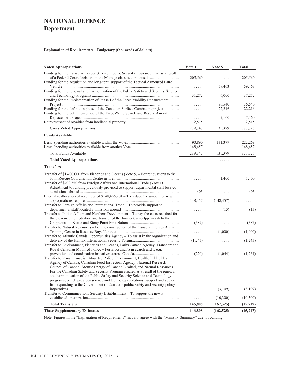## **NATIONAL DEFENCE**

## **Department**

### **Explanation of Requirements – Budgetary (thousands of dollars)**

| <b>Voted Appropriations</b>                                                                                                                                   | Vote 1                                     | Vote 5           | Total    |
|---------------------------------------------------------------------------------------------------------------------------------------------------------------|--------------------------------------------|------------------|----------|
| Funding for the Canadian Forces Service Income Security Insurance Plan as a result                                                                            | 205,560                                    |                  | 205,560  |
| Funding for the acquisition and long-term support of the Tactical Armoured Patrol                                                                             |                                            | 59,463           | 59,463   |
| Funding for the renewal and harmonization of the Public Safety and Security Science                                                                           | .<br>31,272                                | 6,000            | 37,272   |
| Funding for the Implementation of Phase 1 of the Force Mobility Enhancement                                                                                   |                                            |                  | 36,540   |
| Funding for the definition phase of the Canadian Surface Combatant project                                                                                    | .                                          | 36,540<br>22,216 | 22,216   |
| Funding for the definition phase of the Fixed-Wing Search and Rescue Aircraft                                                                                 |                                            | 7,160            | 7,160    |
|                                                                                                                                                               | .<br>2,515                                 | $\ldots$         | 2,515    |
| Gross Voted Appropriations                                                                                                                                    | 239,347                                    | 131,379          | 370,726  |
| <b>Funds Available</b>                                                                                                                                        |                                            |                  |          |
|                                                                                                                                                               | 90,890                                     | 131,379          | 222,269  |
|                                                                                                                                                               | 148,457                                    | .                | 148,457  |
| Total Funds Available                                                                                                                                         | 239,347                                    | 131,379          | 370,726  |
| <b>Total Voted Appropriations</b>                                                                                                                             | .                                          | .                | .        |
| <b>Transfers</b>                                                                                                                                              |                                            |                  |          |
| Transfer of \$1,400,000 from Fisheries and Oceans (Vote 5) – For renovations to the                                                                           |                                            |                  |          |
|                                                                                                                                                               |                                            | 1,400            | 1,400    |
| Transfer of \$402,550 from Foreign Affairs and International Trade (Vote 1) –                                                                                 |                                            |                  |          |
| Adjustment to funding previously provided to support departmental staff located                                                                               |                                            |                  |          |
|                                                                                                                                                               | 403                                        | .                | 403      |
| Internal reallocation of resources of $$148,456,901$ – To reduce the amount of new                                                                            |                                            |                  |          |
|                                                                                                                                                               | 148,457                                    | (148, 457)       | .        |
| Transfer to Foreign Affairs and International Trade – To provide support to                                                                                   |                                            |                  |          |
|                                                                                                                                                               | .                                          | (15)             | (15)     |
| Transfer to Indian Affairs and Northern Development – To pay the costs required for                                                                           |                                            |                  |          |
| the clearance, remediation and transfer of the former Camp Ipperwash to the                                                                                   |                                            |                  |          |
|                                                                                                                                                               | (587)                                      | .                | (587)    |
| Transfer to Natural Resources – For the construction of the Canadian Forces Arctic                                                                            |                                            |                  |          |
|                                                                                                                                                               | .                                          | (1,000)          | (1,000)  |
| Transfer to Atlantic Canada Opportunities $\text{Agency} - \text{To assist}$ in the organization and                                                          |                                            |                  |          |
|                                                                                                                                                               | (1,245)                                    | .                | (1,245)  |
| Transfer to Environment, Fisheries and Oceans, Parks Canada Agency, Transport and                                                                             |                                            |                  |          |
| Royal Canadian Mounted Police – For investments in search and rescue                                                                                          |                                            |                  |          |
|                                                                                                                                                               | (220)                                      | (1,044)          | (1,264)  |
| Transfer to Royal Canadian Mounted Police, Environment, Health, Public Health                                                                                 |                                            |                  |          |
| Agency of Canada, Canadian Food Inspection Agency, National Research                                                                                          |                                            |                  |          |
| Council of Canada, Atomic Energy of Canada Limited, and Natural Resources –                                                                                   |                                            |                  |          |
| For the Canadian Safety and Security Program created as a result of the renewal<br>and harmonization of the Public Safety and Security Science and Technology |                                            |                  |          |
| programs, which provides science and technology solutions, support and advice                                                                                 |                                            |                  |          |
| for responding to the Government of Canada's public safety and security policy                                                                                |                                            |                  |          |
|                                                                                                                                                               |                                            | (3,109)          | (3,109)  |
| Transfer to Communications Security Establishment – To support the newly                                                                                      |                                            |                  |          |
|                                                                                                                                                               | $\mathbb{Z}^2$ . The set of $\mathbb{Z}^2$ | (10,300)         | (10,300) |
| <b>Total Transfers</b>                                                                                                                                        | 146,808                                    | (162, 525)       | (15,717) |
| <b>These Supplementary Estimates</b>                                                                                                                          | 146,808                                    | (162, 525)       | (15,717) |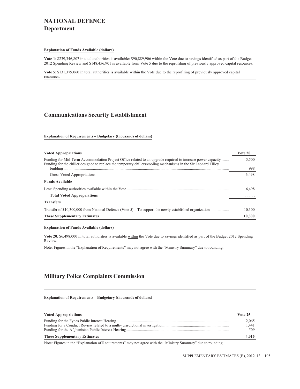## **NATIONAL DEFENCE Department**

#### **Explanation of Funds Available (dollars)**

**Vote 1**: \$239,346,807 in total authorities is available: \$90,889,906 within the Vote due to savings identified as part of the Budget 2012 Spending Review and \$148,456,901 is available from Vote 5 due to the reprofiling of previously approved capital resources.

**Vote 5**: \$131,379,060 in total authorities is available within the Vote due to the reprofiling of previously approved capital resources.

### **Communications Security Establishment**

#### **Explanation of Requirements – Budgetary (thousands of dollars)**

| <b>Voted Appropriations</b>                                                                                                                                                                                                    | Vote 20 |
|--------------------------------------------------------------------------------------------------------------------------------------------------------------------------------------------------------------------------------|---------|
| Funding for Mid-Term Accommodation Project Office related to an upgrade required to increase power capacity<br>Funding for the chiller designed to replace the temporary chillers/cooling mechanisms in the Sir Leonard Tilley | 5.500   |
|                                                                                                                                                                                                                                | 998     |
| Gross Voted Appropriations                                                                                                                                                                                                     | 6.498   |
| <b>Funds Available</b>                                                                                                                                                                                                         |         |
|                                                                                                                                                                                                                                | 6.498   |
| <b>Total Voted Appropriations</b>                                                                                                                                                                                              |         |
| <b>Transfers</b>                                                                                                                                                                                                               |         |
|                                                                                                                                                                                                                                | 10,300  |
| <b>These Supplementary Estimates</b>                                                                                                                                                                                           | 10,300  |

#### **Explanation of Funds Available (dollars)**

**Vote 20**: \$6,498,000 in total authorities is available within the Vote due to savings identified as part of the Budget 2012 Spending Review.

Note: Figures in the "Explanation of Requirements" may not agree with the "Ministry Summary" due to rounding.

### **Military Police Complaints Commission**

#### **Explanation of Requirements – Budgetary (thousands of dollars)**

| <b>Voted Appropriations</b>          | Vote 25 |
|--------------------------------------|---------|
|                                      | 2.065   |
|                                      | 1.441   |
|                                      | 509     |
| <b>These Supplementary Estimates</b> | 4.015   |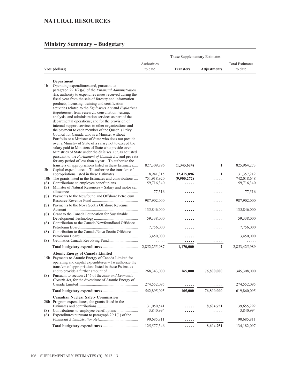### **NATURAL RESOURCES**

|  | <b>Ministry Summary - Budgetary</b> |  |
|--|-------------------------------------|--|
|--|-------------------------------------|--|

|                 | Vote (dollars)                                                                                                           | Authorities<br>to date    | <b>Transfers</b>          | <b>Adjustments</b> | <b>Total Estimates</b><br>to date |
|-----------------|--------------------------------------------------------------------------------------------------------------------------|---------------------------|---------------------------|--------------------|-----------------------------------|
| 1b              | Department<br>Operating expenditures and, pursuant to                                                                    |                           |                           |                    |                                   |
|                 | paragraph $29.1(2)(a)$ of the <i>Financial Administration</i>                                                            |                           |                           |                    |                                   |
|                 | Act, authority to expend revenues received during the                                                                    |                           |                           |                    |                                   |
|                 | fiscal year from the sale of forestry and information                                                                    |                           |                           |                    |                                   |
|                 | products; licensing, training and certification<br>activities related to the <i>Explosives Act</i> and <i>Explosives</i> |                           |                           |                    |                                   |
|                 | <i>Regulations</i> ; from research, consultation, testing,                                                               |                           |                           |                    |                                   |
|                 | analysis, and administration services as part of the                                                                     |                           |                           |                    |                                   |
|                 | departmental operations; and for the provision of                                                                        |                           |                           |                    |                                   |
|                 | internal support services to other organizations and<br>the payment to each member of the Queen's Privy                  |                           |                           |                    |                                   |
|                 | Council for Canada who is a Minister without                                                                             |                           |                           |                    |                                   |
|                 | Portfolio or a Minister of State who does not preside                                                                    |                           |                           |                    |                                   |
|                 | over a Ministry of State of a salary not to exceed the                                                                   |                           |                           |                    |                                   |
|                 | salary paid to Ministers of State who preside over<br>Ministries of State under the Salaries Act, as adjusted            |                           |                           |                    |                                   |
|                 | pursuant to the <i>Parliament of Canada Act</i> and pro rata                                                             |                           |                           |                    |                                   |
|                 | for any period of less than a year $-$ To authorize the                                                                  |                           |                           |                    |                                   |
|                 | transfers of appropriations listed in these Estimates                                                                    | 827,309,896               | (1,345,624)               | $\mathbf{1}$       | 825,964,273                       |
| 5b              | Capital expenditures – To authorize the transfers of                                                                     |                           |                           | 1                  |                                   |
| 10 <sub>b</sub> | The grants listed in the Estimates and contributions                                                                     | 18,941,315<br>751,918,920 | 12,415,896<br>(9,900,272) | .                  | 31, 357, 212<br>742,018,648       |
| (S)             |                                                                                                                          | 59,716,340                |                           |                    | 59,716,340                        |
| (S)             | Minister of Natural Resources - Salary and motor car                                                                     |                           |                           |                    |                                   |
|                 |                                                                                                                          | 77,516                    |                           |                    | 77,516                            |
| (S)             | Payments to the Newfoundland Offshore Petroleum                                                                          | 987,902,000               |                           |                    | 987,902,000                       |
| (S)             | Payments to the Nova Scotia Offshore Revenue                                                                             |                           |                           |                    |                                   |
|                 |                                                                                                                          | 135,846,000               |                           |                    | 135,846,000                       |
| (S)             | Grant to the Canada Foundation for Sustainable                                                                           |                           |                           |                    | 59,338,000                        |
| (S)             | Contribution to the Canada/Newfoundland Offshore                                                                         | 59,338,000                |                           |                    |                                   |
|                 |                                                                                                                          | 7,756,000                 |                           |                    | 7,756,000                         |
| (S)             | Contribution to the Canada/Nova Scotia Offshore                                                                          |                           |                           |                    |                                   |
|                 |                                                                                                                          | 3,450,000                 |                           |                    | 3,450,000                         |
| (S)             |                                                                                                                          |                           | .                         | .                  |                                   |
|                 |                                                                                                                          | 2,852,255,987             | 1,170,000                 | $\overline{2}$     | 2,853,425,989                     |
|                 | <b>Atomic Energy of Canada Limited</b>                                                                                   |                           |                           |                    |                                   |
|                 | 15b Payments to Atomic Energy of Canada Limited for<br>operating and capital expenditures – To authorize the             |                           |                           |                    |                                   |
|                 | transfers of appropriations listed in these Estimates                                                                    |                           |                           |                    |                                   |
|                 | and to provide a further amount of                                                                                       | 268, 343, 000             | 165,000                   | 76,800,000         | 345,308,000                       |
| (S)             | Pursuant to section 2146 of the Jobs and Economic<br>Growth Act, for the divestiture of Atomic Energy of                 |                           |                           |                    |                                   |
|                 |                                                                                                                          | 274,552,095               | .                         | .                  | 274,552,095                       |
|                 |                                                                                                                          | 542,895,095               | 165,000                   | 76,800,000         | 619,860,095                       |
|                 | <b>Canadian Nuclear Safety Commission</b>                                                                                |                           |                           |                    |                                   |
|                 | 20b Program expenditures, the grants listed in the                                                                       |                           |                           |                    |                                   |
|                 |                                                                                                                          | 31,050,541                | .                         | 8,604,751          | 39,655,292                        |
| (S)             |                                                                                                                          | 3,840,994                 | .                         | .                  | 3,840,994                         |
| (S)             | Expenditures pursuant to paragraph $29.1(1)$ of the                                                                      | 90,685,811                |                           |                    | 90,685,811                        |
|                 |                                                                                                                          |                           |                           | .                  |                                   |
|                 |                                                                                                                          | 125,577,346               | .                         | 8,604,751          | 134,182,097                       |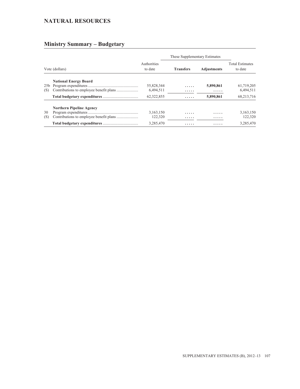## **NATURAL RESOURCES**

|                        |                                 |                         | These Supplementary Estimates          |                |                                   |
|------------------------|---------------------------------|-------------------------|----------------------------------------|----------------|-----------------------------------|
| Vote (dollars)         |                                 | Authorities<br>to date  | <b>Transfers</b><br><b>Adjustments</b> |                | <b>Total Estimates</b><br>to date |
| 25 <sub>b</sub><br>(S) | <b>National Energy Board</b>    | 55,828,344<br>6.494.511 | .<br>.                                 | 5,890,861<br>. | 61,719,205<br>6,494,511           |
|                        |                                 | 62,322,855              | .                                      | 5,890,861      | 68,213,716                        |
| 30<br>(S)              | <b>Northern Pipeline Agency</b> | 3,163,150<br>122,320    | .<br>.                                 | .<br>.         | 3,163,150<br>122,320              |
|                        |                                 | 3.285.470               | .                                      | .              | 3.285.470                         |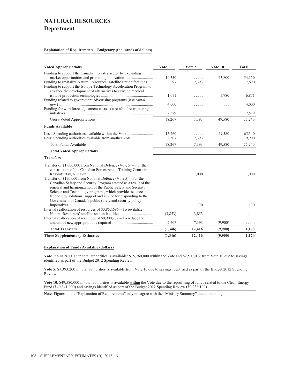# **NATURAL RESOURCES**

### **Department**

#### **Explanation of Requirements – Budgetary (thousands of dollars)**

| <b>Voted Appropriations</b>                                                                                                                                                                                                                                                                                                                                                                                                                                             | Vote 1          | Vote 5     | Vote 10     | <b>Total</b>    |
|-------------------------------------------------------------------------------------------------------------------------------------------------------------------------------------------------------------------------------------------------------------------------------------------------------------------------------------------------------------------------------------------------------------------------------------------------------------------------|-----------------|------------|-------------|-----------------|
| Funding to support the Canadian forestry sector by expanding<br>Funding to revitalize Natural Resources' satellite station facilities<br>Funding to support the Isotope Technology Acceleration Program to                                                                                                                                                                                                                                                              | 10,350<br>297   | .<br>7,393 | 43,800<br>. | 54,150<br>7,690 |
| advance the development of alternatives to existing medical                                                                                                                                                                                                                                                                                                                                                                                                             | 1,091           | .          | 5,780       | 6,871           |
| Funding related to government advertising programs (horizontal<br>Funding for workforce adjustment costs as a result of restructuring                                                                                                                                                                                                                                                                                                                                   | 4,000           | .          | .           | 4,000           |
|                                                                                                                                                                                                                                                                                                                                                                                                                                                                         | 2,529           | .          | .           | 2,529           |
| Gross Voted Appropriations                                                                                                                                                                                                                                                                                                                                                                                                                                              | 18,267          | 7,393      | 49,580      | 75,240          |
| <b>Funds Available</b>                                                                                                                                                                                                                                                                                                                                                                                                                                                  |                 |            |             |                 |
|                                                                                                                                                                                                                                                                                                                                                                                                                                                                         | 15,760<br>2,507 | .<br>7,393 | 49,580<br>. | 65,340<br>9,900 |
| Total Funds Available                                                                                                                                                                                                                                                                                                                                                                                                                                                   | 18,267          | 7,393      | 49,580      | 75,240          |
| <b>Total Voted Appropriations</b>                                                                                                                                                                                                                                                                                                                                                                                                                                       | .               | .          | .           | .               |
| <b>Transfers</b>                                                                                                                                                                                                                                                                                                                                                                                                                                                        |                 |            |             |                 |
| Transfer of \$1,000,000 from National Defence (Vote 5) – For the<br>construction of the Canadian Forces Arctic Training Centre in<br>Transfer of $$170,000$ from National Defence (Vote 5) – For the<br>Canadian Safety and Security Program created as a result of the<br>renewal and harmonization of the Public Safety and Security<br>Science and Technology programs, which provides science and<br>technology solutions, support and advice for responding to the |                 | 1,000      |             | 1,000           |
| Government of Canada's public safety and security policy                                                                                                                                                                                                                                                                                                                                                                                                                |                 | 170        | .           | 170             |
| Internal reallocation of resources of \$3,852,696 – To revitalize<br>Natural Resources' satellite station facilities<br>Internal reallocation of resources of $$9,900,272 - To$ reduce the                                                                                                                                                                                                                                                                              | (3,853)         | 3,853      | .           |                 |
|                                                                                                                                                                                                                                                                                                                                                                                                                                                                         | 2,507           | 7,393      | (9,900)     | .               |
| <b>Total Transfers</b>                                                                                                                                                                                                                                                                                                                                                                                                                                                  | (1,346)         | 12,416     | (9,900)     | 1,170           |
| <b>These Supplementary Estimates</b>                                                                                                                                                                                                                                                                                                                                                                                                                                    | (1,346)         | 12,416     | (9,900)     | 1,170           |

#### **Explanation of Funds Available (dollars)**

Vote 1: \$18,267,072 in total authorities is available: \$15,760,000 within the Vote and \$2,507,072 from Vote 10 due to savings identified as part of the Budget 2012 Spending Review.

Vote 5: \$7,393,200 in total authorities is available from Vote 10 due to savings identified as part of the Budget 2012 Spending Review.

**Vote 10**: \$49,580,000 in total authorities is available within the Vote due to the reprofiling of funds related to the Clean Energy Fund (\$40,341,900) and savings identified as part of the Budget 2012 Spending Review (\$9,238,100).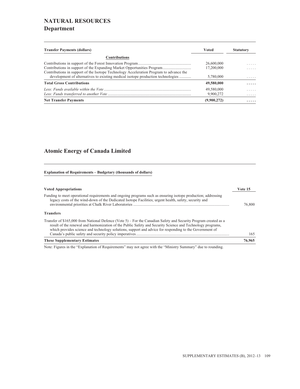### **NATURAL RESOURCES Department**

| <b>Transfer Payments (dollars)</b>                                                                                                                               | <b>Voted</b> | <b>Statutory</b> |
|------------------------------------------------------------------------------------------------------------------------------------------------------------------|--------------|------------------|
| <b>Contributions</b>                                                                                                                                             |              |                  |
|                                                                                                                                                                  | 26,600,000   | .                |
| Contributions in support of the Expanding Market Opportunities Program<br>Contributions in support of the Isotope Technology Acceleration Program to advance the | 17,200,000   | .                |
| development of alternatives to existing medical isotope production technologies                                                                                  | 5,780,000    | .                |
| <b>Total Gross Contributions</b>                                                                                                                                 | 49,580,000   | .                |
|                                                                                                                                                                  | 49,580,000   | .                |
|                                                                                                                                                                  | 9,900,272    | .                |
| <b>Net Transfer Payments</b>                                                                                                                                     | (9.900.272)  | .                |

### **Atomic Energy of Canada Limited**

#### **Explanation of Requirements – Budgetary (thousands of dollars)**

| <b>Voted Appropriations</b>                                                                                                                                                                                                                                                                                                               | Vote 15 |
|-------------------------------------------------------------------------------------------------------------------------------------------------------------------------------------------------------------------------------------------------------------------------------------------------------------------------------------------|---------|
| Funding to meet operational requirements and ongoing programs such as ensuring isotope production; addressing<br>legacy costs of the wind-down of the Dedicated Isotope Facilities; urgent health, safety, security and                                                                                                                   | 76,800  |
| <b>Transfers</b>                                                                                                                                                                                                                                                                                                                          |         |
| Transfer of \$165,000 from National Defence (Vote 5) – For the Canadian Safety and Security Program created as a<br>result of the renewal and harmonization of the Public Safety and Security Science and Technology programs,<br>which provides science and technology solutions, support and advice for responding to the Government of | 165     |
| <b>These Supplementary Estimates</b>                                                                                                                                                                                                                                                                                                      | 76,965  |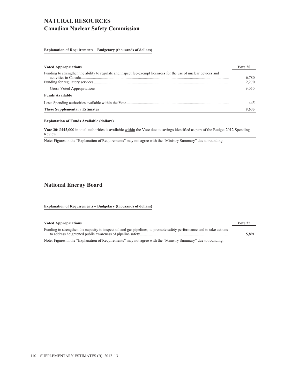### **NATURAL RESOURCES Canadian Nuclear Safety Commission**

#### **Explanation of Requirements – Budgetary (thousands of dollars)**

| <b>Voted Appropriations</b>                                                                                       | Vote 20        |
|-------------------------------------------------------------------------------------------------------------------|----------------|
| Funding to strengthen the ability to regulate and inspect fee-exempt licensees for the use of nuclear devices and | 6.780<br>2,270 |
| Gross Voted Appropriations                                                                                        | 9.050          |
| <b>Funds Available</b>                                                                                            |                |
|                                                                                                                   | 445            |
| <b>These Supplementary Estimates</b>                                                                              | 8.605          |

#### **Explanation of Funds Available (dollars)**

**Vote 20**: \$445,000 in total authorities is available within the Vote due to savings identified as part of the Budget 2012 Spending Review.

Note: Figures in the "Explanation of Requirements" may not agree with the "Ministry Summary" due to rounding.

#### **National Energy Board**

#### **Explanation of Requirements – Budgetary (thousands of dollars)**

| <b>Voted Appropriations</b>                                                                                            | Vote 25 |
|------------------------------------------------------------------------------------------------------------------------|---------|
| Funding to strengthen the capacity to inspect oil and gas pipelines, to promote safety performance and to take actions | 5.891   |
| Note: Figures in the "Evaluation of Requirements" may not garee with the "Ministry Summary" due to rounding            |         |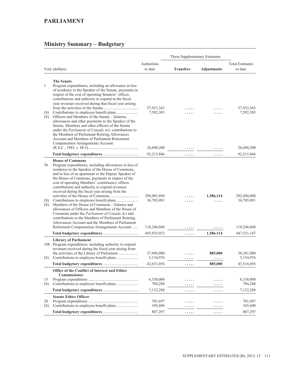### **PARLIAMENT**

|                            |                                                                                                                                                                                                                                                                                                                                                                                                                                                                                                                                                                                                                                                                                                                                  |                                          | These Supplementary Estimates |                     |                                          |
|----------------------------|----------------------------------------------------------------------------------------------------------------------------------------------------------------------------------------------------------------------------------------------------------------------------------------------------------------------------------------------------------------------------------------------------------------------------------------------------------------------------------------------------------------------------------------------------------------------------------------------------------------------------------------------------------------------------------------------------------------------------------|------------------------------------------|-------------------------------|---------------------|------------------------------------------|
|                            |                                                                                                                                                                                                                                                                                                                                                                                                                                                                                                                                                                                                                                                                                                                                  | Authorities                              |                               |                     | <b>Total Estimates</b>                   |
|                            | Vote (dollars)                                                                                                                                                                                                                                                                                                                                                                                                                                                                                                                                                                                                                                                                                                                   | to date                                  | <b>Transfers</b>              | <b>Adjustments</b>  | to date                                  |
| $\mathbf{1}$<br>(S)<br>(S) | <b>The Senate</b><br>Program expenditures, including an allowance in lieu<br>of residence to the Speaker of the Senate, payments in<br>respect of the cost of operating Senators' offices,<br>contributions and authority to expend in the fiscal<br>year revenues received during that fiscal year arising<br>Officers and Members of the Senate – Salaries,<br>allowances and other payments to the Speaker of the<br>Senate, Members and other officers of the Senate<br>under the <i>Parliament of Canada Act</i> ; contributions to<br>the Members of Parliament Retiring Allowances<br>Account and Members of Parliament Retirement                                                                                        | 57,933,343<br>7,592,303                  |                               |                     | 57,933,343<br>7,592,303                  |
|                            | <b>Compensation Arrangements Account</b>                                                                                                                                                                                                                                                                                                                                                                                                                                                                                                                                                                                                                                                                                         | 26,690,200                               |                               |                     | 26,690,200                               |
|                            |                                                                                                                                                                                                                                                                                                                                                                                                                                                                                                                                                                                                                                                                                                                                  | 92,215,846                               | .                             | .                   | 92,215,846                               |
| 5b<br>(S)<br>(S)           | <b>House of Commons</b><br>Program expenditures, including allowances in lieu of<br>residence to the Speaker of the House of Commons,<br>and in lieu of an apartment to the Deputy Speaker of<br>the House of Commons, payments in respect of the<br>cost of operating Members' constituency offices,<br>contributions and authority to expend revenues<br>received during the fiscal year arising from the<br>Members of the House of Commons – Salaries and<br>allowances of Officers and Members of the House of<br>Commons under the Parliament of Canada Act and<br>contributions to the Members of Parliament Retiring<br>Allowances Account and the Members of Parliament<br>Retirement Compensation Arrangements Account | 290,903,894<br>36,785,091<br>118,246,048 |                               | 1,586,114<br>.<br>. | 292,490,008<br>36,785,091<br>118,246,048 |
|                            |                                                                                                                                                                                                                                                                                                                                                                                                                                                                                                                                                                                                                                                                                                                                  | 445,935,033                              | .                             | 1,586,114           | 447,521,147                              |
| (S)                        | <b>Library of Parliament</b><br>10b Program expenditures, including authority to expend<br>revenues received during the fiscal year arising from<br>the activities of the Library of Parliament                                                                                                                                                                                                                                                                                                                                                                                                                                                                                                                                  | 37,496,080<br>5,134,976                  |                               | 885,000<br>.        | 38,381,080<br>5,134,976                  |
|                            |                                                                                                                                                                                                                                                                                                                                                                                                                                                                                                                                                                                                                                                                                                                                  | 42,631,056                               | .                             | 885,000             | 43,516,056                               |
| 15<br>(S)                  | <b>Office of the Conflict of Interest and Ethics</b><br>Commissioner                                                                                                                                                                                                                                                                                                                                                                                                                                                                                                                                                                                                                                                             | 6,338,000<br>794,288<br>7,132,288        | .<br>.                        | .<br>.              | 6,338,000<br>794,288<br>7,132,288        |
| 20<br>(S)                  | <b>Senate Ethics Officer</b>                                                                                                                                                                                                                                                                                                                                                                                                                                                                                                                                                                                                                                                                                                     | 701,697<br>105,600<br>807,297            | .<br>.<br>.                   | .<br>.<br>.         | 701,697<br>105,600<br>807,297            |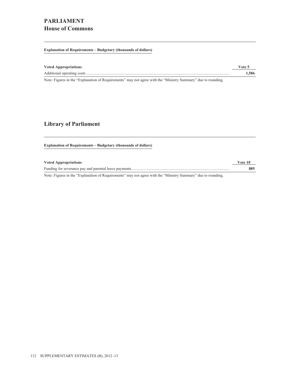### **PARLIAMENT House of Commons**

#### **Explanation of Requirements – Budgetary (thousands of dollars)**

| <b>Voted Appropriations</b> | Vote 5 |
|-----------------------------|--------|
|                             | 1.586  |

Note: Figures in the "Explanation of Requirements" may not agree with the "Ministry Summary" due to rounding.

#### **Library of Parliament**

**Explanation of Requirements – Budgetary (thousands of dollars)**

#### **Voted Appropriations Vote 10**

Funding for severance pay and parental leave payments.................................................................................................... **885** Note: Figures in the "Explanation of Requirements" may not agree with the "Ministry Summary" due to rounding.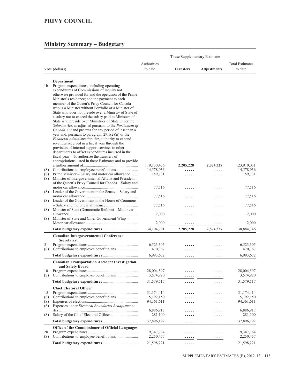### **PRIVY COUNCIL**

| <b>Ministry Summary - Budgetary</b> |  |
|-------------------------------------|--|
|                                     |  |

|            |                                                                                                                                                                                                                                                                                                                                                                                                                                                                                                                                                                                                                                                                                                                                                                                                                                                                                                                                                           |                        | These Supplementary Estimates |                    |                                   |
|------------|-----------------------------------------------------------------------------------------------------------------------------------------------------------------------------------------------------------------------------------------------------------------------------------------------------------------------------------------------------------------------------------------------------------------------------------------------------------------------------------------------------------------------------------------------------------------------------------------------------------------------------------------------------------------------------------------------------------------------------------------------------------------------------------------------------------------------------------------------------------------------------------------------------------------------------------------------------------|------------------------|-------------------------------|--------------------|-----------------------------------|
|            | Vote (dollars)                                                                                                                                                                                                                                                                                                                                                                                                                                                                                                                                                                                                                                                                                                                                                                                                                                                                                                                                            | Authorities<br>to date | <b>Transfers</b>              | <b>Adjustments</b> | <b>Total Estimates</b><br>to date |
| 1b         | Department<br>Program expenditures, including operating<br>expenditures of Commissions of inquiry not<br>otherwise provided for and the operation of the Prime<br>Minister's residence; and the payment to each<br>member of the Queen's Privy Council for Canada<br>who is a Minister without Portfolio or a Minister of<br>State who does not preside over a Ministry of State of<br>a salary not to exceed the salary paid to Ministers of<br>State who preside over Ministries of State under the<br>Salaries Act, as adjusted pursuant to the Parliament of<br>Canada Act and pro rata for any period of less than a<br>year and, pursuant to paragraph $29.1(2)(a)$ of the<br><i>Financial Administration Act</i> , authority to expend<br>revenues received in a fiscal year through the<br>provision of internal support services to other<br>departments to offset expenditures incurred in the<br>fiscal year $-$ To authorize the transfers of |                        |                               |                    |                                   |
|            | appropriations listed in these Estimates and to provide                                                                                                                                                                                                                                                                                                                                                                                                                                                                                                                                                                                                                                                                                                                                                                                                                                                                                                   | 119, 130, 476          | 2,205,228                     | 2,574,327          | 123,910,031                       |
| (S)        |                                                                                                                                                                                                                                                                                                                                                                                                                                                                                                                                                                                                                                                                                                                                                                                                                                                                                                                                                           | 14,578,036             |                               |                    | 14,578,036                        |
| (S)<br>(S) | Prime Minister – Salary and motor car allowance<br>Minister of Intergovernmental Affairs and President<br>of the Queen's Privy Council for Canada – Salary and                                                                                                                                                                                                                                                                                                                                                                                                                                                                                                                                                                                                                                                                                                                                                                                            | 159,731                |                               |                    | 159,731                           |
|            |                                                                                                                                                                                                                                                                                                                                                                                                                                                                                                                                                                                                                                                                                                                                                                                                                                                                                                                                                           | 77,516                 |                               | .                  | 77,516                            |
| (S)        | Leader of the Government in the Senate - Salary and                                                                                                                                                                                                                                                                                                                                                                                                                                                                                                                                                                                                                                                                                                                                                                                                                                                                                                       |                        |                               |                    | 77,516                            |
| (S)        | Leader of the Government in the House of Commons                                                                                                                                                                                                                                                                                                                                                                                                                                                                                                                                                                                                                                                                                                                                                                                                                                                                                                          | 77,516                 |                               |                    |                                   |
| (S)        | Minister of State (Democratic Reform) – Motor car                                                                                                                                                                                                                                                                                                                                                                                                                                                                                                                                                                                                                                                                                                                                                                                                                                                                                                         | 77,516                 |                               |                    | 77,516                            |
| (S)        | Minister of State and Chief Government Whip –                                                                                                                                                                                                                                                                                                                                                                                                                                                                                                                                                                                                                                                                                                                                                                                                                                                                                                             | 2,000<br>2,000         | .<br>.                        | .<br>.             | 2,000<br>2,000                    |
|            |                                                                                                                                                                                                                                                                                                                                                                                                                                                                                                                                                                                                                                                                                                                                                                                                                                                                                                                                                           | 134, 104, 791          | 2,205,228                     | 2,574,327          | 138,884,346                       |
|            | Canadian Intergovernmental Conference                                                                                                                                                                                                                                                                                                                                                                                                                                                                                                                                                                                                                                                                                                                                                                                                                                                                                                                     |                        |                               |                    |                                   |
|            | Secretariat                                                                                                                                                                                                                                                                                                                                                                                                                                                                                                                                                                                                                                                                                                                                                                                                                                                                                                                                               |                        |                               |                    |                                   |
| 5<br>(S)   |                                                                                                                                                                                                                                                                                                                                                                                                                                                                                                                                                                                                                                                                                                                                                                                                                                                                                                                                                           | 6,523,305<br>470,367   | .                             | .                  | 6,523,305<br>470,367              |
|            |                                                                                                                                                                                                                                                                                                                                                                                                                                                                                                                                                                                                                                                                                                                                                                                                                                                                                                                                                           | 6,993,672              | .                             | .                  | 6,993,672                         |
|            | <b>Canadian Transportation Accident Investigation</b>                                                                                                                                                                                                                                                                                                                                                                                                                                                                                                                                                                                                                                                                                                                                                                                                                                                                                                     |                        |                               |                    |                                   |
|            | and Safety Board                                                                                                                                                                                                                                                                                                                                                                                                                                                                                                                                                                                                                                                                                                                                                                                                                                                                                                                                          |                        |                               |                    |                                   |
| 10         | Program expenditures                                                                                                                                                                                                                                                                                                                                                                                                                                                                                                                                                                                                                                                                                                                                                                                                                                                                                                                                      | 28,004,597             |                               |                    | 28,004,597<br>3,574,920           |
| (S)        |                                                                                                                                                                                                                                                                                                                                                                                                                                                                                                                                                                                                                                                                                                                                                                                                                                                                                                                                                           | 3,574,920              | .                             | .                  |                                   |
|            |                                                                                                                                                                                                                                                                                                                                                                                                                                                                                                                                                                                                                                                                                                                                                                                                                                                                                                                                                           | 31,579,517             | .                             | .                  | 31,579,517                        |
| 15         | <b>Chief Electoral Officer</b>                                                                                                                                                                                                                                                                                                                                                                                                                                                                                                                                                                                                                                                                                                                                                                                                                                                                                                                            | 31,174,414             |                               |                    | 31,174,414                        |
| (S)        |                                                                                                                                                                                                                                                                                                                                                                                                                                                                                                                                                                                                                                                                                                                                                                                                                                                                                                                                                           | 5,192,150              | .                             | .                  | 5,192,150                         |
| (S)<br>(S) | Expenses under Electoral Boundaries Readjustment                                                                                                                                                                                                                                                                                                                                                                                                                                                                                                                                                                                                                                                                                                                                                                                                                                                                                                          | 94,361,611             |                               | .                  | 94, 361, 611                      |
|            |                                                                                                                                                                                                                                                                                                                                                                                                                                                                                                                                                                                                                                                                                                                                                                                                                                                                                                                                                           | 6,886,917<br>281,100   | .                             | .                  | 6,886,917                         |
| (S)        |                                                                                                                                                                                                                                                                                                                                                                                                                                                                                                                                                                                                                                                                                                                                                                                                                                                                                                                                                           | 137,896,192            | .                             | .                  | 281,100<br>137,896,192            |
|            |                                                                                                                                                                                                                                                                                                                                                                                                                                                                                                                                                                                                                                                                                                                                                                                                                                                                                                                                                           |                        | .                             | .                  |                                   |
| 20         | Office of the Commissioner of Official Languages                                                                                                                                                                                                                                                                                                                                                                                                                                                                                                                                                                                                                                                                                                                                                                                                                                                                                                          | 19,347,764             | .                             | .                  | 19,347,764                        |
| (S)        |                                                                                                                                                                                                                                                                                                                                                                                                                                                                                                                                                                                                                                                                                                                                                                                                                                                                                                                                                           | 2,250,457              | .                             | .                  | 2,250,457                         |
|            |                                                                                                                                                                                                                                                                                                                                                                                                                                                                                                                                                                                                                                                                                                                                                                                                                                                                                                                                                           | 21,598,221             | .                             | .                  | 21,598,221                        |

SUPPLEMENTARY ESTIMATES (B), 2012–13 113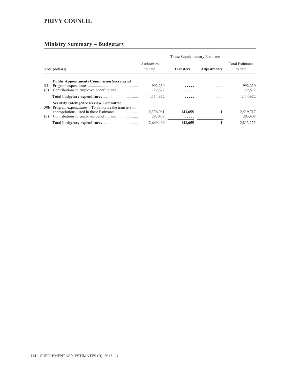### **PRIVY COUNCIL**

|                        |                                                                                                         |                        | These Supplementary Estimates |                    |                                   |
|------------------------|---------------------------------------------------------------------------------------------------------|------------------------|-------------------------------|--------------------|-----------------------------------|
|                        | Vote (dollars)                                                                                          | Authorities<br>to date | <b>Transfers</b>              | <b>Adjustments</b> | <b>Total Estimates</b><br>to date |
| 25<br>(S)              | <b>Public Appointments Commission Secretariat</b>                                                       | 992,250<br>122,672     | .<br>.                        | .<br>.             | 992,250<br>122,672                |
|                        |                                                                                                         | 1,114,922              | .                             | .                  | 1,114,922                         |
| 30 <sub>b</sub><br>(S) | <b>Security Intelligence Review Committee</b><br>Program expenditures $-$ To authorize the transfers of | 2,376,061<br>293,408   | 143,655<br>.                  | 1<br>.             | 2,519,717<br>293,408              |
|                        |                                                                                                         | 2.669.469              | 143,655                       |                    | 2.813.125                         |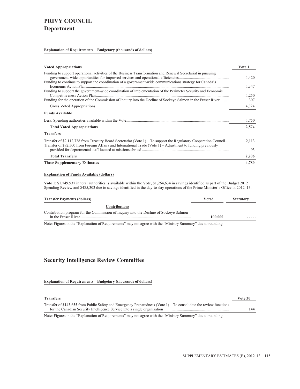# **PRIVY COUNCIL**

#### **Department**

#### **Explanation of Requirements – Budgetary (thousands of dollars)**

| <b>Voted Appropriations</b>                                                                                                                                                                                                          | Vote 1       |
|--------------------------------------------------------------------------------------------------------------------------------------------------------------------------------------------------------------------------------------|--------------|
| Funding to support operational activities of the Business Transformation and Renewal Secretariat in pursuing<br>Funding to continue to support the coordination of a government-wide communications strategy for Canada's            | 1,420        |
|                                                                                                                                                                                                                                      | 1,347        |
| Funding to support the government-wide coordination of implementation of the Perimeter Security and Economic<br>Funding for the operation of the Commission of Inquiry into the Decline of Sockeye Salmon in the Fraser River        | 1,250<br>307 |
| Gross Voted Appropriations                                                                                                                                                                                                           | 4,324        |
| <b>Funds Available</b>                                                                                                                                                                                                               |              |
|                                                                                                                                                                                                                                      | 1,750        |
| <b>Total Voted Appropriations</b>                                                                                                                                                                                                    | 2,574        |
| <b>Transfers</b>                                                                                                                                                                                                                     |              |
| Transfer of \$2,112,728 from Treasury Board Secretariat (Vote 1) – To support the Regulatory Cooperation Council<br>Transfer of \$92,500 from Foreign Affairs and International Trade (Vote $1$ ) – Adjustment to funding previously | 2.113        |
|                                                                                                                                                                                                                                      | 93           |
| <b>Total Transfers</b>                                                                                                                                                                                                               | 2,206        |
| <b>These Supplementary Estimates</b>                                                                                                                                                                                                 | 4,780        |

#### **Explanation of Funds Available (dollars)**

**Vote 1**: \$1,749,937 in total authorities is available within the Vote, \$1,264,634 in savings identified as part of the Budget 2012 Spending Review and \$485,303 due to savings identified in the day-to-day operations of the Prime Minister's Office in 2012–13.

| <b>Transfer Payments (dollars)</b>                                                                                  | Voted   | <b>Statutory</b> |
|---------------------------------------------------------------------------------------------------------------------|---------|------------------|
| <b>Contributions</b>                                                                                                |         |                  |
| Contribution program for the Commission of Inquiry into the Decline of Sockeye Salmon                               |         |                  |
|                                                                                                                     | 100.000 | .                |
| $\mathcal{M}$ , and an international contract and $\mathcal{M}$ . The contract of $\mathcal{M}$ , and $\mathcal{M}$ |         |                  |

Note: Figures in the "Explanation of Requirements" may not agree with the "Ministry Summary" due to rounding.

#### **Security Intelligence Review Committee**

|  | <b>Explanation of Requirements - Budgetary (thousands of dollars)</b> |  |  |  |
|--|-----------------------------------------------------------------------|--|--|--|
|--|-----------------------------------------------------------------------|--|--|--|

| Vote 30 |
|---------|
|         |
| 144     |
|         |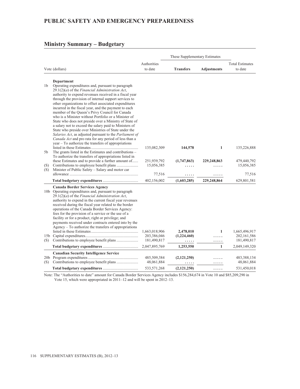### **PUBLIC SAFETY AND EMERGENCY PREPAREDNESS**

|                |                                                                                                                                                                                                                                                                                                                                                                                                                                                                                                                                                                                                                                                                                                                                                                                          |                                             | These Supplementary Estimates |                             |                                               |
|----------------|------------------------------------------------------------------------------------------------------------------------------------------------------------------------------------------------------------------------------------------------------------------------------------------------------------------------------------------------------------------------------------------------------------------------------------------------------------------------------------------------------------------------------------------------------------------------------------------------------------------------------------------------------------------------------------------------------------------------------------------------------------------------------------------|---------------------------------------------|-------------------------------|-----------------------------|-----------------------------------------------|
|                | Vote (dollars)                                                                                                                                                                                                                                                                                                                                                                                                                                                                                                                                                                                                                                                                                                                                                                           | Authorities<br>to date                      | <b>Transfers</b>              | <b>Adjustments</b>          | <b>Total Estimates</b><br>to date             |
| 1 <sub>b</sub> | Department<br>Operating expenditures and, pursuant to paragraph<br>$29.1(2)(a)$ of the Financial Administration Act,<br>authority to expend revenues received in a fiscal year<br>through the provision of internal support services to<br>other organizations to offset associated expenditures<br>incurred in the fiscal year, and the payment to each<br>member of the Queen's Privy Council for Canada<br>who is a Minister without Portfolio or a Minister of<br>State who does not preside over a Ministry of State of<br>a salary not to exceed the salary paid to Ministers of<br>State who preside over Ministries of State under the<br><i>Salaries Act</i> , as adjusted pursuant to the <i>Parliament of</i><br><i>Canada Act</i> and pro rata for any period of less than a |                                             |                               |                             |                                               |
| 5b             | $year - To authorize the transfers of approxiations$<br>The grants listed in the Estimates and contributions –<br>To authorize the transfers of appropriations listed in                                                                                                                                                                                                                                                                                                                                                                                                                                                                                                                                                                                                                 | 135,082,309                                 | 144,578                       | 1                           | 135,226,888                                   |
| (S)<br>(S)     | these Estimates and to provide a further amount of<br>Minister of Public Safety – Salary and motor car                                                                                                                                                                                                                                                                                                                                                                                                                                                                                                                                                                                                                                                                                   | 251,939,792<br>15,056,385                   | (1,747,863)<br>.              | 229,248,863                 | 479,440,792<br>15,056,385                     |
|                |                                                                                                                                                                                                                                                                                                                                                                                                                                                                                                                                                                                                                                                                                                                                                                                          | 77,516                                      | .                             | .                           | 77,516                                        |
|                |                                                                                                                                                                                                                                                                                                                                                                                                                                                                                                                                                                                                                                                                                                                                                                                          | 402,156,002                                 | (1,603,285)                   | 229,248,864                 | 629,801,581                                   |
| (S)            | <b>Canada Border Services Agency</b><br>10b Operating expenditures and, pursuant to paragraph<br>$29.1(2)(a)$ of the Financial Administration Act,<br>authority to expend in the current fiscal year revenues<br>received during the fiscal year related to the border<br>operations of the Canada Border Services Agency:<br>fees for the provision of a service or the use of a<br>facility or for a product, right or privilege; and<br>payments received under contracts entered into by the<br>Agency – To authorize the transfers of appropriations                                                                                                                                                                                                                                | 1,663,018,906<br>203,386,046<br>181,490,817 | 2,478,010<br>(1,224,460)<br>. | 1<br>$\cdots$<br>. <b>.</b> | 1,665,496,917<br>202, 161, 586<br>181,490,817 |
|                |                                                                                                                                                                                                                                                                                                                                                                                                                                                                                                                                                                                                                                                                                                                                                                                          | 2,047,895,769                               | 1,253,550                     | 1                           | 2,049,149,320                                 |
| (S)            | <b>Canadian Security Intelligence Service</b><br>Contributions to employee benefit plans                                                                                                                                                                                                                                                                                                                                                                                                                                                                                                                                                                                                                                                                                                 | 485,509,384<br>48,061,884                   | (2,121,250)                   |                             | 483,388,134<br>48,061,884                     |
|                |                                                                                                                                                                                                                                                                                                                                                                                                                                                                                                                                                                                                                                                                                                                                                                                          | 533,571,268                                 | (2,121,250)                   | .                           | 531,450,018                                   |

### **Ministry Summary – Budgetary**

Note: The "Authorities to date" amount for Canada Border Services Agency includes \$156,284,674 in Vote 10 and \$85,209,290 in Vote 15, which were appropriated in 2011–12 and will be spent in 2012–13.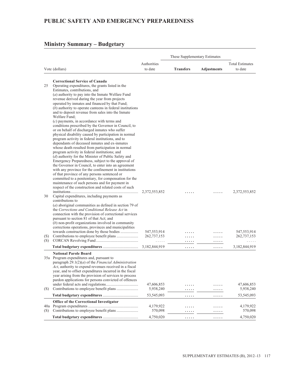### **PUBLIC SAFETY AND EMERGENCY PREPAREDNESS**

|  | <b>Ministry Summary - Budgetary</b> |  |
|--|-------------------------------------|--|
|--|-------------------------------------|--|

| These Supplementary Estimates |                                                                                                                                                                                                                                                                                                                                                                                                                                                                                                                                                                                                                                                                                                                                                                                                                                                                                                                                                                                                                                                                                                                                                                                                                                                                                                                                                |                              |                  |                    |                              |
|-------------------------------|------------------------------------------------------------------------------------------------------------------------------------------------------------------------------------------------------------------------------------------------------------------------------------------------------------------------------------------------------------------------------------------------------------------------------------------------------------------------------------------------------------------------------------------------------------------------------------------------------------------------------------------------------------------------------------------------------------------------------------------------------------------------------------------------------------------------------------------------------------------------------------------------------------------------------------------------------------------------------------------------------------------------------------------------------------------------------------------------------------------------------------------------------------------------------------------------------------------------------------------------------------------------------------------------------------------------------------------------|------------------------------|------------------|--------------------|------------------------------|
|                               |                                                                                                                                                                                                                                                                                                                                                                                                                                                                                                                                                                                                                                                                                                                                                                                                                                                                                                                                                                                                                                                                                                                                                                                                                                                                                                                                                | Authorities                  |                  |                    | <b>Total Estimates</b>       |
|                               | Vote (dollars)                                                                                                                                                                                                                                                                                                                                                                                                                                                                                                                                                                                                                                                                                                                                                                                                                                                                                                                                                                                                                                                                                                                                                                                                                                                                                                                                 | to date                      | <b>Transfers</b> | <b>Adjustments</b> | to date                      |
| 25                            | <b>Correctional Service of Canada</b><br>Operating expenditures, the grants listed in the<br>Estimates, contributions, and<br>(a) authority to pay into the Inmate Welfare Fund<br>revenue derived during the year from projects<br>operated by inmates and financed by that Fund;<br>$(b)$ authority to operate canteens in federal institutions<br>and to deposit revenue from sales into the Inmate                                                                                                                                                                                                                                                                                                                                                                                                                                                                                                                                                                                                                                                                                                                                                                                                                                                                                                                                         |                              |                  |                    |                              |
| 30                            | Welfare Fund:<br>$(c)$ payments, in accordance with terms and<br>conditions prescribed by the Governor in Council, to<br>or on behalf of discharged inmates who suffer<br>physical disability caused by participation in normal<br>program activity in federal institutions, and to<br>dependants of deceased inmates and ex-inmates<br>whose death resulted from participation in normal<br>program activity in federal institutions; and<br>(d) authority for the Minister of Public Safety and<br>Emergency Preparedness, subject to the approval of<br>the Governor in Council, to enter into an agreement<br>with any province for the confinement in institutions<br>of that province of any persons sentenced or<br>committed to a penitentiary, for compensation for the<br>maintenance of such persons and for payment in<br>respect of the construction and related costs of such<br>Capital expenditures, including payments as<br>contributions to<br>$(a)$ aboriginal communities as defined in section 79 of<br>the Corrections and Conditional Release Act in<br>connection with the provision of correctional services<br>pursuant to section 81 of that Act; and<br>$(b)$ non-profit organizations involved in community<br>corrections operations, provinces and municipalities<br>towards construction done by those bodies | 2,372,553,852<br>547,553,914 |                  |                    | 2,372,553,852<br>547,553,914 |
| (S)<br>(S)                    |                                                                                                                                                                                                                                                                                                                                                                                                                                                                                                                                                                                                                                                                                                                                                                                                                                                                                                                                                                                                                                                                                                                                                                                                                                                                                                                                                | 262,737,153<br>.             | .                | .                  | 262,737,153                  |
|                               |                                                                                                                                                                                                                                                                                                                                                                                                                                                                                                                                                                                                                                                                                                                                                                                                                                                                                                                                                                                                                                                                                                                                                                                                                                                                                                                                                | 3,182,844,919                | .                | .                  | 3,182,844,919                |
|                               | <b>National Parole Board</b><br>35a Program expenditures and, pursuant to<br>paragraph $29.1(2)(a)$ of the <i>Financial Administration</i><br>Act, authority to expend revenues received in a fiscal<br>year, and to offset expenditures incurred in the fiscal<br>year arising from the provision of services to process<br>pardon applications for persons convicted of offences                                                                                                                                                                                                                                                                                                                                                                                                                                                                                                                                                                                                                                                                                                                                                                                                                                                                                                                                                             | 47,606,853                   | .                | .                  | 47,606,853                   |
| (S)                           |                                                                                                                                                                                                                                                                                                                                                                                                                                                                                                                                                                                                                                                                                                                                                                                                                                                                                                                                                                                                                                                                                                                                                                                                                                                                                                                                                | 5,938,240                    | .                | .                  | 5,938,240                    |
|                               |                                                                                                                                                                                                                                                                                                                                                                                                                                                                                                                                                                                                                                                                                                                                                                                                                                                                                                                                                                                                                                                                                                                                                                                                                                                                                                                                                | 53,545,093                   | .                | .                  | 53, 545, 093                 |
| (S)                           | Office of the Correctional Investigator                                                                                                                                                                                                                                                                                                                                                                                                                                                                                                                                                                                                                                                                                                                                                                                                                                                                                                                                                                                                                                                                                                                                                                                                                                                                                                        | 4,179,922<br>570,098         | .<br>.           | .                  | 4,179,922<br>570,098         |
|                               |                                                                                                                                                                                                                                                                                                                                                                                                                                                                                                                                                                                                                                                                                                                                                                                                                                                                                                                                                                                                                                                                                                                                                                                                                                                                                                                                                | 4,750,020                    | .                | .                  | 4,750,020                    |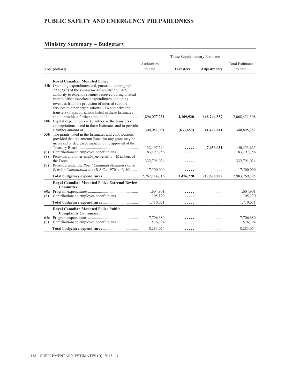### **PUBLIC SAFETY AND EMERGENCY PREPAREDNESS**

|  | <b>Ministry Summary - Budgetary</b> |  |
|--|-------------------------------------|--|
|--|-------------------------------------|--|

|            |                                                                                                                                                                                                                                                                                                                                                                                        |                        | These Supplementary Estimates |                    |                                   |
|------------|----------------------------------------------------------------------------------------------------------------------------------------------------------------------------------------------------------------------------------------------------------------------------------------------------------------------------------------------------------------------------------------|------------------------|-------------------------------|--------------------|-----------------------------------|
|            | Vote (dollars)                                                                                                                                                                                                                                                                                                                                                                         | Authorities<br>to date | <b>Transfers</b>              | <b>Adjustments</b> | <b>Total Estimates</b><br>to date |
|            | <b>Royal Canadian Mounted Police</b>                                                                                                                                                                                                                                                                                                                                                   |                        |                               |                    |                                   |
| 45b        | Operating expenditures and, pursuant to paragraph<br>$29.1(2)(a)$ of the Financial Administration Act,<br>authority to expend revenues received during a fiscal<br>year to offset associated expenditures, including<br>revenues from the provision of internal support<br>services to other organizations – To authorize the<br>transfers of appropriations listed in these Estimates |                        |                               |                    |                                   |
|            | 50b Capital expenditures – To authorize the transfers of<br>appropriations listed in these Estimates and to provide                                                                                                                                                                                                                                                                    | 1,896,077,251          | 4,109,920                     | 168,244,337        | 2,068,431,508                     |
| 55b        | The grants listed in the Estimates and contributions,<br>provided that the amount listed for any grant may be<br>increased or decreased subject to the approval of the                                                                                                                                                                                                                 | 300,051,091            | (633, 650)                    | 41,477,841         | 340,895,282                       |
|            |                                                                                                                                                                                                                                                                                                                                                                                        | 132,497,594            |                               | 7,956,031          | 140,453,625                       |
| (S)<br>(S) | Pensions and other employee benefits - Members of                                                                                                                                                                                                                                                                                                                                      | 83,197,756             |                               |                    | 83,197,756                        |
| (S)        | Pensions under the Royal Canadian Mounted Police                                                                                                                                                                                                                                                                                                                                       | 332,791,024            |                               |                    | 332,791,024                       |
|            | Pension Continuation Act (R.S.C., 1970, c. R-10)                                                                                                                                                                                                                                                                                                                                       | 17,500,000             | .                             | .                  | 17,500,000                        |
|            |                                                                                                                                                                                                                                                                                                                                                                                        | 2,762,114,716          | 3,476,270                     | 217,678,209        | 2,983,269,195                     |
|            | <b>Royal Canadian Mounted Police External Review</b><br>Committee                                                                                                                                                                                                                                                                                                                      |                        |                               |                    |                                   |
| 60a        |                                                                                                                                                                                                                                                                                                                                                                                        | 1,604,901              |                               |                    | 1,604,901                         |
| (S)        |                                                                                                                                                                                                                                                                                                                                                                                        | 105,170                |                               |                    | 105,170                           |
|            |                                                                                                                                                                                                                                                                                                                                                                                        | 1,710,071              | .                             | .                  | 1,710,071                         |
|            | <b>Royal Canadian Mounted Police Public</b><br><b>Complaints Commission</b>                                                                                                                                                                                                                                                                                                            |                        |                               |                    |                                   |
| (S)        |                                                                                                                                                                                                                                                                                                                                                                                        | 7,706,680<br>576,394   |                               |                    | 7,706,680<br>576,394              |
|            |                                                                                                                                                                                                                                                                                                                                                                                        | 8,283,074              | .                             | .                  | 8,283,074                         |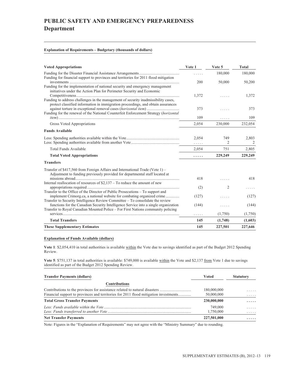### **PUBLIC SAFETY AND EMERGENCY PREPAREDNESS Department**

#### **Explanation of Requirements – Budgetary (thousands of dollars)**

| <b>Voted Appropriations</b>                                                                                                                                            | Vote 1 | Vote 5  | <b>Total</b> |
|------------------------------------------------------------------------------------------------------------------------------------------------------------------------|--------|---------|--------------|
|                                                                                                                                                                        |        | 180,000 | 180,000      |
| Funding for financial support to provinces and territories for 2011 flood mitigation                                                                                   | 200    |         |              |
| Funding for the implementation of national security and emergency management                                                                                           |        | 50,000  | 50,200       |
| initiatives under the Action Plan for Perimeter Security and Economic                                                                                                  |        |         |              |
|                                                                                                                                                                        | 1,372  |         | 1,372        |
| Funding to address challenges in the management of security inadmissibility cases,<br>protect classified information in immigration proceedings, and obtain assurances |        |         |              |
|                                                                                                                                                                        | 373    | .       | 373          |
| Funding for the renewal of the National Counterfeit Enforcement Strategy (horizontal                                                                                   |        |         |              |
|                                                                                                                                                                        | 109    | .       | 109          |
| Gross Voted Appropriations                                                                                                                                             | 2,054  | 230,000 | 232,054      |
| <b>Funds Available</b>                                                                                                                                                 |        |         |              |
|                                                                                                                                                                        | 2,054  | 749     | 2,803        |
|                                                                                                                                                                        |        | 2       | 2            |
| <b>Total Funds Available</b>                                                                                                                                           | 2,054  | 751     | 2,805        |
| <b>Total Voted Appropriations</b>                                                                                                                                      | .      | 229,249 | 229,249      |
| <b>Transfers</b>                                                                                                                                                       |        |         |              |
| Transfer of \$417,560 from Foreign Affairs and International Trade (Vote $1$ ) –                                                                                       |        |         |              |
| Adjustment to funding previously provided for departmental staff located at                                                                                            |        |         |              |
| Internal reallocation of resources of $$2,137 - To$ reduce the amount of new                                                                                           | 418    |         | 418          |
|                                                                                                                                                                        | (2)    | 2       |              |
| Transfer to the Office of the Director of Public Prosecutions - To support and                                                                                         |        |         |              |
| implement Crimorg.ca, a national website for combating organized crime<br>Transfer to Security Intelligence Review Committee – To consolidate the review               | (127)  |         | (127)        |
| functions for the Canadian Security Intelligence Service into a single organization                                                                                    | (144)  | .       | (144)        |
| Transfer to Royal Canadian Mounted Police – For First Nations community policing                                                                                       |        |         |              |
|                                                                                                                                                                        | .      | (1,750) | (1,750)      |
| <b>Total Transfers</b>                                                                                                                                                 | 145    | (1,748) | (1,603)      |
| <b>These Supplementary Estimates</b>                                                                                                                                   | 145    | 227,501 | 227,646      |

#### **Explanation of Funds Available (dollars)**

**Vote 1**: \$2,054,410 in total authorities is available within the Vote due to savings identified as part of the Budget 2012 Spending Review.

Vote 5: \$751,137 in total authorities is available: \$749,000 is available within the Vote and \$2,137 from Vote 1 due to savings identified as part of the Budget 2012 Spending Review.

| <b>Transfer Payments (dollars)</b>                                                   | Voted       | <b>Statutory</b> |
|--------------------------------------------------------------------------------------|-------------|------------------|
| <b>Contributions</b>                                                                 |             |                  |
| Contributions to the provinces for assistance related to natural disasters           | 180,000,000 | .                |
| Financial support to provinces and territories for 2011 flood mitigation investments | 50,000,000  | .                |
| <b>Total Gross Transfer Payments</b>                                                 | 230,000,000 | .                |
|                                                                                      | 749,000     | .                |
|                                                                                      | 1,750,000   | .                |
| <b>Net Transfer Payments</b>                                                         | 227,501,000 | .                |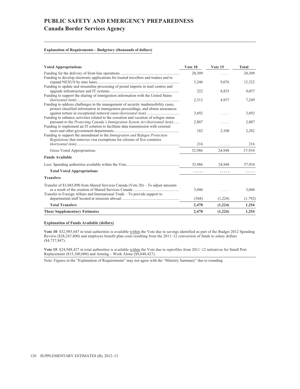### **PUBLIC SAFETY AND EMERGENCY PREPAREDNESS Canada Border Services Agency**

#### **Explanation of Requirements – Budgetary (thousands of dollars)**

| <b>Voted Appropriations</b>                                                                                                                                               | Vote 10 | Vote 15 | Total   |
|---------------------------------------------------------------------------------------------------------------------------------------------------------------------------|---------|---------|---------|
|                                                                                                                                                                           | 20,309  | .       | 20,309  |
| Funding to develop electronic applications for trusted travellers and traders and to<br>Funding to update and streamline processing of postal imports in mail centres and | 3,246   | 9,076   | 12,322  |
|                                                                                                                                                                           | 222     | 8,835   | 9,057   |
| Funding to support the sharing of immigration information with the United States                                                                                          | 2,312   | 4,937   | 7,249   |
| Funding to address challenges in the management of security inadmissibility cases,<br>protect classified information in immigration proceedings, and obtain assurances    |         |         |         |
| Funding to enhance activities related to the cessation and vacation of refugee status                                                                                     | 3,692   |         | 3,692   |
| pursuant to the Protecting Canada's Immigration System Act (horizontal item)                                                                                              | 2,807   | .       | 2,807   |
| Funding to implement an IT solution to facilitate data transmission with external                                                                                         | 182     | 2,100   | 2,282   |
| Funding to support the amendment to the <i>Immigration and Refugee Protection</i><br><i>Regulations</i> that removes visa exemptions for citizens of five countries       | 216     | .       | 216     |
| Gross Voted Appropriations                                                                                                                                                | 32,986  | 24,948  | 57,934  |
| <b>Funds Available</b>                                                                                                                                                    |         |         |         |
|                                                                                                                                                                           | 32,986  | 24,948  | 57,934  |
| <b>Total Voted Appropriations</b>                                                                                                                                         | .       |         |         |
| <b>Transfers</b>                                                                                                                                                          |         |         |         |
| Transfer of \$3,045,890 from Shared Services Canada (Vote 20) - To adjust amounts                                                                                         | 3,046   | .       | 3,046   |
| Transfer to Foreign Affairs and International Trade – To provide support to                                                                                               | (568)   | (1,224) | (1,792) |
| <b>Total Transfers</b>                                                                                                                                                    | 2,478   | (1,224) | 1,254   |
| <b>These Supplementary Estimates</b>                                                                                                                                      | 2,478   | (1,224) | 1,254   |
|                                                                                                                                                                           |         |         |         |

#### **Explanation of Funds Available (dollars)**

**Vote 10**: \$32,985,647 in total authorities is available within the Vote due to savings identified as part of the Budget 2012 Spending Review (\$28,247,800) and employee benefit plan costs resulting from the 2011–12 conversion of funds to salary dollars (\$4,737,847).

**Vote 15**: \$24,948,427 in total authorities is available within the Vote due to reprofiles from 2011–12 initiatives for Small Port Replacement (\$15,100,000) and Arming – Work Alone (\$9,848,427).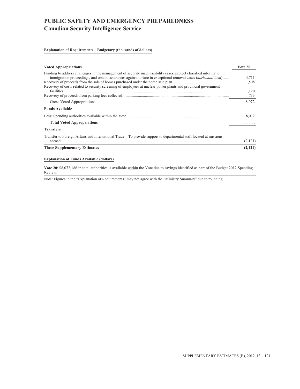### **PUBLIC SAFETY AND EMERGENCY PREPAREDNESS Canadian Security Intelligence Service**

#### **Explanation of Requirements – Budgetary (thousands of dollars)**

| <b>Voted Appropriations</b>                                                                                                                                                                                                                                                                                                                                      | Vote 20        |
|------------------------------------------------------------------------------------------------------------------------------------------------------------------------------------------------------------------------------------------------------------------------------------------------------------------------------------------------------------------|----------------|
| Funding to address challenges in the management of security inadmissibility cases, protect classified information in<br>immigration proceedings, and obtain assurances against torture in exceptional removal cases ( <i>horizontal item</i> )<br>Recovery of costs related to security screening of employees at nuclear power plants and provincial government | 4.711<br>1.508 |
|                                                                                                                                                                                                                                                                                                                                                                  | 1.120          |
|                                                                                                                                                                                                                                                                                                                                                                  | 733            |
| Gross Voted Appropriations                                                                                                                                                                                                                                                                                                                                       | 8.072          |
| <b>Funds Available</b>                                                                                                                                                                                                                                                                                                                                           |                |
|                                                                                                                                                                                                                                                                                                                                                                  | 8.072          |
| <b>Total Voted Appropriations</b>                                                                                                                                                                                                                                                                                                                                |                |
| <b>Transfers</b>                                                                                                                                                                                                                                                                                                                                                 |                |
| Transfer to Foreign Affairs and International Trade – To provide support to departmental staff located at missions                                                                                                                                                                                                                                               |                |
|                                                                                                                                                                                                                                                                                                                                                                  | (2,121)        |
| <b>These Supplementary Estimates</b>                                                                                                                                                                                                                                                                                                                             | (2,121)        |

#### **Explanation of Funds Available (dollars)**

**Vote 20**: \$8,072,186 in total authorities is available within the Vote due to savings identified as part of the Budget 2012 Spending Review.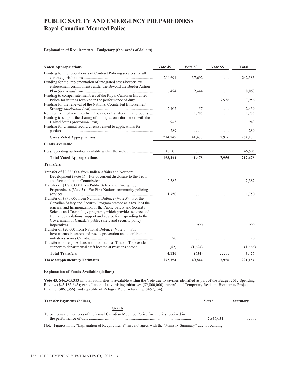### **PUBLIC SAFETY AND EMERGENCY PREPAREDNESS Royal Canadian Mounted Police**

#### **Explanation of Requirements – Budgetary (thousands of dollars)**

| <b>Voted Appropriations</b>                                                                                                                                                                                                                              | Vote 45 | Vote 50  | Vote 55  | Total   |
|----------------------------------------------------------------------------------------------------------------------------------------------------------------------------------------------------------------------------------------------------------|---------|----------|----------|---------|
| Funding for the federal costs of Contract Policing services for all<br>Funding for the implementation of integrated cross-border law                                                                                                                     | 204,691 | 37,692   | .        | 242,383 |
| enforcement commitments under the Beyond the Border Action                                                                                                                                                                                               | 6,424   | 2,444    | .        | 8,868   |
| Funding to compensate members of the Royal Canadian Mounted                                                                                                                                                                                              |         |          | 7,956    |         |
| Funding for the renewal of the National Counterfeit Enforcement                                                                                                                                                                                          | .       | .        |          | 7,956   |
|                                                                                                                                                                                                                                                          | 2,402   | 57       | .        | 2,459   |
| Reinvestment of revenues from the sale or transfer of real property<br>Funding to support the sharing of immigration information with the                                                                                                                | .       | 1,285    | .        | 1,285   |
| Funding for criminal record checks related to applications for                                                                                                                                                                                           | 943     | .        | .        | 943     |
|                                                                                                                                                                                                                                                          | 289     | .        | .        | 289     |
| Gross Voted Appropriations                                                                                                                                                                                                                               | 214,749 | 41,478   | 7,956    | 264,183 |
| <b>Funds Available</b>                                                                                                                                                                                                                                   |         |          |          |         |
| Less: Spending authorities available within the Vote                                                                                                                                                                                                     | 46,505  | $\cdots$ | .        | 46,505  |
| <b>Total Voted Appropriations</b>                                                                                                                                                                                                                        | 168,244 | 41,478   | 7,956    | 217,678 |
| <b>Transfers</b>                                                                                                                                                                                                                                         |         |          |          |         |
| Transfer of \$2,382,000 from Indian Affairs and Northern<br>Development (Vote $1$ ) – For document disclosure to the Truth                                                                                                                               | 2,382   |          |          | 2,382   |
| Transfer of \$1,750,000 from Public Safety and Emergency<br>Preparedness (Vote 5) – For First Nations community policing                                                                                                                                 |         | .        | $\cdots$ |         |
| Transfer of \$990,000 from National Defence (Vote 5) – For the<br>Canadian Safety and Security Program created as a result of the                                                                                                                        | 1,750   |          |          | 1,750   |
| renewal and harmonization of the Public Safety and Security<br>Science and Technology programs, which provides science and<br>technology solutions, support and advice for responding to the<br>Government of Canada's public safety and security policy |         |          |          |         |
| Transfer of $$20,000$ from National Defence (Vote 1) – For                                                                                                                                                                                               |         | 990      | 1.111    | 990     |
| investments in search and rescue prevention and coordination                                                                                                                                                                                             | 20      | .        |          | 20      |
| Transfer to Foreign Affairs and International Trade – To provide                                                                                                                                                                                         |         |          |          |         |
| support to departmental staff located at missions abroad                                                                                                                                                                                                 | (42)    | (1,624)  | .        | (1,666) |
| <b>Total Transfers</b>                                                                                                                                                                                                                                   | 4,110   | (634)    | .        | 3,476   |
| <b>These Supplementary Estimates</b>                                                                                                                                                                                                                     | 172,354 | 40,844   | 7,956    | 221,154 |

#### **Explanation of Funds Available (dollars)**

**Vote 45**: \$46,505,333 in total authorities is available within the Vote due to savings identified as part of the Budget 2012 Spending Review (\$43,185,643); cancellation of advertising initiatives (\$2,000,000); reprofile of Temporary Resident Biometrics Project funding (\$867,356); and reprofile of Refugee Reform funding (\$452,334).

| <b>Transfer Payments (dollars)</b>                                                                             | Voted     | <b>Statutory</b> |
|----------------------------------------------------------------------------------------------------------------|-----------|------------------|
| <b>Grants</b>                                                                                                  |           |                  |
| To compensate members of the Royal Canadian Mounted Police for injuries received in                            |           |                  |
|                                                                                                                | 7,956,031 | .                |
| Matay Figures in the "Funlangtion of Deguinements" movement agains with the "Minister Cumman"" due to nounding |           |                  |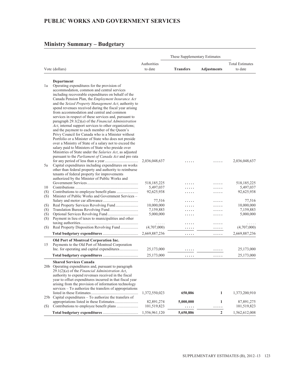### **PUBLIC WORKS AND GOVERNMENT SERVICES**

|            |                                                                                                                                                                                                                                                                                                                                                                                                                                                                                                                                                                                                                                                                                                                                         |                           | These Supplementary Estimates |                    |                           |
|------------|-----------------------------------------------------------------------------------------------------------------------------------------------------------------------------------------------------------------------------------------------------------------------------------------------------------------------------------------------------------------------------------------------------------------------------------------------------------------------------------------------------------------------------------------------------------------------------------------------------------------------------------------------------------------------------------------------------------------------------------------|---------------------------|-------------------------------|--------------------|---------------------------|
|            |                                                                                                                                                                                                                                                                                                                                                                                                                                                                                                                                                                                                                                                                                                                                         | Authorities               |                               |                    | <b>Total Estimates</b>    |
|            | Vote (dollars)                                                                                                                                                                                                                                                                                                                                                                                                                                                                                                                                                                                                                                                                                                                          | to date                   | <b>Transfers</b>              | <b>Adjustments</b> | to date                   |
|            |                                                                                                                                                                                                                                                                                                                                                                                                                                                                                                                                                                                                                                                                                                                                         |                           |                               |                    |                           |
| 1a         | Department<br>Operating expenditures for the provision of<br>accommodation, common and central services<br>including recoverable expenditures on behalf of the<br>Canada Pension Plan, the Employment Insurance Act<br>and the Seized Property Management Act; authority to<br>spend revenues received during the fiscal year arising<br>from accommodation and central and common<br>services in respect of these services and, pursuant to<br>paragraph $29.1(2)(a)$ of the <i>Financial Administration</i><br>Act, internal support services to other organizations;<br>and the payment to each member of the Queen's<br>Privy Council for Canada who is a Minister without<br>Portfolio or a Minister of State who does not preside |                           |                               |                    |                           |
|            | over a Ministry of State of a salary not to exceed the<br>salary paid to Ministers of State who preside over<br>Ministries of State under the Salaries Act, as adjusted<br>pursuant to the Parliament of Canada Act and pro rata                                                                                                                                                                                                                                                                                                                                                                                                                                                                                                        |                           |                               |                    |                           |
| 5a         | Capital expenditures including expenditures on works<br>other than federal property and authority to reimburse<br>tenants of federal property for improvements<br>authorized by the Minister of Public Works and                                                                                                                                                                                                                                                                                                                                                                                                                                                                                                                        | 2,036,048,637             |                               |                    | 2,036,048,637             |
|            |                                                                                                                                                                                                                                                                                                                                                                                                                                                                                                                                                                                                                                                                                                                                         | 518, 185, 225             |                               |                    | 518,185,225               |
| 10         |                                                                                                                                                                                                                                                                                                                                                                                                                                                                                                                                                                                                                                                                                                                                         | 5,497,037                 |                               |                    | 5,497,037                 |
| (S)<br>(S) | Minister of Public Works and Government Services –                                                                                                                                                                                                                                                                                                                                                                                                                                                                                                                                                                                                                                                                                      | 92,625,938                | .                             | .                  | 92,625,938                |
|            |                                                                                                                                                                                                                                                                                                                                                                                                                                                                                                                                                                                                                                                                                                                                         | 77,516                    |                               |                    | 77,516                    |
| (S)<br>(S) |                                                                                                                                                                                                                                                                                                                                                                                                                                                                                                                                                                                                                                                                                                                                         | 10,000,000<br>7,159,883   |                               |                    | 10,000,000<br>7,159,883   |
| (S)<br>(S) | Payment in lieu of taxes to municipalities and other                                                                                                                                                                                                                                                                                                                                                                                                                                                                                                                                                                                                                                                                                    | 5,000,000                 | .                             |                    | 5,000,000                 |
|            |                                                                                                                                                                                                                                                                                                                                                                                                                                                                                                                                                                                                                                                                                                                                         | .                         |                               |                    |                           |
| (S)        | Real Property Disposition Revolving Fund                                                                                                                                                                                                                                                                                                                                                                                                                                                                                                                                                                                                                                                                                                | (4,707,000)               | .                             | .                  | (4,707,000)               |
|            |                                                                                                                                                                                                                                                                                                                                                                                                                                                                                                                                                                                                                                                                                                                                         | 2,669,887,236             | .                             | .                  | 2,669,887,236             |
| 15         | <b>Old Port of Montreal Corporation Inc.</b><br>Payments to the Old Port of Montreal Corporation                                                                                                                                                                                                                                                                                                                                                                                                                                                                                                                                                                                                                                        |                           |                               |                    |                           |
|            |                                                                                                                                                                                                                                                                                                                                                                                                                                                                                                                                                                                                                                                                                                                                         | 25,173,000                |                               | .                  | 25,173,000                |
|            |                                                                                                                                                                                                                                                                                                                                                                                                                                                                                                                                                                                                                                                                                                                                         | 25,173,000                | .                             | .                  | 25,173,000                |
|            | <b>Shared Services Canada</b><br>20b Operating expenditures and, pursuant to paragraph<br>$29.1(2)(a)$ of the Financial Administration Act,<br>authority to expend revenues received in the fiscal<br>year to offset expenditures incurred in that fiscal year<br>arising from the provision of information technology                                                                                                                                                                                                                                                                                                                                                                                                                  |                           |                               |                    |                           |
|            | services – To authorize the transfers of appropriations<br>25b Capital expenditures – To authorize the transfers of                                                                                                                                                                                                                                                                                                                                                                                                                                                                                                                                                                                                                     | 1,372,550,023             | 650,886                       | $\mathbf{1}$       | 1,373,200,910             |
| (S)        | appropriations listed in these Estimates                                                                                                                                                                                                                                                                                                                                                                                                                                                                                                                                                                                                                                                                                                | 82,891,274<br>101,519,823 | 5,000,000                     | 1                  | 87,891,275<br>101,519,823 |
|            |                                                                                                                                                                                                                                                                                                                                                                                                                                                                                                                                                                                                                                                                                                                                         | 1,556,961,120             | 5,650,886                     | $\overline{2}$     | 1,562,612,008             |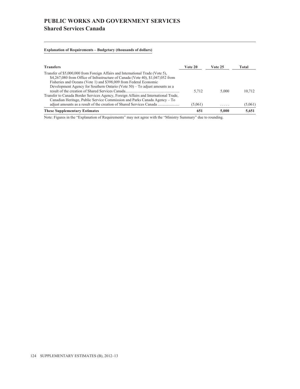# **PUBLIC WORKS AND GOVERNMENT SERVICES**

**Shared Services Canada**

#### **Explanation of Requirements – Budgetary (thousands of dollars)**

| <b>Transfers</b>                                                                    | Vote 20 | Vote 25 | Total   |
|-------------------------------------------------------------------------------------|---------|---------|---------|
| Transfer of \$5,000,000 from Foreign Affairs and International Trade (Vote 5),      |         |         |         |
| \$4,267,080 from Office of Infrastructure of Canada (Vote 40), \$1,047,052 from     |         |         |         |
| Fisheries and Oceans (Vote 1) and \$398,009 from Federal Economic                   |         |         |         |
| Development Agency for Southern Ontario (Vote $50$ ) – To adjust amounts as a       |         |         |         |
|                                                                                     | 5.712   | 5.000   | 10.712  |
| Transfer to Canada Border Services Agency, Foreign Affairs and International Trade, |         |         |         |
| Canadian Heritage, Public Service Commission and Parks Canada Agency – To           |         |         |         |
|                                                                                     | (5,061) | .       | (5,061) |
| <b>These Supplementary Estimates</b>                                                | 651     | 5,000   | 5,651   |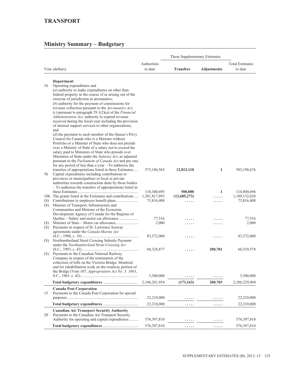|     |                                                                                                                  |               | These Supplementary Estimates |                    |                        |
|-----|------------------------------------------------------------------------------------------------------------------|---------------|-------------------------------|--------------------|------------------------|
|     |                                                                                                                  | Authorities   |                               |                    | <b>Total Estimates</b> |
|     | Vote (dollars)                                                                                                   | to date       | <b>Transfers</b>              | <b>Adjustments</b> | to date                |
|     | Department                                                                                                       |               |                               |                    |                        |
| 1b  | Operating expenditures and                                                                                       |               |                               |                    |                        |
|     | $(a)$ authority to make expenditures on other than                                                               |               |                               |                    |                        |
|     | federal property in the course of or arising out of the                                                          |               |                               |                    |                        |
|     | exercise of jurisdiction in aeronautics;                                                                         |               |                               |                    |                        |
|     | $(b)$ authority for the payment of commissions for                                                               |               |                               |                    |                        |
|     | revenue collection pursuant to the Aeronautics Act;                                                              |               |                               |                    |                        |
|     | (c) pursuant to paragraph $29.1(2)(a)$ of the <i>Financial</i>                                                   |               |                               |                    |                        |
|     | Administration Act, authority to expend revenue                                                                  |               |                               |                    |                        |
|     | received during the fiscal year including the provision<br>of internal support services to other organizations;  |               |                               |                    |                        |
|     | and                                                                                                              |               |                               |                    |                        |
|     | $(d)$ the payment to each member of the Queen's Privy                                                            |               |                               |                    |                        |
|     | Council for Canada who is a Minister without                                                                     |               |                               |                    |                        |
|     | Portfolio or a Minister of State who does not preside                                                            |               |                               |                    |                        |
|     | over a Ministry of State of a salary not to exceed the                                                           |               |                               |                    |                        |
|     | salary paid to Ministers of State who preside over                                                               |               |                               |                    |                        |
|     | Ministries of State under the Salaries Act, as adjusted                                                          |               |                               |                    |                        |
|     | pursuant to the Parliament of Canada Act and pro rata<br>for any period of less than a year $-$ To authorize the |               |                               |                    |                        |
|     | transfers of appropriations listed in these Estimates                                                            | 573,186,565   | 12,012,110                    | 1                  | 585,198,676            |
| 5b  | Capital expenditures including contributions to                                                                  |               |                               |                    |                        |
|     | provinces or municipalities or local or private                                                                  |               |                               |                    |                        |
|     | authorities towards construction done by those bodies                                                            |               |                               |                    |                        |
|     | - To authorize the transfers of appropriations listed in                                                         |               |                               |                    |                        |
|     |                                                                                                                  | 110,300,695   | 500,000                       | $\mathbf{1}$       | 110,800,696            |
|     | 10b The grants listed in the Estimates and contributions                                                         | 1,201,817,893 | (12,685,273)                  | .                  | 1,189,132,620          |
| (S) |                                                                                                                  | 73,816,408    | .                             | .                  | 73,816,408             |
| (S) | Minister of Transport, Infrastructure and<br>Communities and Minister of the Economic                            |               |                               |                    |                        |
|     | Development Agency of Canada for the Regions of                                                                  |               |                               |                    |                        |
|     |                                                                                                                  | 77,516        |                               |                    | 77,516                 |
| (S) |                                                                                                                  | 2,000         |                               |                    | 2,000                  |
| (S) | Payments in respect of St. Lawrence Seaway                                                                       |               |                               |                    |                        |
|     | agreements under the Canada Marine Act                                                                           |               |                               |                    |                        |
|     |                                                                                                                  | 83,372,000    |                               |                    | 83,372,000             |
| (S) | Northumberland Strait Crossing Subsidy Payment                                                                   |               |                               |                    |                        |
|     | under the <i>Northumberland Strait Crossing Act</i>                                                              | 60,328,877    |                               | 200,701            | 60,529,578             |
| (S) | Payments to the Canadian National Railway                                                                        |               |                               |                    |                        |
|     | Company in respect of the termination of the                                                                     |               |                               |                    |                        |
|     | collection of tolls on the Victoria Bridge, Montreal                                                             |               |                               |                    |                        |
|     | and for rehabilitation work on the roadway portion of                                                            |               |                               |                    |                        |
|     | the Bridge (Vote 107, Appropriation Act No. 5, 1963,                                                             |               |                               |                    |                        |
|     |                                                                                                                  | 3,300,000     | .                             | .                  | 3,300,000              |
|     |                                                                                                                  | 2,106,201,954 | (173, 163)                    | 200,703            | 2,106,229,494          |
|     | <b>Canada Post Corporation</b>                                                                                   |               |                               |                    |                        |
| 15  | Payments to the Canada Post Corporation for special                                                              | 22,210,000    |                               |                    | 22,210,000             |
|     |                                                                                                                  | 22,210,000    | .                             | .                  | 22,210,000             |
|     | <b>Canadian Air Transport Security Authority</b>                                                                 |               |                               |                    |                        |
| 20  | Payments to the Canadian Air Transport Security                                                                  |               |                               |                    |                        |
|     | Authority for operating and capital expenditures                                                                 | 576, 397, 810 |                               |                    | 576,397,810            |
|     |                                                                                                                  | 576,397,810   |                               |                    | 576,397,810            |
|     |                                                                                                                  |               | .                             | .                  |                        |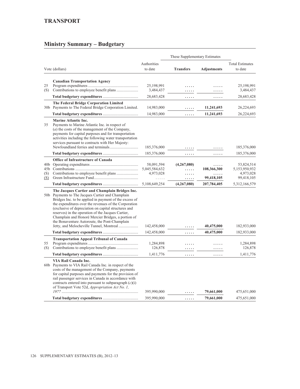### **TRANSPORT**

|            |                                                                                                                                                                                                                                                                                                                                                                                                                                                                                         |                                               | These Supplementary Estimates |                                     |                                                        |
|------------|-----------------------------------------------------------------------------------------------------------------------------------------------------------------------------------------------------------------------------------------------------------------------------------------------------------------------------------------------------------------------------------------------------------------------------------------------------------------------------------------|-----------------------------------------------|-------------------------------|-------------------------------------|--------------------------------------------------------|
|            |                                                                                                                                                                                                                                                                                                                                                                                                                                                                                         | Authorities                                   |                               |                                     | <b>Total Estimates</b>                                 |
|            | Vote (dollars)                                                                                                                                                                                                                                                                                                                                                                                                                                                                          | to date                                       | <b>Transfers</b>              | <b>Adjustments</b>                  | to date                                                |
|            |                                                                                                                                                                                                                                                                                                                                                                                                                                                                                         |                                               |                               |                                     |                                                        |
| 25         | <b>Canadian Transportation Agency</b>                                                                                                                                                                                                                                                                                                                                                                                                                                                   | 25,198,991                                    | .                             | .                                   | 25,198,991                                             |
| (S)        |                                                                                                                                                                                                                                                                                                                                                                                                                                                                                         | 3,484,437                                     | .                             | .                                   | 3,484,437                                              |
|            |                                                                                                                                                                                                                                                                                                                                                                                                                                                                                         | 28,683,428                                    | .                             | .                                   | 28,683,428                                             |
|            | The Federal Bridge Corporation Limited                                                                                                                                                                                                                                                                                                                                                                                                                                                  |                                               |                               |                                     |                                                        |
|            | 30b Payments to The Federal Bridge Corporation Limited.                                                                                                                                                                                                                                                                                                                                                                                                                                 | 14,983,000                                    | .                             | 11,241,693                          | 26,224,693                                             |
|            |                                                                                                                                                                                                                                                                                                                                                                                                                                                                                         | 14,983,000                                    | .                             | 11,241,693                          | 26,224,693                                             |
| 35         | Marine Atlantic Inc.<br>Payments to Marine Atlantic Inc. in respect of<br>(a) the costs of the management of the Company,<br>payments for capital purposes and for transportation<br>activities including the following water transportation<br>services pursuant to contracts with Her Majesty:                                                                                                                                                                                        | 185,376,000                                   |                               |                                     | 185,376,000                                            |
|            |                                                                                                                                                                                                                                                                                                                                                                                                                                                                                         | 185,376,000                                   | .                             | .                                   | 185,376,000                                            |
| (S)<br>(S) | <b>Office of Infrastructure of Canada</b>                                                                                                                                                                                                                                                                                                                                                                                                                                               | 58,091,594<br>5,045,584,632<br>4,973,028<br>. | (4,267,080)<br>.<br>.<br>.    | .<br>108,366,300<br>.<br>99,418,105 | 53,824,514<br>5,153,950,932<br>4,973,028<br>99,418,105 |
|            |                                                                                                                                                                                                                                                                                                                                                                                                                                                                                         | 5,108,649,254                                 | (4,267,080)                   | 207,784,405                         | 5,312,166,579                                          |
|            | The Jacques Cartier and Champlain Bridges Inc.<br>50b Payments to The Jacques Cartier and Champlain<br>Bridges Inc. to be applied in payment of the excess of<br>the expenditures over the revenues of the Corporation<br>(exclusive of depreciation on capital structures and<br>reserves) in the operation of the Jacques Cartier,<br>Champlain and Honoré Mercier Bridges, a portion of<br>the Bonaventure Autoroute, the Pont-Champlain<br>Jetty, and Melocheville Tunnel, Montreal | 142,458,000                                   | .                             | 40,475,000                          | 182,933,000                                            |
|            |                                                                                                                                                                                                                                                                                                                                                                                                                                                                                         | 142,458,000                                   | .                             | 40,475,000                          | 182,933,000                                            |
| 55<br>(S)  | <b>Transportation Appeal Tribunal of Canada</b>                                                                                                                                                                                                                                                                                                                                                                                                                                         | 1,284,898<br>126,878                          | .<br>.                        | .                                   | 1,284,898<br>126,878                                   |
|            |                                                                                                                                                                                                                                                                                                                                                                                                                                                                                         | 1,411,776                                     | .                             | .                                   | 1,411,776                                              |
|            | VIA Rail Canada Inc.<br>60b Payments to VIA Rail Canada Inc. in respect of the<br>costs of the management of the Company, payments<br>for capital purposes and payments for the provision of<br>rail passenger services in Canada in accordance with<br>contracts entered into pursuant to subparagraph $(c)(i)$<br>of Transport Vote 52d, <i>Appropriation Act No. 1</i> ,                                                                                                             | 395,990,000                                   | .                             | 79,661,000                          | 475,651,000                                            |
|            |                                                                                                                                                                                                                                                                                                                                                                                                                                                                                         | 395,990,000                                   | .                             | 79,661,000                          | 475,651,000                                            |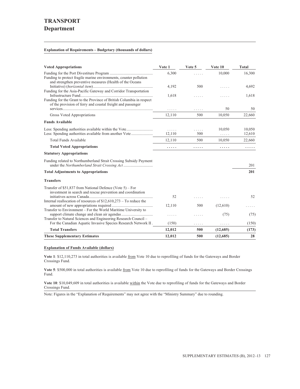### **TRANSPORT Department**

#### **Explanation of Requirements – Budgetary (thousands of dollars)**

| <b>Voted Appropriations</b>                                                                                                         | Vote 1 | Vote 5 | Vote 10   | <b>Total</b> |
|-------------------------------------------------------------------------------------------------------------------------------------|--------|--------|-----------|--------------|
| Funding to protect fragile marine environments, counter pollution                                                                   | 6,300  | .      | 10,000    | 16,300       |
| and strengthen preventive measures (Health of the Oceans                                                                            | 4,192  | 500    | .         | 4,692        |
| Funding for the Asia-Pacific Gateway and Corridor Transportation                                                                    | 1,618  | .      | .         | 1,618        |
| Funding for the Grant to the Province of British Columbia in respect<br>of the provision of ferry and coastal freight and passenger |        |        |           |              |
|                                                                                                                                     | .      | .      | 50        | 50           |
| Gross Voted Appropriations                                                                                                          | 12,110 | 500    | 10,050    | 22,660       |
| <b>Funds Available</b>                                                                                                              |        |        |           |              |
|                                                                                                                                     | .      | .      | 10,050    | 10,050       |
| Less: Spending authorities available from another Vote                                                                              | 12,110 | 500    | $\ldots$  | 12,610       |
| <b>Total Funds Available</b>                                                                                                        | 12,110 | 500    | 10,050    | 22,660       |
| <b>Total Voted Appropriations</b>                                                                                                   | .      | .      | .         | .            |
| <b>Statutory Appropriations</b>                                                                                                     |        |        |           |              |
| Funding related to Northumberland Strait Crossing Subsidy Payment                                                                   |        |        |           | 201          |
| <b>Total Adjustments to Appropriations</b>                                                                                          |        |        |           | 201          |
| <b>Transfers</b>                                                                                                                    |        |        |           |              |
| Transfer of $$51,837$ from National Defence (Vote 5) – For                                                                          |        |        |           |              |
| investment in search and rescue prevention and coordination                                                                         | 52     |        |           | 52           |
| Internal reallocation of resources of $$12,610,273 - To$ reduce the                                                                 | 12,110 | 500    | (12,610)  |              |
| Transfer to Environment – For the World Maritime University to                                                                      |        |        |           |              |
|                                                                                                                                     | .      | .      | (75)      | (75)         |
| Transfer to Natural Sciences and Engineering Research Council –                                                                     |        |        |           |              |
| For the Canadian Aquatic Invasive Species Research Network II.                                                                      | (150)  | .      | .         | (150)        |
| <b>Total Transfers</b>                                                                                                              | 12,012 | 500    | (12,685)  | (173)        |
| <b>These Supplementary Estimates</b>                                                                                                | 12,012 | 500    | (12, 685) | 28           |

#### **Explanation of Funds Available (dollars)**

**Vote 1**: \$12,110,273 in total authorities is available from Vote 10 due to reprofiling of funds for the Gateways and Border Crossings Fund.

Vote 5: \$500,000 in total authorities is available from Vote 10 due to reprofiling of funds for the Gateways and Border Crossings Fund.

**Vote 10**: \$10,049,609 in total authorities is available within the Vote due to reprofiling of funds for the Gateways and Border Crossings Fund.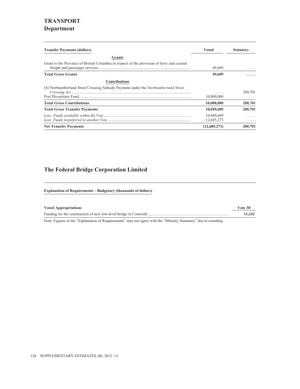### **TRANSPORT Department**

| <b>Transfer Payments (dollars)</b>                                                         | <b>Voted</b>             | <b>Statutory</b> |
|--------------------------------------------------------------------------------------------|--------------------------|------------------|
| <b>Grants</b>                                                                              |                          |                  |
| Grant to the Province of British Columbia in respect of the provision of ferry and coastal | 49,609                   |                  |
| <b>Total Gross Grants</b>                                                                  | 49,609                   |                  |
| <b>Contributions</b>                                                                       |                          |                  |
| (S) Northumberland Strait Crossing Subsidy Payment under the <i>Northumberland Strait</i>  | .<br>10,000,000          | 200,701<br>.     |
| <b>Total Gross Contributions</b>                                                           | 10,000,000               | 200,701          |
| <b>Total Gross Transfer Payments</b>                                                       | 10,049,609               | 200,701          |
|                                                                                            | 10,049,609<br>12,685,273 | .                |
| <b>Net Transfer Payments</b>                                                               | (12,685,273)             | 200,701          |

### **The Federal Bridge Corporation Limited**

#### **Explanation of Requirements – Budgetary (thousands of dollars)**

| <b>Voted Appropriations</b> | Vote 30 |
|-----------------------------|---------|
|                             | 11.242  |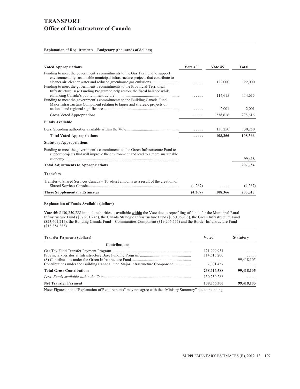### **TRANSPORT Office of Infrastructure of Canada**

#### **Explanation of Requirements – Budgetary (thousands of dollars)**

| <b>Voted Appropriations</b>                                                                                                                                                                                                                                                                                                   | Vote 40 | Vote 45 | Total   |
|-------------------------------------------------------------------------------------------------------------------------------------------------------------------------------------------------------------------------------------------------------------------------------------------------------------------------------|---------|---------|---------|
| Funding to meet the government's commitments to the Gas Tax Fund to support<br>environmentally sustainable municipal infrastructure projects that contribute to<br>Funding to meet the government's commitments to the Provincial-Territorial<br>Infrastructure Base Funding Program to help restore the fiscal balance while | 1.1.1.1 | 122,000 | 122,000 |
|                                                                                                                                                                                                                                                                                                                               |         | 114,615 | 114,615 |
| Funding to meet the government's commitments to the Building Canada Fund –<br>Major Infrastructure Component relating to larger and strategic projects of                                                                                                                                                                     | .       | 2,001   | 2,001   |
| Gross Voted Appropriations                                                                                                                                                                                                                                                                                                    | .       | 238,616 | 238,616 |
| <b>Funds Available</b>                                                                                                                                                                                                                                                                                                        |         |         |         |
|                                                                                                                                                                                                                                                                                                                               |         | 130,250 | 130,250 |
| <b>Total Voted Appropriations</b>                                                                                                                                                                                                                                                                                             | .       | 108,366 | 108,366 |
| <b>Statutory Appropriations</b>                                                                                                                                                                                                                                                                                               |         |         |         |
| Funding to meet the government's commitments to the Green Infrastructure Fund to<br>support projects that will improve the environment and lead to a more sustainable                                                                                                                                                         |         |         | 99,418  |
| <b>Total Adjustments to Appropriations</b>                                                                                                                                                                                                                                                                                    |         |         | 207,784 |
| <b>Transfers</b>                                                                                                                                                                                                                                                                                                              |         |         |         |
| Transfer to Shared Services Canada – To adjust amounts as a result of the creation of                                                                                                                                                                                                                                         | (4,267) | .       | (4,267) |
| <b>These Supplementary Estimates</b>                                                                                                                                                                                                                                                                                          | (4,267) | 108,366 | 203,517 |

#### **Explanation of Funds Available (dollars)**

**Vote 45**: \$130,250,288 in total authorities is available within the Vote due to reprofiling of funds for the Municipal Rural Infrastructure Fund (\$37,981,245), the Canada Strategic Infrastructure Fund (\$36,106,938), the Green Infrastructure Fund (\$23,601,217), the Building Canada Fund – Communities Component (\$19,206,555) and the Border Infrastructure Fund (\$13,354,333).

| <b>Transfer Payments (dollars)</b>                                          | Voted       | <b>Statutory</b> |
|-----------------------------------------------------------------------------|-------------|------------------|
| <b>Contributions</b>                                                        |             |                  |
|                                                                             | 121,999,931 | .                |
|                                                                             | 114,615,200 | .                |
|                                                                             | .           | 99,418,105       |
| Contributions under the Building Canada Fund Major Infrastructure Component | 2,001,457   | .                |
| <b>Total Gross Contributions</b>                                            | 238,616,588 | 99,418,105       |
|                                                                             | 130,250,288 | .                |
| <b>Net Transfer Payment</b>                                                 | 108,366,300 | 99,418,105       |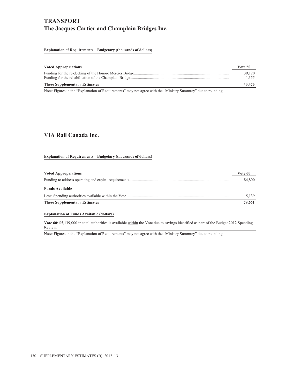### **TRANSPORT The Jacques Cartier and Champlain Bridges Inc.**

#### **Explanation of Requirements – Budgetary (thousands of dollars)**

| <b>Voted Appropriations</b>          | Vote 50         |
|--------------------------------------|-----------------|
|                                      | 39,120<br>1.355 |
| <b>These Supplementary Estimates</b> | 40,475          |

Note: Figures in the "Explanation of Requirements" may not agree with the "Ministry Summary" due to rounding.

#### **VIA Rail Canada Inc.**

#### **Explanation of Requirements – Budgetary (thousands of dollars)**

| <b>Voted Appropriations</b>          | Vote 60 |
|--------------------------------------|---------|
|                                      | 84,800  |
| <b>Funds Available</b>               |         |
|                                      | 5.139   |
| <b>These Supplementary Estimates</b> | 79.661  |

#### **Explanation of Funds Available (dollars)**

**Vote 60**: \$5,139,000 in total authorities is available within the Vote due to savings identified as part of the Budget 2012 Spending Review.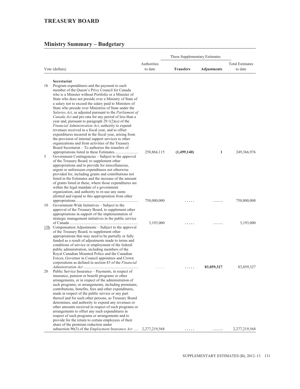### **TREASURY BOARD**

|    |                                                                                                                                                                                                                                                                                                                                                                                                                                                                                                                                                                                                                                                                                                                                                                                                              |                        | These Supplementary Estimates |                 |                                   |  |
|----|--------------------------------------------------------------------------------------------------------------------------------------------------------------------------------------------------------------------------------------------------------------------------------------------------------------------------------------------------------------------------------------------------------------------------------------------------------------------------------------------------------------------------------------------------------------------------------------------------------------------------------------------------------------------------------------------------------------------------------------------------------------------------------------------------------------|------------------------|-------------------------------|-----------------|-----------------------------------|--|
|    | Vote (dollars)                                                                                                                                                                                                                                                                                                                                                                                                                                                                                                                                                                                                                                                                                                                                                                                               | Authorities<br>to date | <b>Transfers</b>              | Adjustments     | <b>Total Estimates</b><br>to date |  |
| 1b | Secretariat<br>Program expenditures and the payment to each<br>member of the Queen's Privy Council for Canada<br>who is a Minister without Portfolio or a Minister of<br>State who does not preside over a Ministry of State of<br>a salary not to exceed the salary paid to Ministers of<br>State who preside over Ministries of State under the<br>Salaries Act, as adjusted pursuant to the Parliament of<br>Canada Act and pro rata for any period of less than a<br>year and, pursuant to paragraph $29.1(2)(a)$ of the<br>Financial Administration Act, authority to expend<br>revenues received in a fiscal year, and to offset<br>expenditures incurred in the fiscal year, arising from<br>the provision of internal support services to other<br>organizations and from activities of the Treasury |                        |                               |                 |                                   |  |
| 5  | Board Secretariat - To authorize the transfers of<br>Government Contingencies – Subject to the approval<br>of the Treasury Board, to supplement other<br>appropriations and to provide for miscellaneous,<br>urgent or unforeseen expenditures not otherwise<br>provided for, including grants and contributions not<br>listed in the Estimates and the increase of the amount<br>of grants listed in these, where those expenditures are<br>within the legal mandate of a government<br>organization, and authority to re-use any sums                                                                                                                                                                                                                                                                      | 250,866,115            | (1,499,140)                   | $\mathbf{1}$    | 249,366,976                       |  |
| 10 | allotted and repaid to this appropriation from other<br>Government-Wide Initiatives – Subject to the<br>approval of the Treasury Board, to supplement other<br>appropriations in support of the implementation of                                                                                                                                                                                                                                                                                                                                                                                                                                                                                                                                                                                            | 750,000,000            |                               |                 | 750,000,000                       |  |
|    | strategic management initiatives in the public service<br>15b Compensation Adjustments – Subject to the approval<br>of the Treasury Board, to supplement other<br>appropriations that may need to be partially or fully<br>funded as a result of adjustments made to terms and<br>conditions of service or employment of the federal<br>public administration, including members of the<br>Royal Canadian Mounted Police and the Canadian<br>Forces, Governor in Council appointees and Crown<br>corporations as defined in section 83 of the Financial                                                                                                                                                                                                                                                      | 3,193,000              |                               |                 | 3,193,000                         |  |
| 20 | Public Service Insurance - Payments, in respect of<br>insurance, pension or benefit programs or other<br>arrangements, or in respect of the administration of<br>such programs, or arrangements, including premiums,<br>contributions, benefits, fees and other expenditures,<br>made in respect of the public service or any part<br>thereof and for such other persons, as Treasury Board<br>determines, and authority to expend any revenues or<br>other amounts received in respect of such programs or<br>arrangements to offset any such expenditures in<br>respect of such programs or arrangements and to<br>provide for the return to certain employees of their<br>share of the premium reduction under<br>subsection 96(3) of the <i>Employment Insurance Act</i>                                 | .<br>2,277,219,568     | .                             | 83,059,327<br>. | 83,059,327<br>2,277,219,568       |  |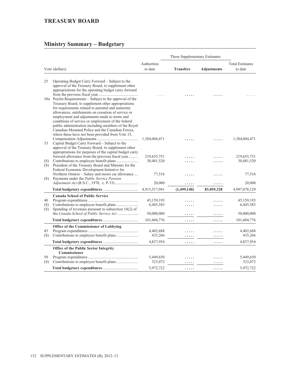### **TREASURY BOARD**

|            |                                                                                                                                                                                                                                                                                                                                                                                                                                                                                                    |                        | These Supplementary Estimates |                    |                                   |
|------------|----------------------------------------------------------------------------------------------------------------------------------------------------------------------------------------------------------------------------------------------------------------------------------------------------------------------------------------------------------------------------------------------------------------------------------------------------------------------------------------------------|------------------------|-------------------------------|--------------------|-----------------------------------|
|            | Vote (dollars)                                                                                                                                                                                                                                                                                                                                                                                                                                                                                     | Authorities<br>to date | <b>Transfers</b>              | <b>Adjustments</b> | <b>Total Estimates</b><br>to date |
|            |                                                                                                                                                                                                                                                                                                                                                                                                                                                                                                    |                        |                               |                    |                                   |
| 25         | Operating Budget Carry Forward – Subject to the<br>approval of the Treasury Board, to supplement other<br>appropriations for the operating budget carry forward                                                                                                                                                                                                                                                                                                                                    |                        |                               |                    |                                   |
|            | 30a Paylist Requirements – Subject to the approval of the<br>Treasury Board, to supplement other appropriations<br>for requirements related to parental and maternity<br>allowances, entitlements on cessation of service or<br>employment and adjustments made to terms and<br>conditions of service or employment of the federal<br>public administration including members of the Royal<br>Canadian Mounted Police and the Canadian Forces,<br>where these have not been provided from Vote 15, |                        |                               |                    |                                   |
| 33         | Capital Budget Carry Forward – Subject to the<br>approval of the Treasury Board, to supplement other<br>appropriations for purposes of the capital budget carry                                                                                                                                                                                                                                                                                                                                    | 1,384,004,471          |                               |                    | 1,384,004,471                     |
|            | forward allowance from the previous fiscal year                                                                                                                                                                                                                                                                                                                                                                                                                                                    | 219,655,751            |                               |                    | 219,655,751                       |
| (S)<br>(S) | President of the Treasury Board and Minister for the<br>Federal Economic Development Initiative for                                                                                                                                                                                                                                                                                                                                                                                                | 30,481,520             | .                             | .                  | 30,481,520                        |
| (S)        | Northern Ontario - Salary and motor car allowance<br>Payments under the <i>Public Service Pension</i>                                                                                                                                                                                                                                                                                                                                                                                              | 77,516                 |                               |                    | 77,516                            |
|            |                                                                                                                                                                                                                                                                                                                                                                                                                                                                                                    | 20,000                 |                               |                    | 20,000                            |
|            |                                                                                                                                                                                                                                                                                                                                                                                                                                                                                                    | 4,915,517,941          | (1,499,140)                   | 83,059,328         | 4,997,078,129                     |
|            | <b>Canada School of Public Service</b>                                                                                                                                                                                                                                                                                                                                                                                                                                                             |                        |                               |                    |                                   |
| 40         |                                                                                                                                                                                                                                                                                                                                                                                                                                                                                                    | 45,159,193             |                               |                    | 45,159,193                        |
| (S)<br>(S) | Spending of revenues pursuant to subsection $18(2)$ of                                                                                                                                                                                                                                                                                                                                                                                                                                             | 6,445,583              | .                             |                    | 6,445,583                         |
|            |                                                                                                                                                                                                                                                                                                                                                                                                                                                                                                    | 50,000,000             | .                             | .                  | 50,000,000                        |
|            |                                                                                                                                                                                                                                                                                                                                                                                                                                                                                                    | 101,604,776            | .                             | .                  | 101,604,776                       |
|            | <b>Office of the Commissioner of Lobbying</b>                                                                                                                                                                                                                                                                                                                                                                                                                                                      |                        |                               |                    |                                   |
| 45         |                                                                                                                                                                                                                                                                                                                                                                                                                                                                                                    | 4,402,688              |                               |                    | 4,402,688                         |
| (S)        |                                                                                                                                                                                                                                                                                                                                                                                                                                                                                                    | 435,266                | .                             | .                  | 435,266                           |
|            |                                                                                                                                                                                                                                                                                                                                                                                                                                                                                                    | 4,837,954              | .                             | .                  | 4,837,954                         |
|            | <b>Office of the Public Sector Integrity</b>                                                                                                                                                                                                                                                                                                                                                                                                                                                       |                        |                               |                    |                                   |
|            | Commissioner                                                                                                                                                                                                                                                                                                                                                                                                                                                                                       |                        |                               |                    |                                   |
| 50         |                                                                                                                                                                                                                                                                                                                                                                                                                                                                                                    | 5,449,650              |                               |                    | 5,449,650                         |
| (S)        |                                                                                                                                                                                                                                                                                                                                                                                                                                                                                                    | 523,072                |                               |                    | 523,072                           |
|            |                                                                                                                                                                                                                                                                                                                                                                                                                                                                                                    | 5,972,722              | .                             | .                  | 5,972,722                         |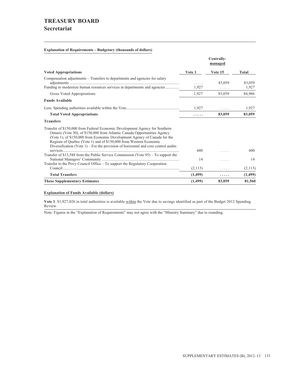# **TREASURY BOARD**

### **Secretariat**

#### **Explanation of Requirements – Budgetary (thousands of dollars)**

|                                                                                                                                                                                                                                                                                                                                                                                                     |            | Centrally-<br>managed |                 |
|-----------------------------------------------------------------------------------------------------------------------------------------------------------------------------------------------------------------------------------------------------------------------------------------------------------------------------------------------------------------------------------------------------|------------|-----------------------|-----------------|
| <b>Voted Appropriations</b>                                                                                                                                                                                                                                                                                                                                                                         | Vote 1     | Vote 15               | <b>Total</b>    |
| Compensation adjustments – Transfers to departments and agencies for salary<br>Funding to modernize human resources services in departments and agencies                                                                                                                                                                                                                                            | .<br>1,927 | 83,059<br>$\ldots$    | 83,059<br>1,927 |
| Gross Voted Appropriations                                                                                                                                                                                                                                                                                                                                                                          | 1,927      | 83,059                | 84,986          |
| <b>Funds Available</b>                                                                                                                                                                                                                                                                                                                                                                              |            |                       |                 |
|                                                                                                                                                                                                                                                                                                                                                                                                     | 1,927      | .                     | 1,927           |
| <b>Total Voted Appropriations</b>                                                                                                                                                                                                                                                                                                                                                                   | .          | 83,059                | 83,059          |
| <b>Transfers</b>                                                                                                                                                                                                                                                                                                                                                                                    |            |                       |                 |
| Transfer of \$150,000 from Federal Economic Development Agency for Southern<br>Ontario (Vote 50), of \$150,000 from Atlantic Canada Opportunities Agency<br>(Vote 1), of \$150,000 from Economic Development Agency of Canada for the<br>Regions of Quebec (Vote 1) and of \$150,000 from Western Economic<br>Diversification (Vote $1$ ) – For the provision of horizontal and core control audits |            |                       |                 |
|                                                                                                                                                                                                                                                                                                                                                                                                     | 600        |                       | 600             |
| Transfer of \$13,588 from the Public Service Commission (Vote $95$ ) – To support the<br>Transfer to the Privy Council Office – To support the Regulatory Cooperation                                                                                                                                                                                                                               | 14         |                       | 14              |
|                                                                                                                                                                                                                                                                                                                                                                                                     | (2,113)    |                       | (2,113)         |
| <b>Total Transfers</b>                                                                                                                                                                                                                                                                                                                                                                              | (1, 499)   | .                     | (1, 499)        |
| <b>These Supplementary Estimates</b>                                                                                                                                                                                                                                                                                                                                                                | (1, 499)   | 83,059                | 81,560          |

#### **Explanation of Funds Available (dollars)**

**Vote 1**: \$1,927,026 in total authorities is available within the Vote due to savings identified as part of the Budget 2012 Spending Review.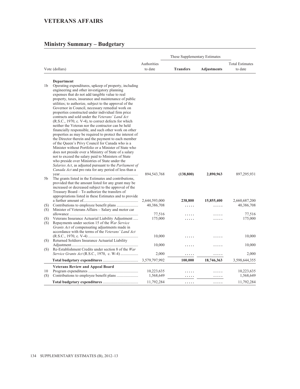## **VETERANS AFFAIRS**

|  | <b>Ministry Summary - Budgetary</b> |  |
|--|-------------------------------------|--|
|--|-------------------------------------|--|

|                |                                                                                                                                                                                                                                                                                                                                                                                                                                                                                                                                                                                                                                                                                                                                                                                                                                                                                                                                                                                                                                                                                                                                                    |               | These Supplementary Estimates |                    |                        |
|----------------|----------------------------------------------------------------------------------------------------------------------------------------------------------------------------------------------------------------------------------------------------------------------------------------------------------------------------------------------------------------------------------------------------------------------------------------------------------------------------------------------------------------------------------------------------------------------------------------------------------------------------------------------------------------------------------------------------------------------------------------------------------------------------------------------------------------------------------------------------------------------------------------------------------------------------------------------------------------------------------------------------------------------------------------------------------------------------------------------------------------------------------------------------|---------------|-------------------------------|--------------------|------------------------|
|                |                                                                                                                                                                                                                                                                                                                                                                                                                                                                                                                                                                                                                                                                                                                                                                                                                                                                                                                                                                                                                                                                                                                                                    | Authorities   |                               |                    | <b>Total Estimates</b> |
|                | Vote (dollars)                                                                                                                                                                                                                                                                                                                                                                                                                                                                                                                                                                                                                                                                                                                                                                                                                                                                                                                                                                                                                                                                                                                                     | to date       | <b>Transfers</b>              | <b>Adjustments</b> | to date                |
|                |                                                                                                                                                                                                                                                                                                                                                                                                                                                                                                                                                                                                                                                                                                                                                                                                                                                                                                                                                                                                                                                                                                                                                    |               |                               |                    |                        |
| 1 <sub>b</sub> | Department<br>Operating expenditures, upkeep of property, including<br>engineering and other investigatory planning<br>expenses that do not add tangible value to real<br>property, taxes, insurance and maintenance of public<br>utilities; to authorize, subject to the approval of the<br>Governor in Council, necessary remedial work on<br>properties constructed under individual firm price<br>contracts and sold under the Veterans' Land Act<br>(R.S.C., 1970, c. V-4), to correct defects for which<br>neither the Veteran nor the contractor can be held<br>financially responsible, and such other work on other<br>properties as may be required to protect the interest of<br>the Director therein and the payment to each member<br>of the Queen's Privy Council for Canada who is a<br>Minister without Portfolio or a Minister of State who<br>does not preside over a Ministry of State of a salary<br>not to exceed the salary paid to Ministers of State<br>who preside over Ministries of State under the<br>Salaries Act, as adjusted pursuant to the Parliament of<br>Canada Act and pro rata for any period of less than a |               |                               |                    |                        |
| 5b             | The grants listed in the Estimates and contributions,<br>provided that the amount listed for any grant may be<br>increased or decreased subject to the approval of the<br>Treasury Board – To authorize the transfers of<br>appropriations listed in these Estimates and to provide                                                                                                                                                                                                                                                                                                                                                                                                                                                                                                                                                                                                                                                                                                                                                                                                                                                                | 894, 543, 768 | (138, 800)                    | 2,890,963          | 897,295,931            |
|                |                                                                                                                                                                                                                                                                                                                                                                                                                                                                                                                                                                                                                                                                                                                                                                                                                                                                                                                                                                                                                                                                                                                                                    | 2,644,593,000 | 238,800                       | 15,855,400         | 2,660,687,200          |
| (S)<br>(S)     | Minister of Veterans Affairs – Salary and motor car                                                                                                                                                                                                                                                                                                                                                                                                                                                                                                                                                                                                                                                                                                                                                                                                                                                                                                                                                                                                                                                                                                | 40,386,708    | .                             |                    | 40,386,708             |
|                |                                                                                                                                                                                                                                                                                                                                                                                                                                                                                                                                                                                                                                                                                                                                                                                                                                                                                                                                                                                                                                                                                                                                                    | 77,516        |                               |                    | 77,516                 |
| (S)<br>(S)     | Veterans Insurance Actuarial Liability Adjustment<br>Repayments under section 15 of the War Service<br><i>Grants Act</i> of compensating adjustments made in<br>accordance with the terms of the Veterans' Land Act                                                                                                                                                                                                                                                                                                                                                                                                                                                                                                                                                                                                                                                                                                                                                                                                                                                                                                                                | 175,000       |                               |                    | 175,000                |
| (S)            | Returned Soldiers Insurance Actuarial Liability                                                                                                                                                                                                                                                                                                                                                                                                                                                                                                                                                                                                                                                                                                                                                                                                                                                                                                                                                                                                                                                                                                    | 10,000        |                               |                    | 10,000                 |
| (S)            | Re-Establishment Credits under section 8 of the War                                                                                                                                                                                                                                                                                                                                                                                                                                                                                                                                                                                                                                                                                                                                                                                                                                                                                                                                                                                                                                                                                                | 10,000        | .                             |                    | 10,000                 |
|                |                                                                                                                                                                                                                                                                                                                                                                                                                                                                                                                                                                                                                                                                                                                                                                                                                                                                                                                                                                                                                                                                                                                                                    | 2,000         | .                             | .                  | 2,000                  |
|                |                                                                                                                                                                                                                                                                                                                                                                                                                                                                                                                                                                                                                                                                                                                                                                                                                                                                                                                                                                                                                                                                                                                                                    | 3,579,797,992 | 100,000                       | 18,746,363         | 3,598,644,355          |
|                | <b>Veterans Review and Appeal Board</b>                                                                                                                                                                                                                                                                                                                                                                                                                                                                                                                                                                                                                                                                                                                                                                                                                                                                                                                                                                                                                                                                                                            |               |                               |                    |                        |
| 10<br>(S)      |                                                                                                                                                                                                                                                                                                                                                                                                                                                                                                                                                                                                                                                                                                                                                                                                                                                                                                                                                                                                                                                                                                                                                    | 10,223,635    |                               |                    | 10,223,635             |
|                |                                                                                                                                                                                                                                                                                                                                                                                                                                                                                                                                                                                                                                                                                                                                                                                                                                                                                                                                                                                                                                                                                                                                                    | 1,568,649     | .                             |                    | 1,568,649              |
|                |                                                                                                                                                                                                                                                                                                                                                                                                                                                                                                                                                                                                                                                                                                                                                                                                                                                                                                                                                                                                                                                                                                                                                    | 11,792,284    | .                             | .                  | 11,792,284             |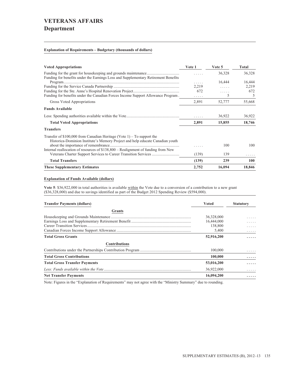### **VETERANS AFFAIRS**

#### **Department**

#### **Explanation of Requirements – Budgetary (thousands of dollars)**

| <b>Voted Appropriations</b>                                                                                                                                | Vote 1 | Vote 5 | Total  |
|------------------------------------------------------------------------------------------------------------------------------------------------------------|--------|--------|--------|
| Funding for benefits under the Earnings Loss and Supplementary Retirement Benefits                                                                         | .      | 36,328 | 36,328 |
|                                                                                                                                                            | .      | 16,444 | 16,444 |
|                                                                                                                                                            | 2,219  | .      | 2,219  |
|                                                                                                                                                            | 672    | .      | 672    |
| Funding for benefits under the Canadian Forces Income Support Allowance Program.                                                                           | .      | 5      |        |
| Gross Voted Appropriations                                                                                                                                 | 2,891  | 52,777 | 55,668 |
| <b>Funds Available</b>                                                                                                                                     |        |        |        |
|                                                                                                                                                            |        | 36,922 | 36,922 |
| <b>Total Voted Appropriations</b>                                                                                                                          | 2,891  | 15,855 | 18,746 |
| <b>Transfers</b>                                                                                                                                           |        |        |        |
| Transfer of \$100,000 from Canadian Heritage (Vote $1$ ) – To support the<br>Historica-Dominion Institute's Memory Project and help educate Canadian youth |        | 100    | 100    |
| Internal reallocation of resources of \$138,800 – Realignment of funding from New                                                                          |        |        |        |
|                                                                                                                                                            | (139)  | 139    | .      |
| <b>Total Transfers</b>                                                                                                                                     | (139)  | 239    | 100    |
| <b>These Supplementary Estimates</b>                                                                                                                       | 2,752  | 16,094 | 18,846 |

#### **Explanation of Funds Available (dollars)**

**Vote 5**: \$36,922,000 in total authorities is available within the Vote due to a conversion of a contribution to a new grant (\$36,328,000) and due to savings identified as part of the Budget 2012 Spending Review (\$594,000).

| <b>Transfer Payments (dollars)</b>   | Voted      | <b>Statutory</b> |
|--------------------------------------|------------|------------------|
| Grants                               |            |                  |
|                                      | 36,328,000 | .                |
|                                      | 16,444,000 | .                |
|                                      | 138,800    | .                |
|                                      | 5,400      | .                |
| <b>Total Gross Grants</b>            | 52,916,200 | .                |
| <b>Contributions</b>                 |            |                  |
|                                      | 100,000    | .                |
| <b>Total Gross Contributions</b>     | 100,000    | .                |
| <b>Total Gross Transfer Payments</b> | 53,016,200 | .                |
|                                      | 36,922,000 |                  |
| <b>Net Transfer Payments</b>         | 16,094,200 | .                |
|                                      |            |                  |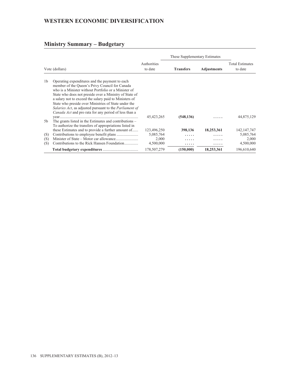### **WESTERN ECONOMIC DIVERSIFICATION**

|                |                                                                                                                                                                                                                                                                                                                                                                                                                                                                                |                        | These Supplementary Estimates |                    |                                   |
|----------------|--------------------------------------------------------------------------------------------------------------------------------------------------------------------------------------------------------------------------------------------------------------------------------------------------------------------------------------------------------------------------------------------------------------------------------------------------------------------------------|------------------------|-------------------------------|--------------------|-----------------------------------|
| Vote (dollars) |                                                                                                                                                                                                                                                                                                                                                                                                                                                                                | Authorities<br>to date | <b>Transfers</b>              | <b>Adjustments</b> | <b>Total Estimates</b><br>to date |
| 1 <sub>b</sub> | Operating expenditures and the payment to each<br>member of the Queen's Privy Council for Canada<br>who is a Minister without Portfolio or a Minister of<br>State who does not preside over a Ministry of State of<br>a salary not to exceed the salary paid to Ministers of<br>State who preside over Ministries of State under the<br><i>Salaries Act</i> , as adjusted pursuant to the <i>Parliament of</i><br><i>Canada Act</i> and pro rata for any period of less than a |                        |                               |                    |                                   |
| 5b             | The grants listed in the Estimates and contributions –<br>To authorize the transfers of appropriations listed in                                                                                                                                                                                                                                                                                                                                                               | 45, 423, 265           | (548, 136)                    |                    | 44,875,129                        |
|                | these Estimates and to provide a further amount of                                                                                                                                                                                                                                                                                                                                                                                                                             | 123,496,250            | 398,136                       | 18,253,361         | 142, 147, 747                     |
| (S)            |                                                                                                                                                                                                                                                                                                                                                                                                                                                                                | 5,085,764              | .                             | .                  | 5,085,764                         |
| (S)            |                                                                                                                                                                                                                                                                                                                                                                                                                                                                                | 2,000                  | .                             | .                  | 2,000                             |
| (S)            |                                                                                                                                                                                                                                                                                                                                                                                                                                                                                | 4,500,000              | .                             | .                  | 4,500,000                         |
|                |                                                                                                                                                                                                                                                                                                                                                                                                                                                                                | 178,507,279            | (150,000)                     | 18,253,361         | 196,610,640                       |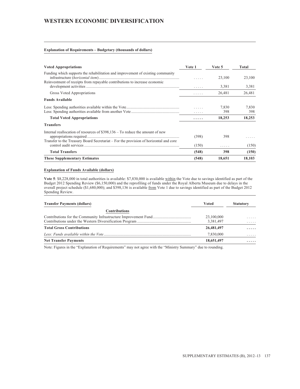#### **WESTERN ECONOMIC DIVERSIFICATION**

#### **Explanation of Requirements – Budgetary (thousands of dollars)**

| <b>Voted Appropriations</b>                                                                                                                                             | Vote 1       | Vote 5       | Total        |
|-------------------------------------------------------------------------------------------------------------------------------------------------------------------------|--------------|--------------|--------------|
| Funding which supports the rehabilitation and improvement of existing community<br>Reinvestment of receipts from repayable contributions to increase economic           |              | 23,100       | 23,100       |
|                                                                                                                                                                         | .            | 3,381        | 3,381        |
| Gross Voted Appropriations                                                                                                                                              | .            | 26,481       | 26,481       |
| <b>Funds Available</b>                                                                                                                                                  |              |              |              |
|                                                                                                                                                                         | 1.1.1.1<br>. | 7,830<br>398 | 7,830<br>398 |
| <b>Total Voted Appropriations</b>                                                                                                                                       | .            | 18,253       | 18,253       |
| <b>Transfers</b>                                                                                                                                                        |              |              |              |
| Internal reallocation of resources of $$398,136 - To$ reduce the amount of new<br>Transfer to the Treasury Board Secretariat - For the provision of horizontal and core | (398)        | 398          |              |
|                                                                                                                                                                         | (150)        | .            | (150)        |
| <b>Total Transfers</b>                                                                                                                                                  | (548)        | 398          | (150)        |
| <b>These Supplementary Estimates</b>                                                                                                                                    | (548)        | 18,651       | 18,103       |

#### **Explanation of Funds Available (dollars)**

**Vote 5**: \$8,228,000 in total authorities is available: \$7,830,000 is available within the Vote due to savings identified as part of the Budget 2012 Spending Review (\$6,150,000) and the reprofiling of funds under the Royal Alberta Museum due to delays in the overall project schedule (\$1,680,000); and \$398,136 is available from Vote 1 due to savings identified as part of the Budget 2012 Spending Review.

| <b>Transfer Payments (dollars)</b> | Voted                   | <b>Statutory</b> |
|------------------------------------|-------------------------|------------------|
| <b>Contributions</b>               |                         |                  |
|                                    | 23,100,000<br>3.381.497 | .<br>.           |
| <b>Total Gross Contributions</b>   | 26,481,497              | .                |
|                                    | 7.830,000               | .                |
| <b>Net Transfer Payments</b>       | 18,651,497              | .                |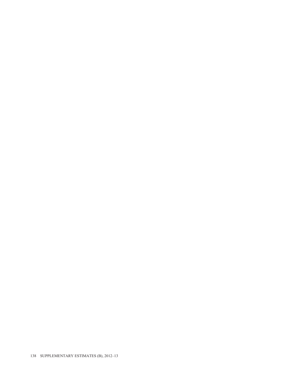138 SUPPLEMENTARY ESTIMATES (B), 2012–13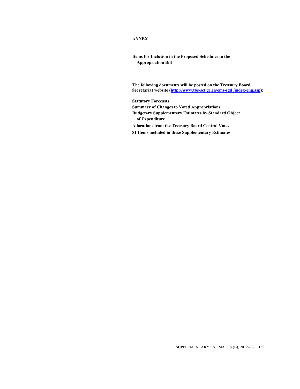#### **ANNEX**

**Items for Inclusion in the Proposed Schedules to the Appropriation Bill** 

**The following documents will be posted on the Treasury Board Secretariat website (http://www.tbs-sct.gc.ca/ems-sgd /index-eng.asp):** 

**Statutory Forecasts Summary of Changes to Voted Appropriations Budgetary Supplementary Estimates by Standard Object of Expenditure Allocations from the Treasury Board Central Votes \$1 Items included in these Supplementary Estimates**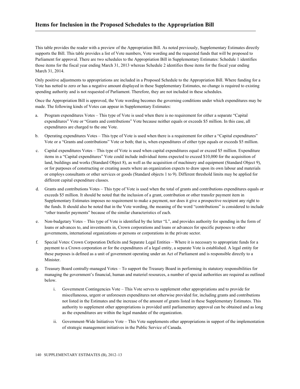This table provides the reader with a preview of the Appropriation Bill. As noted previously, Supplementary Estimates directly supports the Bill. This table provides a list of Vote numbers, Vote wording and the requested funds that will be proposed to Parliament for approval. There are two schedules to the Appropriation Bill in Supplementary Estimates: Schedule 1 identifies those items for the fiscal year ending March 31, 2013 whereas Schedule 2 identifies those items for the fiscal year ending March 31, 2014.

Only positive adjustments to appropriations are included in a Proposed Schedule to the Appropriation Bill. Where funding for a Vote has netted to zero or has a negative amount displayed in these Supplementary Estimates, no change is required to existing spending authority and is not requested of Parliament. Therefore, they are not included in these schedules.

Once the Appropriation Bill is approved, the Vote wording becomes the governing conditions under which expenditures may be made. The following kinds of Votes can appear in Supplementary Estimates:

- a. Program expenditures Votes This type of Vote is used when there is no requirement for either a separate "Capital expenditures" Vote or "Grants and contributions" Vote because neither equals or exceeds \$5 million. In this case, all expenditures are charged to the one Vote.
- b. Operating expenditures Votes This type of Vote is used when there is a requirement for either a "Capital expenditures" Vote or a "Grants and contributions" Vote or both; that is, when expenditures of either type equals or exceeds \$5 million.
- c. Capital expenditures Votes This type of Vote is used when capital expenditures equal or exceed \$5 million. Expenditure items in a "Capital expenditures" Vote could include individual items expected to exceed \$10,000 for the acquisition of land, buildings and works (Standard Object 8), as well as the acquisition of machinery and equipment (Standard Object 9), or for purposes of constructing or creating assets where an organization expects to draw upon its own labour and materials or employs consultants or other services or goods (Standard objects 1 to 9). Different threshold limits may be applied for different capital expenditure classes.
- d. Grants and contributions Votes This type of Vote is used when the total of grants and contributions expenditures equals or exceeds \$5 million. It should be noted that the inclusion of a grant, contribution or other transfer payment item in Supplementary Estimates imposes no requirement to make a payment, nor does it give a prospective recipient any right to the funds. It should also be noted that in the Vote wording, the meaning of the word "contributions" is considered to include "other transfer payments" because of the similar characteristics of each.
- e. Non-budgetary Votes This type of Vote is identified by the letter "L", and provides authority for spending in the form of loans or advances to, and investments in, Crown corporations and loans or advances for specific purposes to other governments, international organizations or persons or corporations in the private sector.
- f. Special Votes: Crown Corporation Deficits and Separate Legal Entities Where it is necessary to appropriate funds for a payment to a Crown corporation or for the expenditures of a legal entity, a separate Vote is established. A legal entity for these purposes is defined as a unit of government operating under an Act of Parliament and is responsible directly to a Minister.
- g. Treasury Board centrally-managed Votes To support the Treasury Board in performing its statutory responsibilities for managing the government's financial, human and materiel resources, a number of special authorities are required as outlined below.
	- Government Contingencies Vote This Vote serves to supplement other appropriations and to provide for miscellaneous, urgent or unforeseen expenditures not otherwise provided for, including grants and contributions not listed in the Estimates and the increase of the amount of grants listed in these Supplementary Estimates. This authority to supplement other appropriations is provided until parliamentary approval can be obtained and as long as the expenditures are within the legal mandate of the organization.
	- ii. Government-Wide Initiatives Vote This Vote supplements other appropriations in support of the implementation of strategic management initiatives in the Public Service of Canada.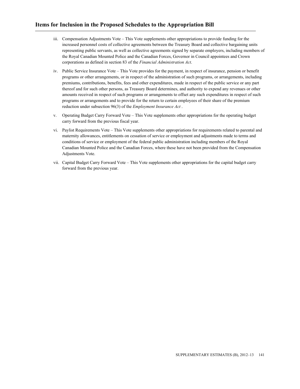- iii. Compensation Adjustments Vote This Vote supplements other appropriations to provide funding for the increased personnel costs of collective agreements between the Treasury Board and collective bargaining units representing public servants, as well as collective agreements signed by separate employers, including members of the Royal Canadian Mounted Police and the Canadian Forces, Governor in Council appointees and Crown corporations as defined in section 83 of the *Financial Administration Act*.
- iv. Public Service Insurance Vote This Vote provides for the payment, in respect of insurance, pension or benefit programs or other arrangements, or in respect of the administration of such programs, or arrangements, including premiums, contributions, benefits, fees and other expenditures, made in respect of the public service or any part thereof and for such other persons, as Treasury Board determines, and authority to expend any revenues or other amounts received in respect of such programs or arrangements to offset any such expenditures in respect of such programs or arrangements and to provide for the return to certain employees of their share of the premium reduction under subsection 96(3) of the *Employment Insurance Act* .
- v. Operating Budget Carry Forward Vote This Vote supplements other appropriations for the operating budget carry forward from the previous fiscal year.
- vi. Paylist Requirements Vote This Vote supplements other appropriations for requirements related to parental and maternity allowances, entitlements on cessation of service or employment and adjustments made to terms and conditions of service or employment of the federal public administration including members of the Royal Canadian Mounted Police and the Canadian Forces, where these have not been provided from the Compensation Adjustments Vote.
- vii. Capital Budget Carry Forward Vote This Vote supplements other appropriations for the capital budget carry forward from the previous year.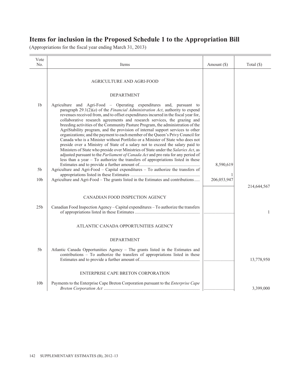# **Items for inclusion in the Proposed Schedule 1 to the Appropriation Bill**

(Appropriations for the fiscal year ending March 31, 2013)

| Vote<br>No.                      | Items                                                                                                                                                                                                                                                                                                                                                                                                                                                                                                                                                                                                                                                                                                                                                                                                                                                                                                                                                                                                                                                                                                        | Amount (\$)    | Total $(\$)$ |
|----------------------------------|--------------------------------------------------------------------------------------------------------------------------------------------------------------------------------------------------------------------------------------------------------------------------------------------------------------------------------------------------------------------------------------------------------------------------------------------------------------------------------------------------------------------------------------------------------------------------------------------------------------------------------------------------------------------------------------------------------------------------------------------------------------------------------------------------------------------------------------------------------------------------------------------------------------------------------------------------------------------------------------------------------------------------------------------------------------------------------------------------------------|----------------|--------------|
|                                  | <b>AGRICULTURE AND AGRI-FOOD</b>                                                                                                                                                                                                                                                                                                                                                                                                                                                                                                                                                                                                                                                                                                                                                                                                                                                                                                                                                                                                                                                                             |                |              |
|                                  | <b>DEPARTMENT</b>                                                                                                                                                                                                                                                                                                                                                                                                                                                                                                                                                                                                                                                                                                                                                                                                                                                                                                                                                                                                                                                                                            |                |              |
| 1 <sub>b</sub><br>5 <sub>b</sub> | Agriculture and Agri-Food - Operating expenditures and, pursuant to<br>paragraph $29.1(2)(a)$ of the <i>Financial Administration Act</i> , authority to expend<br>revenues received from, and to offset expenditures incurred in the fiscal year for,<br>collaborative research agreements and research services, the grazing and<br>breeding activities of the Community Pasture Program, the administration of the<br>AgriStability program, and the provision of internal support services to other<br>organizations; and the payment to each member of the Queen's Privy Council for<br>Canada who is a Minister without Portfolio or a Minister of State who does not<br>preside over a Ministry of State of a salary not to exceed the salary paid to<br>Ministers of State who preside over Ministries of State under the Salaries Act, as<br>adjusted pursuant to the Parliament of Canada Act and pro rata for any period of<br>less than a year - To authorize the transfers of appropriations listed in these<br>Agriculture and Agri-Food - Capital expenditures - To authorize the transfers of | 8,590,619<br>1 |              |
| 10 <sub>b</sub>                  | Agriculture and Agri-Food - The grants listed in the Estimates and contributions                                                                                                                                                                                                                                                                                                                                                                                                                                                                                                                                                                                                                                                                                                                                                                                                                                                                                                                                                                                                                             | 206,053,947    |              |
|                                  | CANADIAN FOOD INSPECTION AGENCY                                                                                                                                                                                                                                                                                                                                                                                                                                                                                                                                                                                                                                                                                                                                                                                                                                                                                                                                                                                                                                                                              |                | 214,644,567  |
| 25 <sub>b</sub>                  | Canadian Food Inspection Agency - Capital expenditures - To authorize the transfers                                                                                                                                                                                                                                                                                                                                                                                                                                                                                                                                                                                                                                                                                                                                                                                                                                                                                                                                                                                                                          |                | $\mathbf{1}$ |
|                                  | ATLANTIC CANADA OPPORTUNITIES AGENCY                                                                                                                                                                                                                                                                                                                                                                                                                                                                                                                                                                                                                                                                                                                                                                                                                                                                                                                                                                                                                                                                         |                |              |
|                                  | <b>DEPARTMENT</b>                                                                                                                                                                                                                                                                                                                                                                                                                                                                                                                                                                                                                                                                                                                                                                                                                                                                                                                                                                                                                                                                                            |                |              |
| 5 <sub>b</sub>                   | Atlantic Canada Opportunities Agency - The grants listed in the Estimates and<br>contributions - To authorize the transfers of appropriations listed in these                                                                                                                                                                                                                                                                                                                                                                                                                                                                                                                                                                                                                                                                                                                                                                                                                                                                                                                                                |                | 13,778,950   |
|                                  | ENTERPRISE CAPE BRETON CORPORATION                                                                                                                                                                                                                                                                                                                                                                                                                                                                                                                                                                                                                                                                                                                                                                                                                                                                                                                                                                                                                                                                           |                |              |
| 10 <sub>b</sub>                  | Payments to the Enterprise Cape Breton Corporation pursuant to the Enterprise Cape                                                                                                                                                                                                                                                                                                                                                                                                                                                                                                                                                                                                                                                                                                                                                                                                                                                                                                                                                                                                                           |                | 3.399,000    |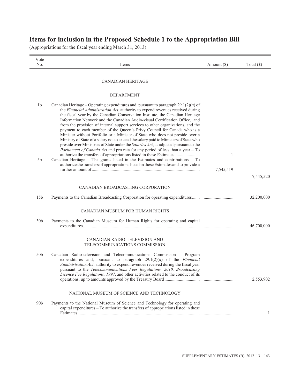# **Items for inclusion in the Proposed Schedule 1 to the Appropriation Bill**

(Appropriations for the fiscal year ending March 31, 2013)

| Vote<br>No.     | Items                                                                                                                                                                                                                                                                                                                                                                                                                                                                                                                                                                                                                                                                                                                                                                   | Amount $(\$)$ | Total $(\$)$ |
|-----------------|-------------------------------------------------------------------------------------------------------------------------------------------------------------------------------------------------------------------------------------------------------------------------------------------------------------------------------------------------------------------------------------------------------------------------------------------------------------------------------------------------------------------------------------------------------------------------------------------------------------------------------------------------------------------------------------------------------------------------------------------------------------------------|---------------|--------------|
|                 | <b>CANADIAN HERITAGE</b>                                                                                                                                                                                                                                                                                                                                                                                                                                                                                                                                                                                                                                                                                                                                                |               |              |
|                 | <b>DEPARTMENT</b>                                                                                                                                                                                                                                                                                                                                                                                                                                                                                                                                                                                                                                                                                                                                                       |               |              |
| 1 <sub>b</sub>  | Canadian Heritage – Operating expenditures and, pursuant to paragraph $29.1(2)(a)$ of<br>the Financial Administration Act, authority to expend revenues received during<br>the fiscal year by the Canadian Conservation Institute, the Canadian Heritage<br>Information Network and the Canadian Audio-visual Certification Office, and<br>from the provision of internal support services to other organizations, and the<br>payment to each member of the Queen's Privy Council for Canada who is a<br>Minister without Portfolio or a Minister of State who does not preside over a<br>Ministry of State of a salary not to exceed the salary paid to Ministers of State who<br>preside over Ministries of State under the Salaries Act, as adjusted pursuant to the |               |              |
| 5 <sub>b</sub>  | Parliament of Canada Act and pro rata for any period of less than a year - To<br>authorize the transfers of appropriations listed in these Estimates<br>Canadian Heritage - The grants listed in the Estimates and contributions - To                                                                                                                                                                                                                                                                                                                                                                                                                                                                                                                                   | 1             |              |
|                 | authorize the transfers of appropriations listed in these Estimates and to provide a                                                                                                                                                                                                                                                                                                                                                                                                                                                                                                                                                                                                                                                                                    | 7,545,519     |              |
|                 |                                                                                                                                                                                                                                                                                                                                                                                                                                                                                                                                                                                                                                                                                                                                                                         |               | 7,545,520    |
|                 | CANADIAN BROADCASTING CORPORATION                                                                                                                                                                                                                                                                                                                                                                                                                                                                                                                                                                                                                                                                                                                                       |               |              |
| 15 <sub>b</sub> | Payments to the Canadian Broadcasting Corporation for operating expenditures                                                                                                                                                                                                                                                                                                                                                                                                                                                                                                                                                                                                                                                                                            |               | 32,200,000   |
|                 | CANADIAN MUSEUM FOR HUMAN RIGHTS                                                                                                                                                                                                                                                                                                                                                                                                                                                                                                                                                                                                                                                                                                                                        |               |              |
| 30 <sub>b</sub> | Payments to the Canadian Museum for Human Rights for operating and capital                                                                                                                                                                                                                                                                                                                                                                                                                                                                                                                                                                                                                                                                                              |               | 46,700,000   |
|                 | CANADIAN RADIO-TELEVISION AND<br>TELECOMMUNICATIONS COMMISSION                                                                                                                                                                                                                                                                                                                                                                                                                                                                                                                                                                                                                                                                                                          |               |              |
| 50 <sub>b</sub> | Canadian Radio-television and Telecommunications Commission - Program<br>expenditures and, pursuant to paragraph $29.1(2)(a)$ of the <i>Financial</i><br>Administration Act, authority to expend revenues received during the fiscal year<br>pursuant to the Telecommunications Fees Regulations, 2010, Broadcasting<br>Licence Fee Regulations, 1997, and other activities related to the conduct of its                                                                                                                                                                                                                                                                                                                                                               |               | 2,553,902    |
|                 | NATIONAL MUSEUM OF SCIENCE AND TECHNOLOGY                                                                                                                                                                                                                                                                                                                                                                                                                                                                                                                                                                                                                                                                                                                               |               |              |
| 90 <sub>b</sub> | Payments to the National Museum of Science and Technology for operating and<br>capital expenditures - To authorize the transfers of appropriations listed in these                                                                                                                                                                                                                                                                                                                                                                                                                                                                                                                                                                                                      |               |              |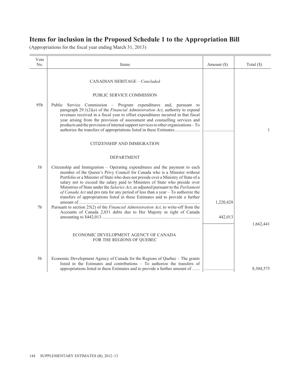# **Items for inclusion in the Proposed Schedule 1 to the Appropriation Bill**

(Appropriations for the fiscal year ending March 31, 2013)

| Vote<br>No.     | Items                                                                                                                                                                                                                                                                                                                                                                                                                                                                                                      | Amount $(\$)$ | Total $(\$)$ |
|-----------------|------------------------------------------------------------------------------------------------------------------------------------------------------------------------------------------------------------------------------------------------------------------------------------------------------------------------------------------------------------------------------------------------------------------------------------------------------------------------------------------------------------|---------------|--------------|
|                 | CANADIAN HERITAGE - Concluded                                                                                                                                                                                                                                                                                                                                                                                                                                                                              |               |              |
|                 | PUBLIC SERVICE COMMISSION                                                                                                                                                                                                                                                                                                                                                                                                                                                                                  |               |              |
| 95 <sub>b</sub> | Public Service Commission - Program expenditures and, pursuant to<br>paragraph $29.1(2)(a)$ of the <i>Financial Administration Act</i> , authority to expend<br>revenues received in a fiscal year to offset expenditures incurred in that fiscal<br>year arising from the provision of assessment and counselling services and<br>products and the provision of internal support services to other organizations - To<br>authorize the transfers of appropriations listed in these Estimates              |               | $\mathbf{1}$ |
|                 | CITIZENSHIP AND IMMIGRATION                                                                                                                                                                                                                                                                                                                                                                                                                                                                                |               |              |
|                 | <b>DEPARTMENT</b>                                                                                                                                                                                                                                                                                                                                                                                                                                                                                          |               |              |
| 1 <sub>b</sub>  | Citizenship and Immigration – Operating expenditures and the payment to each<br>member of the Queen's Privy Council for Canada who is a Minister without<br>Portfolio or a Minister of State who does not preside over a Ministry of State of a<br>salary not to exceed the salary paid to Ministers of State who preside over<br>Ministries of State under the Salaries Act, as adjusted pursuant to the Parliament<br>of Canada Act and pro rata for any period of less than a year $-$ To authorize the |               |              |
|                 | transfers of appropriations listed in these Estimates and to provide a further                                                                                                                                                                                                                                                                                                                                                                                                                             | 1,220,428     |              |
| 7b              | Pursuant to section 25(2) of the Financial Administration Act, to write-off from the<br>Accounts of Canada 2,031 debts due to Her Majesty in right of Canada                                                                                                                                                                                                                                                                                                                                               |               |              |
|                 |                                                                                                                                                                                                                                                                                                                                                                                                                                                                                                            | 442,013       | 1,662,441    |
|                 | ECONOMIC DEVELOPMENT AGENCY OF CANADA<br>FOR THE REGIONS OF QUEBEC                                                                                                                                                                                                                                                                                                                                                                                                                                         |               |              |
| 5 <sub>b</sub>  | Economic Development Agency of Canada for the Regions of Quebec - The grants<br>listed in the Estimates and contributions – To authorize the transfers of                                                                                                                                                                                                                                                                                                                                                  |               | 8,304,575    |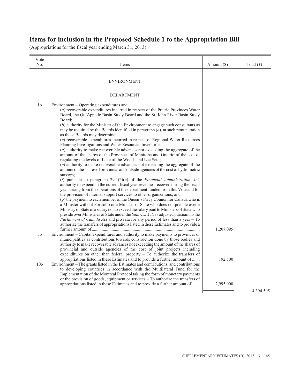| Vote<br>No.     | Items                                                                                                                                                                                                                                                                                                                                                                                                                                                                                                                                                                                                                                                                                                                                                                                                                                                                                                                                                                                                                                                                                                                                                                                                                                                                                                                                                                                                                                                                                                                                                                                                                                                                                                                                                                     | Amount $(\$)$ | Total $(\$)$ |
|-----------------|---------------------------------------------------------------------------------------------------------------------------------------------------------------------------------------------------------------------------------------------------------------------------------------------------------------------------------------------------------------------------------------------------------------------------------------------------------------------------------------------------------------------------------------------------------------------------------------------------------------------------------------------------------------------------------------------------------------------------------------------------------------------------------------------------------------------------------------------------------------------------------------------------------------------------------------------------------------------------------------------------------------------------------------------------------------------------------------------------------------------------------------------------------------------------------------------------------------------------------------------------------------------------------------------------------------------------------------------------------------------------------------------------------------------------------------------------------------------------------------------------------------------------------------------------------------------------------------------------------------------------------------------------------------------------------------------------------------------------------------------------------------------------|---------------|--------------|
|                 | <b>ENVIRONMENT</b>                                                                                                                                                                                                                                                                                                                                                                                                                                                                                                                                                                                                                                                                                                                                                                                                                                                                                                                                                                                                                                                                                                                                                                                                                                                                                                                                                                                                                                                                                                                                                                                                                                                                                                                                                        |               |              |
|                 | <b>DEPARTMENT</b>                                                                                                                                                                                                                                                                                                                                                                                                                                                                                                                                                                                                                                                                                                                                                                                                                                                                                                                                                                                                                                                                                                                                                                                                                                                                                                                                                                                                                                                                                                                                                                                                                                                                                                                                                         |               |              |
| 1 <sub>b</sub>  | Environment – Operating expenditures and<br>(a) recoverable expenditures incurred in respect of the Prairie Provinces Water<br>Board, the Qu'Appelle Basin Study Board and the St. John River Basin Study<br>Board;<br>$(b)$ authority for the Minister of the Environment to engage such consultants as<br>may be required by the Boards identified in paragraph $(a)$ , at such remuneration<br>as those Boards may determine;<br>$(c)$ recoverable expenditures incurred in respect of Regional Water Resources<br>Planning Investigations and Water Resources Inventories;<br>$(d)$ authority to make recoverable advances not exceeding the aggregate of the<br>amount of the shares of the Provinces of Manitoba and Ontario of the cost of<br>regulating the levels of Lake of the Woods and Lac Seul;<br>(e) authority to make recoverable advances not exceeding the aggregate of the<br>amount of the shares of provincial and outside agencies of the cost of hydrometric<br>surveys;<br>(f) pursuant to paragraph $29.1(2)(a)$ of the Financial Administration Act,<br>authority to expend in the current fiscal year revenues received during the fiscal<br>year arising from the operations of the department funded from this Vote and for<br>the provision of internal support services to other organizations; and<br>(g) the payment to each member of the Queen's Privy Council for Canada who is<br>a Minister without Portfolio or a Minister of State who does not preside over a<br>Ministry of State of a salary not to exceed the salary paid to Ministers of State who<br>preside over Ministries of State under the Salaries Act, as adjusted pursuant to the<br>Parliament of Canada Act and pro rata for any period of less than a year - To |               |              |
| 5b              | authorize the transfers of appropriations listed in these Estimates and to provide a<br>Environment – Capital expenditures and authority to make payments to provinces or                                                                                                                                                                                                                                                                                                                                                                                                                                                                                                                                                                                                                                                                                                                                                                                                                                                                                                                                                                                                                                                                                                                                                                                                                                                                                                                                                                                                                                                                                                                                                                                                 | 1,207,095     |              |
| 10 <sub>b</sub> | municipalities as contributions towards construction done by those bodies and<br>authority to make recoverable advances not exceeding the amount of the shares of<br>provincial and outside agencies of the cost of joint projects including<br>expenditures on other than federal property $-$ To authorize the transfers of<br>appropriations listed in these Estimates and to provide a further amount of<br>Environment – The grants listed in the Estimates and contributions, and contributions<br>to developing countries in accordance with the Multilateral Fund for the<br>Implementation of the Montreal Protocol taking the form of monetary payments<br>or the provision of goods, equipment or services - To authorize the transfers of                                                                                                                                                                                                                                                                                                                                                                                                                                                                                                                                                                                                                                                                                                                                                                                                                                                                                                                                                                                                                     | 192,500       |              |
|                 | appropriations listed in these Estimates and to provide a further amount of                                                                                                                                                                                                                                                                                                                                                                                                                                                                                                                                                                                                                                                                                                                                                                                                                                                                                                                                                                                                                                                                                                                                                                                                                                                                                                                                                                                                                                                                                                                                                                                                                                                                                               | 2,995,000     | 4,394,595    |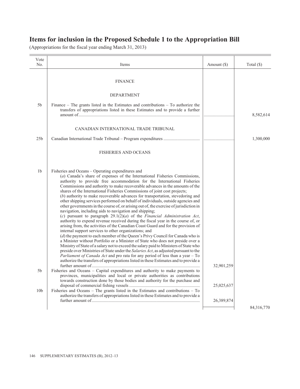| Vote<br>No.     | Items                                                                                                                                                                                                                                                                                                                                                                                                                                                                                                                                                                                                                                                                                                                                                                                                                                                                                                                                                                                                                                                                                                                                                                                                                                                                                                                                                                                                                                                                                                                                                        | Amount $(\$)$ | Total $(\$)$ |
|-----------------|--------------------------------------------------------------------------------------------------------------------------------------------------------------------------------------------------------------------------------------------------------------------------------------------------------------------------------------------------------------------------------------------------------------------------------------------------------------------------------------------------------------------------------------------------------------------------------------------------------------------------------------------------------------------------------------------------------------------------------------------------------------------------------------------------------------------------------------------------------------------------------------------------------------------------------------------------------------------------------------------------------------------------------------------------------------------------------------------------------------------------------------------------------------------------------------------------------------------------------------------------------------------------------------------------------------------------------------------------------------------------------------------------------------------------------------------------------------------------------------------------------------------------------------------------------------|---------------|--------------|
|                 | <b>FINANCE</b>                                                                                                                                                                                                                                                                                                                                                                                                                                                                                                                                                                                                                                                                                                                                                                                                                                                                                                                                                                                                                                                                                                                                                                                                                                                                                                                                                                                                                                                                                                                                               |               |              |
|                 | <b>DEPARTMENT</b>                                                                                                                                                                                                                                                                                                                                                                                                                                                                                                                                                                                                                                                                                                                                                                                                                                                                                                                                                                                                                                                                                                                                                                                                                                                                                                                                                                                                                                                                                                                                            |               |              |
| 5 <sub>b</sub>  | Finance – The grants listed in the Estimates and contributions – To authorize the<br>transfers of appropriations listed in these Estimates and to provide a further                                                                                                                                                                                                                                                                                                                                                                                                                                                                                                                                                                                                                                                                                                                                                                                                                                                                                                                                                                                                                                                                                                                                                                                                                                                                                                                                                                                          |               | 8,582,614    |
|                 | CANADIAN INTERNATIONAL TRADE TRIBUNAL                                                                                                                                                                                                                                                                                                                                                                                                                                                                                                                                                                                                                                                                                                                                                                                                                                                                                                                                                                                                                                                                                                                                                                                                                                                                                                                                                                                                                                                                                                                        |               |              |
| 25 <sub>b</sub> |                                                                                                                                                                                                                                                                                                                                                                                                                                                                                                                                                                                                                                                                                                                                                                                                                                                                                                                                                                                                                                                                                                                                                                                                                                                                                                                                                                                                                                                                                                                                                              |               | 1,300,000    |
|                 | <b>FISHERIES AND OCEANS</b>                                                                                                                                                                                                                                                                                                                                                                                                                                                                                                                                                                                                                                                                                                                                                                                                                                                                                                                                                                                                                                                                                                                                                                                                                                                                                                                                                                                                                                                                                                                                  |               |              |
| 1 <sub>b</sub>  | Fisheries and Oceans – Operating expenditures and<br>(a) Canada's share of expenses of the International Fisheries Commissions,<br>authority to provide free accommodation for the International Fisheries<br>Commissions and authority to make recoverable advances in the amounts of the<br>shares of the International Fisheries Commissions of joint cost projects;<br>$(b)$ authority to make recoverable advances for transportation, stevedoring and<br>other shipping services performed on behalf of individuals, outside agencies and<br>other governments in the course of, or arising out of, the exercise of jurisdiction in<br>navigation, including aids to navigation and shipping;<br>(c) pursuant to paragraph $29.1(2)(a)$ of the <i>Financial Administration Act</i> ,<br>authority to expend revenue received during the fiscal year in the course of, or<br>arising from, the activities of the Canadian Coast Guard and for the provision of<br>internal support services to other organizations; and<br>$(d)$ the payment to each member of the Queen's Privy Council for Canada who is<br>a Minister without Portfolio or a Minister of State who does not preside over a<br>Ministry of State of a salary not to exceed the salary paid to Ministers of State who<br>preside over Ministries of State under the Salaries Act, as adjusted pursuant to the<br>Parliament of Canada Act and pro rata for any period of less than a year - To<br>authorize the transfers of appropriations listed in these Estimates and to provide a |               |              |
| 5 <sub>b</sub>  | Fisheries and Oceans - Capital expenditures and authority to make payments to<br>provinces, municipalities and local or private authorities as contributions                                                                                                                                                                                                                                                                                                                                                                                                                                                                                                                                                                                                                                                                                                                                                                                                                                                                                                                                                                                                                                                                                                                                                                                                                                                                                                                                                                                                 | 32,901,259    |              |
| 10 <sub>b</sub> | towards construction done by those bodies and authority for the purchase and<br>Fisheries and Oceans - The grants listed in the Estimates and contributions - To                                                                                                                                                                                                                                                                                                                                                                                                                                                                                                                                                                                                                                                                                                                                                                                                                                                                                                                                                                                                                                                                                                                                                                                                                                                                                                                                                                                             | 25,025,637    |              |
|                 | authorize the transfers of appropriations listed in these Estimates and to provide a                                                                                                                                                                                                                                                                                                                                                                                                                                                                                                                                                                                                                                                                                                                                                                                                                                                                                                                                                                                                                                                                                                                                                                                                                                                                                                                                                                                                                                                                         | 26,389,874    |              |
|                 |                                                                                                                                                                                                                                                                                                                                                                                                                                                                                                                                                                                                                                                                                                                                                                                                                                                                                                                                                                                                                                                                                                                                                                                                                                                                                                                                                                                                                                                                                                                                                              |               | 84.316.770   |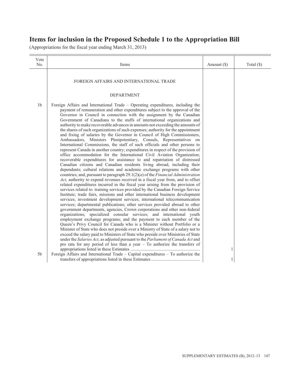| Vote<br>No.    | Items                                                                                                                                                                                                                                                                                                                                                                                                                                                                                                                                                                                                                                                                                                                                                                                                                                                                                                                                                                                                                                                                                                                                                                                                                                                                                                                                                                                                                                                                                                                                                                                                                                                                                                                                                                                                                                                                                                                                                                                                                                                                                                                                                                                                                                                                                                          | Amount $(\$)$                | Total $(\$)$ |
|----------------|----------------------------------------------------------------------------------------------------------------------------------------------------------------------------------------------------------------------------------------------------------------------------------------------------------------------------------------------------------------------------------------------------------------------------------------------------------------------------------------------------------------------------------------------------------------------------------------------------------------------------------------------------------------------------------------------------------------------------------------------------------------------------------------------------------------------------------------------------------------------------------------------------------------------------------------------------------------------------------------------------------------------------------------------------------------------------------------------------------------------------------------------------------------------------------------------------------------------------------------------------------------------------------------------------------------------------------------------------------------------------------------------------------------------------------------------------------------------------------------------------------------------------------------------------------------------------------------------------------------------------------------------------------------------------------------------------------------------------------------------------------------------------------------------------------------------------------------------------------------------------------------------------------------------------------------------------------------------------------------------------------------------------------------------------------------------------------------------------------------------------------------------------------------------------------------------------------------------------------------------------------------------------------------------------------------|------------------------------|--------------|
|                | FOREIGN AFFAIRS AND INTERNATIONAL TRADE                                                                                                                                                                                                                                                                                                                                                                                                                                                                                                                                                                                                                                                                                                                                                                                                                                                                                                                                                                                                                                                                                                                                                                                                                                                                                                                                                                                                                                                                                                                                                                                                                                                                                                                                                                                                                                                                                                                                                                                                                                                                                                                                                                                                                                                                        |                              |              |
|                | <b>DEPARTMENT</b>                                                                                                                                                                                                                                                                                                                                                                                                                                                                                                                                                                                                                                                                                                                                                                                                                                                                                                                                                                                                                                                                                                                                                                                                                                                                                                                                                                                                                                                                                                                                                                                                                                                                                                                                                                                                                                                                                                                                                                                                                                                                                                                                                                                                                                                                                              |                              |              |
| 1 <sub>b</sub> | Foreign Affairs and International Trade – Operating expenditures, including the<br>payment of remuneration and other expenditures subject to the approval of the<br>Governor in Council in connection with the assignment by the Canadian<br>Government of Canadians to the staffs of international organizations and<br>authority to make recoverable advances in amounts not exceeding the amounts of<br>the shares of such organizations of such expenses; authority for the appointment<br>and fixing of salaries by the Governor in Council of High Commissioners,<br>Ambassadors, Ministers Plenipotentiary, Consuls, Representatives on<br>International Commissions, the staff of such officials and other persons to<br>represent Canada in another country; expenditures in respect of the provision of<br>office accommodation for the International Civil Aviation Organization;<br>recoverable expenditures for assistance to and repatriation of distressed<br>Canadian citizens and Canadian residents living abroad, including their<br>dependants; cultural relations and academic exchange programs with other<br>countries; and, pursuant to paragraph $29.1(2)(a)$ of the <i>Financial Administration</i><br>Act, authority to expend revenues received in a fiscal year from, and to offset<br>related expenditures incurred in the fiscal year arising from the provision of<br>services related to: training services provided by the Canadian Foreign Service<br>Institute; trade fairs, missions and other international business development<br>services; investment development services; international telecommunication<br>services; departmental publications; other services provided abroad to other<br>government departments, agencies, Crown corporations and other non-federal<br>organizations; specialized consular services; and international youth<br>employment exchange programs; and the payment to each member of the<br>Queen's Privy Council for Canada who is a Minister without Portfolio or a<br>Minister of State who does not preside over a Ministry of State of a salary not to<br>exceed the salary paid to Ministers of State who preside over Ministries of State<br>under the Salaries Act, as adjusted pursuant to the Parliament of Canada Act and |                              |              |
| 5 <sub>b</sub> | pro rata for any period of less than a year $-$ To authorize the transfers of<br>Foreign Affairs and International Trade - Capital expenditures - To authorize the                                                                                                                                                                                                                                                                                                                                                                                                                                                                                                                                                                                                                                                                                                                                                                                                                                                                                                                                                                                                                                                                                                                                                                                                                                                                                                                                                                                                                                                                                                                                                                                                                                                                                                                                                                                                                                                                                                                                                                                                                                                                                                                                             | $\mathbf{1}$<br>$\mathbf{1}$ |              |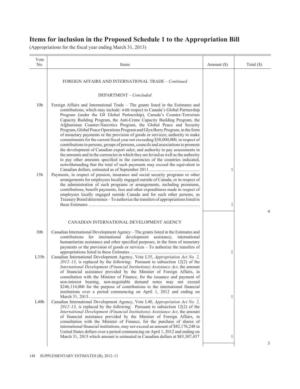| Vote<br>No.      | Items                                                                                                                                                                                                                                                                                                                                                                                                                                                                                                                                                                                                                                                                                                                                                                                                                      | Amount $(\$)$ | Total $(\$)$ |
|------------------|----------------------------------------------------------------------------------------------------------------------------------------------------------------------------------------------------------------------------------------------------------------------------------------------------------------------------------------------------------------------------------------------------------------------------------------------------------------------------------------------------------------------------------------------------------------------------------------------------------------------------------------------------------------------------------------------------------------------------------------------------------------------------------------------------------------------------|---------------|--------------|
|                  | <b>FOREIGN AFFAIRS AND INTERNATIONAL TRADE – Continued</b>                                                                                                                                                                                                                                                                                                                                                                                                                                                                                                                                                                                                                                                                                                                                                                 |               |              |
|                  | DEPARTMENT - Concluded                                                                                                                                                                                                                                                                                                                                                                                                                                                                                                                                                                                                                                                                                                                                                                                                     |               |              |
| 10 <sub>b</sub>  | Foreign Affairs and International Trade – The grants listed in the Estimates and<br>contributions, which may include: with respect to Canada's Global Partnership<br>Program (under the G8 Global Partnership), Canada's Counter-Terrorism<br>Capacity Building Program, the Anti-Crime Capacity Building Program, the<br>Afghanistan Counter-Narcotics Program, the Global Peace and Security<br>Program, Global Peace Operations Program and Glyn Berry Program, in the form<br>of monetary payments or the provision of goods or services; authority to make<br>commitments for the current fiscal year not exceeding \$30,000,000, in respect of<br>contributions to persons, groups of persons, councils and associations to promote<br>the development of Canadian export sales; and authority to pay assessments in |               |              |
|                  | the amounts and in the currencies in which they are levied as well as the authority<br>to pay other amounts specified in the currencies of the countries indicated,<br>notwithstanding that the total of such payments may exceed the equivalent in                                                                                                                                                                                                                                                                                                                                                                                                                                                                                                                                                                        | 1             |              |
| 15 <sub>b</sub>  | Payments, in respect of pension, insurance and social security programs or other<br>arrangements for employees locally engaged outside of Canada, or in respect of<br>the administration of such programs or arrangements, including premiums,<br>contributions, benefit payments, fees and other expenditures made in respect of<br>employees locally engaged outside Canada and for such other persons, as<br>Treasury Board determines - To authorize the transfers of appropriations listed in                                                                                                                                                                                                                                                                                                                         | 1             | 4            |
|                  | CANADIAN INTERNATIONAL DEVELOPMENT AGENCY                                                                                                                                                                                                                                                                                                                                                                                                                                                                                                                                                                                                                                                                                                                                                                                  |               |              |
| 30 <sub>b</sub>  | Canadian International Development Agency – The grants listed in the Estimates and<br>contributions<br>for international development<br>assistance,<br>international<br>humanitarian assistance and other specified purposes, in the form of monetary<br>payments or the provision of goods or services - To authorize the transfers of                                                                                                                                                                                                                                                                                                                                                                                                                                                                                    | 1             |              |
| L35b             | Canadian International Development Agency, Vote L35, Appropriation Act No. 2,<br>$2012-13$ , is replaced by the following: Pursuant to subsection 12(2) of the<br>International Development (Financial Institutions) Assistance Act, the amount<br>of financial assistance provided by the Minister of Foreign Affairs, in<br>consultation with the Minister of Finance, for the issuance and payment of<br>non-interest bearing, non-negotiable demand notes may not exceed<br>\$246,114,000 for the purpose of contributions to the international financial<br>institutions over a period commencing on April 1, 2012 and ending on                                                                                                                                                                                      |               |              |
| L40 <sub>b</sub> | Canadian International Development Agency, Vote L40, Appropriation Act No. 2,<br>$2012-13$ , is replaced by the following: Pursuant to subsection 12(2) of the<br>International Development (Financial Institutions) Assistance Act, the amount<br>of financial assistance provided by the Minister of Foreign Affairs, in<br>consultation with the Minister of Finance, for the purchase of shares of<br>international financial institutions, may not exceed an amount of \$82,176,248 in<br>United States dollars over a period commencing on April 1, 2012 and ending on<br>March 31, 2013 which amount is estimated in Canadian dollars at \$83,307,437                                                                                                                                                               | 1<br>1        |              |
|                  |                                                                                                                                                                                                                                                                                                                                                                                                                                                                                                                                                                                                                                                                                                                                                                                                                            |               | 3            |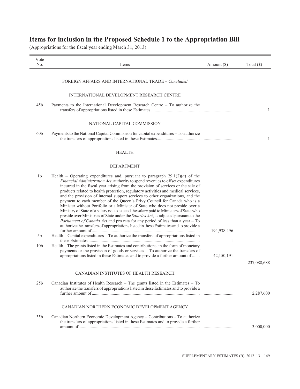| Vote            |                                                                                                                                                                                                                                                                                                                                                                                                                                                                                                                                                                                                                                                                                                                                                                                                                                                                                                                                                       |               |              |
|-----------------|-------------------------------------------------------------------------------------------------------------------------------------------------------------------------------------------------------------------------------------------------------------------------------------------------------------------------------------------------------------------------------------------------------------------------------------------------------------------------------------------------------------------------------------------------------------------------------------------------------------------------------------------------------------------------------------------------------------------------------------------------------------------------------------------------------------------------------------------------------------------------------------------------------------------------------------------------------|---------------|--------------|
| No.             | Items                                                                                                                                                                                                                                                                                                                                                                                                                                                                                                                                                                                                                                                                                                                                                                                                                                                                                                                                                 | Amount $(\$)$ | Total $(\$)$ |
|                 | FOREIGN AFFAIRS AND INTERNATIONAL TRADE – Concluded                                                                                                                                                                                                                                                                                                                                                                                                                                                                                                                                                                                                                                                                                                                                                                                                                                                                                                   |               |              |
|                 | INTERNATIONAL DEVELOPMENT RESEARCH CENTRE                                                                                                                                                                                                                                                                                                                                                                                                                                                                                                                                                                                                                                                                                                                                                                                                                                                                                                             |               |              |
| 45 <sub>b</sub> | Payments to the International Development Research Centre - To authorize the                                                                                                                                                                                                                                                                                                                                                                                                                                                                                                                                                                                                                                                                                                                                                                                                                                                                          | .             | 1            |
|                 | NATIONAL CAPITAL COMMISSION                                                                                                                                                                                                                                                                                                                                                                                                                                                                                                                                                                                                                                                                                                                                                                                                                                                                                                                           |               |              |
| 60 <sub>b</sub> | Payments to the National Capital Commission for capital expenditures – To authorize                                                                                                                                                                                                                                                                                                                                                                                                                                                                                                                                                                                                                                                                                                                                                                                                                                                                   |               | 1            |
|                 | <b>HEALTH</b>                                                                                                                                                                                                                                                                                                                                                                                                                                                                                                                                                                                                                                                                                                                                                                                                                                                                                                                                         |               |              |
|                 | <b>DEPARTMENT</b>                                                                                                                                                                                                                                                                                                                                                                                                                                                                                                                                                                                                                                                                                                                                                                                                                                                                                                                                     |               |              |
| 1 <sub>b</sub>  | Health – Operating expenditures and, pursuant to paragraph $29.1(2)(a)$ of the<br>Financial Administration Act, authority to spend revenues to offset expenditures<br>incurred in the fiscal year arising from the provision of services or the sale of<br>products related to health protection, regulatory activities and medical services,<br>and the provision of internal support services to other organizations, and the<br>payment to each member of the Queen's Privy Council for Canada who is a<br>Minister without Portfolio or a Minister of State who does not preside over a<br>Ministry of State of a salary not to exceed the salary paid to Ministers of State who<br>preside over Ministries of State under the Salaries Act, as adjusted pursuant to the<br>Parliament of Canada Act and pro rata for any period of less than a year - To<br>authorize the transfers of appropriations listed in these Estimates and to provide a | 194,938,496   |              |
| 5 <sub>b</sub>  | Health – Capital expenditures – To authorize the transfers of appropriations listed in                                                                                                                                                                                                                                                                                                                                                                                                                                                                                                                                                                                                                                                                                                                                                                                                                                                                | 1             |              |
| 10 <sub>b</sub> | Health – The grants listed in the Estimates and contributions, in the form of monetary<br>payments or the provision of goods or services - To authorize the transfers of<br>appropriations listed in these Estimates and to provide a further amount of                                                                                                                                                                                                                                                                                                                                                                                                                                                                                                                                                                                                                                                                                               | 42,150,191    | 237,088,688  |
|                 | CANADIAN INSTITUTES OF HEALTH RESEARCH                                                                                                                                                                                                                                                                                                                                                                                                                                                                                                                                                                                                                                                                                                                                                                                                                                                                                                                |               |              |
| 25 <sub>b</sub> | Canadian Institutes of Health Research $-$ The grants listed in the Estimates $-$ To<br>authorize the transfers of appropriations listed in these Estimates and to provide a                                                                                                                                                                                                                                                                                                                                                                                                                                                                                                                                                                                                                                                                                                                                                                          |               | 2,287,600    |
|                 | CANADIAN NORTHERN ECONOMIC DEVELOPMENT AGENCY                                                                                                                                                                                                                                                                                                                                                                                                                                                                                                                                                                                                                                                                                                                                                                                                                                                                                                         |               |              |
| 35 <sub>b</sub> | Canadian Northern Economic Development Agency - Contributions - To authorize<br>the transfers of appropriations listed in these Estimates and to provide a further                                                                                                                                                                                                                                                                                                                                                                                                                                                                                                                                                                                                                                                                                                                                                                                    |               | 3,000,000    |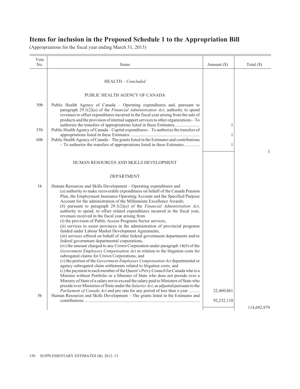(Appropriations for the fiscal year ending March 31, 2013)

| Vote<br>No.     | Items                                                                                                                                                                                                                                                                                                                                                                                                                                                                                                                                                                                                                                                                                                                                                                                                                                                                                                                                                                                                                                                                                                                                                                                                                                                                                                                                                                                                                                                                                                                                                                                                                                                                                                             | Amount $(\$)$ | Total $(\$)$ |
|-----------------|-------------------------------------------------------------------------------------------------------------------------------------------------------------------------------------------------------------------------------------------------------------------------------------------------------------------------------------------------------------------------------------------------------------------------------------------------------------------------------------------------------------------------------------------------------------------------------------------------------------------------------------------------------------------------------------------------------------------------------------------------------------------------------------------------------------------------------------------------------------------------------------------------------------------------------------------------------------------------------------------------------------------------------------------------------------------------------------------------------------------------------------------------------------------------------------------------------------------------------------------------------------------------------------------------------------------------------------------------------------------------------------------------------------------------------------------------------------------------------------------------------------------------------------------------------------------------------------------------------------------------------------------------------------------------------------------------------------------|---------------|--------------|
|                 | HEALTH - Concluded                                                                                                                                                                                                                                                                                                                                                                                                                                                                                                                                                                                                                                                                                                                                                                                                                                                                                                                                                                                                                                                                                                                                                                                                                                                                                                                                                                                                                                                                                                                                                                                                                                                                                                |               |              |
|                 | PUBLIC HEALTH AGENCY OF CANADA                                                                                                                                                                                                                                                                                                                                                                                                                                                                                                                                                                                                                                                                                                                                                                                                                                                                                                                                                                                                                                                                                                                                                                                                                                                                                                                                                                                                                                                                                                                                                                                                                                                                                    |               |              |
| 50 <sub>b</sub> | Public Health Agency of Canada – Operating expenditures and, pursuant to<br>paragraph $29.1(2)(a)$ of the <i>Financial Administration Act</i> , authority to spend<br>revenues to offset expenditures incurred in the fiscal year arising from the sale of<br>products and the provision of internal support services to other organizations – To                                                                                                                                                                                                                                                                                                                                                                                                                                                                                                                                                                                                                                                                                                                                                                                                                                                                                                                                                                                                                                                                                                                                                                                                                                                                                                                                                                 | 1             |              |
| 55 <sub>b</sub> | Public Health Agency of Canada - Capital expenditures - To authorize the transfers of                                                                                                                                                                                                                                                                                                                                                                                                                                                                                                                                                                                                                                                                                                                                                                                                                                                                                                                                                                                                                                                                                                                                                                                                                                                                                                                                                                                                                                                                                                                                                                                                                             | $\mathbf{1}$  |              |
| 60 <sub>b</sub> | Public Health Agency of Canada - The grants listed in the Estimates and contributions<br>- To authorize the transfers of appropriations listed in these Estimates                                                                                                                                                                                                                                                                                                                                                                                                                                                                                                                                                                                                                                                                                                                                                                                                                                                                                                                                                                                                                                                                                                                                                                                                                                                                                                                                                                                                                                                                                                                                                 | 1             | 3            |
|                 | HUMAN RESOURCES AND SKILLS DEVELOPMENT                                                                                                                                                                                                                                                                                                                                                                                                                                                                                                                                                                                                                                                                                                                                                                                                                                                                                                                                                                                                                                                                                                                                                                                                                                                                                                                                                                                                                                                                                                                                                                                                                                                                            |               |              |
|                 | <b>DEPARTMENT</b>                                                                                                                                                                                                                                                                                                                                                                                                                                                                                                                                                                                                                                                                                                                                                                                                                                                                                                                                                                                                                                                                                                                                                                                                                                                                                                                                                                                                                                                                                                                                                                                                                                                                                                 |               |              |
| 1 <sub>b</sub>  | Human Resources and Skills Development – Operating expenditures and<br>( $a$ ) authority to make recoverable expenditures on behalf of the Canada Pension<br>Plan, the Employment Insurance Operating Account and the Specified Purpose<br>Account for the administration of the Millennium Excellence Awards;<br>(b) pursuant to paragraph $29.1(2)(a)$ of the <i>Financial Administration Act</i> ,<br>authority to spend, to offset related expenditures incurred in the fiscal year,<br>revenues received in the fiscal year arising from<br>(i) the provision of Public Access Programs Sector services,<br>(ii) services to assist provinces in the administration of provincial programs<br>funded under Labour Market Development Agreements,<br>(iii) services offered on behalf of other federal government departments and/or<br>federal government departmental corporations,<br>(iv) the amount charged to any Crown Corporation under paragraph $14(b)$ of the<br>Government Employees Compensation Act in relation to the litigation costs for<br>subrogated claims for Crown Corporations, and<br>(v) the portion of the Government Employees Compensation Act departmental or<br>agency subrogated claim settlements related to litigation costs; and<br>$(c)$ the payment to each member of the Queen's Privy Council for Canada who is a<br>Minister without Portfolio or a Minister of State who does not preside over a<br>Ministry of State of a salary not to exceed the salary paid to Ministers of State who<br>preside over Ministries of State under the <i>Salaries Act</i> , as adjusted pursuant to the<br>Parliament of Canada Act and pro rata for any period of less than a year | 22,460,861    |              |
| 5b              | Human Resources and Skills Development – The grants listed in the Estimates and                                                                                                                                                                                                                                                                                                                                                                                                                                                                                                                                                                                                                                                                                                                                                                                                                                                                                                                                                                                                                                                                                                                                                                                                                                                                                                                                                                                                                                                                                                                                                                                                                                   | 92,232,118    |              |
|                 |                                                                                                                                                                                                                                                                                                                                                                                                                                                                                                                                                                                                                                                                                                                                                                                                                                                                                                                                                                                                                                                                                                                                                                                                                                                                                                                                                                                                                                                                                                                                                                                                                                                                                                                   |               | 114,692,979  |

150 SUPPLEMENTARY ESTIMATES (B), 2012–13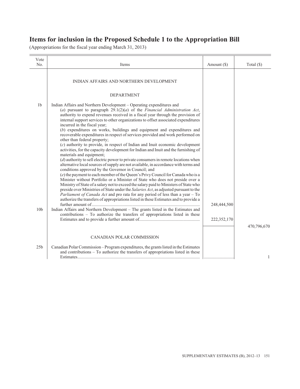| Vote<br>No.     | Items                                                                                                                                                                                                                                                                                                                                                                                                                                                                                                                                                                                                                                                                                                                                                                                                                                                                                                                                                                                                                                                                                                                                                                                                                                                                                                                                                                                                                                                                                                                                         | Amount $(\$)$ | Total $(\$)$ |
|-----------------|-----------------------------------------------------------------------------------------------------------------------------------------------------------------------------------------------------------------------------------------------------------------------------------------------------------------------------------------------------------------------------------------------------------------------------------------------------------------------------------------------------------------------------------------------------------------------------------------------------------------------------------------------------------------------------------------------------------------------------------------------------------------------------------------------------------------------------------------------------------------------------------------------------------------------------------------------------------------------------------------------------------------------------------------------------------------------------------------------------------------------------------------------------------------------------------------------------------------------------------------------------------------------------------------------------------------------------------------------------------------------------------------------------------------------------------------------------------------------------------------------------------------------------------------------|---------------|--------------|
|                 | INDIAN AFFAIRS AND NORTHERN DEVELOPMENT                                                                                                                                                                                                                                                                                                                                                                                                                                                                                                                                                                                                                                                                                                                                                                                                                                                                                                                                                                                                                                                                                                                                                                                                                                                                                                                                                                                                                                                                                                       |               |              |
|                 | <b>DEPARTMENT</b>                                                                                                                                                                                                                                                                                                                                                                                                                                                                                                                                                                                                                                                                                                                                                                                                                                                                                                                                                                                                                                                                                                                                                                                                                                                                                                                                                                                                                                                                                                                             |               |              |
| 1 <sub>b</sub>  | Indian Affairs and Northern Development – Operating expenditures and<br>(a) pursuant to paragraph $29.1(2)(a)$ of the <i>Financial Administration Act</i> ,<br>authority to expend revenues received in a fiscal year through the provision of<br>internal support services to other organizations to offset associated expenditures<br>incurred in the fiscal year;<br>$(b)$ expenditures on works, buildings and equipment and expenditures and<br>recoverable expenditures in respect of services provided and work performed on<br>other than federal property;<br>$(c)$ authority to provide, in respect of Indian and Inuit economic development<br>activities, for the capacity development for Indian and Inuit and the furnishing of<br>materials and equipment;<br>$(d)$ authority to sell electric power to private consumers in remote locations when<br>alternative local sources of supply are not available, in accordance with terms and<br>conditions approved by the Governor in Council; and<br>(e) the payment to each member of the Queen's Privy Council for Canada who is a<br>Minister without Portfolio or a Minister of State who does not preside over a<br>Ministry of State of a salary not to exceed the salary paid to Ministers of State who<br>preside over Ministries of State under the Salaries Act, as adjusted pursuant to the<br>Parliament of Canada Act and pro rata for any period of less than a year - To<br>authorize the transfers of appropriations listed in these Estimates and to provide a |               |              |
| 10 <sub>b</sub> | Indian Affairs and Northern Development - The grants listed in the Estimates and<br>contributions - To authorize the transfers of appropriations listed in these                                                                                                                                                                                                                                                                                                                                                                                                                                                                                                                                                                                                                                                                                                                                                                                                                                                                                                                                                                                                                                                                                                                                                                                                                                                                                                                                                                              | 248,444,500   |              |
|                 |                                                                                                                                                                                                                                                                                                                                                                                                                                                                                                                                                                                                                                                                                                                                                                                                                                                                                                                                                                                                                                                                                                                                                                                                                                                                                                                                                                                                                                                                                                                                               | 222,352,170   | 470,796,670  |
|                 | <b>CANADIAN POLAR COMMISSION</b>                                                                                                                                                                                                                                                                                                                                                                                                                                                                                                                                                                                                                                                                                                                                                                                                                                                                                                                                                                                                                                                                                                                                                                                                                                                                                                                                                                                                                                                                                                              |               |              |
|                 |                                                                                                                                                                                                                                                                                                                                                                                                                                                                                                                                                                                                                                                                                                                                                                                                                                                                                                                                                                                                                                                                                                                                                                                                                                                                                                                                                                                                                                                                                                                                               |               |              |
| 25 <sub>b</sub> | Canadian Polar Commission – Program expenditures, the grants listed in the Estimates<br>and contributions – To authorize the transfers of appropriations listed in these                                                                                                                                                                                                                                                                                                                                                                                                                                                                                                                                                                                                                                                                                                                                                                                                                                                                                                                                                                                                                                                                                                                                                                                                                                                                                                                                                                      |               | 1            |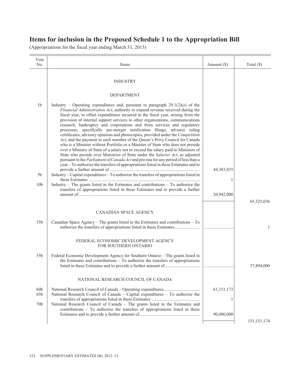| Vote<br>No.            | Items                                                                                                                                                                                                                                                                                                                                                                                                                                                                                                                                                                                                                                                                                                                                                                                                                                                                                                                                                                                                                   | Amount (\$)     | Total $(\$)$ |
|------------------------|-------------------------------------------------------------------------------------------------------------------------------------------------------------------------------------------------------------------------------------------------------------------------------------------------------------------------------------------------------------------------------------------------------------------------------------------------------------------------------------------------------------------------------------------------------------------------------------------------------------------------------------------------------------------------------------------------------------------------------------------------------------------------------------------------------------------------------------------------------------------------------------------------------------------------------------------------------------------------------------------------------------------------|-----------------|--------------|
|                        | <b>INDUSTRY</b>                                                                                                                                                                                                                                                                                                                                                                                                                                                                                                                                                                                                                                                                                                                                                                                                                                                                                                                                                                                                         |                 |              |
|                        | <b>DEPARTMENT</b>                                                                                                                                                                                                                                                                                                                                                                                                                                                                                                                                                                                                                                                                                                                                                                                                                                                                                                                                                                                                       |                 |              |
| 1 <sub>b</sub>         | Industry – Operating expenditures and, pursuant to paragraph $29.1(2)(a)$ of the<br>Financial Administration Act, authority to expend revenue received during the<br>fiscal year, to offset expenditures incurred in the fiscal year, arising from the<br>provision of internal support services to other organizations, communications<br>research, bankruptcy and corporations and from services and regulatory<br>processes, specifically pre-merger notification filings, advance ruling<br>certificates, advisory opinions and photocopies, provided under the Competition<br>Act, and the payment to each member of the Queen's Privy Council for Canada<br>who is a Minister without Portfolio or a Minister of State who does not preside<br>over a Ministry of State of a salary not to exceed the salary paid to Ministers of<br>State who preside over Ministries of State under the Salaries Act, as adjusted<br>pursuant to the <i>Parliament of Canada Act</i> and pro rata for any period of less than a |                 |              |
| 5 <sub>b</sub>         | year - To authorize the transfers of appropriations listed in these Estimates and to<br>Industry - Capital expenditures - To authorize the transfers of appropriations listed in                                                                                                                                                                                                                                                                                                                                                                                                                                                                                                                                                                                                                                                                                                                                                                                                                                        | 44,383,035      |              |
| 10 <sub>b</sub>        | Industry – The grants listed in the Estimates and contributions – To authorize the                                                                                                                                                                                                                                                                                                                                                                                                                                                                                                                                                                                                                                                                                                                                                                                                                                                                                                                                      | 1               |              |
|                        | transfers of appropriations listed in these Estimates and to provide a further                                                                                                                                                                                                                                                                                                                                                                                                                                                                                                                                                                                                                                                                                                                                                                                                                                                                                                                                          | 20,942,000      |              |
|                        | <b>CANADIAN SPACE AGENCY</b>                                                                                                                                                                                                                                                                                                                                                                                                                                                                                                                                                                                                                                                                                                                                                                                                                                                                                                                                                                                            |                 | 65,325,036   |
| 35 <sub>b</sub>        | Canadian Space Agency – The grants listed in the Estimates and contributions – To<br>authorize the transfers of appropriations listed in these Estimates                                                                                                                                                                                                                                                                                                                                                                                                                                                                                                                                                                                                                                                                                                                                                                                                                                                                |                 | 1            |
|                        | FEDERAL ECONOMIC DEVELOPMENT AGENCY<br><b>FOR SOUTHERN ONTARIO</b>                                                                                                                                                                                                                                                                                                                                                                                                                                                                                                                                                                                                                                                                                                                                                                                                                                                                                                                                                      |                 |              |
| 55 <sub>b</sub>        | Federal Economic Development Agency for Southern Ontario - The grants listed in<br>the Estimates and contributions $-$ To authorize the transfers of appropriations                                                                                                                                                                                                                                                                                                                                                                                                                                                                                                                                                                                                                                                                                                                                                                                                                                                     |                 | 37,894,000   |
|                        | NATIONAL RESEARCH COUNCIL OF CANADA                                                                                                                                                                                                                                                                                                                                                                                                                                                                                                                                                                                                                                                                                                                                                                                                                                                                                                                                                                                     |                 |              |
| 60 <sub>b</sub><br>65b | National Research Council of Canada - Capital expenditures - To authorize the                                                                                                                                                                                                                                                                                                                                                                                                                                                                                                                                                                                                                                                                                                                                                                                                                                                                                                                                           | 61,151,173<br>1 |              |
| 70 <sub>b</sub>        | National Research Council of Canada - The grants listed in the Estimates and<br>contributions - To authorize the transfers of appropriations listed in these                                                                                                                                                                                                                                                                                                                                                                                                                                                                                                                                                                                                                                                                                                                                                                                                                                                            | 90,000,000      |              |
|                        |                                                                                                                                                                                                                                                                                                                                                                                                                                                                                                                                                                                                                                                                                                                                                                                                                                                                                                                                                                                                                         |                 | 151,151,174  |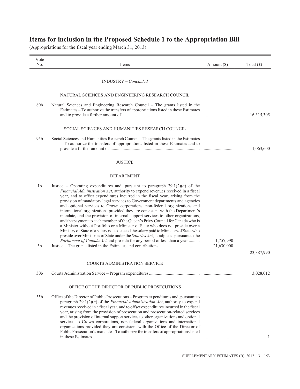| Vote<br>No.                      | Items                                                                                                                                                                                                                                                                                                                                                                                                                                                                                                                                                                                                                                                                                                                                                                                                                                                                                                                                                                                                                    | Amount (\$)             | Total $(\$)$ |
|----------------------------------|--------------------------------------------------------------------------------------------------------------------------------------------------------------------------------------------------------------------------------------------------------------------------------------------------------------------------------------------------------------------------------------------------------------------------------------------------------------------------------------------------------------------------------------------------------------------------------------------------------------------------------------------------------------------------------------------------------------------------------------------------------------------------------------------------------------------------------------------------------------------------------------------------------------------------------------------------------------------------------------------------------------------------|-------------------------|--------------|
|                                  | INDUSTRY – Concluded                                                                                                                                                                                                                                                                                                                                                                                                                                                                                                                                                                                                                                                                                                                                                                                                                                                                                                                                                                                                     |                         |              |
|                                  | NATURAL SCIENCES AND ENGINEERING RESEARCH COUNCIL                                                                                                                                                                                                                                                                                                                                                                                                                                                                                                                                                                                                                                                                                                                                                                                                                                                                                                                                                                        |                         |              |
| 80 <sub>b</sub>                  | Natural Sciences and Engineering Research Council - The grants listed in the<br>Estimates - To authorize the transfers of appropriations listed in these Estimates                                                                                                                                                                                                                                                                                                                                                                                                                                                                                                                                                                                                                                                                                                                                                                                                                                                       |                         | 16,315,305   |
|                                  | SOCIAL SCIENCES AND HUMANITIES RESEARCH COUNCIL                                                                                                                                                                                                                                                                                                                                                                                                                                                                                                                                                                                                                                                                                                                                                                                                                                                                                                                                                                          |                         |              |
| 95b                              | Social Sciences and Humanities Research Council – The grants listed in the Estimates<br>- To authorize the transfers of appropriations listed in these Estimates and to                                                                                                                                                                                                                                                                                                                                                                                                                                                                                                                                                                                                                                                                                                                                                                                                                                                  |                         | 1,063,600    |
|                                  | <b>JUSTICE</b>                                                                                                                                                                                                                                                                                                                                                                                                                                                                                                                                                                                                                                                                                                                                                                                                                                                                                                                                                                                                           |                         |              |
|                                  | <b>DEPARTMENT</b>                                                                                                                                                                                                                                                                                                                                                                                                                                                                                                                                                                                                                                                                                                                                                                                                                                                                                                                                                                                                        |                         |              |
| 1 <sub>b</sub><br>5 <sub>b</sub> | Justice – Operating expenditures and, pursuant to paragraph $29.1(2)(a)$ of the<br>Financial Administration Act, authority to expend revenues received in a fiscal<br>year, and to offset expenditures incurred in the fiscal year, arising from the<br>provision of mandatory legal services to Government departments and agencies<br>and optional services to Crown corporations, non-federal organizations and<br>international organizations provided they are consistent with the Department's<br>mandate, and the provision of internal support services to other organizations,<br>and the payment to each member of the Queen's Privy Council for Canada who is<br>a Minister without Portfolio or a Minister of State who does not preside over a<br>Ministry of State of a salary not to exceed the salary paid to Ministers of State who<br>preside over Ministries of State under the Salaries Act, as adjusted pursuant to the<br>Parliament of Canada Act and pro rata for any period of less than a year | 1,757,990<br>21,630,000 |              |
|                                  |                                                                                                                                                                                                                                                                                                                                                                                                                                                                                                                                                                                                                                                                                                                                                                                                                                                                                                                                                                                                                          |                         | 23,387,990   |
|                                  | <b>COURTS ADMINISTRATION SERVICE</b>                                                                                                                                                                                                                                                                                                                                                                                                                                                                                                                                                                                                                                                                                                                                                                                                                                                                                                                                                                                     |                         |              |
| 30 <sub>b</sub>                  |                                                                                                                                                                                                                                                                                                                                                                                                                                                                                                                                                                                                                                                                                                                                                                                                                                                                                                                                                                                                                          |                         | 3,028,012    |
|                                  | OFFICE OF THE DIRECTOR OF PUBLIC PROSECUTIONS                                                                                                                                                                                                                                                                                                                                                                                                                                                                                                                                                                                                                                                                                                                                                                                                                                                                                                                                                                            |                         |              |
| 35 <sub>b</sub>                  | Office of the Director of Public Prosecutions - Program expenditures and, pursuant to<br>paragraph $29.1(2)(a)$ of the <i>Financial Administration Act</i> , authority to expend<br>revenues received in a fiscal year, and to offset expenditures incurred in the fiscal<br>year, arising from the provision of prosecution and prosecution-related services<br>and the provision of internal support services to other organizations and optional<br>services to Crown corporations, non-federal organizations and international<br>organizations provided they are consistent with the Office of the Director of<br>Public Prosecution's mandate - To authorize the transfers of appropriations listed                                                                                                                                                                                                                                                                                                                |                         |              |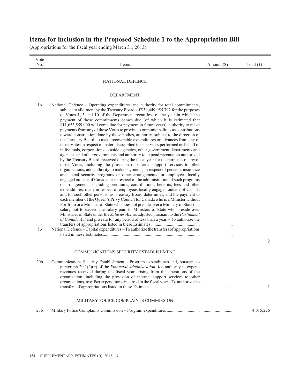| Vote<br>No.          | Items                                                                                                                                                                                                                                                                                                                                                                                                                                                                                                                                                                                                                                                                                                                                                                                                                                                                                                                                                                                                                                                                                                                                                                                                                                                                                                                                                                                                                                                                                                                                                                                                                                                                                                                                                                                                                                                                                                                                                                                                                                                                                                                         | Amount $(\$)$ | Total $(\$)$ |
|----------------------|-------------------------------------------------------------------------------------------------------------------------------------------------------------------------------------------------------------------------------------------------------------------------------------------------------------------------------------------------------------------------------------------------------------------------------------------------------------------------------------------------------------------------------------------------------------------------------------------------------------------------------------------------------------------------------------------------------------------------------------------------------------------------------------------------------------------------------------------------------------------------------------------------------------------------------------------------------------------------------------------------------------------------------------------------------------------------------------------------------------------------------------------------------------------------------------------------------------------------------------------------------------------------------------------------------------------------------------------------------------------------------------------------------------------------------------------------------------------------------------------------------------------------------------------------------------------------------------------------------------------------------------------------------------------------------------------------------------------------------------------------------------------------------------------------------------------------------------------------------------------------------------------------------------------------------------------------------------------------------------------------------------------------------------------------------------------------------------------------------------------------------|---------------|--------------|
|                      | NATIONAL DEFENCE                                                                                                                                                                                                                                                                                                                                                                                                                                                                                                                                                                                                                                                                                                                                                                                                                                                                                                                                                                                                                                                                                                                                                                                                                                                                                                                                                                                                                                                                                                                                                                                                                                                                                                                                                                                                                                                                                                                                                                                                                                                                                                              |               |              |
|                      | DEPARTMENT                                                                                                                                                                                                                                                                                                                                                                                                                                                                                                                                                                                                                                                                                                                                                                                                                                                                                                                                                                                                                                                                                                                                                                                                                                                                                                                                                                                                                                                                                                                                                                                                                                                                                                                                                                                                                                                                                                                                                                                                                                                                                                                    |               |              |
| 1 <sub>b</sub><br>5b | National Defence – Operating expenditures and authority for total commitments,<br>subject to allotment by the Treasury Board, of \$30,449,955,792 for the purposes<br>of Votes 1, 5 and 10 of the Department regardless of the year in which the<br>payment of those commitments comes due (of which it is estimated that<br>\$11,653,559,000 will come due for payment in future years), authority to make<br>payments from any of those Votes to provinces or municipalities as contributions<br>toward construction done by those bodies, authority, subject to the direction of<br>the Treasury Board, to make recoverable expenditures or advances from any of<br>those Votes in respect of materials supplied to or services performed on behalf of<br>individuals, corporations, outside agencies, other government departments and<br>agencies and other governments and authority to expend revenue, as authorized<br>by the Treasury Board, received during the fiscal year for the purposes of any of<br>those Votes, including the provision of internal support services to other<br>organizations, and authority to make payments, in respect of pension, insurance<br>and social security programs or other arrangements for employees locally<br>engaged outside of Canada, or in respect of the administration of such programs<br>or arrangements, including premiums, contributions, benefits, fees and other<br>expenditures, made in respect of employees locally engaged outside of Canada<br>and for such other persons, as Treasury Board determines, and the payment to<br>each member of the Queen's Privy Council for Canada who is a Minister without<br>Portfolio or a Minister of State who does not preside over a Ministry of State of a<br>salary not to exceed the salary paid to Ministers of State who preside over<br>Ministries of State under the Salaries Act, as adjusted pursuant to the Parliament<br>of Canada Act and pro rata for any period of less than a year $-$ To authorize the<br>National Defence - Capital expenditures - To authorize the transfers of appropriations | 1<br>1        |              |
|                      |                                                                                                                                                                                                                                                                                                                                                                                                                                                                                                                                                                                                                                                                                                                                                                                                                                                                                                                                                                                                                                                                                                                                                                                                                                                                                                                                                                                                                                                                                                                                                                                                                                                                                                                                                                                                                                                                                                                                                                                                                                                                                                                               |               | 2            |
|                      | COMMUNICATIONS SECURITY ESTABLISHMENT                                                                                                                                                                                                                                                                                                                                                                                                                                                                                                                                                                                                                                                                                                                                                                                                                                                                                                                                                                                                                                                                                                                                                                                                                                                                                                                                                                                                                                                                                                                                                                                                                                                                                                                                                                                                                                                                                                                                                                                                                                                                                         |               |              |
| 20 <sub>b</sub>      | Communications Security Establishment - Program expenditures and, pursuant to<br>paragraph $29.1(2)(a)$ of the <i>Financial Administration Act</i> , authority to expend<br>revenues received during the fiscal year arising from the operations of the<br>organization, including the provision of internal support services to other<br>organizations, to offset expenditures incurred in the fiscal year - To authorize the                                                                                                                                                                                                                                                                                                                                                                                                                                                                                                                                                                                                                                                                                                                                                                                                                                                                                                                                                                                                                                                                                                                                                                                                                                                                                                                                                                                                                                                                                                                                                                                                                                                                                                |               | $\mathbf{1}$ |
|                      | MILITARY POLICE COMPLAINTS COMMISSION                                                                                                                                                                                                                                                                                                                                                                                                                                                                                                                                                                                                                                                                                                                                                                                                                                                                                                                                                                                                                                                                                                                                                                                                                                                                                                                                                                                                                                                                                                                                                                                                                                                                                                                                                                                                                                                                                                                                                                                                                                                                                         |               |              |
| 25 <sub>b</sub>      |                                                                                                                                                                                                                                                                                                                                                                                                                                                                                                                                                                                                                                                                                                                                                                                                                                                                                                                                                                                                                                                                                                                                                                                                                                                                                                                                                                                                                                                                                                                                                                                                                                                                                                                                                                                                                                                                                                                                                                                                                                                                                                                               |               | 4,015,226    |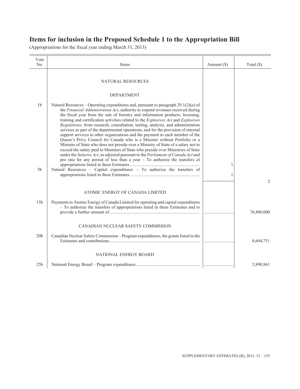| Vote<br>No.                      | Items                                                                                                                                                                                                                                                                                                                                                                                                                                                                                                                                                                                                                                                                                                                                                                                                                                                                                                                                                                                                                                                                                                              | Amount (\$) | Total $(\$)$ |
|----------------------------------|--------------------------------------------------------------------------------------------------------------------------------------------------------------------------------------------------------------------------------------------------------------------------------------------------------------------------------------------------------------------------------------------------------------------------------------------------------------------------------------------------------------------------------------------------------------------------------------------------------------------------------------------------------------------------------------------------------------------------------------------------------------------------------------------------------------------------------------------------------------------------------------------------------------------------------------------------------------------------------------------------------------------------------------------------------------------------------------------------------------------|-------------|--------------|
|                                  | <b>NATURAL RESOURCES</b>                                                                                                                                                                                                                                                                                                                                                                                                                                                                                                                                                                                                                                                                                                                                                                                                                                                                                                                                                                                                                                                                                           |             |              |
|                                  | <b>DEPARTMENT</b>                                                                                                                                                                                                                                                                                                                                                                                                                                                                                                                                                                                                                                                                                                                                                                                                                                                                                                                                                                                                                                                                                                  |             |              |
| 1 <sub>b</sub><br>5 <sub>b</sub> | Natural Resources – Operating expenditures and, pursuant to paragraph $29.1(2)(a)$ of<br>the Financial Administration Act, authority to expend revenues received during<br>the fiscal year from the sale of forestry and information products; licensing,<br>training and certification activities related to the Explosives Act and Explosives<br>Regulations; from research, consultation, testing, analysis, and administration<br>services as part of the departmental operations; and for the provision of internal<br>support services to other organizations and the payment to each member of the<br>Queen's Privy Council for Canada who is a Minister without Portfolio or a<br>Minister of State who does not preside over a Ministry of State of a salary not to<br>exceed the salary paid to Ministers of State who preside over Ministries of State<br>under the Salaries Act, as adjusted pursuant to the Parliament of Canada Act and<br>pro rata for any period of less than a year $-$ To authorize the transfers of<br>Natural Resources - Capital expenditures - To authorize the transfers of | 1<br>1      |              |
|                                  | ATOMIC ENERGY OF CANADA LIMITED                                                                                                                                                                                                                                                                                                                                                                                                                                                                                                                                                                                                                                                                                                                                                                                                                                                                                                                                                                                                                                                                                    |             | 2            |
| 15 <sub>b</sub>                  | Payments to Atomic Energy of Canada Limited for operating and capital expenditures<br>- To authorize the transfers of appropriations listed in these Estimates and to                                                                                                                                                                                                                                                                                                                                                                                                                                                                                                                                                                                                                                                                                                                                                                                                                                                                                                                                              |             | 76,800,000   |
|                                  | CANADIAN NUCLEAR SAFETY COMMISSION                                                                                                                                                                                                                                                                                                                                                                                                                                                                                                                                                                                                                                                                                                                                                                                                                                                                                                                                                                                                                                                                                 |             |              |
| 20 <sub>b</sub>                  | Canadian Nuclear Safety Commission - Program expenditures, the grants listed in the                                                                                                                                                                                                                                                                                                                                                                                                                                                                                                                                                                                                                                                                                                                                                                                                                                                                                                                                                                                                                                |             | 8,604,751    |
|                                  | NATIONAL ENERGY BOARD                                                                                                                                                                                                                                                                                                                                                                                                                                                                                                                                                                                                                                                                                                                                                                                                                                                                                                                                                                                                                                                                                              |             |              |
| 25 <sub>b</sub>                  |                                                                                                                                                                                                                                                                                                                                                                                                                                                                                                                                                                                                                                                                                                                                                                                                                                                                                                                                                                                                                                                                                                                    |             | 5,890,861    |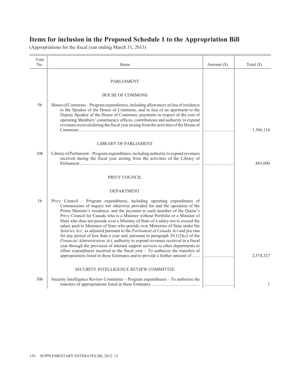| Vote            |                                                                                                                                                                                                                                                                                                                                                                                                                                                                                                                                                                                                                                                                                                                                                                                                                                                                                                                                                                                                                  |               |              |
|-----------------|------------------------------------------------------------------------------------------------------------------------------------------------------------------------------------------------------------------------------------------------------------------------------------------------------------------------------------------------------------------------------------------------------------------------------------------------------------------------------------------------------------------------------------------------------------------------------------------------------------------------------------------------------------------------------------------------------------------------------------------------------------------------------------------------------------------------------------------------------------------------------------------------------------------------------------------------------------------------------------------------------------------|---------------|--------------|
| No.             | Items                                                                                                                                                                                                                                                                                                                                                                                                                                                                                                                                                                                                                                                                                                                                                                                                                                                                                                                                                                                                            | Amount $(\$)$ | Total $(\$)$ |
|                 | PARLIAMENT                                                                                                                                                                                                                                                                                                                                                                                                                                                                                                                                                                                                                                                                                                                                                                                                                                                                                                                                                                                                       |               |              |
|                 | <b>HOUSE OF COMMONS</b>                                                                                                                                                                                                                                                                                                                                                                                                                                                                                                                                                                                                                                                                                                                                                                                                                                                                                                                                                                                          |               |              |
| 5 <sub>b</sub>  | House of Commons – Program expenditures, including allowances in lieu of residence<br>to the Speaker of the House of Commons, and in lieu of an apartment to the<br>Deputy Speaker of the House of Commons, payments in respect of the cost of<br>operating Members' constituency offices, contributions and authority to expend<br>revenues received during the fiscal year arising from the activities of the House of                                                                                                                                                                                                                                                                                                                                                                                                                                                                                                                                                                                         |               | 1,586,114    |
|                 | <b>LIBRARY OF PARLIAMENT</b>                                                                                                                                                                                                                                                                                                                                                                                                                                                                                                                                                                                                                                                                                                                                                                                                                                                                                                                                                                                     |               |              |
| 10 <sub>b</sub> | Library of Parliament-Program expenditures, including authority to expend revenues<br>received during the fiscal year arising from the activities of the Library of                                                                                                                                                                                                                                                                                                                                                                                                                                                                                                                                                                                                                                                                                                                                                                                                                                              |               | 885,000      |
|                 | PRIVY COUNCIL                                                                                                                                                                                                                                                                                                                                                                                                                                                                                                                                                                                                                                                                                                                                                                                                                                                                                                                                                                                                    |               |              |
|                 | <b>DEPARTMENT</b>                                                                                                                                                                                                                                                                                                                                                                                                                                                                                                                                                                                                                                                                                                                                                                                                                                                                                                                                                                                                |               |              |
| 1 <sub>b</sub>  | Privy Council - Program expenditures, including operating expenditures of<br>Commissions of inquiry not otherwise provided for and the operation of the<br>Prime Minister's residence; and the payment to each member of the Queen's<br>Privy Council for Canada who is a Minister without Portfolio or a Minister of<br>State who does not preside over a Ministry of State of a salary not to exceed the<br>salary paid to Ministers of State who preside over Ministries of State under the<br>Salaries Act, as adjusted pursuant to the Parliament of Canada Act and pro rata<br>for any period of less than a year and, pursuant to paragraph $29.1(2)(a)$ of the<br>Financial Administration Act, authority to expend revenues received in a fiscal<br>year through the provision of internal support services to other departments to<br>offset expenditures incurred in the fiscal year $-$ To authorize the transfers of<br>appropriations listed in these Estimates and to provide a further amount of |               | 2,574,327    |
|                 | <b>SECURITY INTELLIGENCE REVIEW COMMITTEE</b>                                                                                                                                                                                                                                                                                                                                                                                                                                                                                                                                                                                                                                                                                                                                                                                                                                                                                                                                                                    |               |              |
| 30 <sub>b</sub> | Security Intelligence Review Committee - Program expenditures - To authorize the                                                                                                                                                                                                                                                                                                                                                                                                                                                                                                                                                                                                                                                                                                                                                                                                                                                                                                                                 |               | 1            |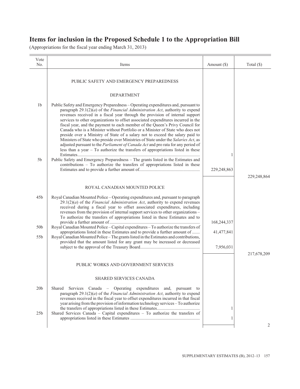| PUBLIC SAFETY AND EMERGENCY PREPAREDNESS<br><b>DEPARTMENT</b><br>1 <sub>b</sub><br>Public Safety and Emergency Preparedness – Operating expenditures and, pursuant to<br>paragraph $29.1(2)(a)$ of the <i>Financial Administration Act</i> , authority to expend<br>revenues received in a fiscal year through the provision of internal support<br>services to other organizations to offset associated expenditures incurred in the<br>fiscal year, and the payment to each member of the Queen's Privy Council for<br>Canada who is a Minister without Portfolio or a Minister of State who does not<br>preside over a Ministry of State of a salary not to exceed the salary paid to<br>Ministers of State who preside over Ministries of State under the Salaries Act, as<br>adjusted pursuant to the <i>Parliament of Canada Act</i> and pro rata for any period of<br>less than a year $-$ To authorize the transfers of appropriations listed in these<br>1<br>5 <sub>b</sub><br>Public Safety and Emergency Preparedness - The grants listed in the Estimates and<br>contributions - To authorize the transfers of appropriations listed in these<br>229,248,863<br>ROYAL CANADIAN MOUNTED POLICE<br>45 <sub>b</sub><br>Royal Canadian Mounted Police – Operating expenditures and, pursuant to paragraph<br>$29.1(2)(a)$ of the <i>Financial Administration Act</i> , authority to expend revenues<br>received during a fiscal year to offset associated expenditures, including<br>revenues from the provision of internal support services to other organizations -<br>To authorize the transfers of appropriations listed in these Estimates and to<br>168,244,337<br>50 <sub>b</sub><br>Royal Canadian Mounted Police - Capital expenditures - To authorize the transfers of<br>appropriations listed in these Estimates and to provide a further amount of<br>41,477,841<br>55b<br>Royal Canadian Mounted Police - The grants listed in the Estimates and contributions,<br>provided that the amount listed for any grant may be increased or decreased<br>7,956,031<br>PUBLIC WORKS AND GOVERNMENT SERVICES<br><b>SHARED SERVICES CANADA</b><br>20 <sub>b</sub><br>Shared<br>Services Canada – Operating expenditures and, pursuant to<br>paragraph $29.1(2)(a)$ of the <i>Financial Administration Act</i> , authority to expend<br>revenues received in the fiscal year to offset expenditures incurred in that fiscal<br>year arising from the provision of information technology services - To authorize<br>1<br>Shared Services Canada - Capital expenditures - To authorize the transfers of<br>25 <sub>b</sub><br>1 | Vote<br>No. | Items | Amount $(\$)$ | Total $(\$)$ |
|---------------------------------------------------------------------------------------------------------------------------------------------------------------------------------------------------------------------------------------------------------------------------------------------------------------------------------------------------------------------------------------------------------------------------------------------------------------------------------------------------------------------------------------------------------------------------------------------------------------------------------------------------------------------------------------------------------------------------------------------------------------------------------------------------------------------------------------------------------------------------------------------------------------------------------------------------------------------------------------------------------------------------------------------------------------------------------------------------------------------------------------------------------------------------------------------------------------------------------------------------------------------------------------------------------------------------------------------------------------------------------------------------------------------------------------------------------------------------------------------------------------------------------------------------------------------------------------------------------------------------------------------------------------------------------------------------------------------------------------------------------------------------------------------------------------------------------------------------------------------------------------------------------------------------------------------------------------------------------------------------------------------------------------------------------------------------------------------------------------------------------------------------------------------------------------------------------------------------------------------------------------------------------------------------------------------------------------------------------------------------------------------------------------------------------------------------------------------------------------------------------------------------------------------------------------------------------------------------------------------------------------------|-------------|-------|---------------|--------------|
|                                                                                                                                                                                                                                                                                                                                                                                                                                                                                                                                                                                                                                                                                                                                                                                                                                                                                                                                                                                                                                                                                                                                                                                                                                                                                                                                                                                                                                                                                                                                                                                                                                                                                                                                                                                                                                                                                                                                                                                                                                                                                                                                                                                                                                                                                                                                                                                                                                                                                                                                                                                                                                             |             |       |               |              |
|                                                                                                                                                                                                                                                                                                                                                                                                                                                                                                                                                                                                                                                                                                                                                                                                                                                                                                                                                                                                                                                                                                                                                                                                                                                                                                                                                                                                                                                                                                                                                                                                                                                                                                                                                                                                                                                                                                                                                                                                                                                                                                                                                                                                                                                                                                                                                                                                                                                                                                                                                                                                                                             |             |       |               |              |
|                                                                                                                                                                                                                                                                                                                                                                                                                                                                                                                                                                                                                                                                                                                                                                                                                                                                                                                                                                                                                                                                                                                                                                                                                                                                                                                                                                                                                                                                                                                                                                                                                                                                                                                                                                                                                                                                                                                                                                                                                                                                                                                                                                                                                                                                                                                                                                                                                                                                                                                                                                                                                                             |             |       |               |              |
|                                                                                                                                                                                                                                                                                                                                                                                                                                                                                                                                                                                                                                                                                                                                                                                                                                                                                                                                                                                                                                                                                                                                                                                                                                                                                                                                                                                                                                                                                                                                                                                                                                                                                                                                                                                                                                                                                                                                                                                                                                                                                                                                                                                                                                                                                                                                                                                                                                                                                                                                                                                                                                             |             |       |               |              |
|                                                                                                                                                                                                                                                                                                                                                                                                                                                                                                                                                                                                                                                                                                                                                                                                                                                                                                                                                                                                                                                                                                                                                                                                                                                                                                                                                                                                                                                                                                                                                                                                                                                                                                                                                                                                                                                                                                                                                                                                                                                                                                                                                                                                                                                                                                                                                                                                                                                                                                                                                                                                                                             |             |       |               | 229,248,864  |
|                                                                                                                                                                                                                                                                                                                                                                                                                                                                                                                                                                                                                                                                                                                                                                                                                                                                                                                                                                                                                                                                                                                                                                                                                                                                                                                                                                                                                                                                                                                                                                                                                                                                                                                                                                                                                                                                                                                                                                                                                                                                                                                                                                                                                                                                                                                                                                                                                                                                                                                                                                                                                                             |             |       |               |              |
|                                                                                                                                                                                                                                                                                                                                                                                                                                                                                                                                                                                                                                                                                                                                                                                                                                                                                                                                                                                                                                                                                                                                                                                                                                                                                                                                                                                                                                                                                                                                                                                                                                                                                                                                                                                                                                                                                                                                                                                                                                                                                                                                                                                                                                                                                                                                                                                                                                                                                                                                                                                                                                             |             |       |               |              |
|                                                                                                                                                                                                                                                                                                                                                                                                                                                                                                                                                                                                                                                                                                                                                                                                                                                                                                                                                                                                                                                                                                                                                                                                                                                                                                                                                                                                                                                                                                                                                                                                                                                                                                                                                                                                                                                                                                                                                                                                                                                                                                                                                                                                                                                                                                                                                                                                                                                                                                                                                                                                                                             |             |       |               |              |
|                                                                                                                                                                                                                                                                                                                                                                                                                                                                                                                                                                                                                                                                                                                                                                                                                                                                                                                                                                                                                                                                                                                                                                                                                                                                                                                                                                                                                                                                                                                                                                                                                                                                                                                                                                                                                                                                                                                                                                                                                                                                                                                                                                                                                                                                                                                                                                                                                                                                                                                                                                                                                                             |             |       |               |              |
|                                                                                                                                                                                                                                                                                                                                                                                                                                                                                                                                                                                                                                                                                                                                                                                                                                                                                                                                                                                                                                                                                                                                                                                                                                                                                                                                                                                                                                                                                                                                                                                                                                                                                                                                                                                                                                                                                                                                                                                                                                                                                                                                                                                                                                                                                                                                                                                                                                                                                                                                                                                                                                             |             |       |               |              |
|                                                                                                                                                                                                                                                                                                                                                                                                                                                                                                                                                                                                                                                                                                                                                                                                                                                                                                                                                                                                                                                                                                                                                                                                                                                                                                                                                                                                                                                                                                                                                                                                                                                                                                                                                                                                                                                                                                                                                                                                                                                                                                                                                                                                                                                                                                                                                                                                                                                                                                                                                                                                                                             |             |       |               | 217,678,209  |
|                                                                                                                                                                                                                                                                                                                                                                                                                                                                                                                                                                                                                                                                                                                                                                                                                                                                                                                                                                                                                                                                                                                                                                                                                                                                                                                                                                                                                                                                                                                                                                                                                                                                                                                                                                                                                                                                                                                                                                                                                                                                                                                                                                                                                                                                                                                                                                                                                                                                                                                                                                                                                                             |             |       |               |              |
|                                                                                                                                                                                                                                                                                                                                                                                                                                                                                                                                                                                                                                                                                                                                                                                                                                                                                                                                                                                                                                                                                                                                                                                                                                                                                                                                                                                                                                                                                                                                                                                                                                                                                                                                                                                                                                                                                                                                                                                                                                                                                                                                                                                                                                                                                                                                                                                                                                                                                                                                                                                                                                             |             |       |               |              |
|                                                                                                                                                                                                                                                                                                                                                                                                                                                                                                                                                                                                                                                                                                                                                                                                                                                                                                                                                                                                                                                                                                                                                                                                                                                                                                                                                                                                                                                                                                                                                                                                                                                                                                                                                                                                                                                                                                                                                                                                                                                                                                                                                                                                                                                                                                                                                                                                                                                                                                                                                                                                                                             |             |       |               |              |
|                                                                                                                                                                                                                                                                                                                                                                                                                                                                                                                                                                                                                                                                                                                                                                                                                                                                                                                                                                                                                                                                                                                                                                                                                                                                                                                                                                                                                                                                                                                                                                                                                                                                                                                                                                                                                                                                                                                                                                                                                                                                                                                                                                                                                                                                                                                                                                                                                                                                                                                                                                                                                                             |             |       |               | 2            |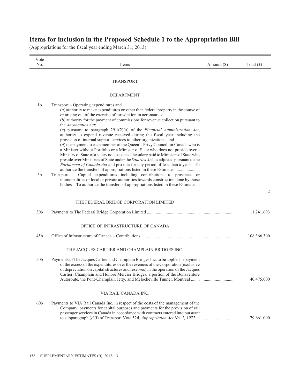| Vote<br>No.     | Items                                                                                                                                                                                                                                                                                                                                                                                                                                                                                                                                                                                                                                                                                                                                                                                                                                                                                                                                                                                 | Amount $(\$)$ | Total $(\$)$ |
|-----------------|---------------------------------------------------------------------------------------------------------------------------------------------------------------------------------------------------------------------------------------------------------------------------------------------------------------------------------------------------------------------------------------------------------------------------------------------------------------------------------------------------------------------------------------------------------------------------------------------------------------------------------------------------------------------------------------------------------------------------------------------------------------------------------------------------------------------------------------------------------------------------------------------------------------------------------------------------------------------------------------|---------------|--------------|
|                 | <b>TRANSPORT</b>                                                                                                                                                                                                                                                                                                                                                                                                                                                                                                                                                                                                                                                                                                                                                                                                                                                                                                                                                                      |               |              |
|                 | <b>DEPARTMENT</b>                                                                                                                                                                                                                                                                                                                                                                                                                                                                                                                                                                                                                                                                                                                                                                                                                                                                                                                                                                     |               |              |
| 1 <sub>b</sub>  | Transport – Operating expenditures and<br>$(a)$ authority to make expenditures on other than federal property in the course of<br>or arising out of the exercise of jurisdiction in aeronautics;<br>$(b)$ authority for the payment of commissions for revenue collection pursuant to<br>the Aeronautics Act;<br>(c) pursuant to paragraph $29.1(2)(a)$ of the Financial Administration Act,<br>authority to expend revenue received during the fiscal year including the<br>provision of internal support services to other organizations; and<br>(d) the payment to each member of the Queen's Privy Council for Canada who is<br>a Minister without Portfolio or a Minister of State who does not preside over a<br>Ministry of State of a salary not to exceed the salary paid to Ministers of State who<br>preside over Ministries of State under the Salaries Act, as adjusted pursuant to the<br>Parliament of Canada Act and pro rata for any period of less than a year - To |               |              |
| 5b              | authorize the transfers of appropriations listed in these Estimates<br>Transport - Capital expenditures including contributions to provinces or<br>municipalities or local or private authorities towards construction done by those<br>bodies - To authorize the transfers of appropriations listed in these Estimates                                                                                                                                                                                                                                                                                                                                                                                                                                                                                                                                                                                                                                                               | 1             | 2            |
|                 | THE FEDERAL BRIDGE CORPORATION LIMITED                                                                                                                                                                                                                                                                                                                                                                                                                                                                                                                                                                                                                                                                                                                                                                                                                                                                                                                                                |               |              |
| 30 <sub>b</sub> |                                                                                                                                                                                                                                                                                                                                                                                                                                                                                                                                                                                                                                                                                                                                                                                                                                                                                                                                                                                       |               | 11,241,693   |
|                 | OFFICE OF INFRASTRUCTURE OF CANADA                                                                                                                                                                                                                                                                                                                                                                                                                                                                                                                                                                                                                                                                                                                                                                                                                                                                                                                                                    |               |              |
| 45 <sub>b</sub> |                                                                                                                                                                                                                                                                                                                                                                                                                                                                                                                                                                                                                                                                                                                                                                                                                                                                                                                                                                                       |               | 108,366,300  |
|                 | THE JACQUES CARTIER AND CHAMPLAIN BRIDGES INC.                                                                                                                                                                                                                                                                                                                                                                                                                                                                                                                                                                                                                                                                                                                                                                                                                                                                                                                                        |               |              |
| 50 <sub>b</sub> | Payments to The Jacques Cartier and Champlain Bridges Inc. to be applied in payment<br>of the excess of the expenditures over the revenues of the Corporation (exclusive<br>of depreciation on capital structures and reserves) in the operation of the Jacques<br>Cartier, Champlain and Honoré Mercier Bridges, a portion of the Bonaventure                                                                                                                                                                                                                                                                                                                                                                                                                                                                                                                                                                                                                                        |               | 40,475,000   |
|                 | VIA RAIL CANADA INC.                                                                                                                                                                                                                                                                                                                                                                                                                                                                                                                                                                                                                                                                                                                                                                                                                                                                                                                                                                  |               |              |
| 60b             | Payments to VIA Rail Canada Inc. in respect of the costs of the management of the<br>Company, payments for capital purposes and payments for the provision of rail<br>passenger services in Canada in accordance with contracts entered into pursuant<br>to subparagraph (c)(i) of Transport Vote 52d, Appropriation Act No. 1, 1977                                                                                                                                                                                                                                                                                                                                                                                                                                                                                                                                                                                                                                                  |               | 79,661,000   |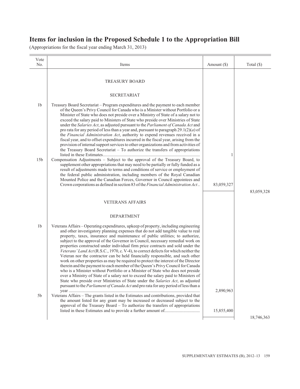| Vote<br>No.                      | Items                                                                                                                                                                                                                                                                                                                                                                                                                                                                                                                                                                                                                                                                                                                                                                                                                                                                                                                                                                                                                                                                                                                                                                                                                                      | Amount $(\$)$   | Total $(\$)$ |
|----------------------------------|--------------------------------------------------------------------------------------------------------------------------------------------------------------------------------------------------------------------------------------------------------------------------------------------------------------------------------------------------------------------------------------------------------------------------------------------------------------------------------------------------------------------------------------------------------------------------------------------------------------------------------------------------------------------------------------------------------------------------------------------------------------------------------------------------------------------------------------------------------------------------------------------------------------------------------------------------------------------------------------------------------------------------------------------------------------------------------------------------------------------------------------------------------------------------------------------------------------------------------------------|-----------------|--------------|
|                                  | <b>TREASURY BOARD</b>                                                                                                                                                                                                                                                                                                                                                                                                                                                                                                                                                                                                                                                                                                                                                                                                                                                                                                                                                                                                                                                                                                                                                                                                                      |                 |              |
|                                  | <b>SECRETARIAT</b>                                                                                                                                                                                                                                                                                                                                                                                                                                                                                                                                                                                                                                                                                                                                                                                                                                                                                                                                                                                                                                                                                                                                                                                                                         |                 |              |
| 1 <sub>b</sub>                   | Treasury Board Secretariat – Program expenditures and the payment to each member<br>of the Queen's Privy Council for Canada who is a Minister without Portfolio or a<br>Minister of State who does not preside over a Ministry of State of a salary not to<br>exceed the salary paid to Ministers of State who preside over Ministries of State<br>under the Salaries Act, as adjusted pursuant to the Parliament of Canada Act and<br>pro rata for any period of less than a year and, pursuant to paragraph 29.1(2)( <i>a</i> ) of<br>the Financial Administration Act, authority to expend revenues received in a<br>fiscal year, and to offset expenditures incurred in the fiscal year, arising from the<br>provision of internal support services to other organizations and from activities of<br>the Treasury Board Secretariat - To authorize the transfers of appropriations                                                                                                                                                                                                                                                                                                                                                     |                 |              |
| 15 <sub>b</sub>                  | Compensation Adjustments - Subject to the approval of the Treasury Board, to<br>supplement other appropriations that may need to be partially or fully funded as a<br>result of adjustments made to terms and conditions of service or employment of<br>the federal public administration, including members of the Royal Canadian<br>Mounted Police and the Canadian Forces, Governor in Council appointees and<br>Crown corporations as defined in section 83 of the Financial Administration Act                                                                                                                                                                                                                                                                                                                                                                                                                                                                                                                                                                                                                                                                                                                                        | 1<br>83,059,327 |              |
|                                  |                                                                                                                                                                                                                                                                                                                                                                                                                                                                                                                                                                                                                                                                                                                                                                                                                                                                                                                                                                                                                                                                                                                                                                                                                                            |                 | 83,059,328   |
|                                  | <b>VETERANS AFFAIRS</b>                                                                                                                                                                                                                                                                                                                                                                                                                                                                                                                                                                                                                                                                                                                                                                                                                                                                                                                                                                                                                                                                                                                                                                                                                    |                 |              |
|                                  | <b>DEPARTMENT</b>                                                                                                                                                                                                                                                                                                                                                                                                                                                                                                                                                                                                                                                                                                                                                                                                                                                                                                                                                                                                                                                                                                                                                                                                                          |                 |              |
| 1 <sub>b</sub><br>5 <sub>b</sub> | Veterans Affairs - Operating expenditures, upkeep of property, including engineering<br>and other investigatory planning expenses that do not add tangible value to real<br>property, taxes, insurance and maintenance of public utilities; to authorize,<br>subject to the approval of the Governor in Council, necessary remedial work on<br>properties constructed under individual firm price contracts and sold under the<br><i>Veterans' Land Act</i> (R.S.C., 1970, c. V-4), to correct defects for which neither the<br>Veteran nor the contractor can be held financially responsible, and such other<br>work on other properties as may be required to protect the interest of the Director<br>therein and the payment to each member of the Queen's Privy Council for Canada<br>who is a Minister without Portfolio or a Minister of State who does not preside<br>over a Ministry of State of a salary not to exceed the salary paid to Ministers of<br>State who preside over Ministries of State under the Salaries Act, as adjusted<br>pursuant to the <i>Parliament of Canada Act</i> and pro rata for any period of less than a<br>Veterans Affairs - The grants listed in the Estimates and contributions, provided that | 2,890,963       |              |
|                                  | the amount listed for any grant may be increased or decreased subject to the<br>approval of the Treasury Board $-$ To authorize the transfers of appropriations                                                                                                                                                                                                                                                                                                                                                                                                                                                                                                                                                                                                                                                                                                                                                                                                                                                                                                                                                                                                                                                                            | 15,855,400      |              |
|                                  |                                                                                                                                                                                                                                                                                                                                                                                                                                                                                                                                                                                                                                                                                                                                                                                                                                                                                                                                                                                                                                                                                                                                                                                                                                            |                 | 18,746,363   |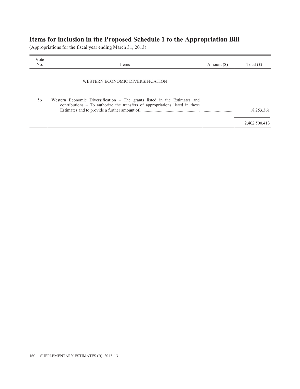| Vote<br>No.    | Items                                                                                                                                                     | Amount (\$) | Total (\$)    |
|----------------|-----------------------------------------------------------------------------------------------------------------------------------------------------------|-------------|---------------|
|                | WESTERN ECONOMIC DIVERSIFICATION                                                                                                                          |             |               |
| 5 <sub>b</sub> | Western Economic Diversification – The grants listed in the Estimates and<br>contributions - To authorize the transfers of appropriations listed in these |             | 18,253,361    |
|                |                                                                                                                                                           |             | 2,462,500,413 |